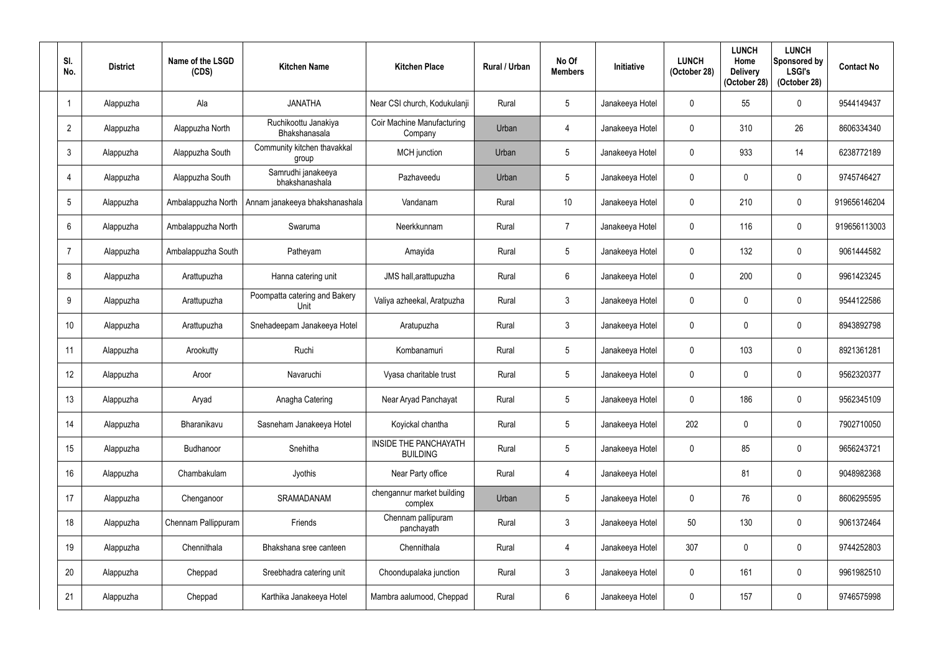| SI.<br>No.     | <b>District</b> | Name of the LSGD<br>(CDS) | <b>Kitchen Name</b>                   | <b>Kitchen Place</b>                     | <b>Rural / Urban</b> | No Of<br><b>Members</b> | <b>Initiative</b> | <b>LUNCH</b><br>(October 28) | <b>LUNCH</b><br>Home<br><b>Delivery</b><br>(October 28) | <b>LUNCH</b><br>Sponsored by<br><b>LSGI's</b><br>(October 28) | <b>Contact No</b> |
|----------------|-----------------|---------------------------|---------------------------------------|------------------------------------------|----------------------|-------------------------|-------------------|------------------------------|---------------------------------------------------------|---------------------------------------------------------------|-------------------|
|                | Alappuzha       | Ala                       | <b>JANATHA</b>                        | Near CSI church, Kodukulanji             | Rural                | $5\phantom{.0}$         | Janakeeya Hotel   | $\mathbf{0}$                 | 55                                                      | $\mathbf 0$                                                   | 9544149437        |
| $\overline{2}$ | Alappuzha       | Alappuzha North           | Ruchikoottu Janakiya<br>Bhakshanasala | Coir Machine Manufacturing<br>Company    | Urban                | $\overline{4}$          | Janakeeya Hotel   | $\mathbf 0$                  | 310                                                     | 26                                                            | 8606334340        |
| $\mathbf{3}$   | Alappuzha       | Alappuzha South           | Community kitchen thavakkal<br>group  | MCH junction                             | Urban                | $5\phantom{.0}$         | Janakeeya Hotel   | $\mathbf 0$                  | 933                                                     | 14                                                            | 6238772189        |
| 4              | Alappuzha       | Alappuzha South           | Samrudhi janakeeya<br>bhakshanashala  | Pazhaveedu                               | Urban                | $5\overline{)}$         | Janakeeya Hotel   | $\mathbf 0$                  | 0                                                       | $\mathbf 0$                                                   | 9745746427        |
| 5              | Alappuzha       | Ambalappuzha North        | Annam janakeeya bhakshanashala        | Vandanam                                 | Rural                | 10 <sup>°</sup>         | Janakeeya Hotel   | $\mathbf{0}$                 | 210                                                     | $\mathbf 0$                                                   | 919656146204      |
| 6              | Alappuzha       | Ambalappuzha North        | Swaruma                               | Neerkkunnam                              | Rural                | $\overline{7}$          | Janakeeya Hotel   | $\mathbf 0$                  | 116                                                     | $\mathbf 0$                                                   | 919656113003      |
| 7              | Alappuzha       | Ambalappuzha South        | Patheyam                              | Amayida                                  | Rural                | $5\overline{)}$         | Janakeeya Hotel   | $\mathbf{0}$                 | 132                                                     | $\mathbf 0$                                                   | 9061444582        |
| 8              | Alappuzha       | Arattupuzha               | Hanna catering unit                   | JMS hall, arattupuzha                    | Rural                | $6\overline{6}$         | Janakeeya Hotel   | $\mathbf 0$                  | 200                                                     | $\mathbf 0$                                                   | 9961423245        |
| 9              | Alappuzha       | Arattupuzha               | Poompatta catering and Bakery<br>Unit | Valiya azheekal, Aratpuzha               | Rural                | $\mathbf{3}$            | Janakeeya Hotel   | $\mathbf 0$                  |                                                         | $\mathbf 0$                                                   | 9544122586        |
| 10             | Alappuzha       | Arattupuzha               | Snehadeepam Janakeeya Hotel           | Aratupuzha                               | Rural                | $\mathfrak{Z}$          | Janakeeya Hotel   | $\mathbf 0$                  |                                                         | $\mathbf 0$                                                   | 8943892798        |
| 11             | Alappuzha       | Arookutty                 | Ruchi                                 | Kombanamuri                              | Rural                | $5\phantom{.0}$         | Janakeeya Hotel   | $\mathbf{0}$                 | 103                                                     | $\mathbf 0$                                                   | 8921361281        |
| 12             | Alappuzha       | Aroor                     | Navaruchi                             | Vyasa charitable trust                   | Rural                | $5\overline{)}$         | Janakeeya Hotel   | $\mathbf 0$                  | 0                                                       | $\boldsymbol{0}$                                              | 9562320377        |
| 13             | Alappuzha       | Aryad                     | Anagha Catering                       | Near Aryad Panchayat                     | Rural                | $5\phantom{.0}$         | Janakeeya Hotel   | $\mathbf 0$                  | 186                                                     | $\mathbf 0$                                                   | 9562345109        |
| 14             | Alappuzha       | Bharanikavu               | Sasneham Janakeeya Hotel              | Koyickal chantha                         | Rural                | $5\phantom{.0}$         | Janakeeya Hotel   | 202                          | 0                                                       | $\boldsymbol{0}$                                              | 7902710050        |
| 15             | Alappuzha       | Budhanoor                 | Snehitha                              | INSIDE THE PANCHAYATH<br><b>BUILDING</b> | Rural                | $5\phantom{.0}$         | Janakeeya Hotel   | $\mathbf 0$                  | 85                                                      | $\boldsymbol{0}$                                              | 9656243721        |
| 16             | Alappuzha       | Chambakulam               | Jyothis                               | Near Party office                        | Rural                | $\overline{4}$          | Janakeeya Hotel   |                              | 81                                                      | $\boldsymbol{0}$                                              | 9048982368        |
| 17             | Alappuzha       | Chenganoor                | SRAMADANAM                            | chengannur market building<br>complex    | Urban                | $5\phantom{.0}$         | Janakeeya Hotel   | $\mathbf 0$                  | 76                                                      | $\boldsymbol{0}$                                              | 8606295595        |
| 18             | Alappuzha       | Chennam Pallippuram       | Friends                               | Chennam pallipuram<br>panchayath         | Rural                | $\mathfrak{Z}$          | Janakeeya Hotel   | 50                           | 130                                                     | $\boldsymbol{0}$                                              | 9061372464        |
| 19             | Alappuzha       | Chennithala               | Bhakshana sree canteen                | Chennithala                              | Rural                | 4                       | Janakeeya Hotel   | 307                          | 0                                                       | $\boldsymbol{0}$                                              | 9744252803        |
| 20             | Alappuzha       | Cheppad                   | Sreebhadra catering unit              | Choondupalaka junction                   | Rural                | $\mathfrak{Z}$          | Janakeeya Hotel   | $\mathbf 0$                  | 161                                                     | $\pmb{0}$                                                     | 9961982510        |
| 21             | Alappuzha       | Cheppad                   | Karthika Janakeeya Hotel              | Mambra aalumood, Cheppad                 | Rural                | $6\,$                   | Janakeeya Hotel   | $\mathbf 0$                  | 157                                                     | $\pmb{0}$                                                     | 9746575998        |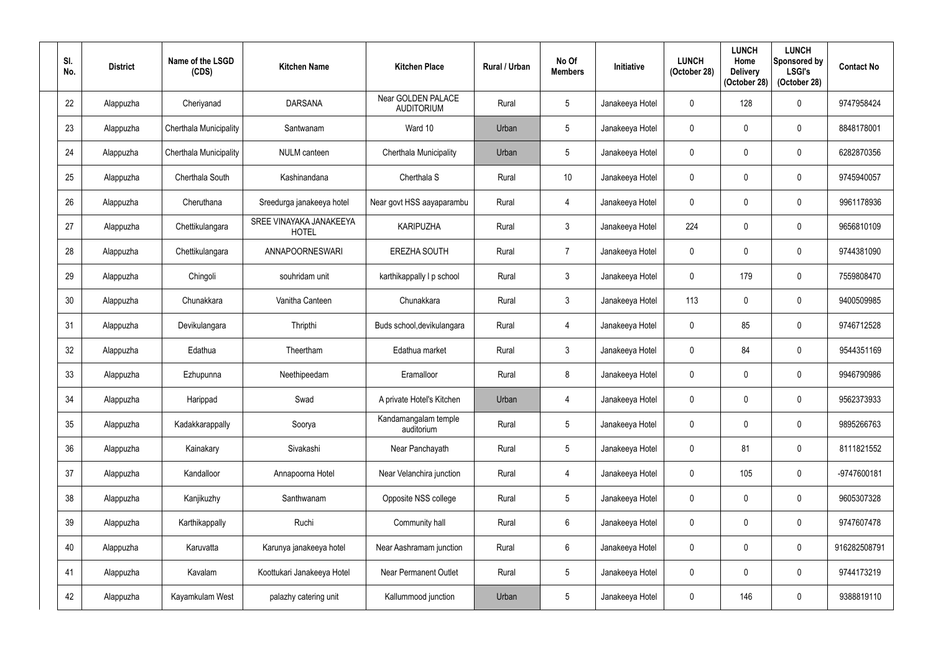| SI.<br>No. | <b>District</b> | Name of the LSGD<br>(CDS)     | <b>Kitchen Name</b>                     | <b>Kitchen Place</b>                    | Rural / Urban | No Of<br><b>Members</b> | <b>Initiative</b> | <b>LUNCH</b><br>(October 28) | <b>LUNCH</b><br>Home<br><b>Delivery</b><br>(October 28) | <b>LUNCH</b><br>Sponsored by<br><b>LSGI's</b><br>(October 28) | <b>Contact No</b> |
|------------|-----------------|-------------------------------|-----------------------------------------|-----------------------------------------|---------------|-------------------------|-------------------|------------------------------|---------------------------------------------------------|---------------------------------------------------------------|-------------------|
| 22         | Alappuzha       | Cheriyanad                    | <b>DARSANA</b>                          | Near GOLDEN PALACE<br><b>AUDITORIUM</b> | Rural         | $5\phantom{.0}$         | Janakeeya Hotel   | $\Omega$                     | 128                                                     | $\mathbf 0$                                                   | 9747958424        |
| 23         | Alappuzha       | <b>Cherthala Municipality</b> | Santwanam                               | Ward 10                                 | Urban         | $5\phantom{.0}$         | Janakeeya Hotel   | $\mathbf{0}$                 |                                                         | $\boldsymbol{0}$                                              | 8848178001        |
| 24         | Alappuzha       | <b>Cherthala Municipality</b> | <b>NULM</b> canteen                     | Cherthala Municipality                  | Urban         | $\overline{5}$          | Janakeeya Hotel   | $\overline{0}$               |                                                         | $\mathbf 0$                                                   | 6282870356        |
| 25         | Alappuzha       | Cherthala South               | Kashinandana                            | Cherthala S                             | Rural         | 10 <sup>°</sup>         | Janakeeya Hotel   | 0                            |                                                         | $\mathbf 0$                                                   | 9745940057        |
| 26         | Alappuzha       | Cheruthana                    | Sreedurga janakeeya hotel               | Near govt HSS aayaparambu               | Rural         | 4                       | Janakeeya Hotel   | $\Omega$                     |                                                         | $\mathbf 0$                                                   | 9961178936        |
| 27         | Alappuzha       | Chettikulangara               | SREE VINAYAKA JANAKEEYA<br><b>HOTEL</b> | <b>KARIPUZHA</b>                        | Rural         | $\mathbf{3}$            | Janakeeya Hotel   | 224                          |                                                         | $\mathbf 0$                                                   | 9656810109        |
| 28         | Alappuzha       | Chettikulangara               | ANNAPOORNESWARI                         | <b>EREZHA SOUTH</b>                     | Rural         | $\overline{7}$          | Janakeeya Hotel   | $\mathbf 0$                  |                                                         | $\mathbf 0$                                                   | 9744381090        |
| 29         | Alappuzha       | Chingoli                      | souhridam unit                          | karthikappally I p school               | Rural         | $\mathbf{3}$            | Janakeeya Hotel   | $\mathbf{0}$                 | 179                                                     | $\mathbf 0$                                                   | 7559808470        |
| 30         | Alappuzha       | Chunakkara                    | Vanitha Canteen                         | Chunakkara                              | Rural         | $\mathbf{3}$            | Janakeeya Hotel   | 113                          |                                                         | $\mathbf 0$                                                   | 9400509985        |
| 31         | Alappuzha       | Devikulangara                 | Thripthi                                | Buds school, devikulangara              | Rural         | 4                       | Janakeeya Hotel   | $\mathbf 0$                  | 85                                                      | $\mathbf 0$                                                   | 9746712528        |
| 32         | Alappuzha       | Edathua                       | Theertham                               | Edathua market                          | Rural         | $\mathfrak{Z}$          | Janakeeya Hotel   | $\overline{0}$               | 84                                                      | $\mathbf 0$                                                   | 9544351169        |
| 33         | Alappuzha       | Ezhupunna                     | Neethipeedam                            | Eramalloor                              | Rural         | 8                       | Janakeeya Hotel   | $\mathbf 0$                  | $\Omega$                                                | $\boldsymbol{0}$                                              | 9946790986        |
| 34         | Alappuzha       | Harippad                      | Swad                                    | A private Hotel's Kitchen               | Urban         | $\overline{4}$          | Janakeeya Hotel   | $\mathbf 0$                  | $\mathbf 0$                                             | $\mathbf 0$                                                   | 9562373933        |
| 35         | Alappuzha       | Kadakkarappally               | Soorya                                  | Kandamangalam temple<br>auditorium      | Rural         | $5\phantom{.0}$         | Janakeeya Hotel   | $\mathbf 0$                  | 0                                                       | $\boldsymbol{0}$                                              | 9895266763        |
| 36         | Alappuzha       | Kainakary                     | Sivakashi                               | Near Panchayath                         | Rural         | $\sqrt{5}$              | Janakeeya Hotel   | $\mathbf 0$                  | 81                                                      | $\pmb{0}$                                                     | 8111821552        |
| 37         | Alappuzha       | Kandalloor                    | Annapoorna Hotel                        | Near Velanchira junction                | Rural         | $\overline{4}$          | Janakeeya Hotel   | $\mathbf 0$                  | 105                                                     | $\pmb{0}$                                                     | -9747600181       |
| 38         | Alappuzha       | Kanjikuzhy                    | Santhwanam                              | Opposite NSS college                    | Rural         | $5\phantom{.0}$         | Janakeeya Hotel   | $\mathbf 0$                  | $\mathbf 0$                                             | $\boldsymbol{0}$                                              | 9605307328        |
| 39         | Alappuzha       | Karthikappally                | Ruchi                                   | Community hall                          | Rural         | $6\phantom{.}$          | Janakeeya Hotel   | $\mathbf 0$                  | $\mathbf 0$                                             | $\pmb{0}$                                                     | 9747607478        |
| 40         | Alappuzha       | Karuvatta                     | Karunya janakeeya hotel                 | Near Aashramam junction                 | Rural         | $6\overline{6}$         | Janakeeya Hotel   | $\pmb{0}$                    |                                                         | $\pmb{0}$                                                     | 916282508791      |
| 41         | Alappuzha       | Kavalam                       | Koottukari Janakeeya Hotel              | <b>Near Permanent Outlet</b>            | Rural         | $5\phantom{.0}$         | Janakeeya Hotel   | $\mathbf 0$                  | $\mathbf{0}$                                            | $\pmb{0}$                                                     | 9744173219        |
| 42         | Alappuzha       | Kayamkulam West               | palazhy catering unit                   | Kallummood junction                     | Urban         | $\sqrt{5}$              | Janakeeya Hotel   | 0                            | 146                                                     | $\pmb{0}$                                                     | 9388819110        |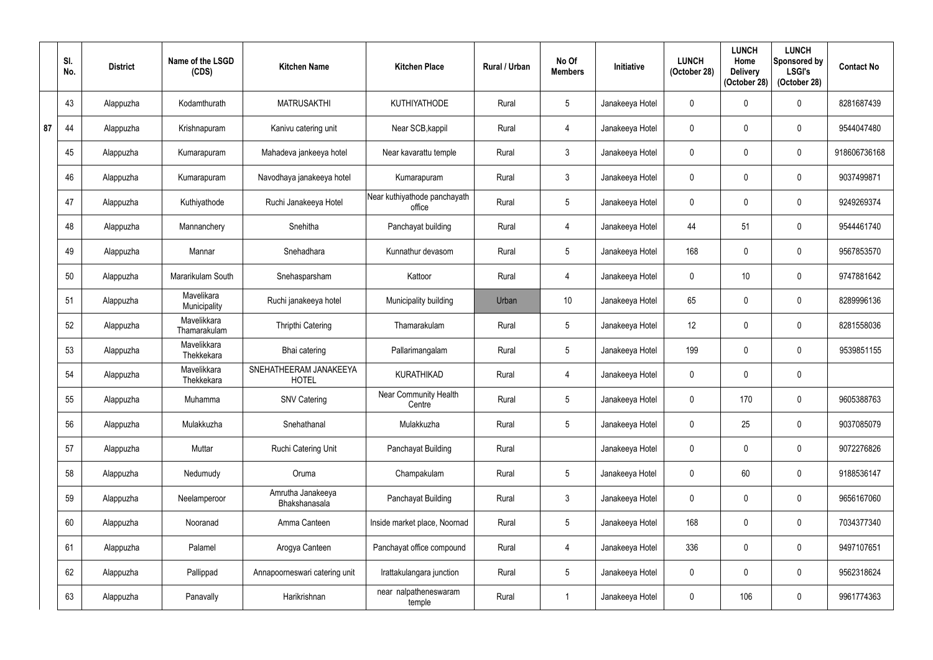|    | SI.<br>No. | <b>District</b> | Name of the LSGD<br>(CDS)   | <b>Kitchen Name</b>                    | <b>Kitchen Place</b>                   | Rural / Urban | No Of<br><b>Members</b> | <b>Initiative</b> | <b>LUNCH</b><br>(October 28) | <b>LUNCH</b><br>Home<br><b>Delivery</b><br>(October 28) | <b>LUNCH</b><br>Sponsored by<br><b>LSGI's</b><br>(October 28) | <b>Contact No</b> |
|----|------------|-----------------|-----------------------------|----------------------------------------|----------------------------------------|---------------|-------------------------|-------------------|------------------------------|---------------------------------------------------------|---------------------------------------------------------------|-------------------|
|    | 43         | Alappuzha       | Kodamthurath                | <b>MATRUSAKTHI</b>                     | <b>KUTHIYATHODE</b>                    | Rural         | 5                       | Janakeeya Hotel   | $\mathbf{0}$                 |                                                         | $\boldsymbol{0}$                                              | 8281687439        |
| 87 | 44         | Alappuzha       | Krishnapuram                | Kanivu catering unit                   | Near SCB, kappil                       | Rural         | $\overline{4}$          | Janakeeya Hotel   | $\mathbf{0}$                 |                                                         | $\mathbf 0$                                                   | 9544047480        |
|    | 45         | Alappuzha       | Kumarapuram                 | Mahadeva jankeeya hotel                | Near kavarattu temple                  | Rural         | $\mathbf{3}$            | Janakeeya Hotel   | $\mathbf 0$                  | $\Omega$                                                | $\mathbf 0$                                                   | 918606736168      |
|    | 46         | Alappuzha       | Kumarapuram                 | Navodhaya janakeeya hotel              | Kumarapuram                            | Rural         | $3\phantom{.0}$         | Janakeeya Hotel   | $\mathbf{0}$                 |                                                         | $\mathbf 0$                                                   | 9037499871        |
|    | 47         | Alappuzha       | Kuthiyathode                | Ruchi Janakeeya Hotel                  | Near kuthiyathode panchayath<br>office | Rural         | $5\overline{)}$         | Janakeeya Hotel   | $\mathbf 0$                  |                                                         | $\mathbf 0$                                                   | 9249269374        |
|    | 48         | Alappuzha       | Mannanchery                 | Snehitha                               | Panchayat building                     | Rural         | 4                       | Janakeeya Hotel   | 44                           | 51                                                      | $\mathbf 0$                                                   | 9544461740        |
|    | 49         | Alappuzha       | Mannar                      | Snehadhara                             | Kunnathur devasom                      | Rural         | 5                       | Janakeeya Hotel   | 168                          |                                                         | $\mathbf 0$                                                   | 9567853570        |
|    | 50         | Alappuzha       | Mararikulam South           | Snehasparsham                          | Kattoor                                | Rural         | $\overline{4}$          | Janakeeya Hotel   | $\mathbf 0$                  | 10 <sup>°</sup>                                         | $\mathbf 0$                                                   | 9747881642        |
|    | 51         | Alappuzha       | Mavelikara<br>Municipality  | Ruchi janakeeya hotel                  | Municipality building                  | Urban         | 10                      | Janakeeya Hotel   | 65                           | $\Omega$                                                | $\mathbf 0$                                                   | 8289996136        |
|    | 52         | Alappuzha       | Mavelikkara<br>Thamarakulam | <b>Thripthi Catering</b>               | Thamarakulam                           | Rural         | 5                       | Janakeeya Hotel   | 12                           |                                                         | $\mathbf 0$                                                   | 8281558036        |
|    | 53         | Alappuzha       | Mavelikkara<br>Thekkekara   | Bhai catering                          | Pallarimangalam                        | Rural         | $5\phantom{.0}$         | Janakeeya Hotel   | 199                          |                                                         | $\mathbf 0$                                                   | 9539851155        |
|    | 54         | Alappuzha       | Mavelikkara<br>Thekkekara   | SNEHATHEERAM JANAKEEYA<br><b>HOTEL</b> | <b>KURATHIKAD</b>                      | Rural         | $\overline{4}$          | Janakeeya Hotel   | $\mathbf 0$                  | 0                                                       | $\mathbf 0$                                                   |                   |
|    | 55         | Alappuzha       | Muhamma                     | <b>SNV Catering</b>                    | Near Community Health<br>Centre        | Rural         | 5                       | Janakeeya Hotel   | $\mathbf 0$                  | 170                                                     | $\boldsymbol{0}$                                              | 9605388763        |
|    | 56         | Alappuzha       | Mulakkuzha                  | Snehathanal                            | Mulakkuzha                             | Rural         | $5\phantom{.0}$         | Janakeeya Hotel   | $\mathbf 0$                  | 25                                                      | $\pmb{0}$                                                     | 9037085079        |
|    | 57         | Alappuzha       | Muttar                      | Ruchi Catering Unit                    | Panchayat Building                     | Rural         |                         | Janakeeya Hotel   | $\overline{0}$               | 0                                                       | $\pmb{0}$                                                     | 9072276826        |
|    | 58         | Alappuzha       | Nedumudy                    | Oruma                                  | Champakulam                            | Rural         | $5\phantom{.0}$         | Janakeeya Hotel   | $\mathbf 0$                  | 60                                                      | $\pmb{0}$                                                     | 9188536147        |
|    | 59         | Alappuzha       | Neelamperoor                | Amrutha Janakeeya<br>Bhakshanasala     | Panchayat Building                     | Rural         | $\mathfrak{Z}$          | Janakeeya Hotel   | $\mathbf 0$                  | $\mathbf{0}$                                            | $\pmb{0}$                                                     | 9656167060        |
|    | 60         | Alappuzha       | Nooranad                    | Amma Canteen                           | Inside market place, Noornad           | Rural         | $5\phantom{.0}$         | Janakeeya Hotel   | 168                          | $\mathbf 0$                                             | $\pmb{0}$                                                     | 7034377340        |
|    | 61         | Alappuzha       | Palamel                     | Arogya Canteen                         | Panchayat office compound              | Rural         | 4                       | Janakeeya Hotel   | 336                          | $\mathbf 0$                                             | $\pmb{0}$                                                     | 9497107651        |
|    | 62         | Alappuzha       | Pallippad                   | Annapoorneswari catering unit          | Irattakulangara junction               | Rural         | $5\phantom{.0}$         | Janakeeya Hotel   | $\overline{0}$               | $\mathbf 0$                                             | $\pmb{0}$                                                     | 9562318624        |
|    | 63         | Alappuzha       | Panavally                   | Harikrishnan                           | near nalpatheneswaram<br>temple        | Rural         |                         | Janakeeya Hotel   | $\pmb{0}$                    | 106                                                     | $\pmb{0}$                                                     | 9961774363        |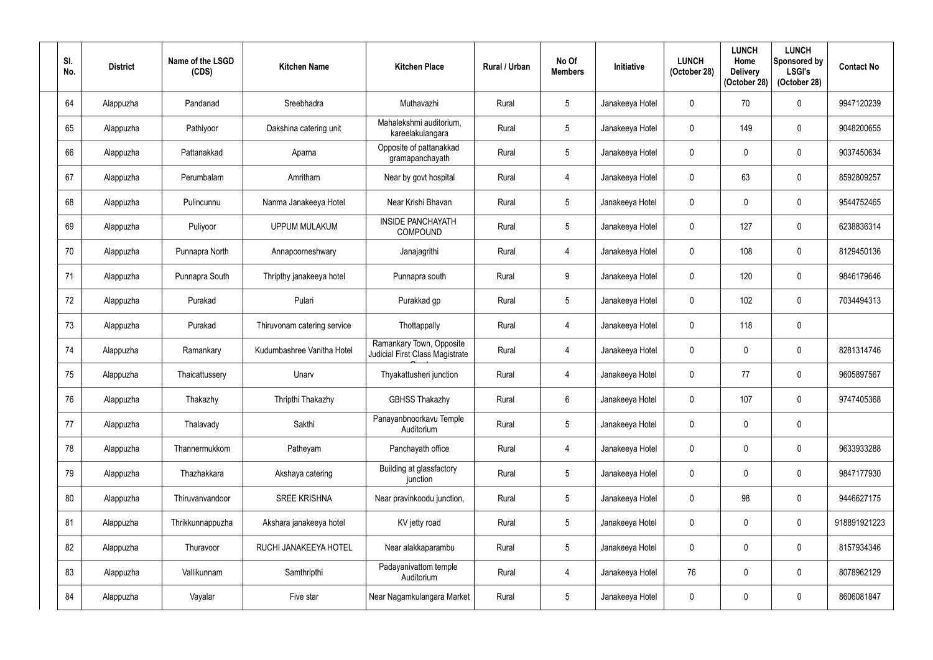| SI.<br>No. | <b>District</b> | Name of the LSGD<br>(CDS) | <b>Kitchen Name</b>         | <b>Kitchen Place</b>                                               | Rural / Urban | No Of<br><b>Members</b> | <b>Initiative</b> | <b>LUNCH</b><br>(October 28) | <b>LUNCH</b><br>Home<br><b>Delivery</b><br>(October 28) | <b>LUNCH</b><br>Sponsored by<br><b>LSGI's</b><br>(October 28) | <b>Contact No</b> |
|------------|-----------------|---------------------------|-----------------------------|--------------------------------------------------------------------|---------------|-------------------------|-------------------|------------------------------|---------------------------------------------------------|---------------------------------------------------------------|-------------------|
| 64         | Alappuzha       | Pandanad                  | Sreebhadra                  | Muthavazhi                                                         | Rural         | $5\phantom{.0}$         | Janakeeya Hotel   | $\Omega$                     | 70                                                      | $\boldsymbol{0}$                                              | 9947120239        |
| 65         | Alappuzha       | Pathiyoor                 | Dakshina catering unit      | Mahalekshmi auditorium,<br>kareelakulangara                        | Rural         | $5\phantom{.0}$         | Janakeeya Hotel   | $\Omega$                     | 149                                                     | $\mathbf 0$                                                   | 9048200655        |
| 66         | Alappuzha       | Pattanakkad               | Aparna                      | Opposite of pattanakkad<br>gramapanchayath                         | Rural         | $5\phantom{.0}$         | Janakeeya Hotel   | $\mathbf 0$                  |                                                         | $\pmb{0}$                                                     | 9037450634        |
| 67         | Alappuzha       | Perumbalam                | Amritham                    | Near by govt hospital                                              | Rural         | 4                       | Janakeeya Hotel   | 0                            | 63                                                      | $\mathbf 0$                                                   | 8592809257        |
| 68         | Alappuzha       | Pulincunnu                | Nanma Janakeeya Hotel       | Near Krishi Bhavan                                                 | Rural         | $5\phantom{.0}$         | Janakeeya Hotel   | $\Omega$                     |                                                         | $\mathbf 0$                                                   | 9544752465        |
| 69         | Alappuzha       | Puliyoor                  | <b>UPPUM MULAKUM</b>        | <b>INSIDE PANCHAYATH</b><br><b>COMPOUND</b>                        | Rural         | $5\phantom{.0}$         | Janakeeya Hotel   | $\mathbf{0}$                 | 127                                                     | $\mathbf 0$                                                   | 6238836314        |
| 70         | Alappuzha       | Punnapra North            | Annapoorneshwary            | Janajagrithi                                                       | Rural         | 4                       | Janakeeya Hotel   | $\mathbf 0$                  | 108                                                     | $\mathbf 0$                                                   | 8129450136        |
| 71         | Alappuzha       | Punnapra South            | Thripthy janakeeya hotel    | Punnapra south                                                     | Rural         | 9                       | Janakeeya Hotel   | $\mathbf{0}$                 | 120                                                     | $\mathbf 0$                                                   | 9846179646        |
| 72         | Alappuzha       | Purakad                   | Pulari                      | Purakkad gp                                                        | Rural         | $5\phantom{.0}$         | Janakeeya Hotel   | $\mathbf{0}$                 | 102                                                     | $\mathbf 0$                                                   | 7034494313        |
| 73         | Alappuzha       | Purakad                   | Thiruvonam catering service | Thottappally                                                       | Rural         | $\overline{4}$          | Janakeeya Hotel   | $\mathbf{0}$                 | 118                                                     | $\mathbf 0$                                                   |                   |
| 74         | Alappuzha       | Ramankary                 | Kudumbashree Vanitha Hotel  | Ramankary Town, Opposite<br><b>Judicial First Class Magistrate</b> | Rural         | $\overline{4}$          | Janakeeya Hotel   | $\mathbf 0$                  |                                                         | $\mathbf 0$                                                   | 8281314746        |
| 75         | Alappuzha       | Thaicattussery            | Unarv                       | Thyakattusheri junction                                            | Rural         | 4                       | Janakeeya Hotel   | $\mathbf{0}$                 | 77                                                      | $\mathbf 0$                                                   | 9605897567        |
| 76         | Alappuzha       | Thakazhy                  | Thripthi Thakazhy           | <b>GBHSS Thakazhy</b>                                              | Rural         | $6\phantom{.0}$         | Janakeeya Hotel   | $\mathbf 0$                  | 107                                                     | $\pmb{0}$                                                     | 9747405368        |
| 77         | Alappuzha       | Thalavady                 | Sakthi                      | Panayanbnoorkavu Temple<br>Auditorium                              | Rural         | $5\phantom{.0}$         | Janakeeya Hotel   | $\mathbf 0$                  | 0                                                       | $\pmb{0}$                                                     |                   |
| 78         | Alappuzha       | Thannermukkom             | Patheyam                    | Panchayath office                                                  | Rural         | $\overline{4}$          | Janakeeya Hotel   | $\mathbf 0$                  | $\mathbf 0$                                             | $\pmb{0}$                                                     | 9633933288        |
| 79         | Alappuzha       | Thazhakkara               | Akshaya catering            | Building at glassfactory<br>junction                               | Rural         | $5\phantom{.0}$         | Janakeeya Hotel   | 0                            | 0                                                       | $\pmb{0}$                                                     | 9847177930        |
| 80         | Alappuzha       | Thiruvanvandoor           | <b>SREE KRISHNA</b>         | Near pravinkoodu junction,                                         | Rural         | $5\phantom{.0}$         | Janakeeya Hotel   | $\mathbf 0$                  | 98                                                      | $\pmb{0}$                                                     | 9446627175        |
| 81         | Alappuzha       | Thrikkunnappuzha          | Akshara janakeeya hotel     | KV jetty road                                                      | Rural         | $5\phantom{.0}$         | Janakeeya Hotel   | $\mathbf 0$                  | $\mathbf 0$                                             | $\pmb{0}$                                                     | 918891921223      |
| 82         | Alappuzha       | Thuravoor                 | RUCHI JANAKEEYA HOTEL       | Near alakkaparambu                                                 | Rural         | $5\phantom{.0}$         | Janakeeya Hotel   | $\mathbf 0$                  |                                                         | $\pmb{0}$                                                     | 8157934346        |
| 83         | Alappuzha       | Vallikunnam               | Samthripthi                 | Padayanivattom temple<br>Auditorium                                | Rural         | $\overline{4}$          | Janakeeya Hotel   | 76                           | 0                                                       | $\pmb{0}$                                                     | 8078962129        |
| 84         | Alappuzha       | Vayalar                   | Five star                   | Near Nagamkulangara Market                                         | Rural         | $\sqrt{5}$              | Janakeeya Hotel   | 0                            | 0                                                       | $\pmb{0}$                                                     | 8606081847        |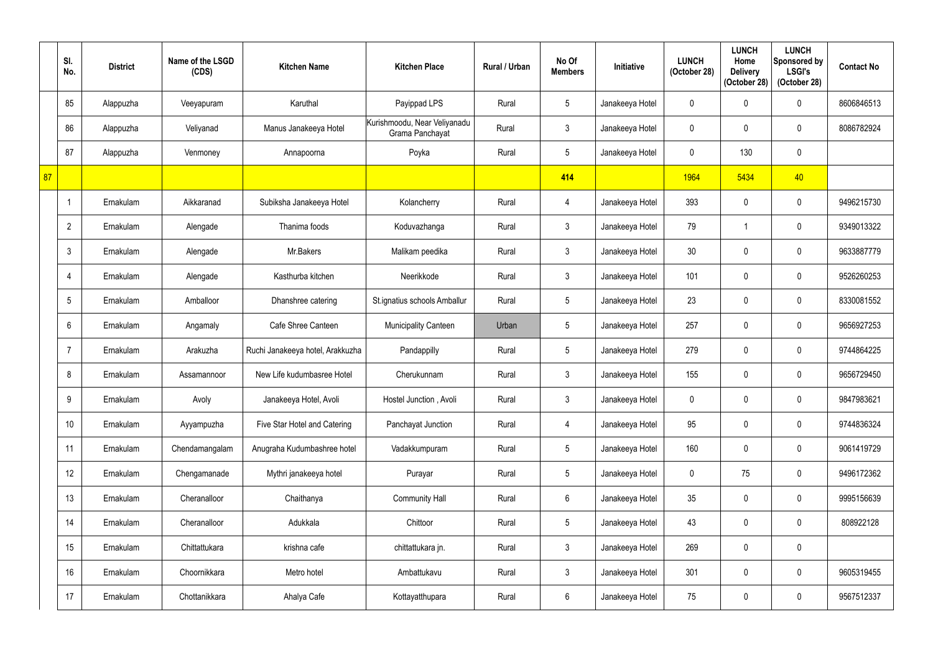|    | SI.<br>No.      | <b>District</b> | Name of the LSGD<br>(CDS) | <b>Kitchen Name</b>              | <b>Kitchen Place</b>                            | Rural / Urban | No Of<br><b>Members</b> | Initiative      | <b>LUNCH</b><br>(October 28) | <b>LUNCH</b><br>Home<br><b>Delivery</b><br>(October 28) | <b>LUNCH</b><br>Sponsored by<br><b>LSGI's</b><br>(October 28) | <b>Contact No</b> |
|----|-----------------|-----------------|---------------------------|----------------------------------|-------------------------------------------------|---------------|-------------------------|-----------------|------------------------------|---------------------------------------------------------|---------------------------------------------------------------|-------------------|
|    | 85              | Alappuzha       | Veeyapuram                | Karuthal                         | Payippad LPS                                    | Rural         | $5\phantom{.0}$         | Janakeeya Hotel | $\mathbf 0$                  |                                                         | $\mathbf 0$                                                   | 8606846513        |
|    | 86              | Alappuzha       | Veliyanad                 | Manus Janakeeya Hotel            | Kurishmoodu, Near Veliyanadu<br>Grama Panchayat | Rural         | $\mathbf{3}$            | Janakeeya Hotel | $\mathbf{0}$                 |                                                         | $\mathbf 0$                                                   | 8086782924        |
|    | 87              | Alappuzha       | Venmoney                  | Annapoorna                       | Poyka                                           | Rural         | $5\phantom{.0}$         | Janakeeya Hotel | $\mathbf 0$                  | 130                                                     | $\pmb{0}$                                                     |                   |
| 87 |                 |                 |                           |                                  |                                                 |               | 414                     |                 | 1964                         | 5434                                                    | 40                                                            |                   |
|    |                 | Ernakulam       | Aikkaranad                | Subiksha Janakeeya Hotel         | Kolancherry                                     | Rural         | $\overline{4}$          | Janakeeya Hotel | 393                          | $\Omega$                                                | $\mathbf 0$                                                   | 9496215730        |
|    | $\overline{2}$  | Ernakulam       | Alengade                  | Thanima foods                    | Koduvazhanga                                    | Rural         | $\mathbf{3}$            | Janakeeya Hotel | 79                           |                                                         | $\mathbf 0$                                                   | 9349013322        |
|    | $\mathfrak{Z}$  | Ernakulam       | Alengade                  | Mr.Bakers                        | Malikam peedika                                 | Rural         | $\mathbf{3}$            | Janakeeya Hotel | 30                           |                                                         | $\mathbf 0$                                                   | 9633887779        |
|    | 4               | Ernakulam       | Alengade                  | Kasthurba kitchen                | Neerikkode                                      | Rural         | $\mathbf{3}$            | Janakeeya Hotel | 101                          |                                                         | $\mathbf 0$                                                   | 9526260253        |
|    | 5               | Ernakulam       | Amballoor                 | Dhanshree catering               | St.ignatius schools Amballur                    | Rural         | $5\phantom{.0}$         | Janakeeya Hotel | 23                           | $\theta$                                                | $\mathbf 0$                                                   | 8330081552        |
|    | 6               | Ernakulam       | Angamaly                  | Cafe Shree Canteen               | <b>Municipality Canteen</b>                     | Urban         | 5                       | Janakeeya Hotel | 257                          |                                                         | $\mathbf 0$                                                   | 9656927253        |
|    | 7               | Ernakulam       | Arakuzha                  | Ruchi Janakeeya hotel, Arakkuzha | Pandappilly                                     | Rural         | $5\phantom{.0}$         | Janakeeya Hotel | 279                          |                                                         | $\mathbf 0$                                                   | 9744864225        |
|    | 8               | Ernakulam       | Assamannoor               | New Life kudumbasree Hotel       | Cherukunnam                                     | Rural         | $3\phantom{.0}$         | Janakeeya Hotel | 155                          | $\Omega$                                                | $\mathbf 0$                                                   | 9656729450        |
|    | 9               | Ernakulam       | Avoly                     | Janakeeya Hotel, Avoli           | Hostel Junction, Avoli                          | Rural         | $\mathfrak{Z}$          | Janakeeya Hotel | $\mathbf 0$                  | $\mathbf 0$                                             | $\mathbf 0$                                                   | 9847983621        |
|    | 10 <sup>°</sup> | Ernakulam       | Ayyampuzha                | Five Star Hotel and Catering     | Panchayat Junction                              | Rural         | $\overline{4}$          | Janakeeya Hotel | 95                           | $\mathbf 0$                                             | $\mathbf 0$                                                   | 9744836324        |
|    | 11              | Ernakulam       | Chendamangalam            | Anugraha Kudumbashree hotel      | Vadakkumpuram                                   | Rural         | $5\phantom{.0}$         | Janakeeya Hotel | 160                          | 0                                                       | $\pmb{0}$                                                     | 9061419729        |
|    | 12              | Ernakulam       | Chengamanade              | Mythri janakeeya hotel           | Purayar                                         | Rural         | $5\overline{)}$         | Janakeeya Hotel | $\mathbf 0$                  | 75                                                      | $\pmb{0}$                                                     | 9496172362        |
|    | 13              | Ernakulam       | Cheranalloor              | Chaithanya                       | <b>Community Hall</b>                           | Rural         | $6\phantom{.0}$         | Janakeeya Hotel | 35                           | $\mathbf 0$                                             | $\mathbf 0$                                                   | 9995156639        |
|    | 14              | Ernakulam       | Cheranalloor              | Adukkala                         | Chittoor                                        | Rural         | $5\overline{)}$         | Janakeeya Hotel | 43                           | $\mathbf 0$                                             | $\pmb{0}$                                                     | 808922128         |
|    | 15              | Ernakulam       | Chittattukara             | krishna cafe                     | chittattukara jn.                               | Rural         | $\mathfrak{Z}$          | Janakeeya Hotel | 269                          | $\mathbf 0$                                             | $\pmb{0}$                                                     |                   |
|    | 16              | Ernakulam       | Choornikkara              | Metro hotel                      | Ambattukavu                                     | Rural         | $\mathfrak{Z}$          | Janakeeya Hotel | 301                          | $\mathbf 0$                                             | $\pmb{0}$                                                     | 9605319455        |
|    | 17              | Ernakulam       | Chottanikkara             | Ahalya Cafe                      | Kottayatthupara                                 | Rural         | $6\phantom{.0}$         | Janakeeya Hotel | 75                           | 0                                                       | $\pmb{0}$                                                     | 9567512337        |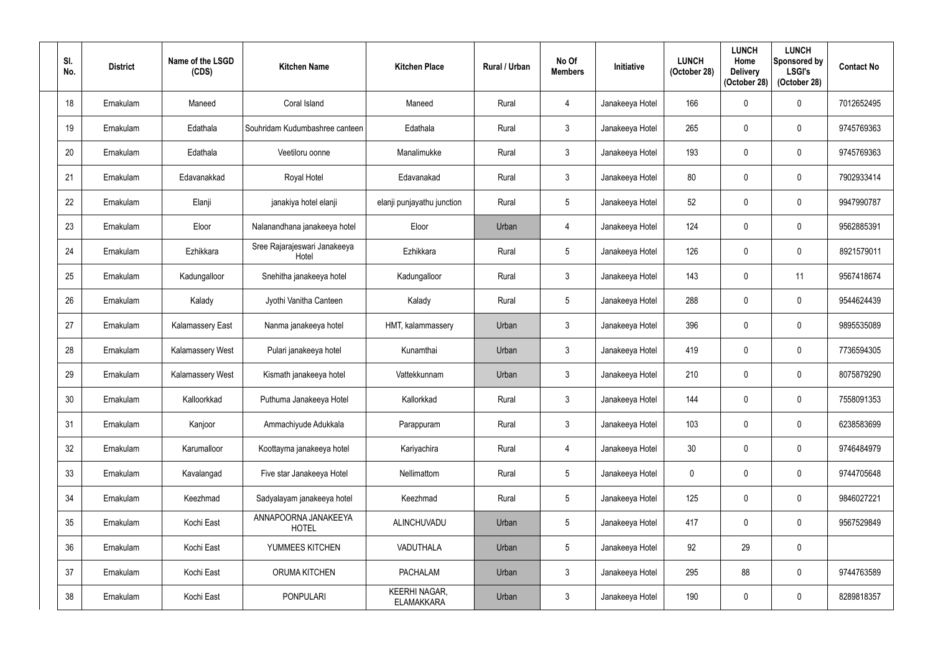| SI.<br>No. | <b>District</b> | Name of the LSGD<br>(CDS) | <b>Kitchen Name</b>                   | <b>Kitchen Place</b>                      | Rural / Urban | No Of<br><b>Members</b> | <b>Initiative</b> | <b>LUNCH</b><br>(October 28) | <b>LUNCH</b><br>Home<br><b>Delivery</b><br>(October 28) | <b>LUNCH</b><br>Sponsored by<br><b>LSGI's</b><br>(October 28) | <b>Contact No</b> |
|------------|-----------------|---------------------------|---------------------------------------|-------------------------------------------|---------------|-------------------------|-------------------|------------------------------|---------------------------------------------------------|---------------------------------------------------------------|-------------------|
| 18         | Ernakulam       | Maneed                    | Coral Island                          | Maneed                                    | Rural         | $\overline{4}$          | Janakeeya Hotel   | 166                          |                                                         | $\mathbf 0$                                                   | 7012652495        |
| 19         | Ernakulam       | Edathala                  | Souhridam Kudumbashree canteen        | Edathala                                  | Rural         | $\mathbf{3}$            | Janakeeya Hotel   | 265                          |                                                         | $\mathbf 0$                                                   | 9745769363        |
| 20         | Ernakulam       | Edathala                  | Veetiloru oonne                       | Manalimukke                               | Rural         | $\mathbf{3}$            | Janakeeya Hotel   | 193                          |                                                         | $\mathbf 0$                                                   | 9745769363        |
| 21         | Ernakulam       | Edavanakkad               | <b>Royal Hotel</b>                    | Edavanakad                                | Rural         | $\mathbf{3}$            | Janakeeya Hotel   | 80                           | 0                                                       | $\mathbf 0$                                                   | 7902933414        |
| 22         | Ernakulam       | Elanji                    | janakiya hotel elanji                 | elanji punjayathu junction                | Rural         | $5\phantom{.0}$         | Janakeeya Hotel   | 52                           |                                                         | $\mathbf 0$                                                   | 9947990787        |
| 23         | Ernakulam       | Eloor                     | Nalanandhana janakeeya hotel          | Eloor                                     | Urban         | $\overline{4}$          | Janakeeya Hotel   | 124                          | $\Omega$                                                | $\mathbf 0$                                                   | 9562885391        |
| 24         | Ernakulam       | Ezhikkara                 | Sree Rajarajeswari Janakeeya<br>Hotel | Ezhikkara                                 | Rural         | $5\overline{)}$         | Janakeeya Hotel   | 126                          |                                                         | $\mathbf 0$                                                   | 8921579011        |
| 25         | Ernakulam       | Kadungalloor              | Snehitha janakeeya hotel              | Kadungalloor                              | Rural         | $\mathbf{3}$            | Janakeeya Hotel   | 143                          |                                                         | 11                                                            | 9567418674        |
| 26         | Ernakulam       | Kalady                    | Jyothi Vanitha Canteen                | Kalady                                    | Rural         | $5\phantom{.0}$         | Janakeeya Hotel   | 288                          | $\Omega$                                                | $\mathbf 0$                                                   | 9544624439        |
| 27         | Ernakulam       | Kalamassery East          | Nanma janakeeya hotel                 | HMT, kalammassery                         | Urban         | $3\phantom{.0}$         | Janakeeya Hotel   | 396                          |                                                         | $\mathbf 0$                                                   | 9895535089        |
| 28         | Ernakulam       | <b>Kalamassery West</b>   | Pulari janakeeya hotel                | Kunamthai                                 | Urban         | $\mathfrak{Z}$          | Janakeeya Hotel   | 419                          |                                                         | $\mathbf 0$                                                   | 7736594305        |
| 29         | Ernakulam       | <b>Kalamassery West</b>   | Kismath janakeeya hotel               | Vattekkunnam                              | Urban         | $3\phantom{.0}$         | Janakeeya Hotel   | 210                          | $\mathbf{0}$                                            | $\mathbf 0$                                                   | 8075879290        |
| 30         | Ernakulam       | Kalloorkkad               | Puthuma Janakeeya Hotel               | Kallorkkad                                | Rural         | $\mathfrak{Z}$          | Janakeeya Hotel   | 144                          | $\boldsymbol{0}$                                        | $\mathbf 0$                                                   | 7558091353        |
| 31         | Ernakulam       | Kanjoor                   | Ammachiyude Adukkala                  | Parappuram                                | Rural         | $3\phantom{a}$          | Janakeeya Hotel   | 103                          | 0                                                       | $\boldsymbol{0}$                                              | 6238583699        |
| 32         | Ernakulam       | Karumalloor               | Koottayma janakeeya hotel             | Kariyachira                               | Rural         | $\overline{4}$          | Janakeeya Hotel   | 30                           | 0                                                       | $\mathbf 0$                                                   | 9746484979        |
| 33         | Ernakulam       | Kavalangad                | Five star Janakeeya Hotel             | Nellimattom                               | Rural         | $5\overline{)}$         | Janakeeya Hotel   | $\mathbf 0$                  | 0                                                       | $\pmb{0}$                                                     | 9744705648        |
| 34         | Ernakulam       | Keezhmad                  | Sadyalayam janakeeya hotel            | Keezhmad                                  | Rural         | $5\phantom{.0}$         | Janakeeya Hotel   | 125                          | 0                                                       | $\mathbf 0$                                                   | 9846027221        |
| 35         | Ernakulam       | Kochi East                | ANNAPOORNA JANAKEEYA<br><b>HOTEL</b>  | ALINCHUVADU                               | Urban         | 5                       | Janakeeya Hotel   | 417                          | $\mathbf 0$                                             | $\pmb{0}$                                                     | 9567529849        |
| 36         | Ernakulam       | Kochi East                | YUMMEES KITCHEN                       | VADUTHALA                                 | Urban         | 5                       | Janakeeya Hotel   | 92                           | 29                                                      | $\pmb{0}$                                                     |                   |
| 37         | Ernakulam       | Kochi East                | <b>ORUMA KITCHEN</b>                  | <b>PACHALAM</b>                           | Urban         | $3\phantom{a}$          | Janakeeya Hotel   | 295                          | 88                                                      | $\pmb{0}$                                                     | 9744763589        |
| 38         | Ernakulam       | Kochi East                | <b>PONPULARI</b>                      | <b>KEERHI NAGAR,</b><br><b>ELAMAKKARA</b> | Urban         | $\mathfrak{Z}$          | Janakeeya Hotel   | 190                          | 0                                                       | $\pmb{0}$                                                     | 8289818357        |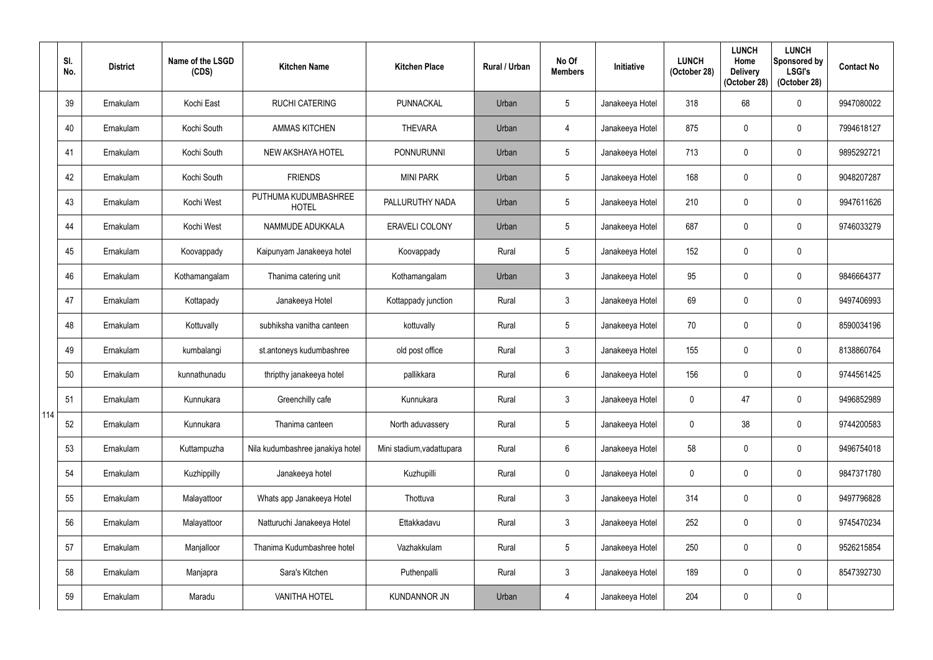|     | SI.<br>No. | <b>District</b> | Name of the LSGD<br>(CDS) | <b>Kitchen Name</b>                  | <b>Kitchen Place</b>      | Rural / Urban | No Of<br><b>Members</b> | <b>Initiative</b> | <b>LUNCH</b><br>(October 28) | <b>LUNCH</b><br>Home<br><b>Delivery</b><br>(October 28) | <b>LUNCH</b><br>Sponsored by<br><b>LSGI's</b><br>(October 28) | <b>Contact No</b> |
|-----|------------|-----------------|---------------------------|--------------------------------------|---------------------------|---------------|-------------------------|-------------------|------------------------------|---------------------------------------------------------|---------------------------------------------------------------|-------------------|
|     | 39         | Ernakulam       | Kochi East                | <b>RUCHI CATERING</b>                | PUNNACKAL                 | Urban         | 5                       | Janakeeya Hotel   | 318                          | 68                                                      | $\mathbf 0$                                                   | 9947080022        |
|     | 40         | Ernakulam       | Kochi South               | <b>AMMAS KITCHEN</b>                 | <b>THEVARA</b>            | Urban         | 4                       | Janakeeya Hotel   | 875                          |                                                         | $\mathbf 0$                                                   | 7994618127        |
|     | 41         | Ernakulam       | Kochi South               | <b>NEW AKSHAYA HOTEL</b>             | <b>PONNURUNNI</b>         | Urban         | 5                       | Janakeeya Hotel   | 713                          | $\Omega$                                                | $\mathbf 0$                                                   | 9895292721        |
|     | 42         | Ernakulam       | Kochi South               | <b>FRIENDS</b>                       | <b>MINI PARK</b>          | Urban         | 5 <sup>5</sup>          | Janakeeya Hotel   | 168                          |                                                         | $\mathbf 0$                                                   | 9048207287        |
|     | 43         | Ernakulam       | Kochi West                | PUTHUMA KUDUMBASHREE<br><b>HOTEL</b> | PALLURUTHY NADA           | Urban         | 5                       | Janakeeya Hotel   | 210                          | $\Omega$                                                | $\mathbf 0$                                                   | 9947611626        |
|     | 44         | Ernakulam       | Kochi West                | NAMMUDE ADUKKALA                     | <b>ERAVELI COLONY</b>     | Urban         | 5                       | Janakeeya Hotel   | 687                          | 0                                                       | $\mathbf 0$                                                   | 9746033279        |
|     | 45         | Ernakulam       | Koovappady                | Kaipunyam Janakeeya hotel            | Koovappady                | Rural         | 5                       | Janakeeya Hotel   | 152                          | $\Omega$                                                | $\mathbf 0$                                                   |                   |
|     | 46         | Ernakulam       | Kothamangalam             | Thanima catering unit                | Kothamangalam             | Urban         | $\mathfrak{Z}$          | Janakeeya Hotel   | 95                           |                                                         | $\mathbf 0$                                                   | 9846664377        |
|     | 47         | Ernakulam       | Kottapady                 | Janakeeya Hotel                      | Kottappady junction       | Rural         | $3\phantom{.0}$         | Janakeeya Hotel   | 69                           | $\Omega$                                                | $\mathbf 0$                                                   | 9497406993        |
|     | 48         | Ernakulam       | Kottuvally                | subhiksha vanitha canteen            | kottuvally                | Rural         | 5 <sup>5</sup>          | Janakeeya Hotel   | 70                           |                                                         | $\mathbf 0$                                                   | 8590034196        |
|     | 49         | Ernakulam       | kumbalangi                | st.antoneys kudumbashree             | old post office           | Rural         | $\mathfrak{Z}$          | Janakeeya Hotel   | 155                          |                                                         | $\mathbf 0$                                                   | 8138860764        |
|     | 50         | Ernakulam       | kunnathunadu              | thripthy janakeeya hotel             | pallikkara                | Rural         | 6 <sup>1</sup>          | Janakeeya Hotel   | 156                          | $\mathbf 0$                                             | $\mathbf 0$                                                   | 9744561425        |
|     | 51         | Ernakulam       | Kunnukara                 | Greenchilly cafe                     | Kunnukara                 | Rural         | $\mathfrak{Z}$          | Janakeeya Hotel   | $\mathbf 0$                  | 47                                                      | $\boldsymbol{0}$                                              | 9496852989        |
| 114 | 52         | Ernakulam       | Kunnukara                 | Thanima canteen                      | North aduvassery          | Rural         | $5\phantom{.0}$         | Janakeeya Hotel   | $\mathbf 0$                  | 38                                                      | $\mathbf 0$                                                   | 9744200583        |
|     | 53         | Ernakulam       | Kuttampuzha               | Nila kudumbashree janakiya hotel     | Mini stadium, vadattupara | Rural         | $6\phantom{.}$          | Janakeeya Hotel   | 58                           | 0                                                       | $\pmb{0}$                                                     | 9496754018        |
|     | 54         | Ernakulam       | Kuzhippilly               | Janakeeya hotel                      | Kuzhupilli                | Rural         | $\mathbf 0$             | Janakeeya Hotel   | $\mathbf 0$                  | 0                                                       | $\pmb{0}$                                                     | 9847371780        |
|     | 55         | Ernakulam       | Malayattoor               | Whats app Janakeeya Hotel            | Thottuva                  | Rural         | $\mathfrak{Z}$          | Janakeeya Hotel   | 314                          | $\mathbf{0}$                                            | $\mathbf 0$                                                   | 9497796828        |
|     | 56         | Ernakulam       | Malayattoor               | Natturuchi Janakeeya Hotel           | Ettakkadavu               | Rural         | $\mathfrak{Z}$          | Janakeeya Hotel   | 252                          | $\mathbf 0$                                             | $\pmb{0}$                                                     | 9745470234        |
|     | 57         | Ernakulam       | Manjalloor                | Thanima Kudumbashree hotel           | Vazhakkulam               | Rural         | $5\phantom{.0}$         | Janakeeya Hotel   | 250                          | 0                                                       | $\mathbf 0$                                                   | 9526215854        |
|     | 58         | Ernakulam       | Manjapra                  | Sara's Kitchen                       | Puthenpalli               | Rural         | $\mathfrak{Z}$          | Janakeeya Hotel   | 189                          | $\mathbf 0$                                             | $\pmb{0}$                                                     | 8547392730        |
|     | 59         | Ernakulam       | Maradu                    | <b>VANITHA HOTEL</b>                 | <b>KUNDANNOR JN</b>       | Urban         | $\overline{4}$          | Janakeeya Hotel   | 204                          | 0                                                       | $\pmb{0}$                                                     |                   |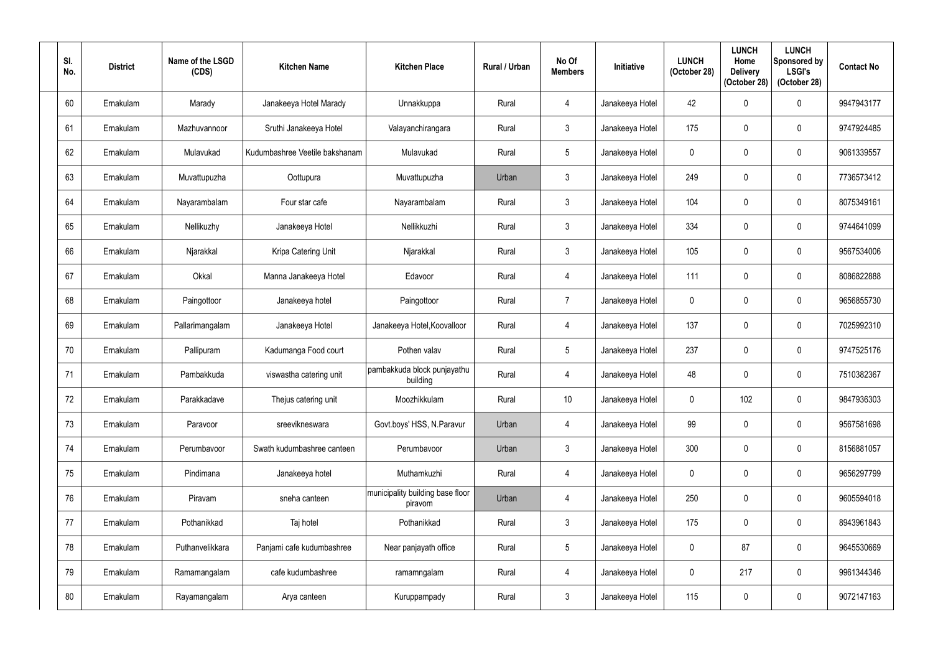| SI.<br>No. | <b>District</b> | Name of the LSGD<br>(CDS) | <b>Kitchen Name</b>            | <b>Kitchen Place</b>                        | <b>Rural / Urban</b> | No Of<br><b>Members</b> | <b>Initiative</b> | <b>LUNCH</b><br>(October 28) | <b>LUNCH</b><br>Home<br><b>Delivery</b><br>(October 28) | <b>LUNCH</b><br>Sponsored by<br><b>LSGI's</b><br>(October 28) | <b>Contact No</b> |
|------------|-----------------|---------------------------|--------------------------------|---------------------------------------------|----------------------|-------------------------|-------------------|------------------------------|---------------------------------------------------------|---------------------------------------------------------------|-------------------|
| 60         | Ernakulam       | Marady                    | Janakeeya Hotel Marady         | Unnakkuppa                                  | Rural                | 4                       | Janakeeya Hotel   | 42                           | $\mathbf{0}$                                            | $\mathbf 0$                                                   | 9947943177        |
| 61         | Ernakulam       | Mazhuvannoor              | Sruthi Janakeeya Hotel         | Valayanchirangara                           | Rural                | $\mathbf{3}$            | Janakeeya Hotel   | 175                          | $\mathbf 0$                                             | $\pmb{0}$                                                     | 9747924485        |
| 62         | Ernakulam       | Mulavukad                 | Kudumbashree Veetile bakshanam | Mulavukad                                   | Rural                | $5\overline{)}$         | Janakeeya Hotel   | $\mathbf 0$                  | $\mathbf 0$                                             | $\pmb{0}$                                                     | 9061339557        |
| 63         | Ernakulam       | Muvattupuzha              | Oottupura                      | Muvattupuzha                                | Urban                | $\mathbf{3}$            | Janakeeya Hotel   | 249                          | $\mathbf 0$                                             | $\pmb{0}$                                                     | 7736573412        |
| 64         | Ernakulam       | Nayarambalam              | Four star cafe                 | Nayarambalam                                | Rural                | $\mathfrak{Z}$          | Janakeeya Hotel   | 104                          | $\mathbf{0}$                                            | $\pmb{0}$                                                     | 8075349161        |
| 65         | Ernakulam       | Nellikuzhy                | Janakeeya Hotel                | Nellikkuzhi                                 | Rural                | $\mathfrak{Z}$          | Janakeeya Hotel   | 334                          | $\mathbf 0$                                             | $\mathbf 0$                                                   | 9744641099        |
| 66         | Ernakulam       | Njarakkal                 | Kripa Catering Unit            | Njarakkal                                   | Rural                | $\mathbf{3}$            | Janakeeya Hotel   | 105                          | $\mathbf 0$                                             | $\pmb{0}$                                                     | 9567534006        |
| 67         | Ernakulam       | Okkal                     | Manna Janakeeya Hotel          | Edavoor                                     | Rural                | $\overline{4}$          | Janakeeya Hotel   | 111                          | $\mathbf{0}$                                            | $\pmb{0}$                                                     | 8086822888        |
| 68         | Ernakulam       | Paingottoor               | Janakeeya hotel                | Paingottoor                                 | Rural                | $\overline{7}$          | Janakeeya Hotel   | $\mathbf 0$                  | $\mathbf 0$                                             | $\mathbf 0$                                                   | 9656855730        |
| 69         | Ernakulam       | Pallarimangalam           | Janakeeya Hotel                | Janakeeya Hotel, Koovalloor                 | Rural                | 4                       | Janakeeya Hotel   | 137                          | $\mathbf 0$                                             | $\mathbf 0$                                                   | 7025992310        |
| 70         | Ernakulam       | Pallipuram                | Kadumanga Food court           | Pothen valav                                | Rural                | 5                       | Janakeeya Hotel   | 237                          | $\mathbf 0$                                             | $\pmb{0}$                                                     | 9747525176        |
| 71         | Ernakulam       | Pambakkuda                | viswastha catering unit        | pambakkuda block punjayathu<br>building     | Rural                | 4                       | Janakeeya Hotel   | 48                           | $\mathbf 0$                                             | $\pmb{0}$                                                     | 7510382367        |
| 72         | Ernakulam       | Parakkadave               | Thejus catering unit           | Moozhikkulam                                | Rural                | 10 <sup>°</sup>         | Janakeeya Hotel   | $\mathbf 0$                  | 102                                                     | $\pmb{0}$                                                     | 9847936303        |
| 73         | Ernakulam       | Paravoor                  | sreevikneswara                 | Govt.boys' HSS, N.Paravur                   | Urban                | 4                       | Janakeeya Hotel   | 99                           | $\mathbf 0$                                             | $\boldsymbol{0}$                                              | 9567581698        |
| 74         | Ernakulam       | Perumbavoor               | Swath kudumbashree canteen     | Perumbavoor                                 | Urban                | $\mathbf{3}$            | Janakeeya Hotel   | 300                          | $\mathbf 0$                                             | $\pmb{0}$                                                     | 8156881057        |
| 75         | Ernakulam       | Pindimana                 | Janakeeya hotel                | Muthamkuzhi                                 | Rural                | 4                       | Janakeeya Hotel   | $\mathbf 0$                  | $\mathbf 0$                                             | $\pmb{0}$                                                     | 9656297799        |
| 76         | Ernakulam       | Piravam                   | sneha canteen                  | municipality building base floor<br>piravom | Urban                | 4                       | Janakeeya Hotel   | 250                          | $\mathbf 0$                                             | $\pmb{0}$                                                     | 9605594018        |
| 77         | Ernakulam       | Pothanikkad               | Taj hotel                      | Pothanikkad                                 | Rural                | $\mathbf{3}$            | Janakeeya Hotel   | 175                          | $\mathbf 0$                                             | $\pmb{0}$                                                     | 8943961843        |
| 78         | Ernakulam       | Puthanvelikkara           | Panjami cafe kudumbashree      | Near panjayath office                       | Rural                | $5\phantom{.0}$         | Janakeeya Hotel   | $\pmb{0}$                    | 87                                                      | $\pmb{0}$                                                     | 9645530669        |
| 79         | Ernakulam       | Ramamangalam              | cafe kudumbashree              | ramamngalam                                 | Rural                | $\overline{4}$          | Janakeeya Hotel   | $\mathbf 0$                  | 217                                                     | $\pmb{0}$                                                     | 9961344346        |
| 80         | Ernakulam       | Rayamangalam              | Arya canteen                   | Kuruppampady                                | Rural                | $\mathbf{3}$            | Janakeeya Hotel   | 115                          | 0                                                       | $\pmb{0}$                                                     | 9072147163        |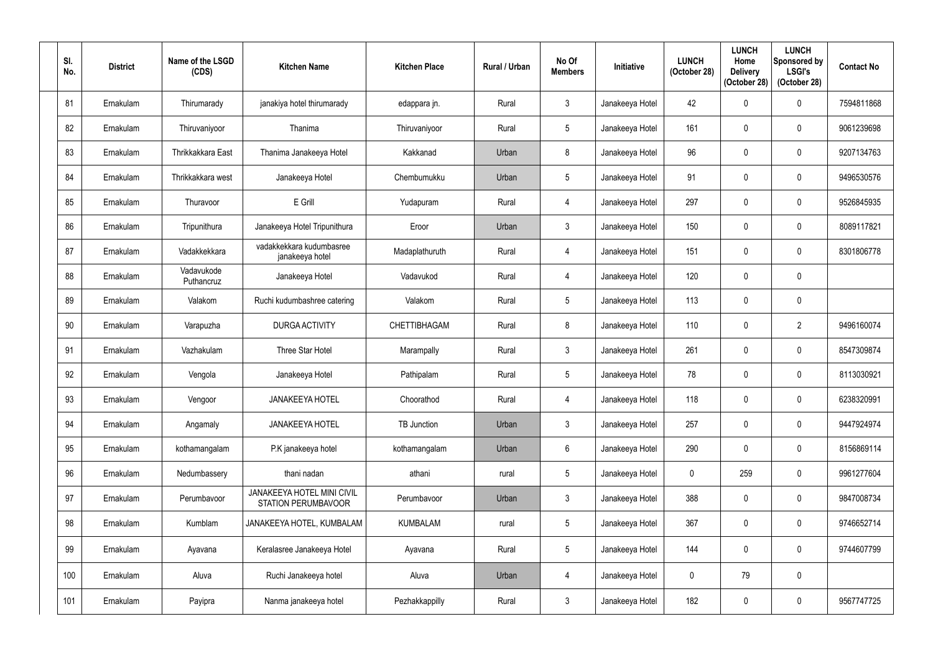| SI.<br>No. | <b>District</b> | Name of the LSGD<br>(CDS) | <b>Kitchen Name</b>                                             | <b>Kitchen Place</b> | Rural / Urban | No Of<br><b>Members</b> | <b>Initiative</b> | <b>LUNCH</b><br>(October 28) | <b>LUNCH</b><br>Home<br><b>Delivery</b><br>(October 28) | <b>LUNCH</b><br>Sponsored by<br><b>LSGI's</b><br>(October 28) | <b>Contact No</b> |
|------------|-----------------|---------------------------|-----------------------------------------------------------------|----------------------|---------------|-------------------------|-------------------|------------------------------|---------------------------------------------------------|---------------------------------------------------------------|-------------------|
| 81         | Ernakulam       | Thirumarady               | janakiya hotel thirumarady                                      | edappara jn.         | Rural         | $\mathbf{3}$            | Janakeeya Hotel   | 42                           |                                                         | $\mathbf 0$                                                   | 7594811868        |
| 82         | Ernakulam       | Thiruvaniyoor             | Thanima                                                         | Thiruvaniyoor        | Rural         | $5\phantom{.0}$         | Janakeeya Hotel   | 161                          |                                                         | $\boldsymbol{0}$                                              | 9061239698        |
| 83         | Ernakulam       | Thrikkakkara East         | Thanima Janakeeya Hotel                                         | Kakkanad             | Urban         | $8\phantom{1}$          | Janakeeya Hotel   | 96                           |                                                         | $\mathbf 0$                                                   | 9207134763        |
| 84         | Ernakulam       | Thrikkakkara west         | Janakeeya Hotel                                                 | Chembumukku          | Urban         | $5\phantom{.0}$         | Janakeeya Hotel   | 91                           |                                                         | $\mathbf 0$                                                   | 9496530576        |
| 85         | Ernakulam       | Thuravoor                 | E Grill                                                         | Yudapuram            | Rural         | 4                       | Janakeeya Hotel   | 297                          |                                                         | $\mathbf 0$                                                   | 9526845935        |
| 86         | Ernakulam       | Tripunithura              | Janakeeya Hotel Tripunithura                                    | Eroor                | Urban         | $\mathfrak{Z}$          | Janakeeya Hotel   | 150                          |                                                         | $\mathbf 0$                                                   | 8089117821        |
| 87         | Ernakulam       | Vadakkekkara              | vadakkekkara kudumbasree<br>janakeeya hotel                     | Madaplathuruth       | Rural         | 4                       | Janakeeya Hotel   | 151                          |                                                         | $\mathbf 0$                                                   | 8301806778        |
| 88         | Ernakulam       | Vadavukode<br>Puthancruz  | Janakeeya Hotel                                                 | Vadavukod            | Rural         | 4                       | Janakeeya Hotel   | 120                          |                                                         | $\mathbf 0$                                                   |                   |
| 89         | Ernakulam       | Valakom                   | Ruchi kudumbashree catering                                     | Valakom              | Rural         | $5\phantom{.0}$         | Janakeeya Hotel   | 113                          | $\Omega$                                                | $\mathbf 0$                                                   |                   |
| 90         | Ernakulam       | Varapuzha                 | <b>DURGA ACTIVITY</b>                                           | CHETTIBHAGAM         | Rural         | 8                       | Janakeeya Hotel   | 110                          |                                                         | $\overline{2}$                                                | 9496160074        |
| 91         | Ernakulam       | Vazhakulam                | Three Star Hotel                                                | Marampally           | Rural         | $\mathfrak{Z}$          | Janakeeya Hotel   | 261                          |                                                         | $\mathbf 0$                                                   | 8547309874        |
| 92         | Ernakulam       | Vengola                   | Janakeeya Hotel                                                 | Pathipalam           | Rural         | $5\phantom{.0}$         | Janakeeya Hotel   | 78                           | $\Omega$                                                | $\boldsymbol{0}$                                              | 8113030921        |
| 93         | Ernakulam       | Vengoor                   | <b>JANAKEEYA HOTEL</b>                                          | Choorathod           | Rural         | $\overline{4}$          | Janakeeya Hotel   | 118                          | $\boldsymbol{0}$                                        | $\mathbf 0$                                                   | 6238320991        |
| 94         | Ernakulam       | Angamaly                  | <b>JANAKEEYA HOTEL</b>                                          | <b>TB Junction</b>   | Urban         | $\mathbf{3}$            | Janakeeya Hotel   | 257                          | $\mathbf 0$                                             | $\boldsymbol{0}$                                              | 9447924974        |
| 95         | Ernakulam       | kothamangalam             | P.K janakeeya hotel                                             | kothamangalam        | Urban         | $6\,$                   | Janakeeya Hotel   | 290                          | 0                                                       | $\pmb{0}$                                                     | 8156869114        |
| 96         | Ernakulam       | Nedumbassery              | thani nadan                                                     | athani               | rural         | $5\phantom{.0}$         | Janakeeya Hotel   | $\mathbf 0$                  | 259                                                     | $\pmb{0}$                                                     | 9961277604        |
| 97         | Ernakulam       | Perumbavoor               | <b>JANAKEEYA HOTEL MINI CIVIL</b><br><b>STATION PERUMBAVOOR</b> | Perumbavoor          | Urban         | $\mathbf{3}$            | Janakeeya Hotel   | 388                          | $\mathbf 0$                                             | $\boldsymbol{0}$                                              | 9847008734        |
| 98         | Ernakulam       | Kumblam                   | JANAKEEYA HOTEL, KUMBALAM                                       | <b>KUMBALAM</b>      | rural         | $5\overline{)}$         | Janakeeya Hotel   | 367                          | $\mathbf 0$                                             | $\pmb{0}$                                                     | 9746652714        |
| 99         | Ernakulam       | Ayavana                   | Keralasree Janakeeya Hotel                                      | Ayavana              | Rural         | $5\overline{)}$         | Janakeeya Hotel   | 144                          | 0                                                       | $\pmb{0}$                                                     | 9744607799        |
| 100        | Ernakulam       | Aluva                     | Ruchi Janakeeya hotel                                           | Aluva                | Urban         | $\overline{4}$          | Janakeeya Hotel   | $\mathbf 0$                  | 79                                                      | $\pmb{0}$                                                     |                   |
| 101        | Ernakulam       | Payipra                   | Nanma janakeeya hotel                                           | Pezhakkappilly       | Rural         | $\mathbf{3}$            | Janakeeya Hotel   | 182                          | $\mathbf 0$                                             | $\pmb{0}$                                                     | 9567747725        |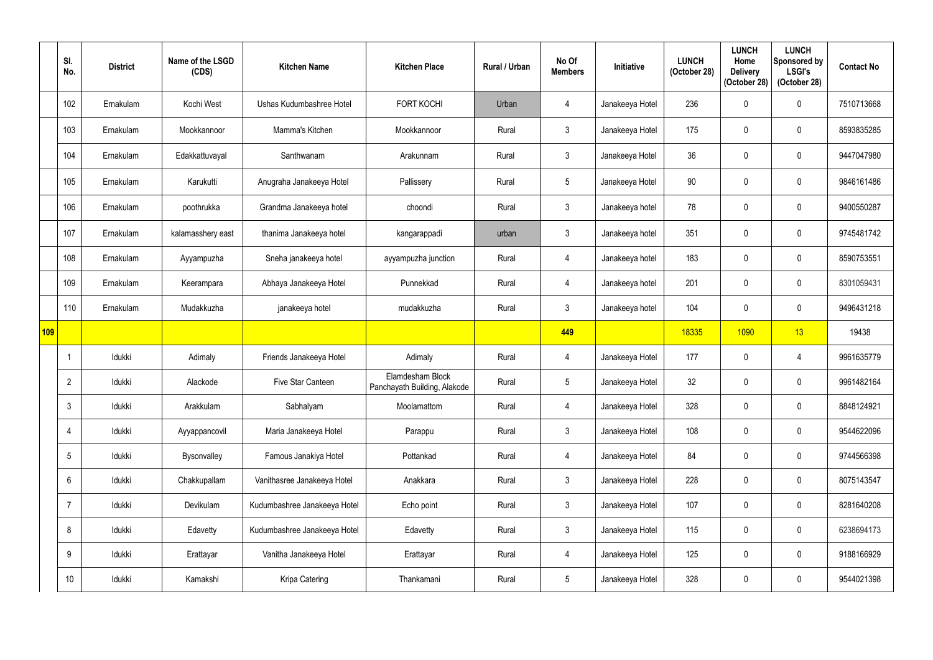|     | SI.<br>No.     | <b>District</b> | Name of the LSGD<br>(CDS) | <b>Kitchen Name</b>          | <b>Kitchen Place</b>                             | Rural / Urban | No Of<br><b>Members</b> | Initiative      | <b>LUNCH</b><br>(October 28) | <b>LUNCH</b><br>Home<br><b>Delivery</b><br>(October 28) | <b>LUNCH</b><br>Sponsored by<br><b>LSGI's</b><br>(October 28) | <b>Contact No</b> |
|-----|----------------|-----------------|---------------------------|------------------------------|--------------------------------------------------|---------------|-------------------------|-----------------|------------------------------|---------------------------------------------------------|---------------------------------------------------------------|-------------------|
|     | 102            | Ernakulam       | Kochi West                | Ushas Kudumbashree Hotel     | <b>FORT KOCHI</b>                                | Urban         | $\overline{4}$          | Janakeeya Hotel | 236                          | $\mathbf{0}$                                            | $\boldsymbol{0}$                                              | 7510713668        |
|     | 103            | Ernakulam       | Mookkannoor               | Mamma's Kitchen              | Mookkannoor                                      | Rural         | 3 <sup>1</sup>          | Janakeeya Hotel | 175                          |                                                         | $\mathbf 0$                                                   | 8593835285        |
|     | 104            | Ernakulam       | Edakkattuvayal            | Santhwanam                   | Arakunnam                                        | Rural         | $\mathfrak{Z}$          | Janakeeya Hotel | 36                           | $\Omega$                                                | $\pmb{0}$                                                     | 9447047980        |
|     | 105            | Ernakulam       | Karukutti                 | Anugraha Janakeeya Hotel     | Pallissery                                       | Rural         | $5\phantom{.0}$         | Janakeeya Hotel | 90                           |                                                         | $\pmb{0}$                                                     | 9846161486        |
|     | 106            | Ernakulam       | poothrukka                | Grandma Janakeeya hotel      | choondi                                          | Rural         | $\mathfrak{Z}$          | Janakeeya hotel | 78                           | $\mathbf{0}$                                            | $\pmb{0}$                                                     | 9400550287        |
|     | 107            | Ernakulam       | kalamasshery east         | thanima Janakeeya hotel      | kangarappadi                                     | urban         | $\mathfrak{Z}$          | Janakeeya hotel | 351                          |                                                         | $\mathbf 0$                                                   | 9745481742        |
|     | 108            | Ernakulam       | Ayyampuzha                | Sneha janakeeya hotel        | ayyampuzha junction                              | Rural         | $\overline{4}$          | Janakeeya hotel | 183                          | $\Omega$                                                | $\pmb{0}$                                                     | 8590753551        |
|     | 109            | Ernakulam       | Keerampara                | Abhaya Janakeeya Hotel       | Punnekkad                                        | Rural         | $\overline{4}$          | Janakeeya hotel | 201                          | 0                                                       | $\pmb{0}$                                                     | 8301059431        |
|     | 110            | Ernakulam       | Mudakkuzha                | janakeeya hotel              | mudakkuzha                                       | Rural         | $\mathbf{3}$            | Janakeeya hotel | 104                          | 0                                                       | $\boldsymbol{0}$                                              | 9496431218        |
| 109 |                |                 |                           |                              |                                                  |               | 449                     |                 | 18335                        | 1090                                                    | 13                                                            | 19438             |
|     |                | Idukki          | Adimaly                   | Friends Janakeeya Hotel      | Adimaly                                          | Rural         | $\overline{4}$          | Janakeeya Hotel | 177                          | $\mathbf 0$                                             | 4                                                             | 9961635779        |
|     | 2              | Idukki          | Alackode                  | Five Star Canteen            | Elamdesham Block<br>Panchayath Building, Alakode | Rural         | $5\overline{)}$         | Janakeeya Hotel | 32                           | 0                                                       | $\boldsymbol{0}$                                              | 9961482164        |
|     | $\mathfrak{Z}$ | Idukki          | Arakkulam                 | Sabhalyam                    | Moolamattom                                      | Rural         | $\overline{4}$          | Janakeeya Hotel | 328                          | $\mathbf{0}$                                            | $\mathbf 0$                                                   | 8848124921        |
|     | $\overline{4}$ | Idukki          | Ayyappancovil             | Maria Janakeeya Hotel        | Parappu                                          | Rural         | $3\overline{3}$         | Janakeeya Hotel | 108                          | $\mathbf 0$                                             | $\pmb{0}$                                                     | 9544622096        |
|     | 5              | Idukki          | Bysonvalley               | Famous Janakiya Hotel        | Pottankad                                        | Rural         | $\overline{4}$          | Janakeeya Hotel | 84                           | 0                                                       | $\boldsymbol{0}$                                              | 9744566398        |
|     | 6              | Idukki          | Chakkupallam              | Vanithasree Janakeeya Hotel  | Anakkara                                         | Rural         | $\mathbf{3}$            | Janakeeya Hotel | 228                          | 0                                                       | $\boldsymbol{0}$                                              | 8075143547        |
|     | 7              | Idukki          | Devikulam                 | Kudumbashree Janakeeya Hotel | Echo point                                       | Rural         | $\mathfrak{Z}$          | Janakeeya Hotel | 107                          | 0                                                       | $\pmb{0}$                                                     | 8281640208        |
|     | 8              | Idukki          | Edavetty                  | Kudumbashree Janakeeya Hotel | Edavetty                                         | Rural         | $\mathbf{3}$            | Janakeeya Hotel | 115                          | 0                                                       | $\pmb{0}$                                                     | 6238694173        |
|     |                |                 |                           |                              |                                                  |               |                         |                 |                              |                                                         |                                                               |                   |
|     | 9              | Idukki          | Erattayar                 | Vanitha Janakeeya Hotel      | Erattayar                                        | Rural         | $\overline{4}$          | Janakeeya Hotel | 125                          | $\mathbf{0}$                                            | $\pmb{0}$                                                     | 9188166929        |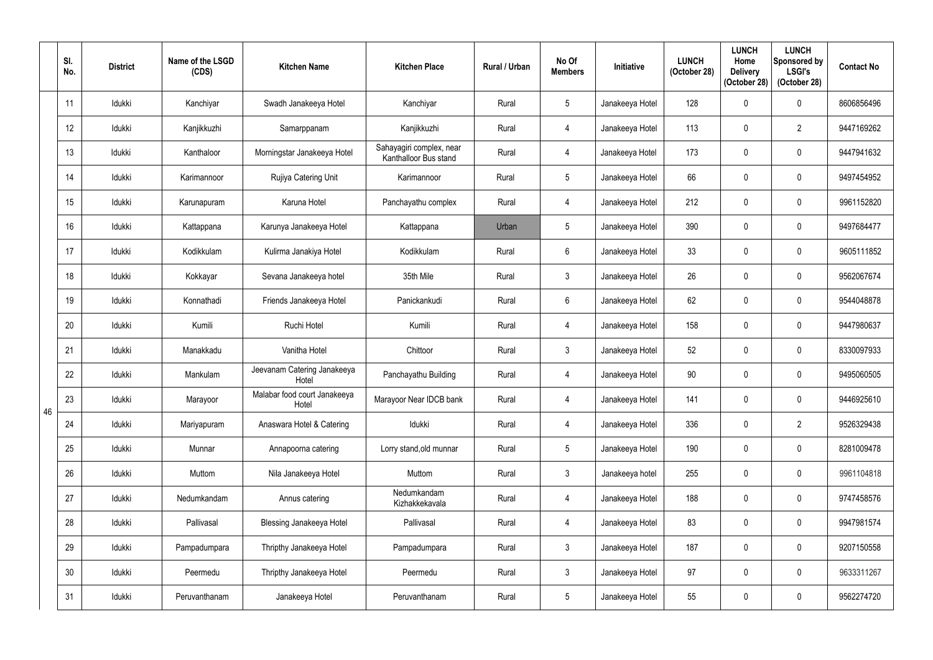|    | SI.<br>No. | <b>District</b> | Name of the LSGD<br>(CDS) | <b>Kitchen Name</b>                   | <b>Kitchen Place</b>                              | Rural / Urban | No Of<br><b>Members</b> | Initiative      | <b>LUNCH</b><br>(October 28) | <b>LUNCH</b><br>Home<br><b>Delivery</b><br>(October 28) | <b>LUNCH</b><br>Sponsored by<br><b>LSGI's</b><br>(October 28) | <b>Contact No</b> |
|----|------------|-----------------|---------------------------|---------------------------------------|---------------------------------------------------|---------------|-------------------------|-----------------|------------------------------|---------------------------------------------------------|---------------------------------------------------------------|-------------------|
|    | 11         | Idukki          | Kanchiyar                 | Swadh Janakeeya Hotel                 | Kanchiyar                                         | Rural         | $5\overline{)}$         | Janakeeya Hotel | 128                          | 0                                                       | $\mathbf 0$                                                   | 8606856496        |
|    | 12         | Idukki          | Kanjikkuzhi               | Samarppanam                           | Kanjikkuzhi                                       | Rural         | 4                       | Janakeeya Hotel | 113                          | 0                                                       | $\overline{2}$                                                | 9447169262        |
|    | 13         | Idukki          | Kanthaloor                | Morningstar Janakeeya Hotel           | Sahayagiri complex, near<br>Kanthalloor Bus stand | Rural         | 4                       | Janakeeya Hotel | 173                          | $\Omega$                                                | $\pmb{0}$                                                     | 9447941632        |
|    | 14         | Idukki          | Karimannoor               | Rujiya Catering Unit                  | Karimannoor                                       | Rural         | $5\overline{)}$         | Janakeeya Hotel | 66                           |                                                         | $\mathbf 0$                                                   | 9497454952        |
|    | 15         | Idukki          | Karunapuram               | Karuna Hotel                          | Panchayathu complex                               | Rural         | $\overline{4}$          | Janakeeya Hotel | 212                          | $\Omega$                                                | $\boldsymbol{0}$                                              | 9961152820        |
|    | 16         | Idukki          | Kattappana                | Karunya Janakeeya Hotel               | Kattappana                                        | Urban         | $5\overline{)}$         | Janakeeya Hotel | 390                          | $\mathbf 0$                                             | $\mathbf 0$                                                   | 9497684477        |
|    | 17         | Idukki          | Kodikkulam                | Kulirma Janakiya Hotel                | Kodikkulam                                        | Rural         | 6                       | Janakeeya Hotel | 33                           |                                                         | $\mathbf 0$                                                   | 9605111852        |
|    | 18         | Idukki          | Kokkayar                  | Sevana Janakeeya hotel                | 35th Mile                                         | Rural         | $\mathfrak{Z}$          | Janakeeya Hotel | 26                           |                                                         | $\mathbf 0$                                                   | 9562067674        |
|    | 19         | Idukki          | Konnathadi                | Friends Janakeeya Hotel               | Panickankudi                                      | Rural         | $6\phantom{.}6$         | Janakeeya Hotel | 62                           | $\mathbf 0$                                             | $\pmb{0}$                                                     | 9544048878        |
|    | 20         | Idukki          | Kumili                    | Ruchi Hotel                           | Kumili                                            | Rural         | 4                       | Janakeeya Hotel | 158                          | 0                                                       | $\mathbf 0$                                                   | 9447980637        |
|    | 21         | Idukki          | Manakkadu                 | Vanitha Hotel                         | Chittoor                                          | Rural         | $\mathfrak{Z}$          | Janakeeya Hotel | 52                           |                                                         | $\pmb{0}$                                                     | 8330097933        |
|    | 22         | Idukki          | Mankulam                  | Jeevanam Catering Janakeeya<br>Hotel  | Panchayathu Building                              | Rural         | $\overline{4}$          | Janakeeya Hotel | 90                           | $\mathbf 0$                                             | $\mathbf 0$                                                   | 9495060505        |
| 46 | 23         | Idukki          | Marayoor                  | Malabar food court Janakeeya<br>Hotel | Marayoor Near IDCB bank                           | Rural         | 4                       | Janakeeya Hotel | 141                          | $\boldsymbol{0}$                                        | $\pmb{0}$                                                     | 9446925610        |
|    | 24         | Idukki          | Mariyapuram               | Anaswara Hotel & Catering             | Idukki                                            | Rural         | 4                       | Janakeeya Hotel | 336                          | $\mathbf 0$                                             | $\overline{2}$                                                | 9526329438        |
|    | 25         | Idukki          | Munnar                    | Annapoorna catering                   | Lorry stand, old munnar                           | Rural         | $5\phantom{.0}$         | Janakeeya Hotel | 190                          | $\mathbf 0$                                             | $\pmb{0}$                                                     | 8281009478        |
|    | 26         | Idukki          | Muttom                    | Nila Janakeeya Hotel                  | Muttom                                            | Rural         | $3\phantom{.0}$         | Janakeeya hotel | 255                          | 0                                                       | $\pmb{0}$                                                     | 9961104818        |
|    | 27         | Idukki          | Nedumkandam               | Annus catering                        | Nedumkandam<br>Kizhakkekavala                     | Rural         | $\overline{4}$          | Janakeeya Hotel | 188                          | $\mathbf 0$                                             | $\pmb{0}$                                                     | 9747458576        |
|    | 28         | Idukki          | Pallivasal                | <b>Blessing Janakeeya Hotel</b>       | Pallivasal                                        | Rural         | 4                       | Janakeeya Hotel | 83                           | $\boldsymbol{0}$                                        | $\pmb{0}$                                                     | 9947981574        |
|    | 29         | Idukki          | Pampadumpara              | Thripthy Janakeeya Hotel              | Pampadumpara                                      | Rural         | $\mathbf{3}$            | Janakeeya Hotel | 187                          | $\mathbf 0$                                             | $\pmb{0}$                                                     | 9207150558        |
|    | 30         | Idukki          | Peermedu                  | Thripthy Janakeeya Hotel              | Peermedu                                          | Rural         | $\mathbf{3}$            | Janakeeya Hotel | 97                           | $\mathbf 0$                                             | $\pmb{0}$                                                     | 9633311267        |
|    | 31         | Idukki          | Peruvanthanam             | Janakeeya Hotel                       | Peruvanthanam                                     | Rural         | $\overline{5}$          | Janakeeya Hotel | 55                           | $\pmb{0}$                                               | $\pmb{0}$                                                     | 9562274720        |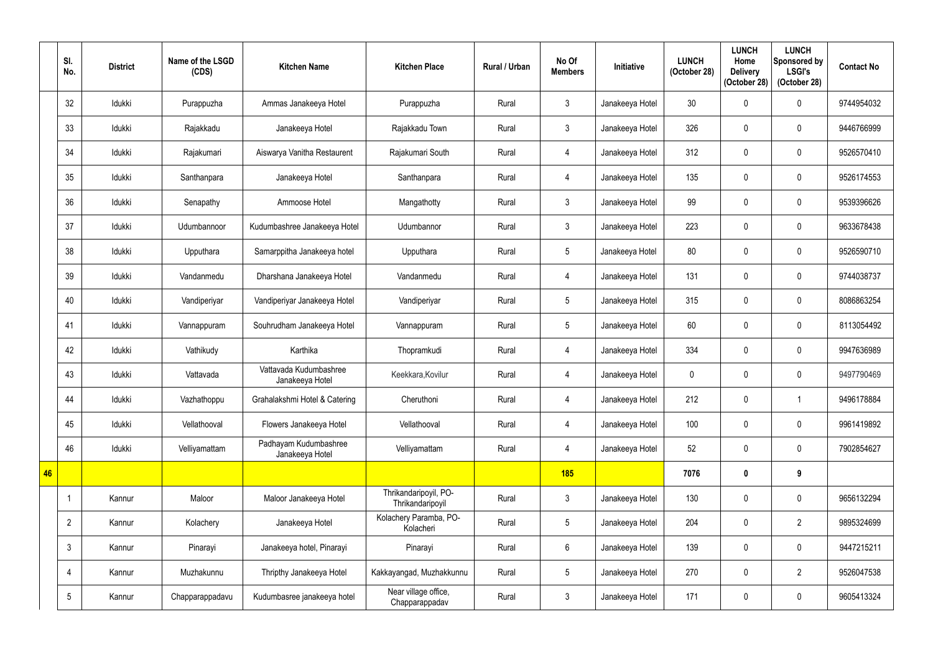|    | SI.<br>No.     | <b>District</b> | Name of the LSGD<br>(CDS) | <b>Kitchen Name</b>                       | <b>Kitchen Place</b>                      | <b>Rural / Urban</b> | No Of<br><b>Members</b> | Initiative      | <b>LUNCH</b><br>(October 28) | <b>LUNCH</b><br>Home<br><b>Delivery</b><br>(October 28) | <b>LUNCH</b><br>Sponsored by<br><b>LSGI's</b><br>(October 28) | <b>Contact No</b> |
|----|----------------|-----------------|---------------------------|-------------------------------------------|-------------------------------------------|----------------------|-------------------------|-----------------|------------------------------|---------------------------------------------------------|---------------------------------------------------------------|-------------------|
|    | 32             | Idukki          | Purappuzha                | Ammas Janakeeya Hotel                     | Purappuzha                                | Rural                | $\mathfrak{Z}$          | Janakeeya Hotel | 30 <sup>°</sup>              | 0                                                       | $\mathbf 0$                                                   | 9744954032        |
|    | 33             | Idukki          | Rajakkadu                 | Janakeeya Hotel                           | Rajakkadu Town                            | Rural                | $\mathbf{3}$            | Janakeeya Hotel | 326                          |                                                         | $\mathbf 0$                                                   | 9446766999        |
|    | 34             | Idukki          | Rajakumari                | Aiswarya Vanitha Restaurent               | Rajakumari South                          | Rural                | $\overline{4}$          | Janakeeya Hotel | 312                          | $\Omega$                                                | $\mathbf 0$                                                   | 9526570410        |
|    | 35             | Idukki          | Santhanpara               | Janakeeya Hotel                           | Santhanpara                               | Rural                | 4                       | Janakeeya Hotel | 135                          |                                                         | $\mathbf 0$                                                   | 9526174553        |
|    | 36             | Idukki          | Senapathy                 | Ammoose Hotel                             | Mangathotty                               | Rural                | $\mathfrak{Z}$          | Janakeeya Hotel | 99                           | U                                                       | $\mathbf 0$                                                   | 9539396626        |
|    | 37             | Idukki          | Udumbannoor               | Kudumbashree Janakeeya Hotel              | Udumbannor                                | Rural                | $\mathbf{3}$            | Janakeeya Hotel | 223                          | 0                                                       | $\mathbf 0$                                                   | 9633678438        |
|    | 38             | Idukki          | Upputhara                 | Samarppitha Janakeeya hotel               | Upputhara                                 | Rural                | $5\overline{)}$         | Janakeeya Hotel | 80                           | 0                                                       | $\mathbf 0$                                                   | 9526590710        |
|    | 39             | Idukki          | Vandanmedu                | Dharshana Janakeeya Hotel                 | Vandanmedu                                | Rural                | 4                       | Janakeeya Hotel | 131                          |                                                         | $\mathbf 0$                                                   | 9744038737        |
|    | 40             | Idukki          | Vandiperiyar              | Vandiperiyar Janakeeya Hotel              | Vandiperiyar                              | Rural                | $5\phantom{.0}$         | Janakeeya Hotel | 315                          | $\mathbf{0}$                                            | $\mathbf 0$                                                   | 8086863254        |
|    | 41             | Idukki          | Vannappuram               | Souhrudham Janakeeya Hotel                | Vannappuram                               | Rural                | $5\overline{)}$         | Janakeeya Hotel | 60                           |                                                         | $\mathbf 0$                                                   | 8113054492        |
|    | 42             | Idukki          | Vathikudy                 | Karthika                                  | Thopramkudi                               | Rural                | 4                       | Janakeeya Hotel | 334                          | $\Omega$                                                | $\mathbf 0$                                                   | 9947636989        |
|    | 43             | Idukki          | Vattavada                 | Vattavada Kudumbashree<br>Janakeeya Hotel | Keekkara, Kovilur                         | Rural                | 4                       | Janakeeya Hotel | $\mathbf 0$                  | 0                                                       | $\mathbf 0$                                                   | 9497790469        |
|    | 44             | Idukki          | Vazhathoppu               | Grahalakshmi Hotel & Catering             | Cheruthoni                                | Rural                | 4                       | Janakeeya Hotel | 212                          | $\mathbf 0$                                             |                                                               | 9496178884        |
|    | 45             | Idukki          | Vellathooval              | Flowers Janakeeya Hotel                   | Vellathooval                              | Rural                | $\overline{4}$          | Janakeeya Hotel | 100                          | $\mathbf 0$                                             | $\pmb{0}$                                                     | 9961419892        |
|    | 46             | Idukki          | Velliyamattam             | Padhayam Kudumbashree<br>Janakeeya Hotel  | Velliyamattam                             | Rural                | $\overline{4}$          | Janakeeya Hotel | 52                           | $\pmb{0}$                                               | $\pmb{0}$                                                     | 7902854627        |
| 46 |                |                 |                           |                                           |                                           |                      | <b>185</b>              |                 | 7076                         | 0                                                       | 9                                                             |                   |
|    |                | Kannur          | Maloor                    | Maloor Janakeeya Hotel                    | Thrikandaripoyil, PO-<br>Thrikandaripoyil | Rural                | $\mathfrak{Z}$          | Janakeeya Hotel | 130                          | $\mathbf 0$                                             | $\pmb{0}$                                                     | 9656132294        |
|    | $\overline{2}$ | Kannur          | Kolachery                 | Janakeeya Hotel                           | Kolachery Paramba, PO-<br>Kolacheri       | Rural                | $5\phantom{.0}$         | Janakeeya Hotel | 204                          | $\mathbf 0$                                             | $\overline{2}$                                                | 9895324699        |
|    | $\mathbf{3}$   | Kannur          | Pinarayi                  | Janakeeya hotel, Pinarayi                 | Pinarayi                                  | Rural                | $6\phantom{.}$          | Janakeeya Hotel | 139                          | $\mathbf 0$                                             | $\pmb{0}$                                                     | 9447215211        |
|    | $\overline{4}$ | Kannur          | Muzhakunnu                | Thripthy Janakeeya Hotel                  | Kakkayangad, Muzhakkunnu                  | Rural                | $5\phantom{.0}$         | Janakeeya Hotel | 270                          | $\mathbf 0$                                             | $\overline{2}$                                                | 9526047538        |
|    | $\overline{5}$ | Kannur          | Chapparappadavu           | Kudumbasree janakeeya hotel               | Near village office,<br>Chapparappadav    | Rural                | $\mathfrak{Z}$          | Janakeeya Hotel | 171                          | 0                                                       | $\pmb{0}$                                                     | 9605413324        |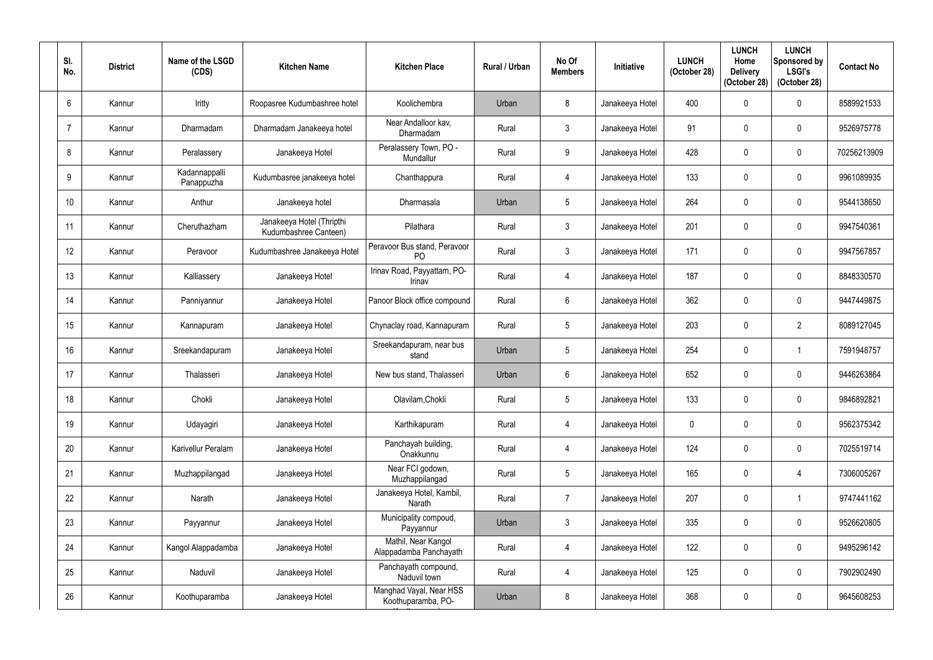| SI.<br>No. | <b>District</b> | Name of the LSGD<br>(CDS)   | <b>Kitchen Name</b>                                | <b>Kitchen Place</b>                           | Rural / Urban | No Of<br><b>Members</b> | <b>Initiative</b> | <b>LUNCH</b><br>(October 28) | <b>LUNCH</b><br>Home<br><b>Delivery</b><br>(October 28) | <b>LUNCH</b><br>Sponsored by<br><b>LSGI's</b><br>(October 28) | <b>Contact No</b> |
|------------|-----------------|-----------------------------|----------------------------------------------------|------------------------------------------------|---------------|-------------------------|-------------------|------------------------------|---------------------------------------------------------|---------------------------------------------------------------|-------------------|
| 6          | Kannur          | Iritty                      | Roopasree Kudumbashree hotel                       | Koolichembra                                   | Urban         | 8                       | Janakeeya Hotel   | 400                          | $\Omega$                                                | $\mathbf 0$                                                   | 8589921533        |
|            | Kannur          | Dharmadam                   | Dharmadam Janakeeya hotel                          | Near Andalloor kav,<br>Dharmadam               | Rural         | $\mathbf{3}$            | Janakeeya Hotel   | 91                           |                                                         | $\mathbf 0$                                                   | 9526975778        |
| 8          | Kannur          | Peralassery                 | Janakeeya Hotel                                    | Peralassery Town, PO -<br>Mundallur            | Rural         | 9                       | Janakeeya Hotel   | 428                          | $\theta$                                                | $\mathbf 0$                                                   | 70256213909       |
| 9          | Kannur          | Kadannappalli<br>Panappuzha | Kudumbasree janakeeya hotel                        | Chanthappura                                   | Rural         | 4                       | Janakeeya Hotel   | 133                          |                                                         | $\mathbf 0$                                                   | 9961089935        |
| 10         | Kannur          | Anthur                      | Janakeeya hotel                                    | Dharmasala                                     | Urban         | 5                       | Janakeeya Hotel   | 264                          |                                                         | $\mathbf 0$                                                   | 9544138650        |
| 11         | Kannur          | Cheruthazham                | Janakeeya Hotel (Thripthi<br>Kudumbashree Canteen) | Pilathara                                      | Rural         | $\mathbf{3}$            | Janakeeya Hotel   | 201                          |                                                         | $\mathbf 0$                                                   | 9947540361        |
| 12         | Kannur          | Peravoor                    | Kudumbashree Janakeeya Hotel                       | Peravoor Bus stand, Peravoor<br>P <sub>O</sub> | Rural         | 3                       | Janakeeya Hotel   | 171                          |                                                         | $\mathbf 0$                                                   | 9947567857        |
| 13         | Kannur          | Kalliassery                 | Janakeeya Hotel                                    | Irinav Road, Payyattam, PO-<br>Irinav          | Rural         | $\overline{4}$          | Janakeeya Hotel   | 187                          |                                                         | $\mathbf 0$                                                   | 8848330570        |
| 14         | Kannur          | Panniyannur                 | Janakeeya Hotel                                    | Panoor Block office compound                   | Rural         | 6                       | Janakeeya Hotel   | 362                          | $\theta$                                                | $\mathbf 0$                                                   | 9447449875        |
| 15         | Kannur          | Kannapuram                  | Janakeeya Hotel                                    | Chynaclay road, Kannapuram                     | Rural         | 5                       | Janakeeya Hotel   | 203                          |                                                         | $\overline{2}$                                                | 8089127045        |
| 16         | Kannur          | Sreekandapuram              | Janakeeya Hotel                                    | Sreekandapuram, near bus<br>stand              | Urban         | 5                       | Janakeeya Hotel   | 254                          |                                                         |                                                               | 7591948757        |
| 17         | Kannur          | Thalasseri                  | Janakeeya Hotel                                    | New bus stand, Thalasseri                      | Urban         | 6                       | Janakeeya Hotel   | 652                          | $\mathbf 0$                                             | $\mathbf 0$                                                   | 9446263864        |
| 18         | Kannur          | Chokli                      | Janakeeya Hotel                                    | Olavilam, Chokli                               | Rural         | 5                       | Janakeeya Hotel   | 133                          | 0                                                       | $\mathbf 0$                                                   | 9846892821        |
| 19         | Kannur          | Udayagiri                   | Janakeeya Hotel                                    | Karthikapuram                                  | Rural         | $\overline{4}$          | Janakeeya Hotel   | $\mathbf 0$                  | 0                                                       | $\pmb{0}$                                                     | 9562375342        |
| 20         | Kannur          | Karivellur Peralam          | Janakeeya Hotel                                    | Panchayah building,<br>Onakkunnu               | Rural         | $\overline{4}$          | Janakeeya Hotel   | 124                          | $\mathbf 0$                                             | $\pmb{0}$                                                     | 7025519714        |
| 21         | Kannur          | Muzhappilangad              | Janakeeya Hotel                                    | Near FCI godown,<br>Muzhappilangad             | Rural         | $5\overline{)}$         | Janakeeya Hotel   | 165                          | 0                                                       | $\overline{4}$                                                | 7306005267        |
| 22         | Kannur          | Narath                      | Janakeeya Hotel                                    | Janakeeya Hotel, Kambil,<br>Narath             | Rural         | $\overline{7}$          | Janakeeya Hotel   | 207                          | $\mathbf{0}$                                            | $\overline{1}$                                                | 9747441162        |
| 23         | Kannur          | Payyannur                   | Janakeeya Hotel                                    | Municipality compoud,<br>Payyannur             | Urban         | $\mathfrak{Z}$          | Janakeeya Hotel   | 335                          | $\mathbf 0$                                             | $\pmb{0}$                                                     | 9526620805        |
| 24         | Kannur          | Kangol Alappadamba          | Janakeeya Hotel                                    | Mathil, Near Kangol<br>Alappadamba Panchayath  | Rural         | $\overline{4}$          | Janakeeya Hotel   | 122                          | 0                                                       | $\pmb{0}$                                                     | 9495296142        |
| 25         | Kannur          | Naduvil                     | Janakeeya Hotel                                    | Panchayath compound,<br>Naduvil town           | Rural         | $\overline{4}$          | Janakeeya Hotel   | 125                          | $\mathbf 0$                                             | $\pmb{0}$                                                     | 7902902490        |
| 26         | Kannur          | Koothuparamba               | Janakeeya Hotel                                    | Manghad Vayal, Near HSS<br>Koothuparamba, PO-  | Urban         | $8\phantom{.}$          | Janakeeya Hotel   | 368                          | $\mathbf 0$                                             | $\pmb{0}$                                                     | 9645608253        |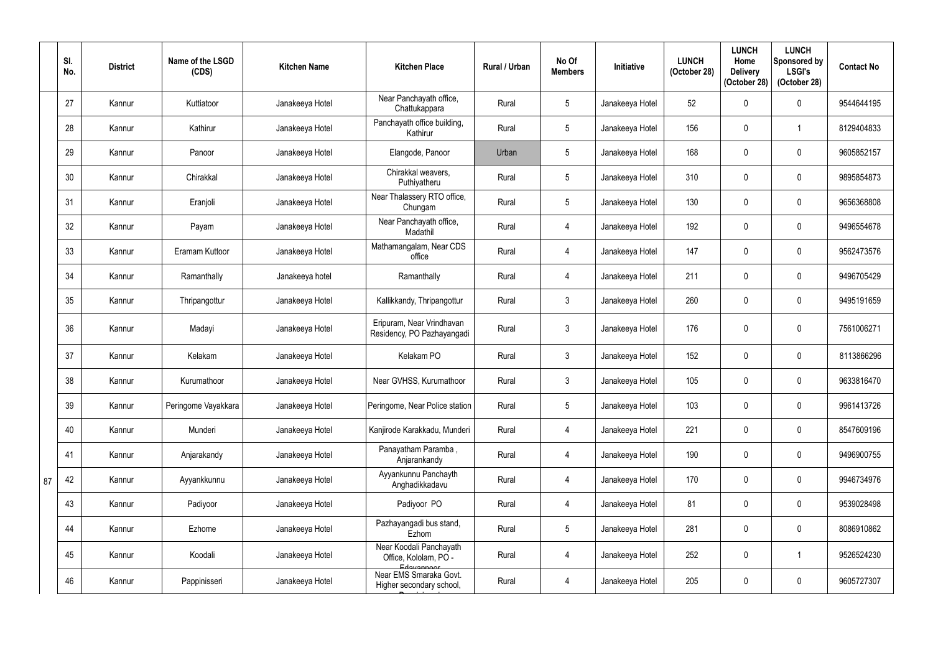|    | SI.<br>No. | <b>District</b> | Name of the LSGD<br>(CDS) | <b>Kitchen Name</b> | <b>Kitchen Place</b>                                           | Rural / Urban | No Of<br><b>Members</b> | Initiative      | <b>LUNCH</b><br>(October 28) | <b>LUNCH</b><br>Home<br><b>Delivery</b><br>(October 28) | <b>LUNCH</b><br>Sponsored by<br><b>LSGI's</b><br>(October 28) | <b>Contact No</b> |
|----|------------|-----------------|---------------------------|---------------------|----------------------------------------------------------------|---------------|-------------------------|-----------------|------------------------------|---------------------------------------------------------|---------------------------------------------------------------|-------------------|
|    | 27         | Kannur          | Kuttiatoor                | Janakeeya Hotel     | Near Panchayath office,<br>Chattukappara                       | Rural         | 5                       | Janakeeya Hotel | 52                           | 0                                                       | $\boldsymbol{0}$                                              | 9544644195        |
|    | 28         | Kannur          | Kathirur                  | Janakeeya Hotel     | Panchayath office building,<br>Kathirur                        | Rural         | $5\phantom{.0}$         | Janakeeya Hotel | 156                          | $\mathbf{0}$                                            | $\mathbf 1$                                                   | 8129404833        |
|    | 29         | Kannur          | Panoor                    | Janakeeya Hotel     | Elangode, Panoor                                               | Urban         | $5\phantom{.0}$         | Janakeeya Hotel | 168                          | $\mathbf{0}$                                            | $\pmb{0}$                                                     | 9605852157        |
|    | 30         | Kannur          | Chirakkal                 | Janakeeya Hotel     | Chirakkal weavers,<br>Puthiyatheru                             | Rural         | 5 <sub>5</sub>          | Janakeeya Hotel | 310                          |                                                         | $\mathbf 0$                                                   | 9895854873        |
|    | 31         | Kannur          | Eranjoli                  | Janakeeya Hotel     | Near Thalassery RTO office,<br>Chungam                         | Rural         | $5\phantom{.0}$         | Janakeeya Hotel | 130                          | $\Omega$                                                | $\boldsymbol{0}$                                              | 9656368808        |
|    | 32         | Kannur          | Payam                     | Janakeeya Hotel     | Near Panchayath office,<br>Madathil                            | Rural         | 4                       | Janakeeya Hotel | 192                          | 0                                                       | $\pmb{0}$                                                     | 9496554678        |
|    | 33         | Kannur          | Eramam Kuttoor            | Janakeeya Hotel     | Mathamangalam, Near CDS<br>office                              | Rural         | $\overline{4}$          | Janakeeya Hotel | 147                          |                                                         | $\mathbf 0$                                                   | 9562473576        |
|    | 34         | Kannur          | Ramanthally               | Janakeeya hotel     | Ramanthally                                                    | Rural         | $\overline{4}$          | Janakeeya Hotel | 211                          |                                                         | $\mathbf 0$                                                   | 9496705429        |
|    | 35         | Kannur          | Thripangottur             | Janakeeya Hotel     | Kallikkandy, Thripangottur                                     | Rural         | $\mathfrak{Z}$          | Janakeeya Hotel | 260                          | $\mathbf{0}$                                            | $\pmb{0}$                                                     | 9495191659        |
|    | 36         | Kannur          | Madayi                    | Janakeeya Hotel     | Eripuram, Near Vrindhavan<br>Residency, PO Pazhayangadi        | Rural         | $\mathfrak{Z}$          | Janakeeya Hotel | 176                          | 0                                                       | $\mathbf 0$                                                   | 7561006271        |
|    | 37         | Kannur          | Kelakam                   | Janakeeya Hotel     | Kelakam PO                                                     | Rural         | $\mathfrak{Z}$          | Janakeeya Hotel | 152                          | 0                                                       | $\mathbf 0$                                                   | 8113866296        |
|    | 38         | Kannur          | Kurumathoor               | Janakeeya Hotel     | Near GVHSS, Kurumathoor                                        | Rural         | $\mathfrak{Z}$          | Janakeeya Hotel | 105                          | $\mathbf 0$                                             | $\mathbf 0$                                                   | 9633816470        |
|    | 39         | Kannur          | Peringome Vayakkara       | Janakeeya Hotel     | Peringome, Near Police station                                 | Rural         | $5\phantom{.0}$         | Janakeeya Hotel | 103                          | $\mathbf{0}$                                            | $\mathbf 0$                                                   | 9961413726        |
|    | 40         | Kannur          | Munderi                   | Janakeeya Hotel     | Kanjirode Karakkadu, Munderi                                   | Rural         | $\overline{4}$          | Janakeeya Hotel | 221                          |                                                         | $\pmb{0}$                                                     | 8547609196        |
|    | 41         | Kannur          | Anjarakandy               | Janakeeya Hotel     | Panayatham Paramba,<br>Anjarankandy                            | Rural         | $\overline{4}$          | Janakeeya Hotel | 190                          | 0                                                       | $\pmb{0}$                                                     | 9496900755        |
| 87 | 42         | Kannur          | Ayyankkunnu               | Janakeeya Hotel     | Ayyankunnu Panchayth<br>Anghadikkadavu                         | Rural         | $\overline{4}$          | Janakeeya Hotel | 170                          | $\Omega$                                                | $\pmb{0}$                                                     | 9946734976        |
|    | 43         | Kannur          | Padiyoor                  | Janakeeya Hotel     | Padiyoor PO                                                    | Rural         | $\overline{4}$          | Janakeeya Hotel | 81                           | 0                                                       | $\pmb{0}$                                                     | 9539028498        |
|    | 44         | Kannur          | Ezhome                    | Janakeeya Hotel     | Pazhayangadi bus stand,<br>Ezhom                               | Rural         | $5\phantom{.0}$         | Janakeeya Hotel | 281                          |                                                         | $\pmb{0}$                                                     | 8086910862        |
|    | 45         | Kannur          | Koodali                   | Janakeeya Hotel     | Near Koodali Panchayath<br>Office, Kololam, PO -<br>Edavannoor | Rural         | $\overline{4}$          | Janakeeya Hotel | 252                          |                                                         | $\mathbf 1$                                                   | 9526524230        |
|    | 46         | Kannur          | Pappinisseri              | Janakeeya Hotel     | Near EMS Smaraka Govt.<br>Higher secondary school,             | Rural         | $\overline{4}$          | Janakeeya Hotel | 205                          | 0                                                       | $\pmb{0}$                                                     | 9605727307        |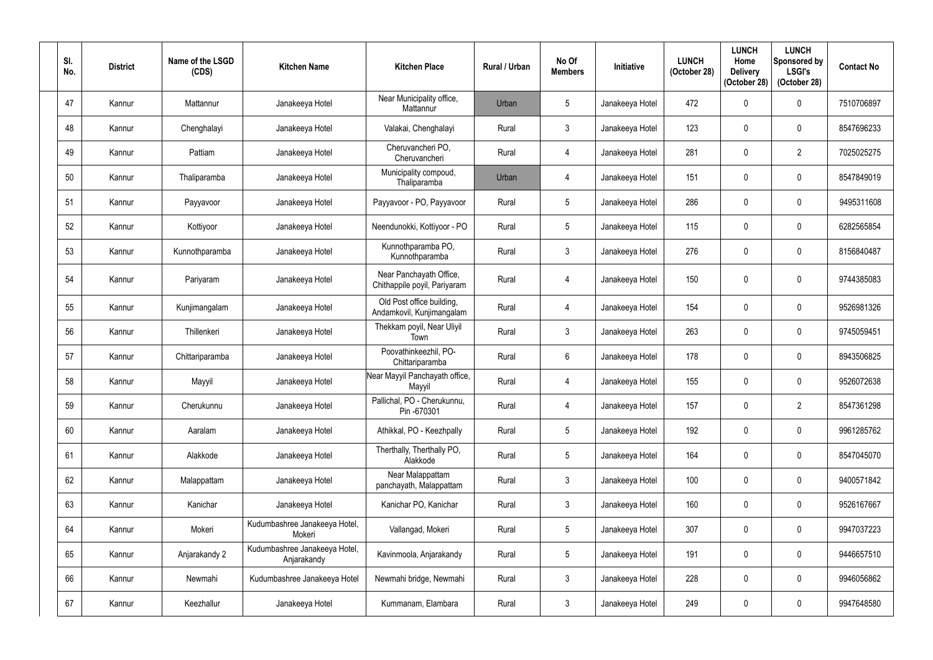| SI.<br>No. | <b>District</b> | Name of the LSGD<br>(CDS) | <b>Kitchen Name</b>                          | <b>Kitchen Place</b>                                    | Rural / Urban | No Of<br><b>Members</b> | <b>Initiative</b> | <b>LUNCH</b><br>(October 28) | <b>LUNCH</b><br>Home<br><b>Delivery</b><br>(October 28) | <b>LUNCH</b><br>Sponsored by<br><b>LSGI's</b><br>(October 28) | <b>Contact No</b> |
|------------|-----------------|---------------------------|----------------------------------------------|---------------------------------------------------------|---------------|-------------------------|-------------------|------------------------------|---------------------------------------------------------|---------------------------------------------------------------|-------------------|
| 47         | Kannur          | Mattannur                 | Janakeeya Hotel                              | Near Municipality office,<br>Mattannur                  | Urban         | $5\overline{)}$         | Janakeeya Hotel   | 472                          |                                                         | $\boldsymbol{0}$                                              | 7510706897        |
| 48         | Kannur          | Chenghalayi               | Janakeeya Hotel                              | Valakai, Chenghalayi                                    | Rural         | $\mathfrak{Z}$          | Janakeeya Hotel   | 123                          |                                                         | $\mathbf 0$                                                   | 8547696233        |
| 49         | Kannur          | Pattiam                   | Janakeeya Hotel                              | Cheruvancheri PO,<br>Cheruvancheri                      | Rural         | $\overline{4}$          | Janakeeya Hotel   | 281                          | $\theta$                                                | $\overline{2}$                                                | 7025025275        |
| 50         | Kannur          | Thaliparamba              | Janakeeya Hotel                              | Municipality compoud,<br>Thaliparamba                   | Urban         | 4                       | Janakeeya Hotel   | 151                          |                                                         | $\mathbf 0$                                                   | 8547849019        |
| 51         | Kannur          | Payyavoor                 | Janakeeya Hotel                              | Payyavoor - PO, Payyavoor                               | Rural         | $5\phantom{.0}$         | Janakeeya Hotel   | 286                          |                                                         | $\mathbf 0$                                                   | 9495311608        |
| 52         | Kannur          | Kottiyoor                 | Janakeeya Hotel                              | Neendunokki, Kottiyoor - PO                             | Rural         | $5\phantom{.0}$         | Janakeeya Hotel   | 115                          | $\mathbf{0}$                                            | $\boldsymbol{0}$                                              | 6282565854        |
| 53         | Kannur          | Kunnothparamba            | Janakeeya Hotel                              | Kunnothparamba PO,<br>Kunnothparamba                    | Rural         | $\mathfrak{Z}$          | Janakeeya Hotel   | 276                          |                                                         | $\mathbf 0$                                                   | 8156840487        |
| 54         | Kannur          | Pariyaram                 | Janakeeya Hotel                              | Near Panchayath Office,<br>Chithappile poyil, Pariyaram | Rural         | 4                       | Janakeeya Hotel   | 150                          |                                                         | $\mathbf 0$                                                   | 9744385083        |
| 55         | Kannur          | Kunjimangalam             | Janakeeya Hotel                              | Old Post office building,<br>Andamkovil, Kunjimangalam  | Rural         | 4                       | Janakeeya Hotel   | 154                          |                                                         | $\mathbf 0$                                                   | 9526981326        |
| 56         | Kannur          | Thillenkeri               | Janakeeya Hotel                              | Thekkam poyil, Near Uliyil<br>Town                      | Rural         | $\mathfrak{Z}$          | Janakeeya Hotel   | 263                          |                                                         | $\mathbf 0$                                                   | 9745059451        |
| 57         | Kannur          | Chittariparamba           | Janakeeya Hotel                              | Poovathinkeezhil, PO-<br>Chittariparamba                | Rural         | 6                       | Janakeeya Hotel   | 178                          | $\mathbf{0}$                                            | $\mathbf 0$                                                   | 8943506825        |
| 58         | Kannur          | Mayyil                    | Janakeeya Hotel                              | Near Mayyil Panchayath office,<br>Mayyil                | Rural         | $\overline{4}$          | Janakeeya Hotel   | 155                          |                                                         | $\mathbf 0$                                                   | 9526072638        |
| 59         | Kannur          | Cherukunnu                | Janakeeya Hotel                              | Pallichal, PO - Cherukunnu,<br>Pin -670301              | Rural         | $\overline{4}$          | Janakeeya Hotel   | 157                          | $\mathbf{0}$                                            | $\overline{2}$                                                | 8547361298        |
| 60         | Kannur          | Aaralam                   | Janakeeya Hotel                              | Athikkal, PO - Keezhpally                               | Rural         | $5\phantom{.0}$         | Janakeeya Hotel   | 192                          |                                                         | $\pmb{0}$                                                     | 9961285762        |
| 61         | Kannur          | Alakkode                  | Janakeeya Hotel                              | Therthally, Therthally PO,<br>Alakkode                  | Rural         | $5\phantom{.0}$         | Janakeeya Hotel   | 164                          | 0                                                       | $\boldsymbol{0}$                                              | 8547045070        |
| 62         | Kannur          | Malappattam               | Janakeeya Hotel                              | Near Malappattam<br>panchayath, Malappattam             | Rural         | $\mathfrak{Z}$          | Janakeeya Hotel   | 100                          |                                                         | $\boldsymbol{0}$                                              | 9400571842        |
| 63         | Kannur          | Kanichar                  | Janakeeya Hotel                              | Kanichar PO, Kanichar                                   | Rural         | $\mathbf{3}$            | Janakeeya Hotel   | 160                          | 0                                                       | $\pmb{0}$                                                     | 9526167667        |
| 64         | Kannur          | Mokeri                    | Kudumbashree Janakeeya Hotel,<br>Mokeri      | Vallangad, Mokeri                                       | Rural         | $5\phantom{.0}$         | Janakeeya Hotel   | 307                          |                                                         | $\mathbf 0$                                                   | 9947037223        |
| 65         | Kannur          | Anjarakandy 2             | Kudumbashree Janakeeya Hotel,<br>Anjarakandy | Kavinmoola, Anjarakandy                                 | Rural         | $5\phantom{.0}$         | Janakeeya Hotel   | 191                          | $\Omega$                                                | $\pmb{0}$                                                     | 9446657510        |
| 66         | Kannur          | Newmahi                   | Kudumbashree Janakeeya Hotel                 | Newmahi bridge, Newmahi                                 | Rural         | $\mathfrak{Z}$          | Janakeeya Hotel   | 228                          | 0                                                       | $\boldsymbol{0}$                                              | 9946056862        |
| 67         | Kannur          | Keezhallur                | Janakeeya Hotel                              | Kummanam, Elambara                                      | Rural         | $\mathbf{3}$            | Janakeeya Hotel   | 249                          | 0                                                       | $\pmb{0}$                                                     | 9947648580        |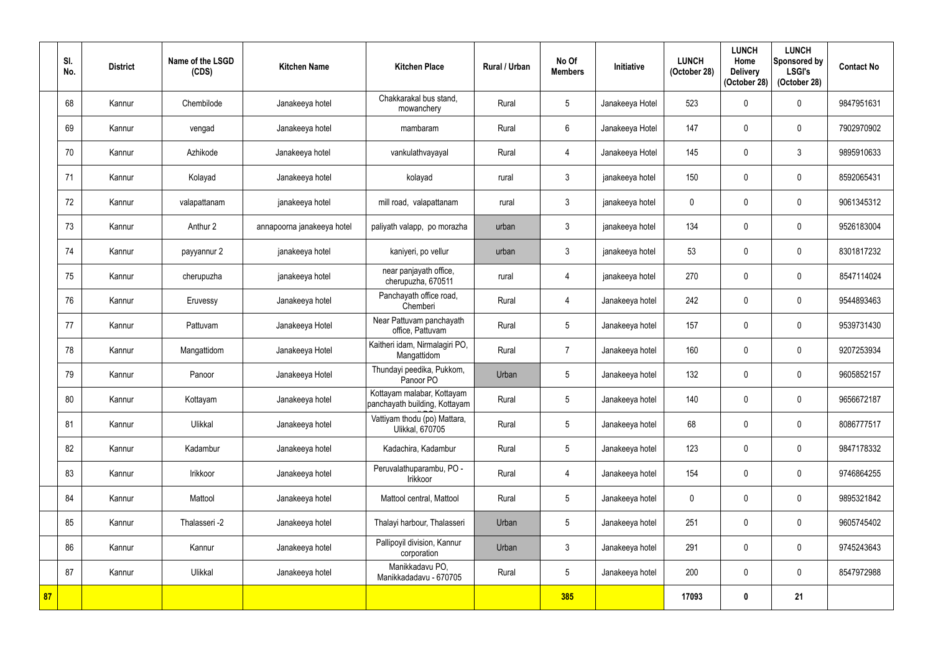|    | SI.<br>No. | <b>District</b> | Name of the LSGD<br>(CDS) | <b>Kitchen Name</b>        | <b>Kitchen Place</b>                                        | <b>Rural / Urban</b> | No Of<br><b>Members</b> | <b>Initiative</b> | <b>LUNCH</b><br>(October 28) | <b>LUNCH</b><br>Home<br><b>Delivery</b><br>(October 28) | <b>LUNCH</b><br>Sponsored by<br><b>LSGI's</b><br>(October 28) | <b>Contact No</b> |
|----|------------|-----------------|---------------------------|----------------------------|-------------------------------------------------------------|----------------------|-------------------------|-------------------|------------------------------|---------------------------------------------------------|---------------------------------------------------------------|-------------------|
|    | 68         | Kannur          | Chembilode                | Janakeeya hotel            | Chakkarakal bus stand,<br>mowanchery                        | Rural                | 5                       | Janakeeya Hotel   | 523                          | 0                                                       | $\pmb{0}$                                                     | 9847951631        |
|    | 69         | Kannur          | vengad                    | Janakeeya hotel            | mambaram                                                    | Rural                | $6\phantom{.}6$         | Janakeeya Hotel   | 147                          | N                                                       | $\mathbf 0$                                                   | 7902970902        |
|    | 70         | Kannur          | Azhikode                  | Janakeeya hotel            | vankulathvayayal                                            | Rural                | 4                       | Janakeeya Hotel   | 145                          | $\mathbf{0}$                                            | $\mathfrak{Z}$                                                | 9895910633        |
|    | 71         | Kannur          | Kolayad                   | Janakeeya hotel            | kolayad                                                     | rural                | 3                       | janakeeya hotel   | 150                          | 0                                                       | $\mathbf 0$                                                   | 8592065431        |
|    | 72         | Kannur          | valapattanam              | janakeeya hotel            | mill road, valapattanam                                     | rural                | 3                       | janakeeya hotel   | $\overline{0}$               |                                                         | $\pmb{0}$                                                     | 9061345312        |
|    | 73         | Kannur          | Anthur 2                  | annapoorna janakeeya hotel | paliyath valapp, po morazha                                 | urban                | 3                       | janakeeya hotel   | 134                          | $\theta$                                                | $\mathbf 0$                                                   | 9526183004        |
|    | 74         | Kannur          | payyannur 2               | janakeeya hotel            | kaniyeri, po vellur                                         | urban                | 3                       | janakeeya hotel   | 53                           | 0                                                       | $\mathbf 0$                                                   | 8301817232        |
|    | 75         | Kannur          | cherupuzha                | janakeeya hotel            | near panjayath office,<br>cherupuzha, 670511                | rural                | 4                       | janakeeya hotel   | 270                          | <sup>0</sup>                                            | $\mathbf 0$                                                   | 8547114024        |
|    | 76         | Kannur          | Eruvessy                  | Janakeeya hotel            | Panchayath office road,<br>Chemberi                         | Rural                | 4                       | Janakeeya hotel   | 242                          | $\mathbf 0$                                             | $\pmb{0}$                                                     | 9544893463        |
|    | 77         | Kannur          | Pattuvam                  | Janakeeya Hotel            | Near Pattuvam panchayath<br>office, Pattuvam                | Rural                | $5\overline{)}$         | Janakeeya hotel   | 157                          | 0                                                       | $\mathbf 0$                                                   | 9539731430        |
|    | 78         | Kannur          | Mangattidom               | Janakeeya Hotel            | Kaitheri idam, Nirmalagiri PO,<br>Mangattidom               | Rural                | $\overline{7}$          | Janakeeya hotel   | 160                          | 0                                                       | $\mathbf 0$                                                   | 9207253934        |
|    | 79         | Kannur          | Panoor                    | Janakeeya Hotel            | Thundayi peedika, Pukkom,<br>Panoor PO                      | Urban                | $5\phantom{.0}$         | Janakeeya hotel   | 132                          | $\mathbf 0$                                             | $\mathbf 0$                                                   | 9605852157        |
|    | 80         | Kannur          | Kottayam                  | Janakeeya hotel            | Kottayam malabar, Kottayam<br>panchayath building, Kottayam | Rural                | 5                       | Janakeeya hotel   | 140                          | $\boldsymbol{0}$                                        | $\boldsymbol{0}$                                              | 9656672187        |
|    | 81         | Kannur          | Ulikkal                   | Janakeeya hotel            | Vattiyam thodu (po) Mattara,<br>Ulikkal, 670705             | Rural                | $5\phantom{.0}$         | Janakeeya hotel   | 68                           | 0                                                       | $\pmb{0}$                                                     | 8086777517        |
|    | 82         | Kannur          | Kadambur                  | Janakeeya hotel            | Kadachira, Kadambur                                         | Rural                | $5\phantom{.0}$         | Janakeeya hotel   | 123                          | 0                                                       | $\pmb{0}$                                                     | 9847178332        |
|    | 83         | Kannur          | Irikkoor                  | Janakeeya hotel            | Peruvalathuparambu, PO -<br>Irikkoor                        | Rural                | $\overline{4}$          | Janakeeya hotel   | 154                          | 0                                                       | $\pmb{0}$                                                     | 9746864255        |
|    | 84         | Kannur          | Mattool                   | Janakeeya hotel            | Mattool central, Mattool                                    | Rural                | $5\phantom{.0}$         | Janakeeya hotel   | $\mathbf 0$                  | 0                                                       | $\boldsymbol{0}$                                              | 9895321842        |
|    | 85         | Kannur          | Thalasseri -2             | Janakeeya hotel            | Thalayi harbour, Thalasseri                                 | Urban                | $5\phantom{.0}$         | Janakeeya hotel   | 251                          | 0                                                       | $\pmb{0}$                                                     | 9605745402        |
|    | 86         | Kannur          | Kannur                    | Janakeeya hotel            | Pallipoyil division, Kannur<br>corporation                  | Urban                | $\mathfrak{Z}$          | Janakeeya hotel   | 291                          | 0                                                       | $\pmb{0}$                                                     | 9745243643        |
|    | 87         | Kannur          | Ulikkal                   | Janakeeya hotel            | Manikkadavu PO,<br>Manikkadadavu - 670705                   | Rural                | $\sqrt{5}$              | Janakeeya hotel   | 200                          | $\mathbf 0$                                             | $\pmb{0}$                                                     | 8547972988        |
| 87 |            |                 |                           |                            |                                                             |                      | 385                     |                   | 17093                        | $\mathbf 0$                                             | 21                                                            |                   |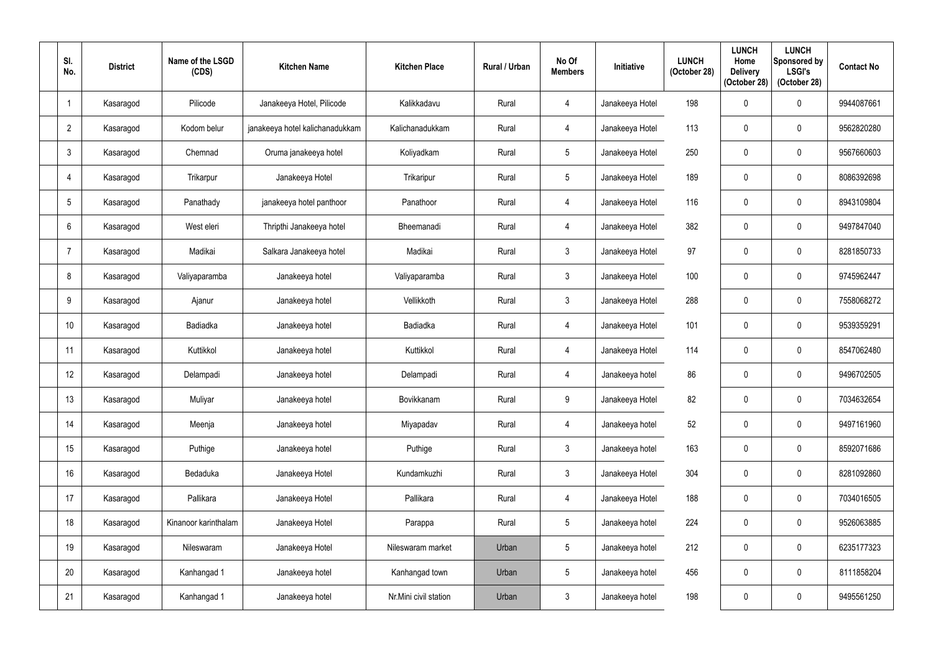| SI.<br>No.      | <b>District</b> | Name of the LSGD<br>(CDS) | <b>Kitchen Name</b>             | <b>Kitchen Place</b>  | Rural / Urban | No Of<br><b>Members</b> | <b>Initiative</b> | <b>LUNCH</b><br>(October 28) | <b>LUNCH</b><br>Home<br><b>Delivery</b><br>(October 28) | <b>LUNCH</b><br>Sponsored by<br><b>LSGI's</b><br>(October 28) | <b>Contact No</b> |
|-----------------|-----------------|---------------------------|---------------------------------|-----------------------|---------------|-------------------------|-------------------|------------------------------|---------------------------------------------------------|---------------------------------------------------------------|-------------------|
|                 | Kasaragod       | Pilicode                  | Janakeeya Hotel, Pilicode       | Kalikkadavu           | Rural         | 4                       | Janakeeya Hotel   | 198                          |                                                         | 0                                                             | 9944087661        |
| $\overline{2}$  | Kasaragod       | Kodom belur               | janakeeya hotel kalichanadukkam | Kalichanadukkam       | Rural         | $\overline{4}$          | Janakeeya Hotel   | 113                          |                                                         | 0                                                             | 9562820280        |
| $\mathbf{3}$    | Kasaragod       | Chemnad                   | Oruma janakeeya hotel           | Koliyadkam            | Rural         | $5\phantom{.0}$         | Janakeeya Hotel   | 250                          |                                                         | 0                                                             | 9567660603        |
| $\overline{4}$  | Kasaragod       | Trikarpur                 | Janakeeya Hotel                 | Trikaripur            | Rural         | $5\overline{)}$         | Janakeeya Hotel   | 189                          |                                                         | $\boldsymbol{0}$                                              | 8086392698        |
| $5\phantom{.0}$ | Kasaragod       | Panathady                 | janakeeya hotel panthoor        | Panathoor             | Rural         | 4                       | Janakeeya Hotel   | 116                          |                                                         | 0                                                             | 8943109804        |
| 6               | Kasaragod       | West eleri                | Thripthi Janakeeya hotel        | Bheemanadi            | Rural         | $\overline{4}$          | Janakeeya Hotel   | 382                          |                                                         | $\boldsymbol{0}$                                              | 9497847040        |
|                 | Kasaragod       | Madikai                   | Salkara Janakeeya hotel         | Madikai               | Rural         | $\mathfrak{Z}$          | Janakeeya Hotel   | 97                           |                                                         | 0                                                             | 8281850733        |
| 8               | Kasaragod       | Valiyaparamba             | Janakeeya hotel                 | Valiyaparamba         | Rural         | $\mathfrak{Z}$          | Janakeeya Hotel   | 100                          |                                                         | $\boldsymbol{0}$                                              | 9745962447        |
| 9               | Kasaragod       | Ajanur                    | Janakeeya hotel                 | Vellikkoth            | Rural         | $\mathfrak{Z}$          | Janakeeya Hotel   | 288                          | 0                                                       | 0                                                             | 7558068272        |
| 10              | Kasaragod       | Badiadka                  | Janakeeya hotel                 | Badiadka              | Rural         | $\overline{4}$          | Janakeeya Hotel   | 101                          |                                                         | 0                                                             | 9539359291        |
| 11              | Kasaragod       | Kuttikkol                 | Janakeeya hotel                 | Kuttikkol             | Rural         | 4                       | Janakeeya Hotel   | 114                          |                                                         | $\pmb{0}$                                                     | 8547062480        |
| 12              | Kasaragod       | Delampadi                 | Janakeeya hotel                 | Delampadi             | Rural         | 4                       | Janakeeya hotel   | 86                           |                                                         | 0                                                             | 9496702505        |
| 13              | Kasaragod       | Muliyar                   | Janakeeya hotel                 | Bovikkanam            | Rural         | 9                       | Janakeeya Hotel   | 82                           | 0                                                       | $\pmb{0}$                                                     | 7034632654        |
| 14              | Kasaragod       | Meenja                    | Janakeeya hotel                 | Miyapadav             | Rural         | $\overline{4}$          | Janakeeya hotel   | 52                           | 0                                                       | $\pmb{0}$                                                     | 9497161960        |
| 15              | Kasaragod       | Puthige                   | Janakeeya hotel                 | Puthige               | Rural         | $\mathfrak{Z}$          | Janakeeya hotel   | 163                          | 0                                                       | $\pmb{0}$                                                     | 8592071686        |
| 16              | Kasaragod       | Bedaduka                  | Janakeeya Hotel                 | Kundamkuzhi           | Rural         | $\mathfrak{Z}$          | Janakeeya Hotel   | 304                          |                                                         | $\pmb{0}$                                                     | 8281092860        |
| 17              | Kasaragod       | Pallikara                 | Janakeeya Hotel                 | Pallikara             | Rural         | $\overline{4}$          | Janakeeya Hotel   | 188                          | 0                                                       | $\pmb{0}$                                                     | 7034016505        |
| 18              | Kasaragod       | Kinanoor karinthalam      | Janakeeya Hotel                 | Parappa               | Rural         | $5\phantom{.0}$         | Janakeeya hotel   | 224                          | 0                                                       | $\pmb{0}$                                                     | 9526063885        |
| 19              | Kasaragod       | Nileswaram                | Janakeeya Hotel                 | Nileswaram market     | Urban         | $5\phantom{.0}$         | Janakeeya hotel   | 212                          | 0                                                       | $\pmb{0}$                                                     | 6235177323        |
| 20              | Kasaragod       | Kanhangad 1               | Janakeeya hotel                 | Kanhangad town        | Urban         | $5\phantom{.0}$         | Janakeeya hotel   | 456                          | 0                                                       | $\pmb{0}$                                                     | 8111858204        |
| 21              | Kasaragod       | Kanhangad 1               | Janakeeya hotel                 | Nr.Mini civil station | Urban         | $\mathfrak{Z}$          | Janakeeya hotel   | 198                          | 0                                                       | $\pmb{0}$                                                     | 9495561250        |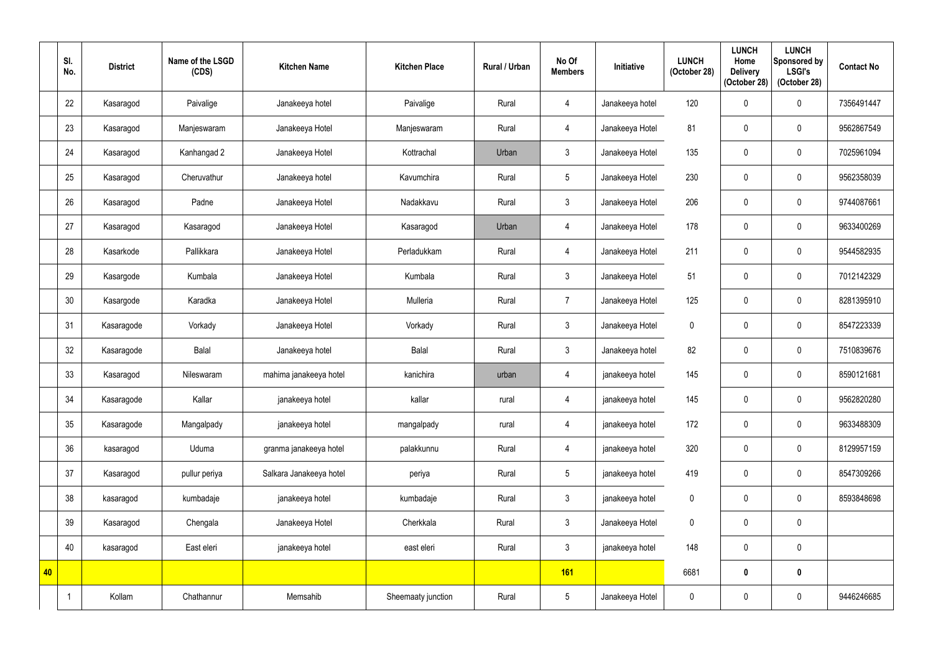|    | SI.<br>No. | <b>District</b> | Name of the LSGD<br>(CDS) | <b>Kitchen Name</b>     | <b>Kitchen Place</b> | Rural / Urban | No Of<br><b>Members</b> | Initiative      | <b>LUNCH</b><br>(October 28) | <b>LUNCH</b><br>Home<br><b>Delivery</b><br>(October 28) | <b>LUNCH</b><br>Sponsored by<br><b>LSGI's</b><br>(October 28) | <b>Contact No</b> |
|----|------------|-----------------|---------------------------|-------------------------|----------------------|---------------|-------------------------|-----------------|------------------------------|---------------------------------------------------------|---------------------------------------------------------------|-------------------|
|    | 22         | Kasaragod       | Paivalige                 | Janakeeya hotel         | Paivalige            | Rural         | 4                       | Janakeeya hotel | 120                          | $\mathbf{0}$                                            | $\mathbf 0$                                                   | 7356491447        |
|    | 23         | Kasaragod       | Manjeswaram               | Janakeeya Hotel         | Manjeswaram          | Rural         | 4                       | Janakeeya Hotel | 81                           |                                                         | $\boldsymbol{0}$                                              | 9562867549        |
|    | 24         | Kasaragod       | Kanhangad 2               | Janakeeya Hotel         | Kottrachal           | Urban         | $\mathfrak{Z}$          | Janakeeya Hotel | 135                          | $\mathbf 0$                                             | $\mathbf 0$                                                   | 7025961094        |
|    | 25         | Kasaragod       | Cheruvathur               | Janakeeya hotel         | Kavumchira           | Rural         | $5\phantom{.0}$         | Janakeeya Hotel | 230                          | 0                                                       | $\mathbf 0$                                                   | 9562358039        |
|    | 26         | Kasaragod       | Padne                     | Janakeeya Hotel         | Nadakkavu            | Rural         | $\mathfrak{Z}$          | Janakeeya Hotel | 206                          | $\Omega$                                                | $\mathbf 0$                                                   | 9744087661        |
|    | 27         | Kasaragod       | Kasaragod                 | Janakeeya Hotel         | Kasaragod            | Urban         | 4                       | Janakeeya Hotel | 178                          | 0                                                       | $\mathbf 0$                                                   | 9633400269        |
|    | 28         | Kasarkode       | Pallikkara                | Janakeeya Hotel         | Perladukkam          | Rural         | 4                       | Janakeeya Hotel | 211                          | 0                                                       | $\mathbf 0$                                                   | 9544582935        |
|    | 29         | Kasargode       | Kumbala                   | Janakeeya Hotel         | Kumbala              | Rural         | $\mathbf{3}$            | Janakeeya Hotel | 51                           | $\mathbf{0}$                                            | $\mathbf 0$                                                   | 7012142329        |
|    | 30         | Kasargode       | Karadka                   | Janakeeya Hotel         | Mulleria             | Rural         | $\overline{7}$          | Janakeeya Hotel | 125                          | $\mathbf{0}$                                            | $\mathbf 0$                                                   | 8281395910        |
|    | 31         | Kasaragode      | Vorkady                   | Janakeeya Hotel         | Vorkady              | Rural         | $\mathbf{3}$            | Janakeeya Hotel | $\mathbf 0$                  | 0                                                       | $\mathbf 0$                                                   | 8547223339        |
|    | 32         | Kasaragode      | <b>Balal</b>              | Janakeeya hotel         | <b>Balal</b>         | Rural         | $\mathfrak{Z}$          | Janakeeya hotel | 82                           | $\mathbf 0$                                             | $\mathbf 0$                                                   | 7510839676        |
|    | 33         | Kasaragod       | Nileswaram                | mahima janakeeya hotel  | kanichira            | urban         | 4                       | janakeeya hotel | 145                          | 0                                                       | $\mathbf 0$                                                   | 8590121681        |
|    | 34         | Kasaragode      | Kallar                    | janakeeya hotel         | kallar               | rural         | $\overline{4}$          | janakeeya hotel | 145                          | 0                                                       | $\pmb{0}$                                                     | 9562820280        |
|    | 35         | Kasaragode      | Mangalpady                | janakeeya hotel         | mangalpady           | rural         | $\overline{4}$          | janakeeya hotel | 172                          | $\mathbf 0$                                             | $\pmb{0}$                                                     | 9633488309        |
|    | 36         | kasaragod       | Uduma                     | granma janakeeya hotel  | palakkunnu           | Rural         | $\overline{4}$          | janakeeya hotel | 320                          | $\mathbf 0$                                             | $\pmb{0}$                                                     | 8129957159        |
|    | 37         | Kasaragod       | pullur periya             | Salkara Janakeeya hotel | periya               | Rural         | $5\phantom{.0}$         | janakeeya hotel | 419                          | $\mathbf 0$                                             | $\pmb{0}$                                                     | 8547309266        |
|    | 38         | kasaragod       | kumbadaje                 | janakeeya hotel         | kumbadaje            | Rural         | $\mathfrak{Z}$          | janakeeya hotel | $\boldsymbol{0}$             | 0                                                       | $\pmb{0}$                                                     | 8593848698        |
|    | 39         | Kasaragod       | Chengala                  | Janakeeya Hotel         | Cherkkala            | Rural         | $\mathfrak{Z}$          | Janakeeya Hotel | $\boldsymbol{0}$             | $\mathbf 0$                                             | $\pmb{0}$                                                     |                   |
|    | 40         | kasaragod       | East eleri                | janakeeya hotel         | east eleri           | Rural         | $\mathfrak{Z}$          | janakeeya hotel | 148                          | $\mathbf 0$                                             | $\pmb{0}$                                                     |                   |
| 40 |            |                 |                           |                         |                      |               | <b>161</b>              |                 | 6681                         | $\mathbf 0$                                             | $\pmb{0}$                                                     |                   |
|    |            | Kollam          | Chathannur                | Memsahib                | Sheemaaty junction   | Rural         | $5\phantom{.0}$         | Janakeeya Hotel | $\pmb{0}$                    | 0                                                       | $\pmb{0}$                                                     | 9446246685        |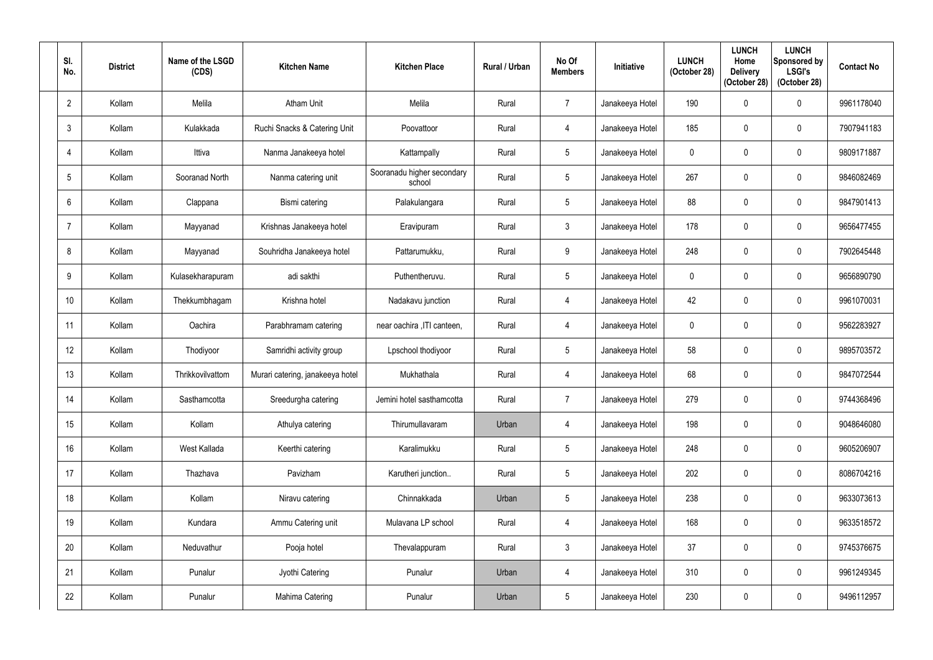| SI.<br>No.     | <b>District</b> | Name of the LSGD<br>(CDS) | <b>Kitchen Name</b>              | <b>Kitchen Place</b>                 | Rural / Urban | No Of<br><b>Members</b> | Initiative      | <b>LUNCH</b><br>(October 28) | <b>LUNCH</b><br>Home<br><b>Delivery</b><br>(October 28) | <b>LUNCH</b><br>Sponsored by<br><b>LSGI's</b><br>(October 28) | <b>Contact No</b> |
|----------------|-----------------|---------------------------|----------------------------------|--------------------------------------|---------------|-------------------------|-----------------|------------------------------|---------------------------------------------------------|---------------------------------------------------------------|-------------------|
| $\overline{2}$ | Kollam          | Melila                    | <b>Atham Unit</b>                | Melila                               | Rural         | $\overline{7}$          | Janakeeya Hotel | 190                          |                                                         | $\mathbf 0$                                                   | 9961178040        |
| 3              | Kollam          | Kulakkada                 | Ruchi Snacks & Catering Unit     | Poovattoor                           | Rural         | $\overline{4}$          | Janakeeya Hotel | 185                          |                                                         | $\mathbf 0$                                                   | 7907941183        |
| 4              | Kollam          | Ittiva                    | Nanma Janakeeya hotel            | Kattampally                          | Rural         | $5\phantom{.0}$         | Janakeeya Hotel | $\mathbf 0$                  |                                                         | $\mathbf 0$                                                   | 9809171887        |
| 5              | Kollam          | Sooranad North            | Nanma catering unit              | Sooranadu higher secondary<br>school | Rural         | $5\phantom{.0}$         | Janakeeya Hotel | 267                          |                                                         | $\mathbf 0$                                                   | 9846082469        |
| 6              | Kollam          | Clappana                  | Bismi catering                   | Palakulangara                        | Rural         | $5\phantom{.0}$         | Janakeeya Hotel | 88                           |                                                         | $\mathbf 0$                                                   | 9847901413        |
| 7              | Kollam          | Mayyanad                  | Krishnas Janakeeya hotel         | Eravipuram                           | Rural         | $\mathbf{3}$            | Janakeeya Hotel | 178                          | $\mathbf{0}$                                            | $\mathbf 0$                                                   | 9656477455        |
| 8              | Kollam          | Mayyanad                  | Souhridha Janakeeya hotel        | Pattarumukku,                        | Rural         | 9                       | Janakeeya Hotel | 248                          |                                                         | $\mathbf 0$                                                   | 7902645448        |
| 9              | Kollam          | Kulasekharapuram          | adi sakthi                       | Puthentheruvu.                       | Rural         | $5\phantom{.0}$         | Janakeeya Hotel | $\mathbf{0}$                 |                                                         | $\mathbf 0$                                                   | 9656890790        |
| 10             | Kollam          | Thekkumbhagam             | Krishna hotel                    | Nadakavu junction                    | Rural         | $\overline{4}$          | Janakeeya Hotel | 42                           | $\Omega$                                                | $\mathbf 0$                                                   | 9961070031        |
| 11             | Kollam          | Oachira                   | Parabhramam catering             | near oachira , ITI canteen,          | Rural         | 4                       | Janakeeya Hotel | $\mathbf{0}$                 |                                                         | $\mathbf 0$                                                   | 9562283927        |
| 12             | Kollam          | Thodiyoor                 | Samridhi activity group          | Lpschool thodiyoor                   | Rural         | $5\overline{)}$         | Janakeeya Hotel | 58                           |                                                         | $\mathbf 0$                                                   | 9895703572        |
| 13             | Kollam          | Thrikkovilvattom          | Murari catering, janakeeya hotel | Mukhathala                           | Rural         | $\overline{4}$          | Janakeeya Hotel | 68                           | $\mathbf{0}$                                            | $\mathbf 0$                                                   | 9847072544        |
| 14             | Kollam          | Sasthamcotta              | Sreedurgha catering              | Jemini hotel sasthamcotta            | Rural         | $\overline{7}$          | Janakeeya Hotel | 279                          | $\mathbf 0$                                             | $\mathbf 0$                                                   | 9744368496        |
| 15             | Kollam          | Kollam                    | Athulya catering                 | Thirumullavaram                      | Urban         | $\overline{4}$          | Janakeeya Hotel | 198                          | 0                                                       | $\mathbf 0$                                                   | 9048646080        |
| 16             | Kollam          | West Kallada              | Keerthi catering                 | Karalimukku                          | Rural         | $5\phantom{.0}$         | Janakeeya Hotel | 248                          | $\mathbf 0$                                             | $\pmb{0}$                                                     | 9605206907        |
| 17             | Kollam          | Thazhava                  | Pavizham                         | Karutheri junction                   | Rural         | $5\phantom{.0}$         | Janakeeya Hotel | 202                          | $\mathbf 0$                                             | $\pmb{0}$                                                     | 8086704216        |
| 18             | Kollam          | Kollam                    | Niravu catering                  | Chinnakkada                          | Urban         | $5\phantom{.0}$         | Janakeeya Hotel | 238                          | 0                                                       | $\mathbf 0$                                                   | 9633073613        |
| 19             | Kollam          | Kundara                   | Ammu Catering unit               | Mulavana LP school                   | Rural         | $\overline{4}$          | Janakeeya Hotel | 168                          | $\mathbf 0$                                             | $\pmb{0}$                                                     | 9633518572        |
| 20             | Kollam          | Neduvathur                | Pooja hotel                      | Thevalappuram                        | Rural         | $\mathfrak{Z}$          | Janakeeya Hotel | 37                           | $\mathbf 0$                                             | $\pmb{0}$                                                     | 9745376675        |
| 21             | Kollam          | Punalur                   | Jyothi Catering                  | Punalur                              | Urban         | $\overline{4}$          | Janakeeya Hotel | 310                          | 0                                                       | $\pmb{0}$                                                     | 9961249345        |
| 22             | Kollam          | Punalur                   | Mahima Catering                  | Punalur                              | Urban         | $5\phantom{.0}$         | Janakeeya Hotel | 230                          | 0                                                       | $\pmb{0}$                                                     | 9496112957        |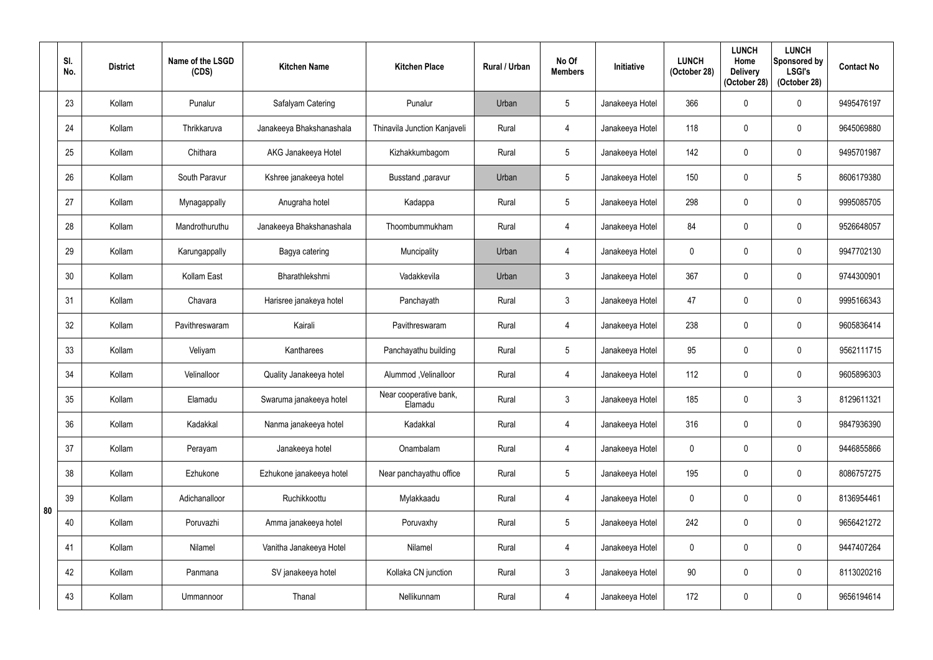|    | SI.<br>No. | <b>District</b> | Name of the LSGD<br>(CDS) | <b>Kitchen Name</b>      | <b>Kitchen Place</b>              | Rural / Urban | No Of<br><b>Members</b> | Initiative      | <b>LUNCH</b><br>(October 28) | <b>LUNCH</b><br>Home<br><b>Delivery</b><br>(October 28) | <b>LUNCH</b><br>Sponsored by<br><b>LSGI's</b><br>(October 28) | <b>Contact No</b> |
|----|------------|-----------------|---------------------------|--------------------------|-----------------------------------|---------------|-------------------------|-----------------|------------------------------|---------------------------------------------------------|---------------------------------------------------------------|-------------------|
|    | 23         | Kollam          | Punalur                   | Safalyam Catering        | Punalur                           | Urban         | $5\phantom{.0}$         | Janakeeya Hotel | 366                          | 0                                                       | $\mathbf 0$                                                   | 9495476197        |
|    | 24         | Kollam          | Thrikkaruva               | Janakeeya Bhakshanashala | Thinavila Junction Kanjaveli      | Rural         | 4                       | Janakeeya Hotel | 118                          | 0                                                       | $\mathbf 0$                                                   | 9645069880        |
|    | 25         | Kollam          | Chithara                  | AKG Janakeeya Hotel      | Kizhakkumbagom                    | Rural         | $5\phantom{.0}$         | Janakeeya Hotel | 142                          | $\mathbf{0}$                                            | $\boldsymbol{0}$                                              | 9495701987        |
|    | 26         | Kollam          | South Paravur             | Kshree janakeeya hotel   | Busstand , paravur                | Urban         | $5\overline{)}$         | Janakeeya Hotel | 150                          |                                                         | $5\phantom{.0}$                                               | 8606179380        |
|    | 27         | Kollam          | Mynagappally              | Anugraha hotel           | Kadappa                           | Rural         | $5\overline{)}$         | Janakeeya Hotel | 298                          | $\Omega$                                                | $\mathbf 0$                                                   | 9995085705        |
|    | 28         | Kollam          | Mandrothuruthu            | Janakeeya Bhakshanashala | Thoombummukham                    | Rural         | $\overline{4}$          | Janakeeya Hotel | 84                           | 0                                                       | $\mathbf 0$                                                   | 9526648057        |
|    | 29         | Kollam          | Karungappally             | Bagya catering           | Muncipality                       | Urban         | 4                       | Janakeeya Hotel | $\mathbf 0$                  | 0                                                       | $\mathbf 0$                                                   | 9947702130        |
|    | 30         | Kollam          | Kollam East               | Bharathlekshmi           | Vadakkevila                       | Urban         | $\mathfrak{Z}$          | Janakeeya Hotel | 367                          | $\Omega$                                                | $\mathbf 0$                                                   | 9744300901        |
|    | 31         | Kollam          | Chavara                   | Harisree janakeya hotel  | Panchayath                        | Rural         | $\mathbf{3}$            | Janakeeya Hotel | 47                           | $\mathbf{0}$                                            | $\mathbf 0$                                                   | 9995166343        |
|    | 32         | Kollam          | Pavithreswaram            | Kairali                  | Pavithreswaram                    | Rural         | 4                       | Janakeeya Hotel | 238                          | 0                                                       | $\mathbf 0$                                                   | 9605836414        |
|    | 33         | Kollam          | Veliyam                   | Kantharees               | Panchayathu building              | Rural         | $5\phantom{.0}$         | Janakeeya Hotel | 95                           | $\mathbf{0}$                                            | $\mathbf 0$                                                   | 9562111715        |
|    | 34         | Kollam          | Velinalloor               | Quality Janakeeya hotel  | Alummod, Velinalloor              | Rural         | 4                       | Janakeeya Hotel | 112                          | 0                                                       | $\mathbf 0$                                                   | 9605896303        |
|    | 35         | Kollam          | Elamadu                   | Swaruma janakeeya hotel  | Near cooperative bank,<br>Elamadu | Rural         | $\mathfrak{Z}$          | Janakeeya Hotel | 185                          | $\pmb{0}$                                               | $\mathfrak{Z}$                                                | 8129611321        |
|    | 36         | Kollam          | Kadakkal                  | Nanma janakeeya hotel    | Kadakkal                          | Rural         | $\overline{4}$          | Janakeeya Hotel | 316                          | $\mathbf 0$                                             | $\pmb{0}$                                                     | 9847936390        |
|    | 37         | Kollam          | Perayam                   | Janakeeya hotel          | Onambalam                         | Rural         | $\overline{4}$          | Janakeeya Hotel | $\overline{0}$               | $\mathbf 0$                                             | $\pmb{0}$                                                     | 9446855866        |
|    | 38         | Kollam          | Ezhukone                  | Ezhukone janakeeya hotel | Near panchayathu office           | Rural         | $5\phantom{.0}$         | Janakeeya Hotel | 195                          | $\mathbf 0$                                             | $\pmb{0}$                                                     | 8086757275        |
| 80 | 39         | Kollam          | Adichanalloor             | Ruchikkoottu             | Mylakkaadu                        | Rural         | $\overline{4}$          | Janakeeya Hotel | $\mathbf 0$                  | $\mathbf 0$                                             | $\mathbf 0$                                                   | 8136954461        |
|    | 40         | Kollam          | Poruvazhi                 | Amma janakeeya hotel     | Poruvaxhy                         | Rural         | $5\phantom{.0}$         | Janakeeya Hotel | 242                          | $\mathbf 0$                                             | $\pmb{0}$                                                     | 9656421272        |
|    | 41         | Kollam          | Nilamel                   | Vanitha Janakeeya Hotel  | Nilamel                           | Rural         | $\overline{4}$          | Janakeeya Hotel | $\pmb{0}$                    | $\mathbf 0$                                             | $\pmb{0}$                                                     | 9447407264        |
|    | 42         | Kollam          | Panmana                   | SV janakeeya hotel       | Kollaka CN junction               | Rural         | $\mathfrak{Z}$          | Janakeeya Hotel | 90 <sup>°</sup>              | $\mathbf 0$                                             | $\pmb{0}$                                                     | 8113020216        |
|    | 43         | Kollam          | Ummannoor                 | Thanal                   | Nellikunnam                       | Rural         | $\overline{4}$          | Janakeeya Hotel | 172                          | $\mathbf 0$                                             | $\pmb{0}$                                                     | 9656194614        |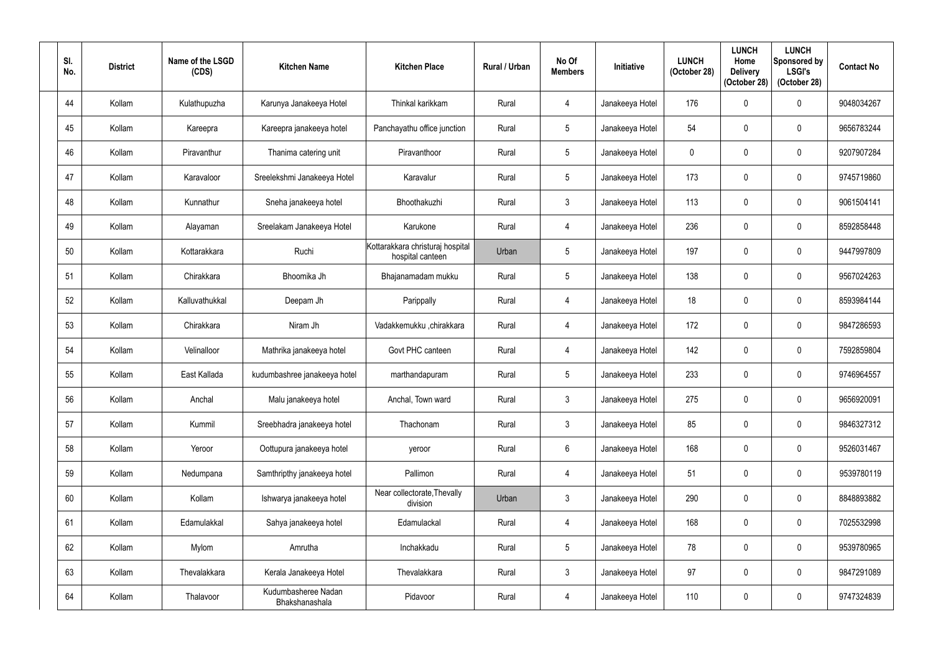| SI.<br>No. | <b>District</b> | Name of the LSGD<br>(CDS) | <b>Kitchen Name</b>                   | <b>Kitchen Place</b>                                 | Rural / Urban | No Of<br><b>Members</b> | <b>Initiative</b> | <b>LUNCH</b><br>(October 28) | <b>LUNCH</b><br>Home<br><b>Delivery</b><br>(October 28) | <b>LUNCH</b><br>Sponsored by<br><b>LSGI's</b><br>(October 28) | <b>Contact No</b> |
|------------|-----------------|---------------------------|---------------------------------------|------------------------------------------------------|---------------|-------------------------|-------------------|------------------------------|---------------------------------------------------------|---------------------------------------------------------------|-------------------|
| 44         | Kollam          | Kulathupuzha              | Karunya Janakeeya Hotel               | Thinkal karikkam                                     | Rural         | 4                       | Janakeeya Hotel   | 176                          | 0                                                       | $\boldsymbol{0}$                                              | 9048034267        |
| 45         | Kollam          | Kareepra                  | Kareepra janakeeya hotel              | Panchayathu office junction                          | Rural         | $5\phantom{.0}$         | Janakeeya Hotel   | 54                           |                                                         | 0                                                             | 9656783244        |
| 46         | Kollam          | Piravanthur               | Thanima catering unit                 | Piravanthoor                                         | Rural         | $5\phantom{.0}$         | Janakeeya Hotel   | $\overline{0}$               | $\Omega$                                                | $\boldsymbol{0}$                                              | 9207907284        |
| 47         | Kollam          | Karavaloor                | Sreelekshmi Janakeeya Hotel           | Karavalur                                            | Rural         | $5\phantom{.0}$         | Janakeeya Hotel   | 173                          | $\theta$                                                | $\mathbf 0$                                                   | 9745719860        |
| 48         | Kollam          | Kunnathur                 | Sneha janakeeya hotel                 | Bhoothakuzhi                                         | Rural         | $\mathbf{3}$            | Janakeeya Hotel   | 113                          | $\Omega$                                                | $\mathbf 0$                                                   | 9061504141        |
| 49         | Kollam          | Alayaman                  | Sreelakam Janakeeya Hotel             | Karukone                                             | Rural         | $\overline{4}$          | Janakeeya Hotel   | 236                          | $\mathbf 0$                                             | $\mathbf 0$                                                   | 8592858448        |
| 50         | Kollam          | Kottarakkara              | Ruchi                                 | Kottarakkara christuraj hospital<br>hospital canteen | Urban         | $\overline{5}$          | Janakeeya Hotel   | 197                          | 0                                                       | $\mathbf 0$                                                   | 9447997809        |
| 51         | Kollam          | Chirakkara                | Bhoomika Jh                           | Bhajanamadam mukku                                   | Rural         | $5\phantom{.0}$         | Janakeeya Hotel   | 138                          | $\Omega$                                                | $\mathbf 0$                                                   | 9567024263        |
| 52         | Kollam          | Kalluvathukkal            | Deepam Jh                             | Parippally                                           | Rural         | 4                       | Janakeeya Hotel   | 18                           | $\mathbf{0}$                                            | $\mathbf 0$                                                   | 8593984144        |
| 53         | Kollam          | Chirakkara                | Niram Jh                              | Vadakkemukku ,chirakkara                             | Rural         | 4                       | Janakeeya Hotel   | 172                          | $\Omega$                                                | $\mathbf 0$                                                   | 9847286593        |
| 54         | Kollam          | Velinalloor               | Mathrika janakeeya hotel              | Govt PHC canteen                                     | Rural         | 4                       | Janakeeya Hotel   | 142                          | $\Omega$                                                | $\mathbf 0$                                                   | 7592859804        |
| 55         | Kollam          | East Kallada              | kudumbashree janakeeya hotel          | marthandapuram                                       | Rural         | $5\overline{)}$         | Janakeeya Hotel   | 233                          | $\mathbf 0$                                             | 0                                                             | 9746964557        |
| 56         | Kollam          | Anchal                    | Malu janakeeya hotel                  | Anchal, Town ward                                    | Rural         | $\mathfrak{Z}$          | Janakeeya Hotel   | 275                          | $\mathbf 0$                                             | $\mathbf 0$                                                   | 9656920091        |
| 57         | Kollam          | Kummil                    | Sreebhadra janakeeya hotel            | Thachonam                                            | Rural         | $\mathbf{3}$            | Janakeeya Hotel   | 85                           | $\mathbf 0$                                             | $\pmb{0}$                                                     | 9846327312        |
| 58         | Kollam          | Yeroor                    | Oottupura janakeeya hotel             | yeroor                                               | Rural         | $6\,$                   | Janakeeya Hotel   | 168                          | $\mathbf 0$                                             | $\pmb{0}$                                                     | 9526031467        |
| 59         | Kollam          | Nedumpana                 | Samthripthy janakeeya hotel           | Pallimon                                             | Rural         | $\overline{4}$          | Janakeeya Hotel   | 51                           | $\mathbf 0$                                             | $\pmb{0}$                                                     | 9539780119        |
| 60         | Kollam          | Kollam                    | Ishwarya janakeeya hotel              | Near collectorate, Thevally<br>division              | Urban         | $\mathbf{3}$            | Janakeeya Hotel   | 290                          | $\mathbf 0$                                             | $\boldsymbol{0}$                                              | 8848893882        |
| 61         | Kollam          | Edamulakkal               | Sahya janakeeya hotel                 | Edamulackal                                          | Rural         | $\overline{4}$          | Janakeeya Hotel   | 168                          | $\mathbf 0$                                             | $\pmb{0}$                                                     | 7025532998        |
| 62         | Kollam          | Mylom                     | Amrutha                               | Inchakkadu                                           | Rural         | $5\phantom{.0}$         | Janakeeya Hotel   | 78                           | $\mathbf 0$                                             | $\pmb{0}$                                                     | 9539780965        |
| 63         | Kollam          | Thevalakkara              | Kerala Janakeeya Hotel                | Thevalakkara                                         | Rural         | $\mathbf{3}$            | Janakeeya Hotel   | 97                           | $\mathbf 0$                                             | $\pmb{0}$                                                     | 9847291089        |
| 64         | Kollam          | Thalavoor                 | Kudumbasheree Nadan<br>Bhakshanashala | Pidavoor                                             | Rural         | $\overline{4}$          | Janakeeya Hotel   | 110                          | 0                                                       | $\pmb{0}$                                                     | 9747324839        |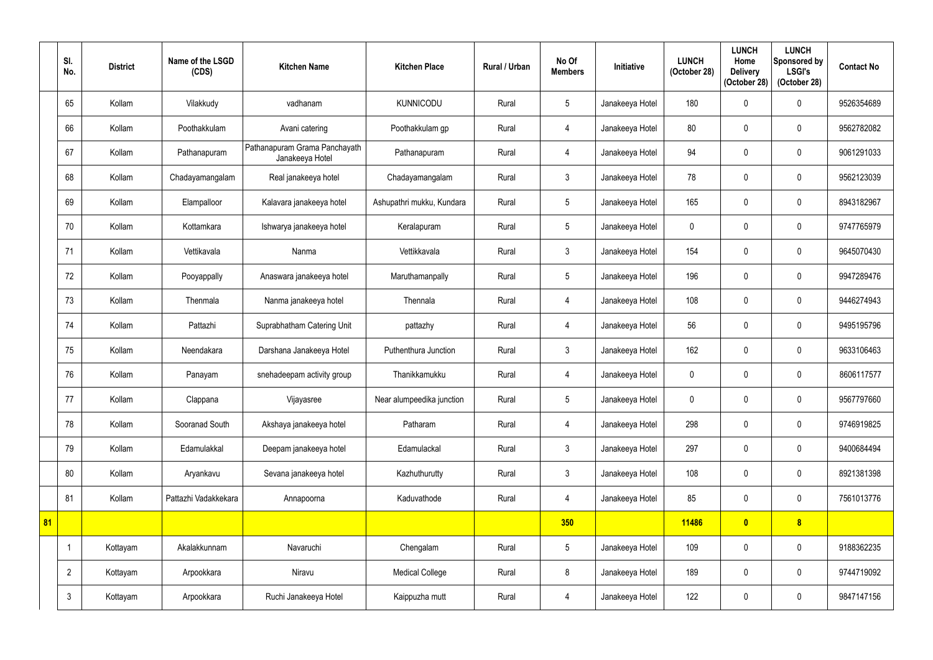|    | SI.<br>No.     | <b>District</b> | Name of the LSGD<br>(CDS) | <b>Kitchen Name</b>                              | <b>Kitchen Place</b>      | Rural / Urban | No Of<br><b>Members</b> | <b>Initiative</b> | <b>LUNCH</b><br>(October 28) | <b>LUNCH</b><br>Home<br><b>Delivery</b><br>(October 28) | <b>LUNCH</b><br>Sponsored by<br><b>LSGI's</b><br>(October 28) | <b>Contact No</b> |
|----|----------------|-----------------|---------------------------|--------------------------------------------------|---------------------------|---------------|-------------------------|-------------------|------------------------------|---------------------------------------------------------|---------------------------------------------------------------|-------------------|
|    | 65             | Kollam          | Vilakkudy                 | vadhanam                                         | <b>KUNNICODU</b>          | Rural         | $5\phantom{.0}$         | Janakeeya Hotel   | 180                          | $\mathbf{0}$                                            | $\mathbf 0$                                                   | 9526354689        |
|    | 66             | Kollam          | Poothakkulam              | Avani catering                                   | Poothakkulam gp           | Rural         | 4                       | Janakeeya Hotel   | 80                           |                                                         | $\mathbf 0$                                                   | 9562782082        |
|    | 67             | Kollam          | Pathanapuram              | Pathanapuram Grama Panchayath<br>Janakeeya Hotel | Pathanapuram              | Rural         | 4                       | Janakeeya Hotel   | 94                           | $\Omega$                                                | $\mathbf 0$                                                   | 9061291033        |
|    | 68             | Kollam          | Chadayamangalam           | Real janakeeya hotel                             | Chadayamangalam           | Rural         | 3                       | Janakeeya Hotel   | 78                           | 0                                                       | $\mathbf 0$                                                   | 9562123039        |
|    | 69             | Kollam          | Elampalloor               | Kalavara janakeeya hotel                         | Ashupathri mukku, Kundara | Rural         | $5\phantom{.0}$         | Janakeeya Hotel   | 165                          |                                                         | $\mathbf 0$                                                   | 8943182967        |
|    | 70             | Kollam          | Kottamkara                | Ishwarya janakeeya hotel                         | Keralapuram               | Rural         | $5\phantom{.0}$         | Janakeeya Hotel   | $\mathbf 0$                  | 0                                                       | $\mathbf 0$                                                   | 9747765979        |
|    | 71             | Kollam          | Vettikavala               | Nanma                                            | Vettikkavala              | Rural         | 3                       | Janakeeya Hotel   | 154                          | 0                                                       | $\mathbf 0$                                                   | 9645070430        |
|    | 72             | Kollam          | Pooyappally               | Anaswara janakeeya hotel                         | Maruthamanpally           | Rural         | $5\phantom{.0}$         | Janakeeya Hotel   | 196                          | <sup>0</sup>                                            | $\mathbf 0$                                                   | 9947289476        |
|    | 73             | Kollam          | Thenmala                  | Nanma janakeeya hotel                            | Thennala                  | Rural         | 4                       | Janakeeya Hotel   | 108                          | $\mathbf{0}$                                            | $\mathbf 0$                                                   | 9446274943        |
|    | 74             | Kollam          | Pattazhi                  | Suprabhatham Catering Unit                       | pattazhy                  | Rural         | 4                       | Janakeeya Hotel   | 56                           | $\theta$                                                | $\mathbf 0$                                                   | 9495195796        |
|    | 75             | Kollam          | Neendakara                | Darshana Janakeeya Hotel                         | Puthenthura Junction      | Rural         | $\mathfrak{Z}$          | Janakeeya Hotel   | 162                          |                                                         | $\mathbf 0$                                                   | 9633106463        |
|    | 76             | Kollam          | Panayam                   | snehadeepam activity group                       | Thanikkamukku             | Rural         | 4                       | Janakeeya Hotel   | $\boldsymbol{0}$             | 0                                                       | $\mathbf 0$                                                   | 8606117577        |
|    | 77             | Kollam          | Clappana                  | Vijayasree                                       | Near alumpeedika junction | Rural         | $5\phantom{.0}$         | Janakeeya Hotel   | $\mathbf 0$                  | $\boldsymbol{0}$                                        | $\boldsymbol{0}$                                              | 9567797660        |
|    | 78             | Kollam          | Sooranad South            | Akshaya janakeeya hotel                          | Patharam                  | Rural         | $\overline{4}$          | Janakeeya Hotel   | 298                          | $\mathbf 0$                                             | $\boldsymbol{0}$                                              | 9746919825        |
|    | 79             | Kollam          | Edamulakkal               | Deepam janakeeya hotel                           | Edamulackal               | Rural         | $\mathfrak{Z}$          | Janakeeya Hotel   | 297                          | $\mathbf 0$                                             | $\pmb{0}$                                                     | 9400684494        |
|    | 80             | Kollam          | Aryankavu                 | Sevana janakeeya hotel                           | Kazhuthurutty             | Rural         | $\mathfrak{Z}$          | Janakeeya Hotel   | 108                          | $\mathbf 0$                                             | $\pmb{0}$                                                     | 8921381398        |
|    | 81             | Kollam          | Pattazhi Vadakkekara      | Annapoorna                                       | Kaduvathode               | Rural         | $\overline{4}$          | Janakeeya Hotel   | 85                           | 0                                                       | $\boldsymbol{0}$                                              | 7561013776        |
| 81 |                |                 |                           |                                                  |                           |               | 350                     |                   | 11486                        | $\bullet$                                               | $\boldsymbol{8}$                                              |                   |
|    |                | Kottayam        | Akalakkunnam              | Navaruchi                                        | Chengalam                 | Rural         | $5\phantom{.0}$         | Janakeeya Hotel   | 109                          | 0                                                       | $\pmb{0}$                                                     | 9188362235        |
|    | $\overline{2}$ | Kottayam        | Arpookkara                | Niravu                                           | <b>Medical College</b>    | Rural         | 8                       | Janakeeya Hotel   | 189                          | $\pmb{0}$                                               | $\pmb{0}$                                                     | 9744719092        |
|    | $\mathbf{3}$   | Kottayam        | Arpookkara                | Ruchi Janakeeya Hotel                            | Kaippuzha mutt            | Rural         | $\overline{4}$          | Janakeeya Hotel   | 122                          | $\pmb{0}$                                               | $\pmb{0}$                                                     | 9847147156        |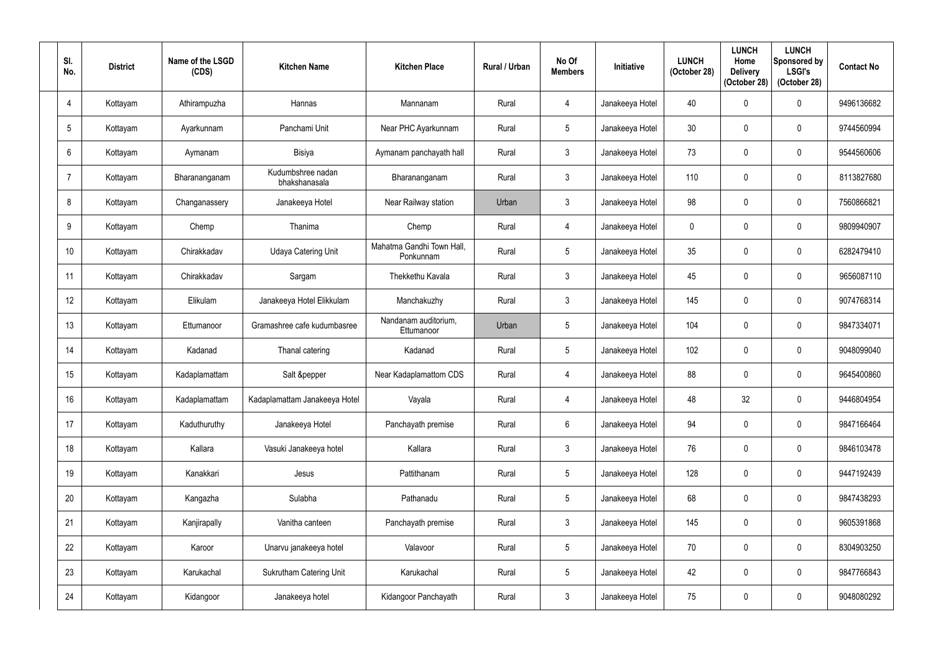| SI.<br>No.      | <b>District</b> | Name of the LSGD<br>(CDS) | <b>Kitchen Name</b>                | <b>Kitchen Place</b>                   | Rural / Urban | No Of<br><b>Members</b> | <b>Initiative</b> | <b>LUNCH</b><br>(October 28) | <b>LUNCH</b><br>Home<br><b>Delivery</b><br>(October 28) | <b>LUNCH</b><br>Sponsored by<br><b>LSGI's</b><br>(October 28) | <b>Contact No</b> |
|-----------------|-----------------|---------------------------|------------------------------------|----------------------------------------|---------------|-------------------------|-------------------|------------------------------|---------------------------------------------------------|---------------------------------------------------------------|-------------------|
| $\overline{4}$  | Kottayam        | Athirampuzha              | Hannas                             | Mannanam                               | Rural         | $\overline{4}$          | Janakeeya Hotel   | 40                           |                                                         | $\mathbf 0$                                                   | 9496136682        |
| $5\overline{)}$ | Kottayam        | Ayarkunnam                | Panchami Unit                      | Near PHC Ayarkunnam                    | Rural         | $5\phantom{.0}$         | Janakeeya Hotel   | 30                           |                                                         | $\mathbf 0$                                                   | 9744560994        |
| 6               | Kottayam        | Aymanam                   | Bisiya                             | Aymanam panchayath hall                | Rural         | $\mathfrak{Z}$          | Janakeeya Hotel   | 73                           |                                                         | $\mathbf 0$                                                   | 9544560606        |
| 7               | Kottayam        | Bharananganam             | Kudumbshree nadan<br>bhakshanasala | Bharananganam                          | Rural         | $\mathbf{3}$            | Janakeeya Hotel   | 110                          |                                                         | $\mathbf 0$                                                   | 8113827680        |
| 8               | Kottayam        | Changanassery             | Janakeeya Hotel                    | Near Railway station                   | Urban         | $\mathbf{3}$            | Janakeeya Hotel   | 98                           |                                                         | $\mathbf 0$                                                   | 7560866821        |
| 9               | Kottayam        | Chemp                     | Thanima                            | Chemp                                  | Rural         | $\overline{4}$          | Janakeeya Hotel   | $\mathbf{0}$                 |                                                         | $\mathbf 0$                                                   | 9809940907        |
| 10 <sup>°</sup> | Kottayam        | Chirakkadav               | <b>Udaya Catering Unit</b>         | Mahatma Gandhi Town Hall,<br>Ponkunnam | Rural         | $5\phantom{.0}$         | Janakeeya Hotel   | 35                           |                                                         | $\mathbf 0$                                                   | 6282479410        |
| 11              | Kottayam        | Chirakkadav               | Sargam                             | Thekkethu Kavala                       | Rural         | $\mathbf{3}$            | Janakeeya Hotel   | 45                           |                                                         | $\mathbf 0$                                                   | 9656087110        |
| 12              | Kottayam        | Elikulam                  | Janakeeya Hotel Elikkulam          | Manchakuzhy                            | Rural         | $\mathbf{3}$            | Janakeeya Hotel   | 145                          |                                                         | $\mathbf 0$                                                   | 9074768314        |
| 13              | Kottayam        | Ettumanoor                | Gramashree cafe kudumbasree        | Nandanam auditorium,<br>Ettumanoor     | Urban         | $5\overline{)}$         | Janakeeya Hotel   | 104                          |                                                         | $\mathbf 0$                                                   | 9847334071        |
| 14              | Kottayam        | Kadanad                   | Thanal catering                    | Kadanad                                | Rural         | $5\phantom{.0}$         | Janakeeya Hotel   | 102                          |                                                         | $\mathbf 0$                                                   | 9048099040        |
| 15              | Kottayam        | Kadaplamattam             | Salt &pepper                       | Near Kadaplamattom CDS                 | Rural         | 4                       | Janakeeya Hotel   | 88                           | $\Omega$                                                | $\mathbf 0$                                                   | 9645400860        |
| 16              | Kottayam        | Kadaplamattam             | Kadaplamattam Janakeeya Hotel      | Vayala                                 | Rural         | $\overline{4}$          | Janakeeya Hotel   | 48                           | 32                                                      | $\pmb{0}$                                                     | 9446804954        |
| 17              | Kottayam        | Kaduthuruthy              | Janakeeya Hotel                    | Panchayath premise                     | Rural         | $6\phantom{.}6$         | Janakeeya Hotel   | 94                           | $\mathbf{0}$                                            | $\mathbf 0$                                                   | 9847166464        |
| 18              | Kottayam        | Kallara                   | Vasuki Janakeeya hotel             | Kallara                                | Rural         | $\mathfrak{Z}$          | Janakeeya Hotel   | 76                           | $\mathbf 0$                                             | $\pmb{0}$                                                     | 9846103478        |
| 19              | Kottayam        | Kanakkari                 | Jesus                              | Pattithanam                            | Rural         | $5\phantom{.0}$         | Janakeeya Hotel   | 128                          | 0                                                       | $\pmb{0}$                                                     | 9447192439        |
| 20              | Kottayam        | Kangazha                  | Sulabha                            | Pathanadu                              | Rural         | $5\phantom{.0}$         | Janakeeya Hotel   | 68                           | $\mathbf 0$                                             | $\mathbf 0$                                                   | 9847438293        |
| 21              | Kottayam        | Kanjirapally              | Vanitha canteen                    | Panchayath premise                     | Rural         | $3\phantom{.0}$         | Janakeeya Hotel   | 145                          | $\mathbf 0$                                             | $\pmb{0}$                                                     | 9605391868        |
| 22              | Kottayam        | Karoor                    | Unarvu janakeeya hotel             | Valavoor                               | Rural         | $5\phantom{.0}$         | Janakeeya Hotel   | 70                           | $\mathbf 0$                                             | $\pmb{0}$                                                     | 8304903250        |
| 23              | Kottayam        | Karukachal                | <b>Sukrutham Catering Unit</b>     | Karukachal                             | Rural         | $5\phantom{.0}$         | Janakeeya Hotel   | 42                           | $\mathbf 0$                                             | $\pmb{0}$                                                     | 9847766843        |
| 24              | Kottayam        | Kidangoor                 | Janakeeya hotel                    | Kidangoor Panchayath                   | Rural         | $\mathfrak{Z}$          | Janakeeya Hotel   | 75                           | $\boldsymbol{0}$                                        | $\pmb{0}$                                                     | 9048080292        |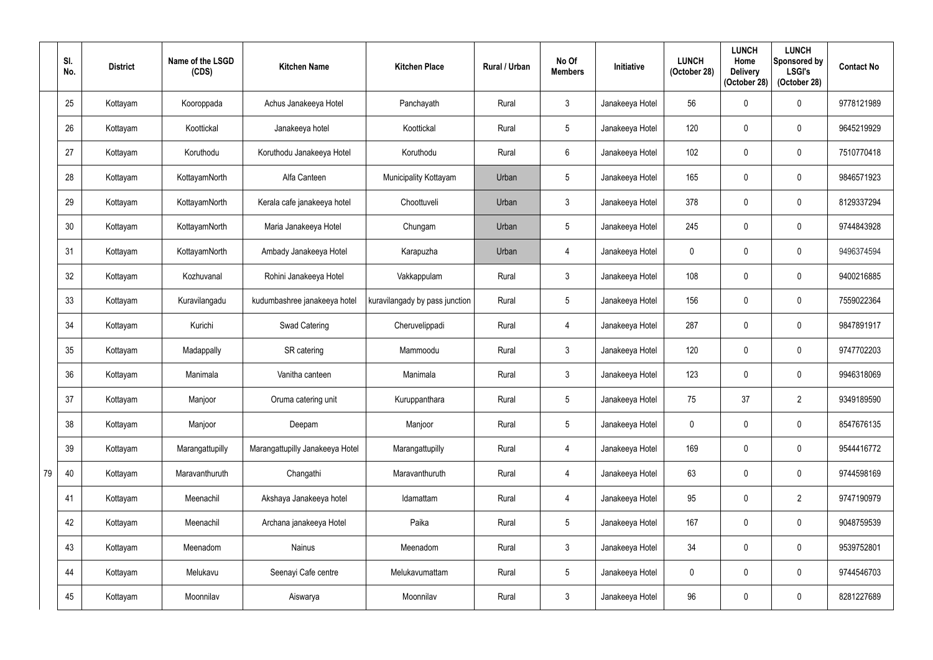|    | SI.<br>No. | <b>District</b> | Name of the LSGD<br>(CDS) | <b>Kitchen Name</b>             | <b>Kitchen Place</b>           | Rural / Urban | No Of<br><b>Members</b> | <b>Initiative</b> | <b>LUNCH</b><br>(October 28) | <b>LUNCH</b><br>Home<br><b>Delivery</b><br>(October 28) | <b>LUNCH</b><br>Sponsored by<br><b>LSGI's</b><br>(October 28) | <b>Contact No</b> |
|----|------------|-----------------|---------------------------|---------------------------------|--------------------------------|---------------|-------------------------|-------------------|------------------------------|---------------------------------------------------------|---------------------------------------------------------------|-------------------|
|    | 25         | Kottayam        | Kooroppada                | Achus Janakeeya Hotel           | Panchayath                     | Rural         | $\mathfrak{Z}$          | Janakeeya Hotel   | 56                           |                                                         | $\boldsymbol{0}$                                              | 9778121989        |
|    | 26         | Kottayam        | Koottickal                | Janakeeya hotel                 | Koottickal                     | Rural         | $5\overline{)}$         | Janakeeya Hotel   | 120                          |                                                         | $\mathbf 0$                                                   | 9645219929        |
|    | 27         | Kottayam        | Koruthodu                 | Koruthodu Janakeeya Hotel       | Koruthodu                      | Rural         | 6                       | Janakeeya Hotel   | 102                          |                                                         | $\pmb{0}$                                                     | 7510770418        |
|    | 28         | Kottayam        | KottayamNorth             | Alfa Canteen                    | Municipality Kottayam          | Urban         | 5 <sub>5</sub>          | Janakeeya Hotel   | 165                          |                                                         | $\mathbf 0$                                                   | 9846571923        |
|    | 29         | Kottayam        | KottayamNorth             | Kerala cafe janakeeya hotel     | Choottuveli                    | Urban         | 3                       | Janakeeya Hotel   | 378                          |                                                         | $\pmb{0}$                                                     | 8129337294        |
|    | 30         | Kottayam        | KottayamNorth             | Maria Janakeeya Hotel           | Chungam                        | Urban         | 5                       | Janakeeya Hotel   | 245                          |                                                         | $\mathbf 0$                                                   | 9744843928        |
|    | 31         | Kottayam        | KottayamNorth             | Ambady Janakeeya Hotel          | Karapuzha                      | Urban         | $\overline{4}$          | Janakeeya Hotel   | $\mathbf 0$                  |                                                         | $\mathbf 0$                                                   | 9496374594        |
|    | 32         | Kottayam        | Kozhuvanal                | Rohini Janakeeya Hotel          | Vakkappulam                    | Rural         | $\mathbf{3}$            | Janakeeya Hotel   | 108                          |                                                         | $\mathbf 0$                                                   | 9400216885        |
|    | 33         | Kottayam        | Kuravilangadu             | kudumbashree janakeeya hotel    | kuravilangady by pass junction | Rural         | 5                       | Janakeeya Hotel   | 156                          | $\Omega$                                                | $\pmb{0}$                                                     | 7559022364        |
|    | 34         | Kottayam        | Kurichi                   | Swad Catering                   | Cheruvelippadi                 | Rural         | $\overline{4}$          | Janakeeya Hotel   | 287                          |                                                         | $\mathbf 0$                                                   | 9847891917        |
|    | 35         | Kottayam        | Madappally                | SR catering                     | Mammoodu                       | Rural         | $\mathfrak{Z}$          | Janakeeya Hotel   | 120                          |                                                         | $\pmb{0}$                                                     | 9747702203        |
|    | 36         | Kottayam        | Manimala                  | Vanitha canteen                 | Manimala                       | Rural         | $\mathbf{3}$            | Janakeeya Hotel   | 123                          | $\mathbf{0}$                                            | $\mathbf 0$                                                   | 9946318069        |
|    | 37         | Kottayam        | Manjoor                   | Oruma catering unit             | Kuruppanthara                  | Rural         | $5\phantom{.0}$         | Janakeeya Hotel   | 75                           | 37                                                      | $\overline{2}$                                                | 9349189590        |
|    | 38         | Kottayam        | Manjoor                   | Deepam                          | Manjoor                        | Rural         | $5\overline{)}$         | Janakeeya Hotel   | $\mathbf 0$                  | 0                                                       | $\boldsymbol{0}$                                              | 8547676135        |
|    | 39         | Kottayam        | Marangattupilly           | Marangattupilly Janakeeya Hotel | Marangattupilly                | Rural         | $\overline{4}$          | Janakeeya Hotel   | 169                          | $\mathbf 0$                                             | $\pmb{0}$                                                     | 9544416772        |
| 79 | 40         | Kottayam        | Maravanthuruth            | Changathi                       | Maravanthuruth                 | Rural         | $\overline{4}$          | Janakeeya Hotel   | 63                           | 0                                                       | $\pmb{0}$                                                     | 9744598169        |
|    | 41         | Kottayam        | Meenachil                 | Akshaya Janakeeya hotel         | Idamattam                      | Rural         | $\overline{4}$          | Janakeeya Hotel   | 95                           | $\mathbf{0}$                                            | $\overline{2}$                                                | 9747190979        |
|    | 42         | Kottayam        | Meenachil                 | Archana janakeeya Hotel         | Paika                          | Rural         | $5\overline{)}$         | Janakeeya Hotel   | 167                          | $\mathbf 0$                                             | $\pmb{0}$                                                     | 9048759539        |
|    | 43         | Kottayam        | Meenadom                  | Nainus                          | Meenadom                       | Rural         | $\mathfrak{Z}$          | Janakeeya Hotel   | 34                           | $\mathbf 0$                                             | $\pmb{0}$                                                     | 9539752801        |
|    | 44         | Kottayam        | Melukavu                  | Seenayi Cafe centre             | Melukavumattam                 | Rural         | $5\phantom{.0}$         | Janakeeya Hotel   | $\mathbf 0$                  | $\mathbf{0}$                                            | $\pmb{0}$                                                     | 9744546703        |
|    | 45         | Kottayam        | Moonnilav                 | Aiswarya                        | Moonnilav                      | Rural         | $\mathfrak{Z}$          | Janakeeya Hotel   | 96                           | $\boldsymbol{0}$                                        | $\pmb{0}$                                                     | 8281227689        |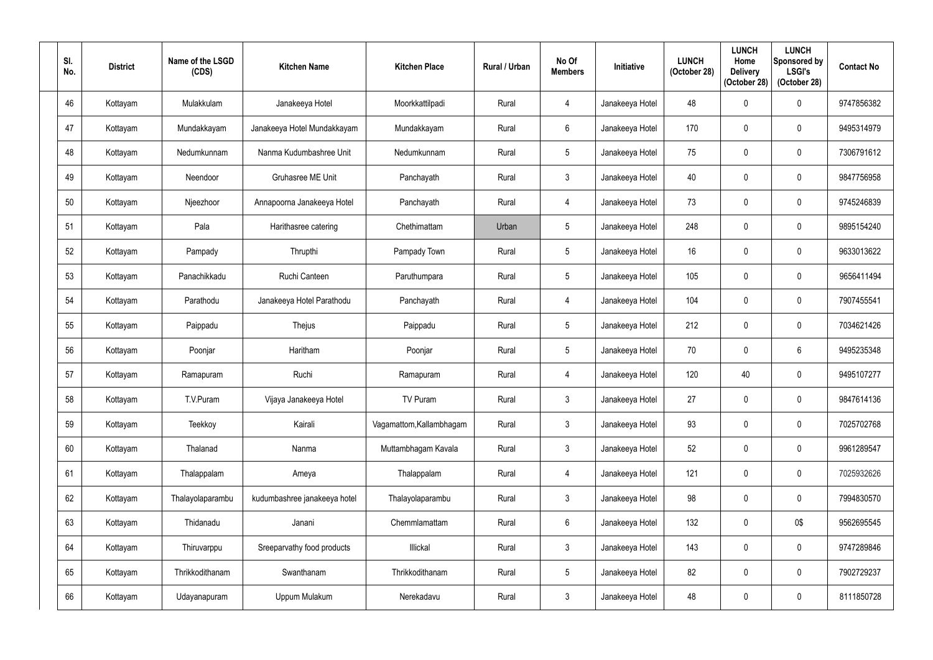| SI.<br>No. | <b>District</b> | Name of the LSGD<br>(CDS) | <b>Kitchen Name</b>          | <b>Kitchen Place</b>     | Rural / Urban | No Of<br><b>Members</b> | <b>Initiative</b> | <b>LUNCH</b><br>(October 28) | <b>LUNCH</b><br>Home<br><b>Delivery</b><br>(October 28) | <b>LUNCH</b><br>Sponsored by<br><b>LSGI's</b><br>(October 28) | <b>Contact No</b> |
|------------|-----------------|---------------------------|------------------------------|--------------------------|---------------|-------------------------|-------------------|------------------------------|---------------------------------------------------------|---------------------------------------------------------------|-------------------|
| 46         | Kottayam        | Mulakkulam                | Janakeeya Hotel              | Moorkkattilpadi          | Rural         | 4                       | Janakeeya Hotel   | 48                           |                                                         | $\boldsymbol{0}$                                              | 9747856382        |
| 47         | Kottayam        | Mundakkayam               | Janakeeya Hotel Mundakkayam  | Mundakkayam              | Rural         | $6\phantom{.}$          | Janakeeya Hotel   | 170                          |                                                         | $\mathbf 0$                                                   | 9495314979        |
| 48         | Kottayam        | Nedumkunnam               | Nanma Kudumbashree Unit      | Nedumkunnam              | Rural         | $5\phantom{.0}$         | Janakeeya Hotel   | 75                           | 0                                                       | $\pmb{0}$                                                     | 7306791612        |
| 49         | Kottayam        | Neendoor                  | <b>Gruhasree ME Unit</b>     | Panchayath               | Rural         | $\mathbf{3}$            | Janakeeya Hotel   | 40                           |                                                         | $\mathbf 0$                                                   | 9847756958        |
| 50         | Kottayam        | Njeezhoor                 | Annapoorna Janakeeya Hotel   | Panchayath               | Rural         | 4                       | Janakeeya Hotel   | 73                           |                                                         | $\mathbf 0$                                                   | 9745246839        |
| 51         | Kottayam        | Pala                      | Harithasree catering         | Chethimattam             | Urban         | $\overline{5}$          | Janakeeya Hotel   | 248                          | 0                                                       | $\mathbf 0$                                                   | 9895154240        |
| 52         | Kottayam        | Pampady                   | Thrupthi                     | Pampady Town             | Rural         | $5\phantom{.0}$         | Janakeeya Hotel   | 16                           |                                                         | $\mathbf 0$                                                   | 9633013622        |
| 53         | Kottayam        | Panachikkadu              | Ruchi Canteen                | Paruthumpara             | Rural         | $5\phantom{.0}$         | Janakeeya Hotel   | 105                          |                                                         | $\mathbf 0$                                                   | 9656411494        |
| 54         | Kottayam        | Parathodu                 | Janakeeya Hotel Parathodu    | Panchayath               | Rural         | 4                       | Janakeeya Hotel   | 104                          | $\Omega$                                                | $\boldsymbol{0}$                                              | 7907455541        |
| 55         | Kottayam        | Paippadu                  | Thejus                       | Paippadu                 | Rural         | $5\phantom{.0}$         | Janakeeya Hotel   | 212                          |                                                         | $\mathbf 0$                                                   | 7034621426        |
| 56         | Kottayam        | Poonjar                   | Haritham                     | Poonjar                  | Rural         | $\overline{5}$          | Janakeeya Hotel   | 70                           |                                                         | $6\phantom{.}$                                                | 9495235348        |
| 57         | Kottayam        | Ramapuram                 | Ruchi                        | Ramapuram                | Rural         | 4                       | Janakeeya Hotel   | 120                          | 40                                                      | $\mathbf 0$                                                   | 9495107277        |
| 58         | Kottayam        | T.V.Puram                 | Vijaya Janakeeya Hotel       | TV Puram                 | Rural         | $\mathbf{3}$            | Janakeeya Hotel   | 27                           | $\boldsymbol{0}$                                        | $\pmb{0}$                                                     | 9847614136        |
| 59         | Kottayam        | Teekkoy                   | Kairali                      | Vagamattom, Kallambhagam | Rural         | $\mathfrak{Z}$          | Janakeeya Hotel   | 93                           | 0                                                       | $\mathbf 0$                                                   | 7025702768        |
| 60         | Kottayam        | Thalanad                  | Nanma                        | Muttambhagam Kavala      | Rural         | $\mathfrak{Z}$          | Janakeeya Hotel   | 52                           | $\mathbf 0$                                             | $\pmb{0}$                                                     | 9961289547        |
| 61         | Kottayam        | Thalappalam               | Ameya                        | Thalappalam              | Rural         | $\overline{4}$          | Janakeeya Hotel   | 121                          | $\Omega$                                                | $\pmb{0}$                                                     | 7025932626        |
| 62         | Kottayam        | Thalayolaparambu          | kudumbashree janakeeya hotel | Thalayolaparambu         | Rural         | $\mathfrak{Z}$          | Janakeeya Hotel   | 98                           | $\mathbf 0$                                             | $\mathbf 0$                                                   | 7994830570        |
| 63         | Kottayam        | Thidanadu                 | Janani                       | Chemmlamattam            | Rural         | $6\phantom{.0}$         | Janakeeya Hotel   | 132                          | $\mathbf 0$                                             | 0\$                                                           | 9562695545        |
| 64         | Kottayam        | Thiruvarppu               | Sreeparvathy food products   | Illickal                 | Rural         | $\mathbf{3}$            | Janakeeya Hotel   | 143                          | 0                                                       | $\pmb{0}$                                                     | 9747289846        |
| 65         | Kottayam        | Thrikkodithanam           | Swanthanam                   | Thrikkodithanam          | Rural         | $5\overline{)}$         | Janakeeya Hotel   | 82                           | 0                                                       | $\pmb{0}$                                                     | 7902729237        |
| 66         | Kottayam        | Udayanapuram              | Uppum Mulakum                | Nerekadavu               | Rural         | $\mathfrak{Z}$          | Janakeeya Hotel   | 48                           | 0                                                       | $\pmb{0}$                                                     | 8111850728        |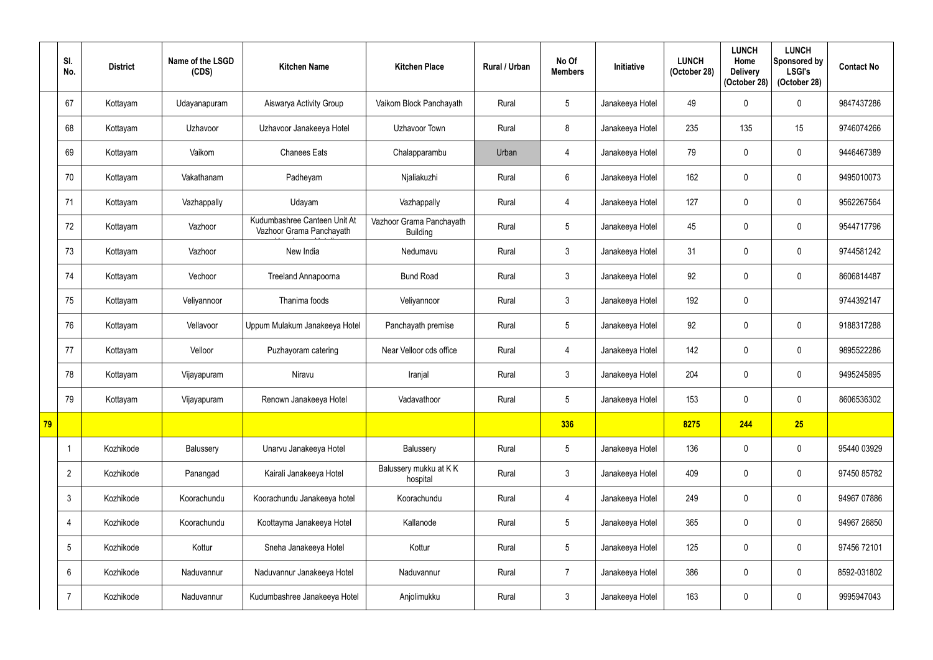|    | SI.<br>No.      | <b>District</b> | Name of the LSGD<br>(CDS) | <b>Kitchen Name</b>                                      | <b>Kitchen Place</b>                        | Rural / Urban | No Of<br><b>Members</b> | <b>Initiative</b> | <b>LUNCH</b><br>(October 28) | <b>LUNCH</b><br>Home<br><b>Delivery</b><br>(October 28) | <b>LUNCH</b><br>Sponsored by<br><b>LSGI's</b><br>(October 28) | <b>Contact No</b> |
|----|-----------------|-----------------|---------------------------|----------------------------------------------------------|---------------------------------------------|---------------|-------------------------|-------------------|------------------------------|---------------------------------------------------------|---------------------------------------------------------------|-------------------|
|    | 67              | Kottayam        | Udayanapuram              | Aiswarya Activity Group                                  | Vaikom Block Panchayath                     | Rural         | $5\overline{)}$         | Janakeeya Hotel   | 49                           | 0                                                       | $\mathbf 0$                                                   | 9847437286        |
|    | 68              | Kottayam        | Uzhavoor                  | Uzhavoor Janakeeya Hotel                                 | Uzhavoor Town                               | Rural         | 8                       | Janakeeya Hotel   | 235                          | 135                                                     | 15                                                            | 9746074266        |
|    | 69              | Kottayam        | Vaikom                    | <b>Chanees Eats</b>                                      | Chalapparambu                               | Urban         | 4                       | Janakeeya Hotel   | 79                           | $\theta$                                                | $\boldsymbol{0}$                                              | 9446467389        |
|    | 70              | Kottayam        | Vakathanam                | Padheyam                                                 | Njaliakuzhi                                 | Rural         | $6\phantom{.0}$         | Janakeeya Hotel   | 162                          |                                                         | $\mathbf 0$                                                   | 9495010073        |
|    | 71              | Kottayam        | Vazhappally               | Udayam                                                   | Vazhappally                                 | Rural         | 4                       | Janakeeya Hotel   | 127                          | $\Omega$                                                | $\mathbf 0$                                                   | 9562267564        |
|    | 72              | Kottayam        | Vazhoor                   | Kudumbashree Canteen Unit At<br>Vazhoor Grama Panchayath | Vazhoor Grama Panchayath<br><b>Building</b> | Rural         | $5\overline{)}$         | Janakeeya Hotel   | 45                           | 0                                                       | $\mathbf 0$                                                   | 9544717796        |
|    | 73              | Kottayam        | Vazhoor                   | New India                                                | Nedumavu                                    | Rural         | $\mathbf{3}$            | Janakeeya Hotel   | 31                           | 0                                                       | $\mathbf 0$                                                   | 9744581242        |
|    | 74              | Kottayam        | Vechoor                   | <b>Treeland Annapoorna</b>                               | <b>Bund Road</b>                            | Rural         | $\mathbf{3}$            | Janakeeya Hotel   | 92                           | 0                                                       | $\mathbf 0$                                                   | 8606814487        |
|    | 75              | Kottayam        | Veliyannoor               | Thanima foods                                            | Veliyannoor                                 | Rural         | $\mathfrak{Z}$          | Janakeeya Hotel   | 192                          | $\mathbf 0$                                             |                                                               | 9744392147        |
|    | 76              | Kottayam        | Vellavoor                 | Uppum Mulakum Janakeeya Hotel                            | Panchayath premise                          | Rural         | $5\overline{)}$         | Janakeeya Hotel   | 92                           | 0                                                       | $\mathbf 0$                                                   | 9188317288        |
|    | 77              | Kottayam        | Velloor                   | Puzhayoram catering                                      | Near Velloor cds office                     | Rural         | 4                       | Janakeeya Hotel   | 142                          | $\mathbf{0}$                                            | $\mathbf 0$                                                   | 9895522286        |
|    | 78              | Kottayam        | Vijayapuram               | Niravu                                                   | Iranjal                                     | Rural         | $\mathbf{3}$            | Janakeeya Hotel   | 204                          | 0                                                       | $\mathbf 0$                                                   | 9495245895        |
|    | 79              | Kottayam        | Vijayapuram               | Renown Janakeeya Hotel                                   | Vadavathoor                                 | Rural         | $5\phantom{.0}$         | Janakeeya Hotel   | 153                          | $\mathbf 0$                                             | $\boldsymbol{0}$                                              | 8606536302        |
| 79 |                 |                 |                           |                                                          |                                             |               | 336                     |                   | 8275                         | 244                                                     | 25                                                            |                   |
|    |                 | Kozhikode       | Balussery                 | Unarvu Janakeeya Hotel                                   | Balussery                                   | Rural         | $5\phantom{.0}$         | Janakeeya Hotel   | 136                          | 0                                                       | $\pmb{0}$                                                     | 95440 03929       |
|    | $\overline{2}$  | Kozhikode       | Panangad                  | Kairali Janakeeya Hotel                                  | Balussery mukku at KK<br>hospital           | Rural         | $\mathfrak{Z}$          | Janakeeya Hotel   | 409                          | 0                                                       | $\pmb{0}$                                                     | 97450 85782       |
|    | $\mathfrak{Z}$  | Kozhikode       | Koorachundu               | Koorachundu Janakeeya hotel                              | Koorachundu                                 | Rural         | $\overline{4}$          | Janakeeya Hotel   | 249                          | 0                                                       | $\pmb{0}$                                                     | 94967 07886       |
|    | 4               | Kozhikode       | Koorachundu               | Koottayma Janakeeya Hotel                                | Kallanode                                   | Rural         | $5\phantom{.0}$         | Janakeeya Hotel   | 365                          | $\mathbf 0$                                             | $\pmb{0}$                                                     | 94967 26850       |
|    | $5\phantom{.0}$ | Kozhikode       | Kottur                    | Sneha Janakeeya Hotel                                    | Kottur                                      | Rural         | $5\phantom{.0}$         | Janakeeya Hotel   | 125                          | 0                                                       | $\pmb{0}$                                                     | 97456 72101       |
|    | 6               | Kozhikode       | Naduvannur                | Naduvannur Janakeeya Hotel                               | Naduvannur                                  | Rural         | $\overline{7}$          | Janakeeya Hotel   | 386                          | 0                                                       | $\pmb{0}$                                                     | 8592-031802       |
|    | -7              | Kozhikode       | Naduvannur                | Kudumbashree Janakeeya Hotel                             | Anjolimukku                                 | Rural         | $\mathfrak{Z}$          | Janakeeya Hotel   | 163                          | 0                                                       | $\pmb{0}$                                                     | 9995947043        |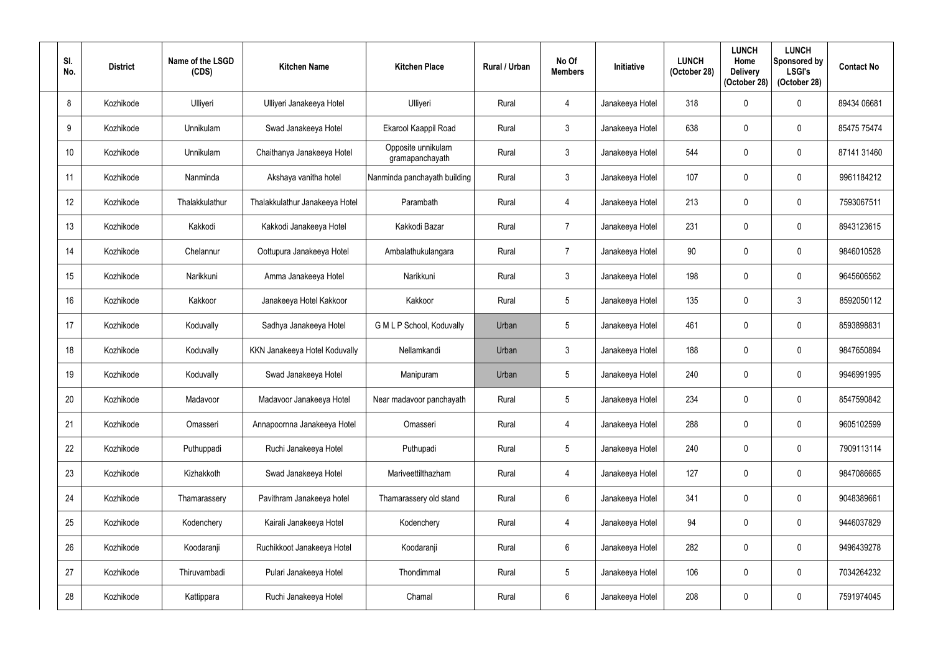| SI.<br>No. | <b>District</b> | Name of the LSGD<br>(CDS) | <b>Kitchen Name</b>            | <b>Kitchen Place</b>                  | Rural / Urban | No Of<br><b>Members</b> | <b>Initiative</b> | <b>LUNCH</b><br>(October 28) | <b>LUNCH</b><br>Home<br><b>Delivery</b><br>(October 28) | <b>LUNCH</b><br>Sponsored by<br><b>LSGI's</b><br>(October 28) | <b>Contact No</b> |
|------------|-----------------|---------------------------|--------------------------------|---------------------------------------|---------------|-------------------------|-------------------|------------------------------|---------------------------------------------------------|---------------------------------------------------------------|-------------------|
| 8          | Kozhikode       | Ulliyeri                  | Ulliyeri Janakeeya Hotel       | Ulliyeri                              | Rural         | 4                       | Janakeeya Hotel   | 318                          |                                                         | $\boldsymbol{0}$                                              | 89434 06681       |
| 9          | Kozhikode       | Unnikulam                 | Swad Janakeeya Hotel           | Ekarool Kaappil Road                  | Rural         | $\mathbf{3}$            | Janakeeya Hotel   | 638                          |                                                         | $\mathbf 0$                                                   | 85475 75474       |
| 10         | Kozhikode       | Unnikulam                 | Chaithanya Janakeeya Hotel     | Opposite unnikulam<br>gramapanchayath | Rural         | $\mathfrak{Z}$          | Janakeeya Hotel   | 544                          |                                                         | $\pmb{0}$                                                     | 87141 31460       |
| 11         | Kozhikode       | Nanminda                  | Akshaya vanitha hotel          | Nanminda panchayath building          | Rural         | $\mathbf{3}$            | Janakeeya Hotel   | 107                          |                                                         | $\mathbf 0$                                                   | 9961184212        |
| 12         | Kozhikode       | Thalakkulathur            | Thalakkulathur Janakeeya Hotel | Parambath                             | Rural         | $\overline{4}$          | Janakeeya Hotel   | 213                          |                                                         | $\mathbf 0$                                                   | 7593067511        |
| 13         | Kozhikode       | Kakkodi                   | Kakkodi Janakeeya Hotel        | Kakkodi Bazar                         | Rural         | $\overline{7}$          | Janakeeya Hotel   | 231                          | 0                                                       | $\boldsymbol{0}$                                              | 8943123615        |
| 14         | Kozhikode       | Chelannur                 | Oottupura Janakeeya Hotel      | Ambalathukulangara                    | Rural         | 7                       | Janakeeya Hotel   | 90                           |                                                         | $\mathbf 0$                                                   | 9846010528        |
| 15         | Kozhikode       | Narikkuni                 | Amma Janakeeya Hotel           | Narikkuni                             | Rural         | $\mathbf{3}$            | Janakeeya Hotel   | 198                          |                                                         | $\mathbf 0$                                                   | 9645606562        |
| 16         | Kozhikode       | Kakkoor                   | Janakeeya Hotel Kakkoor        | Kakkoor                               | Rural         | $5\phantom{.0}$         | Janakeeya Hotel   | 135                          | $\Omega$                                                | 3                                                             | 8592050112        |
| 17         | Kozhikode       | Koduvally                 | Sadhya Janakeeya Hotel         | G M L P School, Koduvally             | Urban         | $5\phantom{.0}$         | Janakeeya Hotel   | 461                          |                                                         | $\mathbf 0$                                                   | 8593898831        |
| 18         | Kozhikode       | Koduvally                 | KKN Janakeeya Hotel Koduvally  | Nellamkandi                           | Urban         | $\mathbf{3}$            | Janakeeya Hotel   | 188                          |                                                         | $\mathbf 0$                                                   | 9847650894        |
| 19         | Kozhikode       | Koduvally                 | Swad Janakeeya Hotel           | Manipuram                             | Urban         | $5\overline{)}$         | Janakeeya Hotel   | 240                          | 0                                                       | $\mathbf 0$                                                   | 9946991995        |
| 20         | Kozhikode       | Madavoor                  | Madavoor Janakeeya Hotel       | Near madavoor panchayath              | Rural         | 5                       | Janakeeya Hotel   | 234                          | $\mathbf 0$                                             | $\mathbf 0$                                                   | 8547590842        |
| 21         | Kozhikode       | Omasseri                  | Annapoornna Janakeeya Hotel    | Omasseri                              | Rural         | $\overline{4}$          | Janakeeya Hotel   | 288                          | 0                                                       | $\boldsymbol{0}$                                              | 9605102599        |
| 22         | Kozhikode       | Puthuppadi                | Ruchi Janakeeya Hotel          | Puthupadi                             | Rural         | $5\phantom{.0}$         | Janakeeya Hotel   | 240                          | 0                                                       | $\pmb{0}$                                                     | 7909113114        |
| 23         | Kozhikode       | Kizhakkoth                | Swad Janakeeya Hotel           | Mariveettilthazham                    | Rural         | 4                       | Janakeeya Hotel   | 127                          | 0                                                       | $\boldsymbol{0}$                                              | 9847086665        |
| 24         | Kozhikode       | Thamarassery              | Pavithram Janakeeya hotel      | Thamarassery old stand                | Rural         | $6\overline{6}$         | Janakeeya Hotel   | 341                          | $\mathbf 0$                                             | $\pmb{0}$                                                     | 9048389661        |
| 25         | Kozhikode       | Kodenchery                | Kairali Janakeeya Hotel        | Kodenchery                            | Rural         | $\overline{4}$          | Janakeeya Hotel   | 94                           | 0                                                       | $\boldsymbol{0}$                                              | 9446037829        |
| 26         | Kozhikode       | Koodaranji                | Ruchikkoot Janakeeya Hotel     | Koodaranji                            | Rural         | $6\overline{6}$         | Janakeeya Hotel   | 282                          |                                                         | $\pmb{0}$                                                     | 9496439278        |
| 27         | Kozhikode       | Thiruvambadi              | Pulari Janakeeya Hotel         | Thondimmal                            | Rural         | $5\phantom{.0}$         | Janakeeya Hotel   | 106                          | $\mathbf 0$                                             | $\pmb{0}$                                                     | 7034264232        |
| 28         | Kozhikode       | Kattippara                | Ruchi Janakeeya Hotel          | Chamal                                | Rural         | $6\phantom{.0}$         | Janakeeya Hotel   | 208                          | 0                                                       | $\pmb{0}$                                                     | 7591974045        |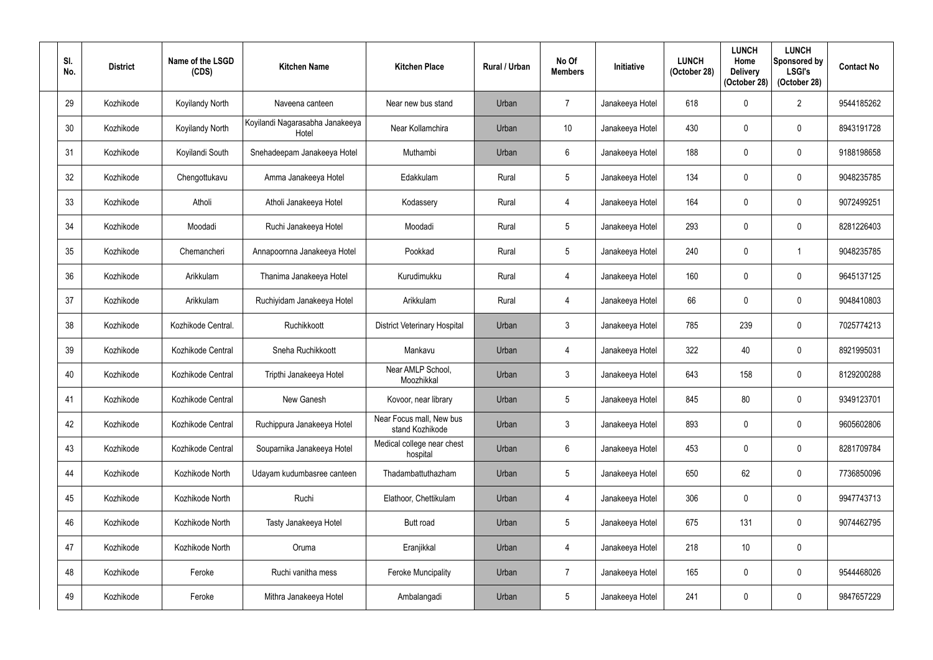| SI.<br>No. | <b>District</b> | Name of the LSGD<br>(CDS) | <b>Kitchen Name</b>                      | <b>Kitchen Place</b>                        | Rural / Urban | No Of<br><b>Members</b> | <b>Initiative</b> | <b>LUNCH</b><br>(October 28) | <b>LUNCH</b><br>Home<br><b>Delivery</b><br>(October 28) | <b>LUNCH</b><br>Sponsored by<br><b>LSGI's</b><br>(October 28) | <b>Contact No</b> |
|------------|-----------------|---------------------------|------------------------------------------|---------------------------------------------|---------------|-------------------------|-------------------|------------------------------|---------------------------------------------------------|---------------------------------------------------------------|-------------------|
| 29         | Kozhikode       | Koyilandy North           | Naveena canteen                          | Near new bus stand                          | Urban         | $\overline{7}$          | Janakeeya Hotel   | 618                          |                                                         | $\overline{2}$                                                | 9544185262        |
| 30         | Kozhikode       | Koyilandy North           | Koyilandi Nagarasabha Janakeeya<br>Hotel | Near Kollamchira                            | Urban         | 10 <sup>°</sup>         | Janakeeya Hotel   | 430                          |                                                         | $\mathbf 0$                                                   | 8943191728        |
| 31         | Kozhikode       | Koyilandi South           | Snehadeepam Janakeeya Hotel              | Muthambi                                    | Urban         | 6                       | Janakeeya Hotel   | 188                          |                                                         | $\boldsymbol{0}$                                              | 9188198658        |
| 32         | Kozhikode       | Chengottukavu             | Amma Janakeeya Hotel                     | Edakkulam                                   | Rural         | 5 <sup>5</sup>          | Janakeeya Hotel   | 134                          |                                                         | $\mathbf 0$                                                   | 9048235785        |
| 33         | Kozhikode       | Atholi                    | Atholi Janakeeya Hotel                   | Kodassery                                   | Rural         | $\overline{4}$          | Janakeeya Hotel   | 164                          |                                                         | $\mathbf 0$                                                   | 9072499251        |
| 34         | Kozhikode       | Moodadi                   | Ruchi Janakeeya Hotel                    | Moodadi                                     | Rural         | $5\overline{)}$         | Janakeeya Hotel   | 293                          |                                                         | $\mathbf 0$                                                   | 8281226403        |
| 35         | Kozhikode       | Chemancheri               | Annapoornna Janakeeya Hotel              | Pookkad                                     | Rural         | $5\overline{)}$         | Janakeeya Hotel   | 240                          |                                                         |                                                               | 9048235785        |
| 36         | Kozhikode       | Arikkulam                 | Thanima Janakeeya Hotel                  | Kurudimukku                                 | Rural         | 4                       | Janakeeya Hotel   | 160                          |                                                         | $\mathbf 0$                                                   | 9645137125        |
| 37         | Kozhikode       | Arikkulam                 | Ruchiyidam Janakeeya Hotel               | Arikkulam                                   | Rural         | $\overline{4}$          | Janakeeya Hotel   | 66                           | $\Omega$                                                | $\mathbf 0$                                                   | 9048410803        |
| 38         | Kozhikode       | Kozhikode Central.        | Ruchikkoott                              | <b>District Veterinary Hospital</b>         | Urban         | 3                       | Janakeeya Hotel   | 785                          | 239                                                     | $\mathbf 0$                                                   | 7025774213        |
| 39         | Kozhikode       | Kozhikode Central         | Sneha Ruchikkoott                        | Mankavu                                     | Urban         | $\overline{4}$          | Janakeeya Hotel   | 322                          | 40                                                      | $\mathbf 0$                                                   | 8921995031        |
| 40         | Kozhikode       | Kozhikode Central         | Tripthi Janakeeya Hotel                  | Near AMLP School,<br>Moozhikkal             | Urban         | $\mathbf{3}$            | Janakeeya Hotel   | 643                          | 158                                                     | $\mathbf 0$                                                   | 8129200288        |
| 41         | Kozhikode       | Kozhikode Central         | New Ganesh                               | Kovoor, near library                        | Urban         | 5                       | Janakeeya Hotel   | 845                          | 80                                                      | $\pmb{0}$                                                     | 9349123701        |
| 42         | Kozhikode       | Kozhikode Central         | Ruchippura Janakeeya Hotel               | Near Focus mall, New bus<br>stand Kozhikode | Urban         | $\mathfrak{Z}$          | Janakeeya Hotel   | 893                          | 0                                                       | $\boldsymbol{0}$                                              | 9605602806        |
| 43         | Kozhikode       | Kozhikode Central         | Souparnika Janakeeya Hotel               | Medical college near chest<br>hospital      | Urban         | $6\phantom{.}6$         | Janakeeya Hotel   | 453                          | 0                                                       | $\pmb{0}$                                                     | 8281709784        |
| 44         | Kozhikode       | Kozhikode North           | Udayam kudumbasree canteen               | Thadambattuthazham                          | Urban         | $5\phantom{.0}$         | Janakeeya Hotel   | 650                          | 62                                                      | $\pmb{0}$                                                     | 7736850096        |
| 45         | Kozhikode       | Kozhikode North           | Ruchi                                    | Elathoor, Chettikulam                       | Urban         | $\overline{4}$          | Janakeeya Hotel   | 306                          | $\mathbf{0}$                                            | $\boldsymbol{0}$                                              | 9947743713        |
| 46         | Kozhikode       | Kozhikode North           | Tasty Janakeeya Hotel                    | Butt road                                   | Urban         | $5\phantom{.0}$         | Janakeeya Hotel   | 675                          | 131                                                     | $\pmb{0}$                                                     | 9074462795        |
| 47         | Kozhikode       | Kozhikode North           | Oruma                                    | Eranjikkal                                  | Urban         | 4                       | Janakeeya Hotel   | 218                          | 10 <sup>°</sup>                                         | $\pmb{0}$                                                     |                   |
| 48         | Kozhikode       | Feroke                    | Ruchi vanitha mess                       | Feroke Muncipality                          | Urban         | $\overline{7}$          | Janakeeya Hotel   | 165                          | $\mathbf 0$                                             | $\pmb{0}$                                                     | 9544468026        |
| 49         | Kozhikode       | Feroke                    | Mithra Janakeeya Hotel                   | Ambalangadi                                 | Urban         | $\sqrt{5}$              | Janakeeya Hotel   | 241                          | 0                                                       | $\pmb{0}$                                                     | 9847657229        |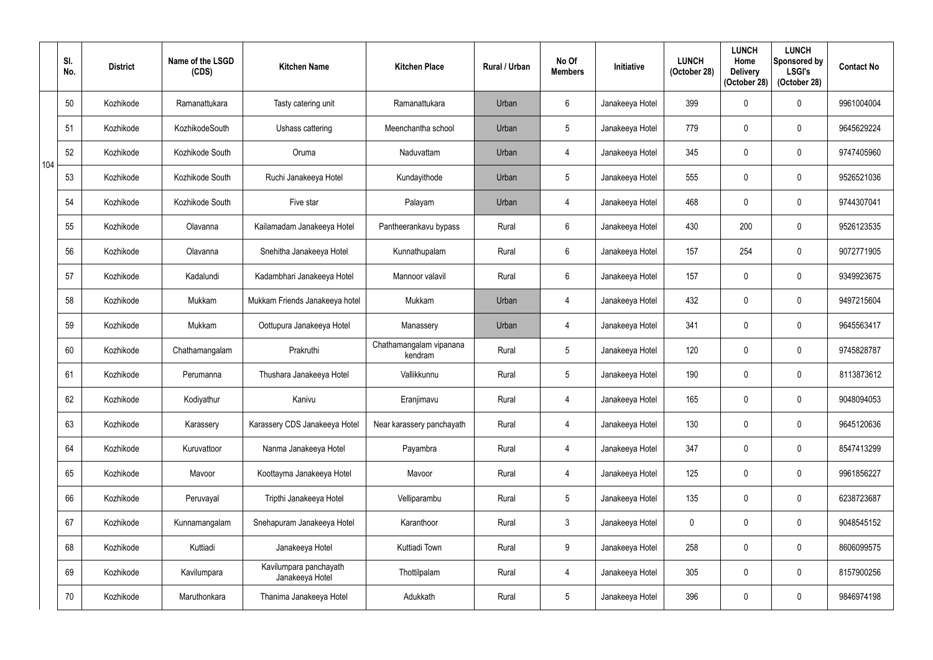|     | SI.<br>No. | <b>District</b> | Name of the LSGD<br>(CDS) | <b>Kitchen Name</b>                       | <b>Kitchen Place</b>               | Rural / Urban | No Of<br><b>Members</b> | <b>Initiative</b> | <b>LUNCH</b><br>(October 28) | <b>LUNCH</b><br>Home<br><b>Delivery</b><br>(October 28) | <b>LUNCH</b><br>Sponsored by<br><b>LSGI's</b><br>(October 28) | <b>Contact No</b> |
|-----|------------|-----------------|---------------------------|-------------------------------------------|------------------------------------|---------------|-------------------------|-------------------|------------------------------|---------------------------------------------------------|---------------------------------------------------------------|-------------------|
|     | 50         | Kozhikode       | Ramanattukara             | Tasty catering unit                       | Ramanattukara                      | Urban         | $6\phantom{.}$          | Janakeeya Hotel   | 399                          | $\Omega$                                                | $\mathbf 0$                                                   | 9961004004        |
|     | 51         | Kozhikode       | <b>KozhikodeSouth</b>     | Ushass cattering                          | Meenchantha school                 | Urban         | 5                       | Janakeeya Hotel   | 779                          |                                                         | $\mathbf 0$                                                   | 9645629224        |
| 104 | 52         | Kozhikode       | Kozhikode South           | Oruma                                     | Naduvattam                         | Urban         | $\overline{4}$          | Janakeeya Hotel   | 345                          | $\Omega$                                                | $\boldsymbol{0}$                                              | 9747405960        |
|     | 53         | Kozhikode       | Kozhikode South           | Ruchi Janakeeya Hotel                     | Kundayithode                       | Urban         | 5                       | Janakeeya Hotel   | 555                          |                                                         | $\mathbf 0$                                                   | 9526521036        |
|     | 54         | Kozhikode       | Kozhikode South           | Five star                                 | Palayam                            | Urban         | $\overline{4}$          | Janakeeya Hotel   | 468                          |                                                         | $\mathbf 0$                                                   | 9744307041        |
|     | 55         | Kozhikode       | Olavanna                  | Kailamadam Janakeeya Hotel                | Pantheerankavu bypass              | Rural         | $6\phantom{.}$          | Janakeeya Hotel   | 430                          | 200                                                     | $\mathbf 0$                                                   | 9526123535        |
|     | 56         | Kozhikode       | Olavanna                  | Snehitha Janakeeya Hotel                  | Kunnathupalam                      | Rural         | $6\phantom{.}$          | Janakeeya Hotel   | 157                          | 254                                                     | $\mathbf 0$                                                   | 9072771905        |
|     | 57         | Kozhikode       | Kadalundi                 | Kadambhari Janakeeya Hotel                | Mannoor valavil                    | Rural         | $6\phantom{.}$          | Janakeeya Hotel   | 157                          |                                                         | $\mathbf 0$                                                   | 9349923675        |
|     | 58         | Kozhikode       | Mukkam                    | Mukkam Friends Janakeeya hotel            | Mukkam                             | Urban         | $\overline{4}$          | Janakeeya Hotel   | 432                          | $\mathbf{0}$                                            | $\mathbf 0$                                                   | 9497215604        |
|     | 59         | Kozhikode       | Mukkam                    | Oottupura Janakeeya Hotel                 | Manassery                          | Urban         | $\overline{4}$          | Janakeeya Hotel   | 341                          |                                                         | $\mathbf 0$                                                   | 9645563417        |
|     | 60         | Kozhikode       | Chathamangalam            | Prakruthi                                 | Chathamangalam vipanana<br>kendram | Rural         | 5                       | Janakeeya Hotel   | 120                          |                                                         | $\mathbf 0$                                                   | 9745828787        |
|     | 61         | Kozhikode       | Perumanna                 | Thushara Janakeeya Hotel                  | Vallikkunnu                        | Rural         | 5                       | Janakeeya Hotel   | 190                          | $\mathbf 0$                                             | $\mathbf 0$                                                   | 8113873612        |
|     | 62         | Kozhikode       | Kodiyathur                | Kanivu                                    | Eranjimavu                         | Rural         | $\overline{4}$          | Janakeeya Hotel   | 165                          | $\mathbf 0$                                             | $\boldsymbol{0}$                                              | 9048094053        |
|     | 63         | Kozhikode       | Karassery                 | Karassery CDS Janakeeya Hotel             | Near karassery panchayath          | Rural         | $\overline{4}$          | Janakeeya Hotel   | 130                          | 0                                                       | $\mathbf 0$                                                   | 9645120636        |
|     | 64         | Kozhikode       | Kuruvattoor               | Nanma Janakeeya Hotel                     | Payambra                           | Rural         | $\overline{4}$          | Janakeeya Hotel   | 347                          | 0                                                       | $\pmb{0}$                                                     | 8547413299        |
|     | 65         | Kozhikode       | Mavoor                    | Koottayma Janakeeya Hotel                 | Mavoor                             | Rural         | 4                       | Janakeeya Hotel   | 125                          | 0                                                       | $\mathbf 0$                                                   | 9961856227        |
|     | 66         | Kozhikode       | Peruvayal                 | Tripthi Janakeeya Hotel                   | Velliparambu                       | Rural         | $5\phantom{.0}$         | Janakeeya Hotel   | 135                          | $\mathbf{0}$                                            | $\pmb{0}$                                                     | 6238723687        |
|     | 67         | Kozhikode       | Kunnamangalam             | Snehapuram Janakeeya Hotel                | Karanthoor                         | Rural         | $\mathfrak{Z}$          | Janakeeya Hotel   | $\mathbf 0$                  | $\mathbf 0$                                             | $\pmb{0}$                                                     | 9048545152        |
|     | 68         | Kozhikode       | Kuttiadi                  | Janakeeya Hotel                           | Kuttiadi Town                      | Rural         | 9                       | Janakeeya Hotel   | 258                          | 0                                                       | $\boldsymbol{0}$                                              | 8606099575        |
|     | 69         | Kozhikode       | Kavilumpara               | Kavilumpara panchayath<br>Janakeeya Hotel | Thottilpalam                       | Rural         | $\overline{4}$          | Janakeeya Hotel   | 305                          | $\mathbf 0$                                             | $\pmb{0}$                                                     | 8157900256        |
|     | 70         | Kozhikode       | Maruthonkara              | Thanima Janakeeya Hotel                   | Adukkath                           | Rural         | $5\phantom{.0}$         | Janakeeya Hotel   | 396                          | 0                                                       | $\pmb{0}$                                                     | 9846974198        |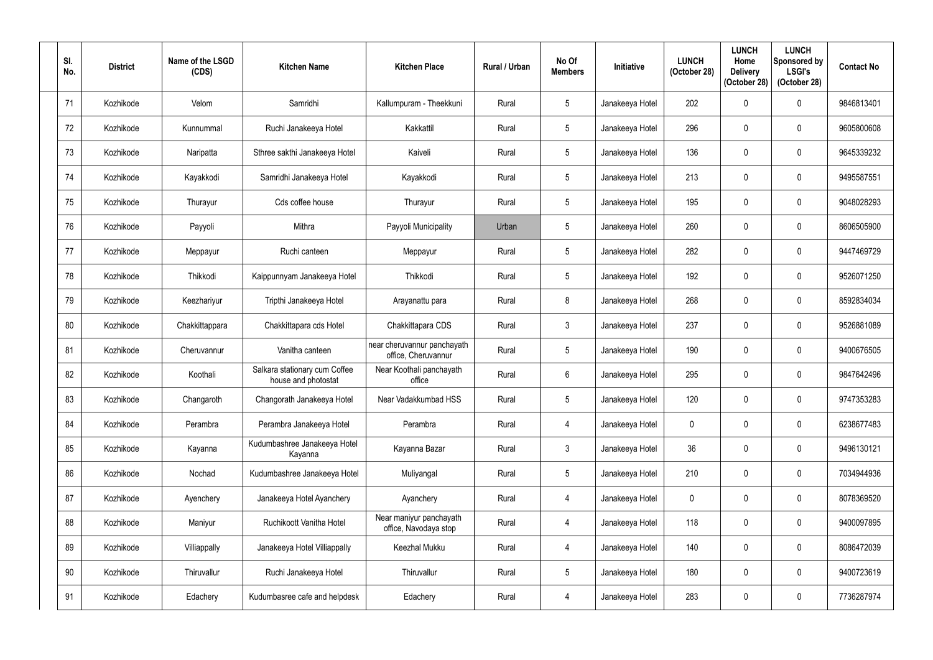| SI.<br>No. | <b>District</b> | Name of the LSGD<br>(CDS) | <b>Kitchen Name</b>                                  | <b>Kitchen Place</b>                               | Rural / Urban | No Of<br><b>Members</b> | <b>Initiative</b> | <b>LUNCH</b><br>(October 28) | <b>LUNCH</b><br>Home<br><b>Delivery</b><br>(October 28) | <b>LUNCH</b><br>Sponsored by<br><b>LSGI's</b><br>(October 28) | <b>Contact No</b> |
|------------|-----------------|---------------------------|------------------------------------------------------|----------------------------------------------------|---------------|-------------------------|-------------------|------------------------------|---------------------------------------------------------|---------------------------------------------------------------|-------------------|
| 71         | Kozhikode       | Velom                     | Samridhi                                             | Kallumpuram - Theekkuni                            | Rural         | $5\phantom{.0}$         | Janakeeya Hotel   | 202                          |                                                         | $\boldsymbol{0}$                                              | 9846813401        |
| 72         | Kozhikode       | Kunnummal                 | Ruchi Janakeeya Hotel                                | Kakkattil                                          | Rural         | $5\phantom{.0}$         | Janakeeya Hotel   | 296                          |                                                         | $\mathbf 0$                                                   | 9605800608        |
| 73         | Kozhikode       | Naripatta                 | Sthree sakthi Janakeeya Hotel                        | Kaiveli                                            | Rural         | $5\phantom{.0}$         | Janakeeya Hotel   | 136                          | 0                                                       | $\pmb{0}$                                                     | 9645339232        |
| 74         | Kozhikode       | Kayakkodi                 | Samridhi Janakeeya Hotel                             | Kayakkodi                                          | Rural         | $5\overline{)}$         | Janakeeya Hotel   | 213                          |                                                         | $\mathbf 0$                                                   | 9495587551        |
| 75         | Kozhikode       | Thurayur                  | Cds coffee house                                     | Thurayur                                           | Rural         | $5\phantom{.0}$         | Janakeeya Hotel   | 195                          |                                                         | $\mathbf 0$                                                   | 9048028293        |
| 76         | Kozhikode       | Payyoli                   | Mithra                                               | Payyoli Municipality                               | Urban         | $\overline{5}$          | Janakeeya Hotel   | 260                          | 0                                                       | $\mathbf 0$                                                   | 8606505900        |
| 77         | Kozhikode       | Meppayur                  | Ruchi canteen                                        | Meppayur                                           | Rural         | $5\phantom{.0}$         | Janakeeya Hotel   | 282                          |                                                         | $\mathbf 0$                                                   | 9447469729        |
| 78         | Kozhikode       | Thikkodi                  | Kaippunnyam Janakeeya Hotel                          | Thikkodi                                           | Rural         | $5\phantom{.0}$         | Janakeeya Hotel   | 192                          |                                                         | $\mathbf 0$                                                   | 9526071250        |
| 79         | Kozhikode       | Keezhariyur               | Tripthi Janakeeya Hotel                              | Arayanattu para                                    | Rural         | 8                       | Janakeeya Hotel   | 268                          | $\Omega$                                                | $\mathbf 0$                                                   | 8592834034        |
| 80         | Kozhikode       | Chakkittappara            | Chakkittapara cds Hotel                              | Chakkittapara CDS                                  | Rural         | $\mathbf{3}$            | Janakeeya Hotel   | 237                          |                                                         | $\mathbf 0$                                                   | 9526881089        |
| 81         | Kozhikode       | Cheruvannur               | Vanitha canteen                                      | near cheruvannur panchayath<br>office, Cheruvannur | Rural         | $\overline{5}$          | Janakeeya Hotel   | 190                          |                                                         | $\mathbf 0$                                                   | 9400676505        |
| 82         | Kozhikode       | Koothali                  | Salkara stationary cum Coffee<br>house and photostat | Near Koothali panchayath<br>office                 | Rural         | $6\overline{6}$         | Janakeeya Hotel   | 295                          | 0                                                       | $\mathbf 0$                                                   | 9847642496        |
| 83         | Kozhikode       | Changaroth                | Changorath Janakeeya Hotel                           | Near Vadakkumbad HSS                               | Rural         | $\sqrt{5}$              | Janakeeya Hotel   | 120                          | $\mathbf 0$                                             | $\pmb{0}$                                                     | 9747353283        |
| 84         | Kozhikode       | Perambra                  | Perambra Janakeeya Hotel                             | Perambra                                           | Rural         | $\overline{4}$          | Janakeeya Hotel   | $\mathbf 0$                  | 0                                                       | $\boldsymbol{0}$                                              | 6238677483        |
| 85         | Kozhikode       | Kayanna                   | Kudumbashree Janakeeya Hotel<br>Kayanna              | Kayanna Bazar                                      | Rural         | $\mathfrak{Z}$          | Janakeeya Hotel   | 36                           | 0                                                       | $\pmb{0}$                                                     | 9496130121        |
| 86         | Kozhikode       | Nochad                    | Kudumbashree Janakeeya Hotel                         | Muliyangal                                         | Rural         | $5\phantom{.0}$         | Janakeeya Hotel   | 210                          | 0                                                       | $\boldsymbol{0}$                                              | 7034944936        |
| 87         | Kozhikode       | Ayenchery                 | Janakeeya Hotel Ayanchery                            | Ayanchery                                          | Rural         | $\overline{4}$          | Janakeeya Hotel   | $\mathbf 0$                  | $\mathbf{0}$                                            | $\boldsymbol{0}$                                              | 8078369520        |
| 88         | Kozhikode       | Maniyur                   | Ruchikoott Vanitha Hotel                             | Near maniyur panchayath<br>office, Navodaya stop   | Rural         | $\overline{4}$          | Janakeeya Hotel   | 118                          | 0                                                       | $\boldsymbol{0}$                                              | 9400097895        |
| 89         | Kozhikode       | Villiappally              | Janakeeya Hotel Villiappally                         | Keezhal Mukku                                      | Rural         | 4                       | Janakeeya Hotel   | 140                          | 0                                                       | $\pmb{0}$                                                     | 8086472039        |
| 90         | Kozhikode       | Thiruvallur               | Ruchi Janakeeya Hotel                                | Thiruvallur                                        | Rural         | $5\phantom{.0}$         | Janakeeya Hotel   | 180                          | 0                                                       | $\pmb{0}$                                                     | 9400723619        |
| 91         | Kozhikode       | Edachery                  | Kudumbasree cafe and helpdesk                        | Edachery                                           | Rural         | $\overline{4}$          | Janakeeya Hotel   | 283                          | 0                                                       | $\pmb{0}$                                                     | 7736287974        |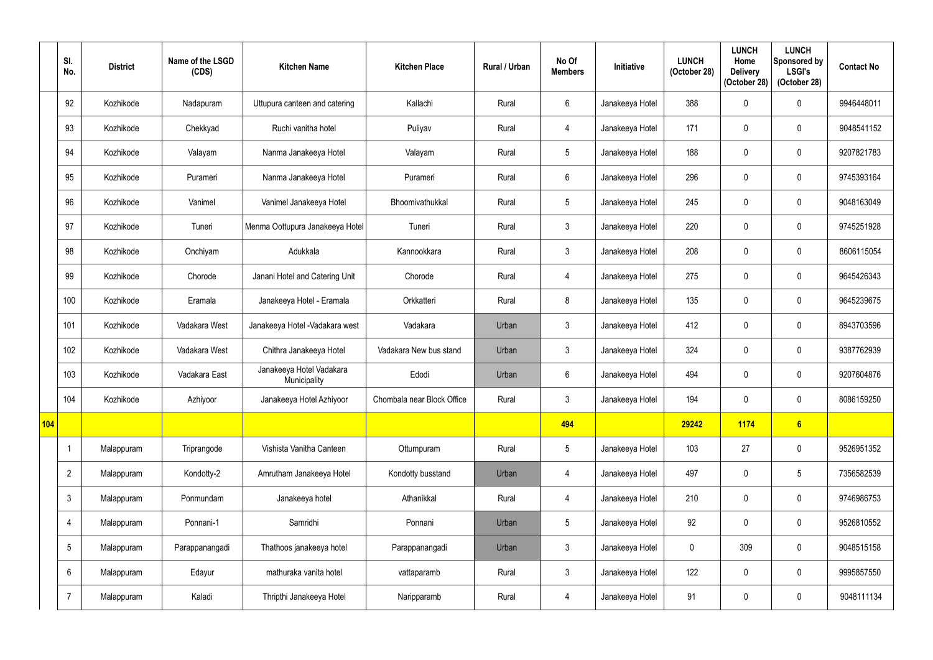|     | SI.<br>No.      | <b>District</b> | Name of the LSGD<br>(CDS) | <b>Kitchen Name</b>                      | <b>Kitchen Place</b>       | Rural / Urban | No Of<br><b>Members</b> | Initiative      | <b>LUNCH</b><br>(October 28) | <b>LUNCH</b><br>Home<br><b>Delivery</b><br>(October 28) | <b>LUNCH</b><br>Sponsored by<br><b>LSGI's</b><br>(October 28) | <b>Contact No</b> |
|-----|-----------------|-----------------|---------------------------|------------------------------------------|----------------------------|---------------|-------------------------|-----------------|------------------------------|---------------------------------------------------------|---------------------------------------------------------------|-------------------|
|     | 92              | Kozhikode       | Nadapuram                 | Uttupura canteen and catering            | Kallachi                   | Rural         | $6^{\circ}$             | Janakeeya Hotel | 388                          | $\mathbf 0$                                             | $\mathbf 0$                                                   | 9946448011        |
|     | 93              | Kozhikode       | Chekkyad                  | Ruchi vanitha hotel                      | Puliyav                    | Rural         | $\overline{4}$          | Janakeeya Hotel | 171                          | 0                                                       | $\mathbf 0$                                                   | 9048541152        |
|     | 94              | Kozhikode       | Valayam                   | Nanma Janakeeya Hotel                    | Valayam                    | Rural         | $5\phantom{.0}$         | Janakeeya Hotel | 188                          | $\mathbf 0$                                             | $\boldsymbol{0}$                                              | 9207821783        |
|     | 95              | Kozhikode       | Purameri                  | Nanma Janakeeya Hotel                    | Purameri                   | Rural         | $6^{\circ}$             | Janakeeya Hotel | 296                          | 0                                                       | $\mathbf 0$                                                   | 9745393164        |
|     | 96              | Kozhikode       | Vanimel                   | Vanimel Janakeeya Hotel                  | Bhoomivathukkal            | Rural         | $5\overline{)}$         | Janakeeya Hotel | 245                          | $\Omega$                                                | $\mathbf 0$                                                   | 9048163049        |
|     | 97              | Kozhikode       | Tuneri                    | Menma Oottupura Janakeeya Hotel          | Tuneri                     | Rural         | $\mathbf{3}$            | Janakeeya Hotel | 220                          | $\mathbf 0$                                             | $\mathbf 0$                                                   | 9745251928        |
|     | 98              | Kozhikode       | Onchiyam                  | Adukkala                                 | Kannookkara                | Rural         | $\mathbf{3}$            | Janakeeya Hotel | 208                          | 0                                                       | $\mathbf 0$                                                   | 8606115054        |
|     | 99              | Kozhikode       | Chorode                   | Janani Hotel and Catering Unit           | Chorode                    | Rural         | $\overline{4}$          | Janakeeya Hotel | 275                          | 0                                                       | $\mathbf 0$                                                   | 9645426343        |
|     | 100             | Kozhikode       | Eramala                   | Janakeeya Hotel - Eramala                | Orkkatteri                 | Rural         | 8                       | Janakeeya Hotel | 135                          | $\mathbf 0$                                             | $\mathbf 0$                                                   | 9645239675        |
|     | 101             | Kozhikode       | Vadakara West             | Janakeeya Hotel - Vadakara west          | Vadakara                   | Urban         | $\mathbf{3}$            | Janakeeya Hotel | 412                          | 0                                                       | $\mathbf 0$                                                   | 8943703596        |
|     | 102             | Kozhikode       | Vadakara West             | Chithra Janakeeya Hotel                  | Vadakara New bus stand     | Urban         | $\mathbf{3}$            | Janakeeya Hotel | 324                          | $\mathbf 0$                                             | $\mathbf 0$                                                   | 9387762939        |
|     | 103             | Kozhikode       | Vadakara East             | Janakeeya Hotel Vadakara<br>Municipality | Edodi                      | Urban         | $6\overline{6}$         | Janakeeya Hotel | 494                          | $\mathbf 0$                                             | $\mathbf 0$                                                   | 9207604876        |
|     | 104             | Kozhikode       | Azhiyoor                  | Janakeeya Hotel Azhiyoor                 | Chombala near Block Office | Rural         | $\mathbf{3}$            | Janakeeya Hotel | 194                          | $\mathbf 0$                                             | $\boldsymbol{0}$                                              | 8086159250        |
| 104 |                 |                 |                           |                                          |                            |               | 494                     |                 | 29242                        | 1174                                                    | $6\phantom{a}$                                                |                   |
|     | $\overline{1}$  | Malappuram      | Triprangode               | Vishista Vanitha Canteen                 | Ottumpuram                 | Rural         | $5\phantom{.0}$         | Janakeeya Hotel | 103                          | 27                                                      | $\pmb{0}$                                                     | 9526951352        |
|     | $\overline{2}$  | Malappuram      | Kondotty-2                | Amrutham Janakeeya Hotel                 | Kondotty busstand          | Urban         | 4                       | Janakeeya Hotel | 497                          | $\mathbf 0$                                             | $\sqrt{5}$                                                    | 7356582539        |
|     | $\mathfrak{Z}$  | Malappuram      | Ponmundam                 | Janakeeya hotel                          | Athanikkal                 | Rural         | $\overline{4}$          | Janakeeya Hotel | 210                          | $\mathbf 0$                                             | $\pmb{0}$                                                     | 9746986753        |
|     | $\overline{4}$  | Malappuram      | Ponnani-1                 | Samridhi                                 | Ponnani                    | Urban         | $5\phantom{.0}$         | Janakeeya Hotel | 92                           | $\mathbf 0$                                             | $\pmb{0}$                                                     | 9526810552        |
|     | $5\phantom{.0}$ | Malappuram      | Parappanangadi            | Thathoos janakeeya hotel                 | Parappanangadi             | Urban         | $\mathfrak{Z}$          | Janakeeya Hotel | $\mathbf 0$                  | 309                                                     | $\pmb{0}$                                                     | 9048515158        |
|     | $6\phantom{1}$  | Malappuram      | Edayur                    | mathuraka vanita hotel                   | vattaparamb                | Rural         | $\mathfrak{Z}$          | Janakeeya Hotel | 122                          | $\mathbf 0$                                             | $\pmb{0}$                                                     | 9995857550        |
|     |                 | Malappuram      | Kaladi                    | Thripthi Janakeeya Hotel                 | Naripparamb                | Rural         | $\overline{4}$          | Janakeeya Hotel | 91                           | 0                                                       | $\pmb{0}$                                                     | 9048111134        |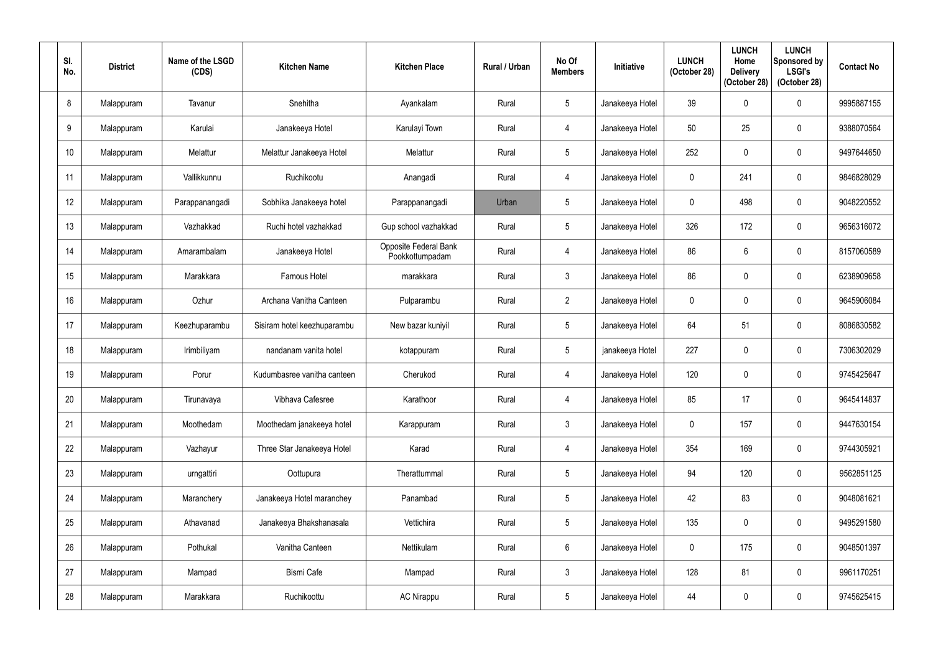| SI.<br>No. | <b>District</b> | Name of the LSGD<br>(CDS) | <b>Kitchen Name</b>         | <b>Kitchen Place</b>                     | Rural / Urban | No Of<br><b>Members</b> | <b>Initiative</b> | <b>LUNCH</b><br>(October 28) | <b>LUNCH</b><br>Home<br><b>Delivery</b><br>(October 28) | <b>LUNCH</b><br>Sponsored by<br><b>LSGI's</b><br>(October 28) | <b>Contact No</b> |
|------------|-----------------|---------------------------|-----------------------------|------------------------------------------|---------------|-------------------------|-------------------|------------------------------|---------------------------------------------------------|---------------------------------------------------------------|-------------------|
| 8          | Malappuram      | Tavanur                   | Snehitha                    | Ayankalam                                | Rural         | $5\phantom{.0}$         | Janakeeya Hotel   | 39                           |                                                         | $\boldsymbol{0}$                                              | 9995887155        |
| 9          | Malappuram      | Karulai                   | Janakeeya Hotel             | Karulayi Town                            | Rural         | $\overline{4}$          | Janakeeya Hotel   | 50                           | 25                                                      | $\mathbf 0$                                                   | 9388070564        |
| 10         | Malappuram      | Melattur                  | Melattur Janakeeya Hotel    | Melattur                                 | Rural         | $5\phantom{.0}$         | Janakeeya Hotel   | 252                          |                                                         | $\pmb{0}$                                                     | 9497644650        |
| 11         | Malappuram      | Vallikkunnu               | Ruchikootu                  | Anangadi                                 | Rural         | 4                       | Janakeeya Hotel   | 0                            | 241                                                     | $\mathbf 0$                                                   | 9846828029        |
| 12         | Malappuram      | Parappanangadi            | Sobhika Janakeeya hotel     | Parappanangadi                           | Urban         | $5\phantom{.0}$         | Janakeeya Hotel   | $\Omega$                     | 498                                                     | $\mathbf 0$                                                   | 9048220552        |
| 13         | Malappuram      | Vazhakkad                 | Ruchi hotel vazhakkad       | Gup school vazhakkad                     | Rural         | $5\phantom{.0}$         | Janakeeya Hotel   | 326                          | 172                                                     | $\mathbf 0$                                                   | 9656316072        |
| 14         | Malappuram      | Amarambalam               | Janakeeya Hotel             | Opposite Federal Bank<br>Pookkottumpadam | Rural         | 4                       | Janakeeya Hotel   | 86                           | 6                                                       | $\mathbf 0$                                                   | 8157060589        |
| 15         | Malappuram      | Marakkara                 | <b>Famous Hotel</b>         | marakkara                                | Rural         | $\mathbf{3}$            | Janakeeya Hotel   | 86                           |                                                         | $\mathbf 0$                                                   | 6238909658        |
| 16         | Malappuram      | Ozhur                     | Archana Vanitha Canteen     | Pulparambu                               | Rural         | $\overline{2}$          | Janakeeya Hotel   | $\mathbf{0}$                 | 0                                                       | $\boldsymbol{0}$                                              | 9645906084        |
| 17         | Malappuram      | Keezhuparambu             | Sisiram hotel keezhuparambu | New bazar kuniyil                        | Rural         | $5\phantom{.0}$         | Janakeeya Hotel   | 64                           | 51                                                      | $\mathbf 0$                                                   | 8086830582        |
| 18         | Malappuram      | Irimbiliyam               | nandanam vanita hotel       | kotappuram                               | Rural         | 5                       | janakeeya Hotel   | 227                          |                                                         | $\mathbf 0$                                                   | 7306302029        |
| 19         | Malappuram      | Porur                     | Kudumbasree vanitha canteen | Cherukod                                 | Rural         | 4                       | Janakeeya Hotel   | 120                          | $\overline{0}$                                          | $\mathbf 0$                                                   | 9745425647        |
| 20         | Malappuram      | Tirunavaya                | Vibhava Cafesree            | Karathoor                                | Rural         | $\overline{4}$          | Janakeeya Hotel   | 85                           | 17                                                      | $\pmb{0}$                                                     | 9645414837        |
| 21         | Malappuram      | Moothedam                 | Moothedam janakeeya hotel   | Karappuram                               | Rural         | $\mathfrak{Z}$          | Janakeeya Hotel   | $\mathbf 0$                  | 157                                                     | $\pmb{0}$                                                     | 9447630154        |
| 22         | Malappuram      | Vazhayur                  | Three Star Janakeeya Hotel  | Karad                                    | Rural         | $\overline{4}$          | Janakeeya Hotel   | 354                          | 169                                                     | $\pmb{0}$                                                     | 9744305921        |
| 23         | Malappuram      | urngattiri                | Oottupura                   | Therattummal                             | Rural         | $5\phantom{.0}$         | Janakeeya Hotel   | 94                           | 120                                                     | $\pmb{0}$                                                     | 9562851125        |
| 24         | Malappuram      | Maranchery                | Janakeeya Hotel maranchey   | Panambad                                 | Rural         | $5\phantom{.0}$         | Janakeeya Hotel   | 42                           | 83                                                      | $\pmb{0}$                                                     | 9048081621        |
| 25         | Malappuram      | Athavanad                 | Janakeeya Bhakshanasala     | Vettichira                               | Rural         | $5\phantom{.0}$         | Janakeeya Hotel   | 135                          | $\mathbf 0$                                             | $\pmb{0}$                                                     | 9495291580        |
| 26         | Malappuram      | Pothukal                  | Vanitha Canteen             | Nettikulam                               | Rural         | $6\overline{6}$         | Janakeeya Hotel   | $\mathbf 0$                  | 175                                                     | $\pmb{0}$                                                     | 9048501397        |
| 27         | Malappuram      | Mampad                    | <b>Bismi Cafe</b>           | Mampad                                   | Rural         | $\mathfrak{Z}$          | Janakeeya Hotel   | 128                          | 81                                                      | $\pmb{0}$                                                     | 9961170251        |
| 28         | Malappuram      | Marakkara                 | Ruchikoottu                 | <b>AC Nirappu</b>                        | Rural         | $5\phantom{.0}$         | Janakeeya Hotel   | 44                           | $\pmb{0}$                                               | $\pmb{0}$                                                     | 9745625415        |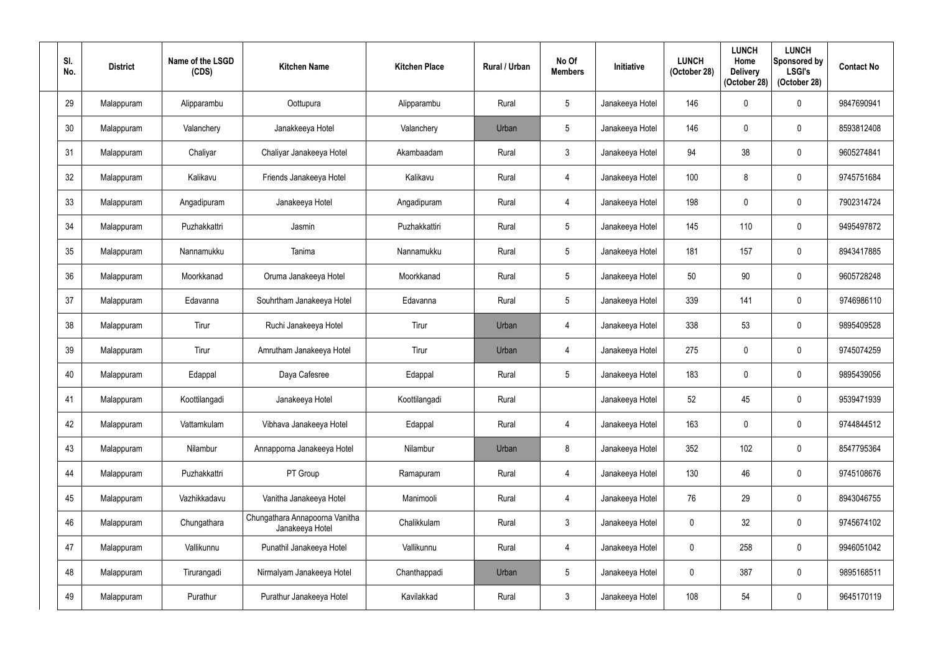| SI.<br>No. | <b>District</b> | Name of the LSGD<br>(CDS) | <b>Kitchen Name</b>                               | <b>Kitchen Place</b> | <b>Rural / Urban</b> | No Of<br><b>Members</b> | <b>Initiative</b> | <b>LUNCH</b><br>(October 28) | <b>LUNCH</b><br>Home<br><b>Delivery</b><br>(October 28) | <b>LUNCH</b><br>Sponsored by<br><b>LSGI's</b><br>(October 28) | <b>Contact No</b> |
|------------|-----------------|---------------------------|---------------------------------------------------|----------------------|----------------------|-------------------------|-------------------|------------------------------|---------------------------------------------------------|---------------------------------------------------------------|-------------------|
| 29         | Malappuram      | Alipparambu               | Oottupura                                         | Alipparambu          | Rural                | $5\phantom{.0}$         | Janakeeya Hotel   | 146                          | 0                                                       | $\boldsymbol{0}$                                              | 9847690941        |
| 30         | Malappuram      | Valanchery                | Janakkeeya Hotel                                  | Valanchery           | Urban                | $5\phantom{.0}$         | Janakeeya Hotel   | 146                          | 0                                                       | $\mathbf 0$                                                   | 8593812408        |
| 31         | Malappuram      | Chaliyar                  | Chaliyar Janakeeya Hotel                          | Akambaadam           | Rural                | $\mathbf{3}$            | Janakeeya Hotel   | 94                           | 38                                                      | $\pmb{0}$                                                     | 9605274841        |
| 32         | Malappuram      | Kalikavu                  | Friends Janakeeya Hotel                           | Kalikavu             | Rural                | 4                       | Janakeeya Hotel   | 100                          |                                                         | $\mathbf 0$                                                   | 9745751684        |
| 33         | Malappuram      | Angadipuram               | Janakeeya Hotel                                   | Angadipuram          | Rural                | $\overline{4}$          | Janakeeya Hotel   | 198                          | $\Omega$                                                | $\pmb{0}$                                                     | 7902314724        |
| 34         | Malappuram      | Puzhakkattri              | Jasmin                                            | Puzhakkattiri        | Rural                | $5\phantom{.0}$         | Janakeeya Hotel   | 145                          | 110                                                     | $\pmb{0}$                                                     | 9495497872        |
| 35         | Malappuram      | Nannamukku                | Tanima                                            | Nannamukku           | Rural                | $5\phantom{.0}$         | Janakeeya Hotel   | 181                          | 157                                                     | $\mathbf 0$                                                   | 8943417885        |
| 36         | Malappuram      | Moorkkanad                | Oruma Janakeeya Hotel                             | Moorkkanad           | Rural                | $5\phantom{.0}$         | Janakeeya Hotel   | 50                           | 90                                                      | $\mathbf 0$                                                   | 9605728248        |
| 37         | Malappuram      | Edavanna                  | Souhrtham Janakeeya Hotel                         | Edavanna             | Rural                | $5\phantom{.0}$         | Janakeeya Hotel   | 339                          | 141                                                     | $\mathbf 0$                                                   | 9746986110        |
| 38         | Malappuram      | Tirur                     | Ruchi Janakeeya Hotel                             | Tirur                | Urban                | $\overline{4}$          | Janakeeya Hotel   | 338                          | 53                                                      | $\mathbf 0$                                                   | 9895409528        |
| 39         | Malappuram      | Tirur                     | Amrutham Janakeeya Hotel                          | Tirur                | Urban                | $\overline{4}$          | Janakeeya Hotel   | 275                          | 0                                                       | $\pmb{0}$                                                     | 9745074259        |
| 40         | Malappuram      | Edappal                   | Daya Cafesree                                     | Edappal              | Rural                | $5\phantom{.0}$         | Janakeeya Hotel   | 183                          | 0                                                       | $\mathbf 0$                                                   | 9895439056        |
| 41         | Malappuram      | Koottilangadi             | Janakeeya Hotel                                   | Koottilangadi        | Rural                |                         | Janakeeya Hotel   | 52                           | 45                                                      | $\pmb{0}$                                                     | 9539471939        |
| 42         | Malappuram      | Vattamkulam               | Vibhava Janakeeya Hotel                           | Edappal              | Rural                | $\overline{4}$          | Janakeeya Hotel   | 163                          | 0                                                       | $\mathbf 0$                                                   | 9744844512        |
| 43         | Malappuram      | Nilambur                  | Annapporna Janakeeya Hotel                        | Nilambur             | Urban                | $8\phantom{.}$          | Janakeeya Hotel   | 352                          | 102                                                     | $\pmb{0}$                                                     | 8547795364        |
| 44         | Malappuram      | Puzhakkattri              | PT Group                                          | Ramapuram            | Rural                | $\overline{4}$          | Janakeeya Hotel   | 130                          | 46                                                      | $\pmb{0}$                                                     | 9745108676        |
| 45         | Malappuram      | Vazhikkadavu              | Vanitha Janakeeya Hotel                           | Manimooli            | Rural                | $\overline{4}$          | Janakeeya Hotel   | 76                           | 29                                                      | $\pmb{0}$                                                     | 8943046755        |
| 46         | Malappuram      | Chungathara               | Chungathara Annapoorna Vanitha<br>Janakeeya Hotel | Chalikkulam          | Rural                | $\mathbf{3}$            | Janakeeya Hotel   | $\pmb{0}$                    | 32                                                      | $\pmb{0}$                                                     | 9745674102        |
| 47         | Malappuram      | Vallikunnu                | Punathil Janakeeya Hotel                          | Vallikunnu           | Rural                | $\overline{4}$          | Janakeeya Hotel   | $\mathbf 0$                  | 258                                                     | $\pmb{0}$                                                     | 9946051042        |
| 48         | Malappuram      | Tirurangadi               | Nirmalyam Janakeeya Hotel                         | Chanthappadi         | Urban                | $5\phantom{.0}$         | Janakeeya Hotel   | $\mathbf 0$                  | 387                                                     | $\pmb{0}$                                                     | 9895168511        |
| 49         | Malappuram      | Purathur                  | Purathur Janakeeya Hotel                          | Kavilakkad           | Rural                | $\mathbf{3}$            | Janakeeya Hotel   | 108                          | 54                                                      | $\pmb{0}$                                                     | 9645170119        |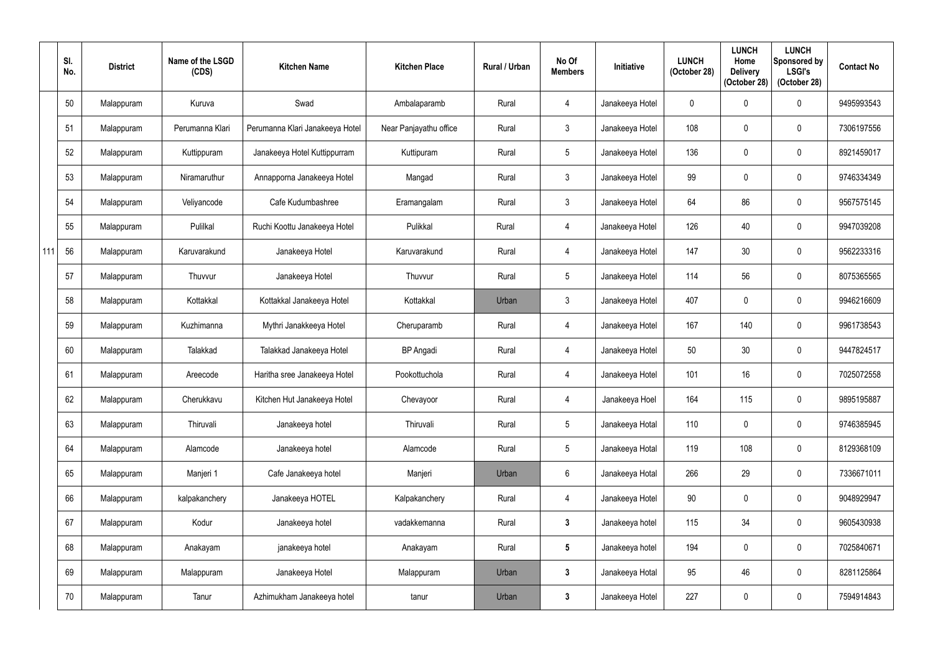|     | SI.<br>No. | <b>District</b> | Name of the LSGD<br>(CDS) | <b>Kitchen Name</b>             | <b>Kitchen Place</b>   | Rural / Urban | No Of<br><b>Members</b> | <b>Initiative</b> | <b>LUNCH</b><br>(October 28) | <b>LUNCH</b><br>Home<br><b>Delivery</b><br>(October 28) | <b>LUNCH</b><br>Sponsored by<br><b>LSGI's</b><br>(October 28) | <b>Contact No</b> |
|-----|------------|-----------------|---------------------------|---------------------------------|------------------------|---------------|-------------------------|-------------------|------------------------------|---------------------------------------------------------|---------------------------------------------------------------|-------------------|
|     | 50         | Malappuram      | Kuruva                    | Swad                            | Ambalaparamb           | Rural         | $\overline{4}$          | Janakeeya Hotel   | $\mathbf 0$                  | $\Omega$                                                | $\mathbf 0$                                                   | 9495993543        |
|     | 51         | Malappuram      | Perumanna Klari           | Perumanna Klari Janakeeya Hotel | Near Panjayathu office | Rural         | 3 <sup>1</sup>          | Janakeeya Hotel   | 108                          |                                                         | $\mathbf 0$                                                   | 7306197556        |
|     | 52         | Malappuram      | Kuttippuram               | Janakeeya Hotel Kuttippurram    | Kuttipuram             | Rural         | $5\phantom{.0}$         | Janakeeya Hotel   | 136                          | $\mathbf{0}$                                            | $\mathbf 0$                                                   | 8921459017        |
|     | 53         | Malappuram      | Niramaruthur              | Annapporna Janakeeya Hotel      | Mangad                 | Rural         | 3 <sup>1</sup>          | Janakeeya Hotel   | 99                           |                                                         | $\mathbf 0$                                                   | 9746334349        |
|     | 54         | Malappuram      | Veliyancode               | Cafe Kudumbashree               | Eramangalam            | Rural         | $\mathfrak{Z}$          | Janakeeya Hotel   | 64                           | 86                                                      | $\mathbf 0$                                                   | 9567575145        |
|     | 55         | Malappuram      | Pulilkal                  | Ruchi Koottu Janakeeya Hotel    | Pulikkal               | Rural         | $\overline{4}$          | Janakeeya Hotel   | 126                          | 40                                                      | $\mathbf 0$                                                   | 9947039208        |
| 111 | 56         | Malappuram      | Karuvarakund              | Janakeeya Hotel                 | Karuvarakund           | Rural         | $\overline{4}$          | Janakeeya Hotel   | 147                          | 30                                                      | $\mathbf 0$                                                   | 9562233316        |
|     | 57         | Malappuram      | Thuvvur                   | Janakeeya Hotel                 | Thuvvur                | Rural         | 5 <sup>5</sup>          | Janakeeya Hotel   | 114                          | 56                                                      | $\mathbf 0$                                                   | 8075365565        |
|     | 58         | Malappuram      | Kottakkal                 | Kottakkal Janakeeya Hotel       | Kottakkal              | Urban         | $\mathfrak{Z}$          | Janakeeya Hotel   | 407                          | $\mathbf{0}$                                            | $\mathbf 0$                                                   | 9946216609        |
|     | 59         | Malappuram      | Kuzhimanna                | Mythri Janakkeeya Hotel         | Cheruparamb            | Rural         | $\overline{4}$          | Janakeeya Hotel   | 167                          | 140                                                     | $\mathbf 0$                                                   | 9961738543        |
|     | 60         | Malappuram      | Talakkad                  | Talakkad Janakeeya Hotel        | <b>BP</b> Angadi       | Rural         | $\overline{4}$          | Janakeeya Hotel   | 50                           | 30                                                      | $\mathbf 0$                                                   | 9447824517        |
|     | 61         | Malappuram      | Areecode                  | Haritha sree Janakeeya Hotel    | Pookottuchola          | Rural         | $\overline{4}$          | Janakeeya Hotel   | 101                          | 16                                                      | $\mathbf 0$                                                   | 7025072558        |
|     | 62         | Malappuram      | Cherukkavu                | Kitchen Hut Janakeeya Hotel     | Chevayoor              | Rural         | $\overline{4}$          | Janakeeya Hoel    | 164                          | 115                                                     | $\pmb{0}$                                                     | 9895195887        |
|     | 63         | Malappuram      | Thiruvali                 | Janakeeya hotel                 | Thiruvali              | Rural         | $5\overline{)}$         | Janakeeya Hotal   | 110                          | $\mathbf 0$                                             | $\pmb{0}$                                                     | 9746385945        |
|     | 64         | Malappuram      | Alamcode                  | Janakeeya hotel                 | Alamcode               | Rural         | $5\overline{)}$         | Janakeeya Hotal   | 119                          | 108                                                     | $\pmb{0}$                                                     | 8129368109        |
|     | 65         | Malappuram      | Manjeri 1                 | Cafe Janakeeya hotel            | Manjeri                | Urban         | 6                       | Janakeeya Hotal   | 266                          | 29                                                      | $\pmb{0}$                                                     | 7336671011        |
|     | 66         | Malappuram      | kalpakanchery             | Janakeeya HOTEL                 | Kalpakanchery          | Rural         | $\overline{4}$          | Janakeeya Hotel   | $90\,$                       | $\mathbf 0$                                             | $\pmb{0}$                                                     | 9048929947        |
|     | 67         | Malappuram      | Kodur                     | Janakeeya hotel                 | vadakkemanna           | Rural         | $\mathbf{3}$            | Janakeeya hotel   | 115                          | 34                                                      | $\pmb{0}$                                                     | 9605430938        |
|     | 68         | Malappuram      | Anakayam                  | janakeeya hotel                 | Anakayam               | Rural         | $5\phantom{.0}$         | Janakeeya hotel   | 194                          | 0                                                       | $\pmb{0}$                                                     | 7025840671        |
|     | 69         | Malappuram      | Malappuram                | Janakeeya Hotel                 | Malappuram             | Urban         | $\mathbf{3}$            | Janakeeya Hotal   | 95                           | 46                                                      | $\pmb{0}$                                                     | 8281125864        |
|     | 70         | Malappuram      | Tanur                     | Azhimukham Janakeeya hotel      | tanur                  | Urban         | $\mathbf{3}$            | Janakeeya Hotel   | 227                          | 0                                                       | $\pmb{0}$                                                     | 7594914843        |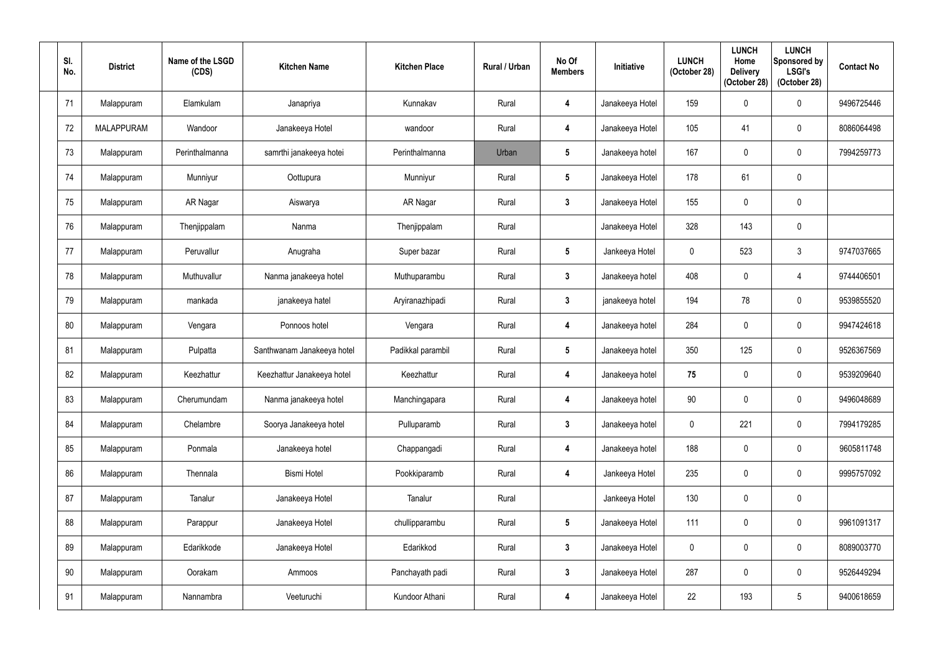| SI.<br>No. | <b>District</b>   | Name of the LSGD<br>(CDS) | <b>Kitchen Name</b>        | <b>Kitchen Place</b> | Rural / Urban | No Of<br><b>Members</b> | <b>Initiative</b> | <b>LUNCH</b><br>(October 28) | <b>LUNCH</b><br>Home<br><b>Delivery</b><br>(October 28) | <b>LUNCH</b><br>Sponsored by<br><b>LSGI's</b><br>(October 28) | <b>Contact No</b> |
|------------|-------------------|---------------------------|----------------------------|----------------------|---------------|-------------------------|-------------------|------------------------------|---------------------------------------------------------|---------------------------------------------------------------|-------------------|
| 71         | Malappuram        | Elamkulam                 | Janapriya                  | Kunnakav             | Rural         | 4                       | Janakeeya Hotel   | 159                          | 0                                                       | $\boldsymbol{0}$                                              | 9496725446        |
| 72         | <b>MALAPPURAM</b> | Wandoor                   | Janakeeya Hotel            | wandoor              | Rural         | 4                       | Janakeeya Hotel   | 105                          | 41                                                      | $\mathbf 0$                                                   | 8086064498        |
| 73         | Malappuram        | Perinthalmanna            | samrthi janakeeya hotei    | Perinthalmanna       | Urban         | $5\phantom{.0}$         | Janakeeya hotel   | 167                          | 0                                                       | $\pmb{0}$                                                     | 7994259773        |
| 74         | Malappuram        | Munniyur                  | Oottupura                  | Munniyur             | Rural         | $5\phantom{.0}$         | Janakeeya Hotel   | 178                          | 61                                                      | $\mathbf 0$                                                   |                   |
| 75         | Malappuram        | AR Nagar                  | Aiswarya                   | AR Nagar             | Rural         | $\mathbf{3}$            | Janakeeya Hotel   | 155                          | 0                                                       | $\pmb{0}$                                                     |                   |
| 76         | Malappuram        | Thenjippalam              | Nanma                      | Thenjippalam         | Rural         |                         | Janakeeya Hotel   | 328                          | 143                                                     | $\pmb{0}$                                                     |                   |
| 77         | Malappuram        | Peruvallur                | Anugraha                   | Super bazar          | Rural         | $5\phantom{.0}$         | Jankeeya Hotel    | $\mathbf 0$                  | 523                                                     | $\mathbf{3}$                                                  | 9747037665        |
| 78         | Malappuram        | Muthuvallur               | Nanma janakeeya hotel      | Muthuparambu         | Rural         | $\mathbf{3}$            | Janakeeya hotel   | 408                          |                                                         | 4                                                             | 9744406501        |
| 79         | Malappuram        | mankada                   | janakeeya hatel            | Aryiranazhipadi      | Rural         | $\mathbf{3}$            | janakeeya hotel   | 194                          | 78                                                      | $\mathbf 0$                                                   | 9539855520        |
| 80         | Malappuram        | Vengara                   | Ponnoos hotel              | Vengara              | Rural         | 4                       | Janakeeya hotel   | 284                          | 0                                                       | $\mathbf 0$                                                   | 9947424618        |
| 81         | Malappuram        | Pulpatta                  | Santhwanam Janakeeya hotel | Padikkal parambil    | Rural         | $\sqrt{5}$              | Janakeeya hotel   | 350                          | 125                                                     | $\pmb{0}$                                                     | 9526367569        |
| 82         | Malappuram        | Keezhattur                | Keezhattur Janakeeya hotel | Keezhattur           | Rural         | 4                       | Janakeeya hotel   | 75                           | 0                                                       | $\mathbf 0$                                                   | 9539209640        |
| 83         | Malappuram        | Cherumundam               | Nanma janakeeya hotel      | Manchingapara        | Rural         | 4                       | Janakeeya hotel   | $90\,$                       | $\boldsymbol{0}$                                        | $\pmb{0}$                                                     | 9496048689        |
| 84         | Malappuram        | Chelambre                 | Soorya Janakeeya hotel     | Pulluparamb          | Rural         | $\mathbf{3}$            | Janakeeya hotel   | $\mathbf 0$                  | 221                                                     | $\pmb{0}$                                                     | 7994179285        |
| 85         | Malappuram        | Ponmala                   | Janakeeya hotel            | Chappangadi          | Rural         | $\boldsymbol{4}$        | Janakeeya hotel   | 188                          | $\boldsymbol{0}$                                        | $\pmb{0}$                                                     | 9605811748        |
| 86         | Malappuram        | Thennala                  | <b>Bismi Hotel</b>         | Pookkiparamb         | Rural         | 4                       | Jankeeya Hotel    | 235                          | 0                                                       | $\pmb{0}$                                                     | 9995757092        |
| 87         | Malappuram        | Tanalur                   | Janakeeya Hotel            | Tanalur              | Rural         |                         | Jankeeya Hotel    | 130                          | $\mathbf 0$                                             | $\pmb{0}$                                                     |                   |
| 88         | Malappuram        | Parappur                  | Janakeeya Hotel            | chullipparambu       | Rural         | $5\phantom{.0}$         | Janakeeya Hotel   | 111                          | $\mathbf 0$                                             | $\pmb{0}$                                                     | 9961091317        |
| 89         | Malappuram        | Edarikkode                | Janakeeya Hotel            | Edarikkod            | Rural         | $\mathbf{3}$            | Janakeeya Hotel   | $\mathbf 0$                  | 0                                                       | $\pmb{0}$                                                     | 8089003770        |
| 90         | Malappuram        | Oorakam                   | Ammoos                     | Panchayath padi      | Rural         | $\mathbf{3}$            | Janakeeya Hotel   | 287                          | $\mathbf 0$                                             | $\pmb{0}$                                                     | 9526449294        |
| 91         | Malappuram        | Nannambra                 | Veeturuchi                 | Kundoor Athani       | Rural         | $\overline{\mathbf{4}}$ | Janakeeya Hotel   | 22                           | 193                                                     | $\sqrt{5}$                                                    | 9400618659        |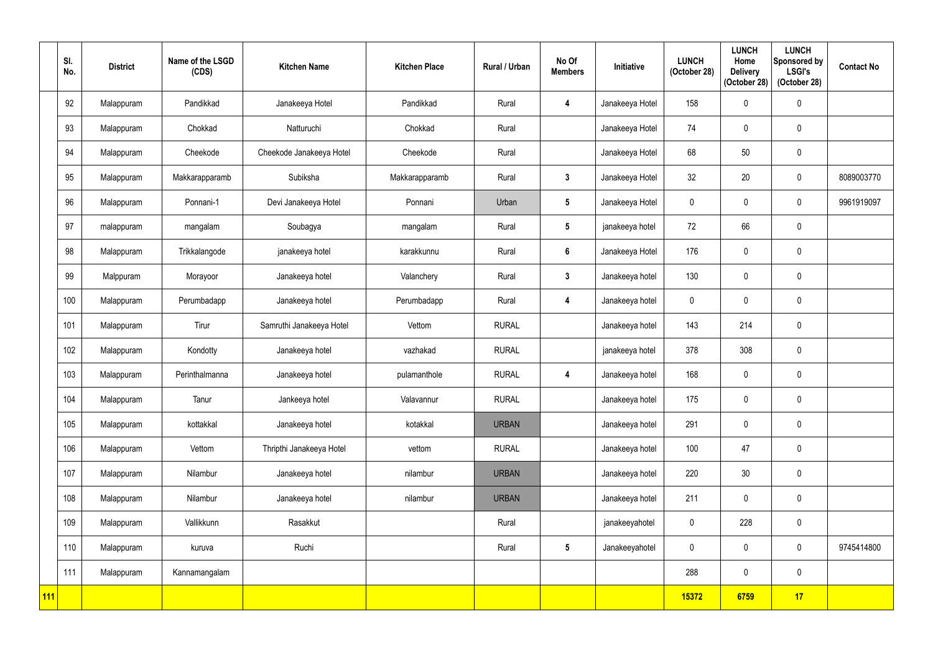|     | SI.<br>No. | <b>District</b> | Name of the LSGD<br>(CDS) | <b>Kitchen Name</b>      | <b>Kitchen Place</b> | Rural / Urban | No Of<br><b>Members</b> | Initiative      | <b>LUNCH</b><br>(October 28) | <b>LUNCH</b><br>Home<br><b>Delivery</b><br>(October 28) | <b>LUNCH</b><br>Sponsored by<br><b>LSGI's</b><br>(October 28) | <b>Contact No</b> |
|-----|------------|-----------------|---------------------------|--------------------------|----------------------|---------------|-------------------------|-----------------|------------------------------|---------------------------------------------------------|---------------------------------------------------------------|-------------------|
|     | 92         | Malappuram      | Pandikkad                 | Janakeeya Hotel          | Pandikkad            | Rural         | 4                       | Janakeeya Hotel | 158                          |                                                         | $\pmb{0}$                                                     |                   |
|     | 93         | Malappuram      | Chokkad                   | Natturuchi               | Chokkad              | Rural         |                         | Janakeeya Hotel | 74                           | 0                                                       | $\mathbf 0$                                                   |                   |
|     | 94         | Malappuram      | Cheekode                  | Cheekode Janakeeya Hotel | Cheekode             | Rural         |                         | Janakeeya Hotel | 68                           | 50                                                      | $\pmb{0}$                                                     |                   |
|     | 95         | Malappuram      | Makkarapparamb            | Subiksha                 | Makkarapparamb       | Rural         | $\mathbf{3}$            | Janakeeya Hotel | 32                           | 20                                                      | $\mathbf 0$                                                   | 8089003770        |
|     | 96         | Malappuram      | Ponnani-1                 | Devi Janakeeya Hotel     | Ponnani              | Urban         | $5\phantom{.0}$         | Janakeeya Hotel | $\mathbf 0$                  |                                                         | $\mathbf 0$                                                   | 9961919097        |
|     | 97         | malappuram      | mangalam                  | Soubagya                 | mangalam             | Rural         | $5\phantom{.0}$         | janakeeya hotel | 72                           | 66                                                      | $\pmb{0}$                                                     |                   |
|     | 98         | Malappuram      | Trikkalangode             | janakeeya hotel          | karakkunnu           | Rural         | $6\phantom{a}$          | Janakeeya Hotel | 176                          |                                                         | $\pmb{0}$                                                     |                   |
|     | 99         | Malppuram       | Morayoor                  | Janakeeya hotel          | Valanchery           | Rural         | $\mathbf{3}$            | Janakeeya hotel | 130                          | $\mathbf{0}$                                            | $\mathbf 0$                                                   |                   |
|     | 100        | Malappuram      | Perumbadapp               | Janakeeya hotel          | Perumbadapp          | Rural         | $\overline{\mathbf{4}}$ | Janakeeya hotel | $\mathbf 0$                  | $\mathbf 0$                                             | $\pmb{0}$                                                     |                   |
|     | 101        | Malappuram      | Tirur                     | Samruthi Janakeeya Hotel | Vettom               | <b>RURAL</b>  |                         | Janakeeya hotel | 143                          | 214                                                     | $\pmb{0}$                                                     |                   |
|     | 102        | Malappuram      | Kondotty                  | Janakeeya hotel          | vazhakad             | <b>RURAL</b>  |                         | janakeeya hotel | 378                          | 308                                                     | $\pmb{0}$                                                     |                   |
|     | 103        | Malappuram      | Perinthalmanna            | Janakeeya hotel          | pulamanthole         | <b>RURAL</b>  | $\overline{\mathbf{4}}$ | Janakeeya hotel | 168                          | $\mathbf 0$                                             | $\pmb{0}$                                                     |                   |
|     | 104        | Malappuram      | Tanur                     | Jankeeya hotel           | Valavannur           | <b>RURAL</b>  |                         | Janakeeya hotel | 175                          | 0                                                       | $\pmb{0}$                                                     |                   |
|     | 105        | Malappuram      | kottakkal                 | Janakeeya hotel          | kotakkal             | <b>URBAN</b>  |                         | Janakeeya hotel | 291                          | 0                                                       | $\pmb{0}$                                                     |                   |
|     | 106        | Malappuram      | Vettom                    | Thripthi Janakeeya Hotel | vettom               | <b>RURAL</b>  |                         | Janakeeya hotel | 100                          | 47                                                      | $\pmb{0}$                                                     |                   |
|     | 107        | Malappuram      | Nilambur                  | Janakeeya hotel          | nilambur             | <b>URBAN</b>  |                         | Janakeeya hotel | 220                          | 30 <sup>°</sup>                                         | $\pmb{0}$                                                     |                   |
|     | 108        | Malappuram      | Nilambur                  | Janakeeya hotel          | nilambur             | <b>URBAN</b>  |                         | Janakeeya hotel | 211                          | $\mathbf 0$                                             | $\pmb{0}$                                                     |                   |
|     | 109        | Malappuram      | Vallikkunn                | Rasakkut                 |                      | Rural         |                         | janakeeyahotel  | $\mathbf 0$                  | 228                                                     | $\pmb{0}$                                                     |                   |
|     | 110        | Malappuram      | kuruva                    | Ruchi                    |                      | Rural         | $5\phantom{.0}$         | Janakeeyahotel  | $\pmb{0}$                    | 0                                                       | $\pmb{0}$                                                     | 9745414800        |
|     | 111        | Malappuram      | Kannamangalam             |                          |                      |               |                         |                 | 288                          | $\mathbf 0$                                             | $\pmb{0}$                                                     |                   |
| 111 |            |                 |                           |                          |                      |               |                         |                 | 15372                        | 6759                                                    | 17                                                            |                   |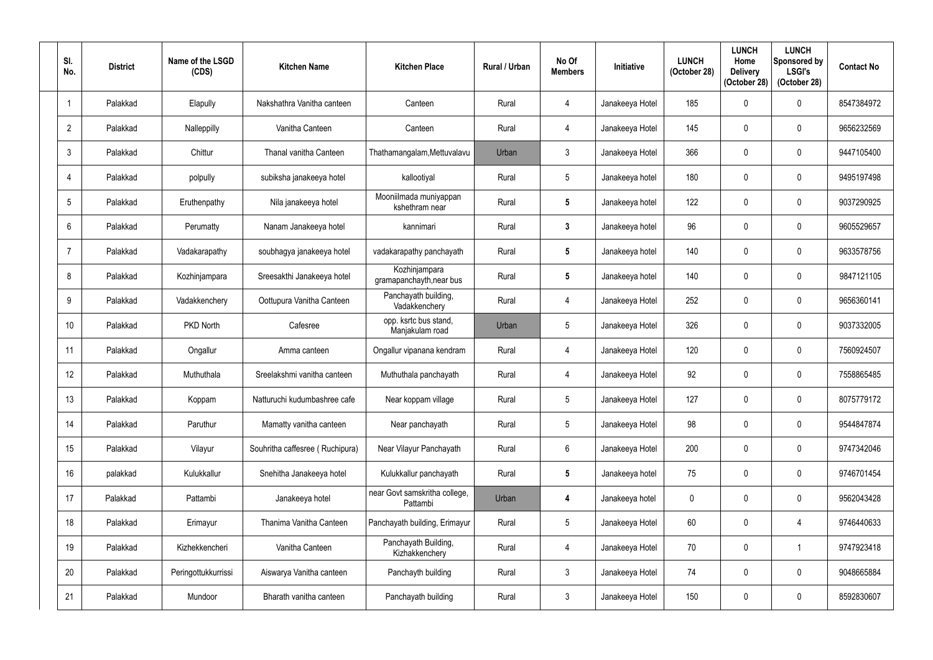| SI.<br>No.     | <b>District</b> | Name of the LSGD<br>(CDS) | <b>Kitchen Name</b>             | <b>Kitchen Place</b>                      | Rural / Urban | No Of<br><b>Members</b> | <b>Initiative</b> | <b>LUNCH</b><br>(October 28) | <b>LUNCH</b><br>Home<br><b>Delivery</b><br>(October 28) | <b>LUNCH</b><br>Sponsored by<br><b>LSGI's</b><br>(October 28) | <b>Contact No</b> |
|----------------|-----------------|---------------------------|---------------------------------|-------------------------------------------|---------------|-------------------------|-------------------|------------------------------|---------------------------------------------------------|---------------------------------------------------------------|-------------------|
|                | Palakkad        | Elapully                  | Nakshathra Vanitha canteen      | Canteen                                   | Rural         | 4                       | Janakeeya Hotel   | 185                          |                                                         | $\mathbf 0$                                                   | 8547384972        |
| $\overline{2}$ | Palakkad        | Nalleppilly               | Vanitha Canteen                 | Canteen                                   | Rural         | $\overline{4}$          | Janakeeya Hotel   | 145                          |                                                         | $\boldsymbol{0}$                                              | 9656232569        |
| 3              | Palakkad        | Chittur                   | Thanal vanitha Canteen          | Thathamangalam, Mettuvalavu               | Urban         | $\mathfrak{Z}$          | Janakeeya Hotel   | 366                          |                                                         | $\boldsymbol{0}$                                              | 9447105400        |
| 4              | Palakkad        | polpully                  | subiksha janakeeya hotel        | kallootiyal                               | Rural         | 5                       | Janakeeya hotel   | 180                          |                                                         | $\mathbf{0}$                                                  | 9495197498        |
| 5              | Palakkad        | Eruthenpathy              | Nila janakeeya hotel            | Mooniilmada muniyappan<br>kshethram near  | Rural         | $5\phantom{.0}$         | Janakeeya hotel   | 122                          |                                                         | $\boldsymbol{0}$                                              | 9037290925        |
| 6              | Palakkad        | Perumatty                 | Nanam Janakeeya hotel           | kannimari                                 | Rural         | $\mathbf{3}$            | Janakeeya hotel   | 96                           |                                                         | $\mathbf 0$                                                   | 9605529657        |
| -7             | Palakkad        | Vadakarapathy             | soubhagya janakeeya hotel       | vadakarapathy panchayath                  | Rural         | $5\overline{)}$         | Janakeeya hotel   | 140                          |                                                         | $\mathbf 0$                                                   | 9633578756        |
| 8              | Palakkad        | Kozhinjampara             | Sreesakthi Janakeeya hotel      | Kozhinjampara<br>gramapanchayth, near bus | Rural         | $5\phantom{.0}$         | Janakeeya hotel   | 140                          |                                                         | $\mathbf 0$                                                   | 9847121105        |
| 9              | Palakkad        | Vadakkenchery             | Oottupura Vanitha Canteen       | Panchayath building,<br>Vadakkenchery     | Rural         | 4                       | Janakeeya Hotel   | 252                          |                                                         | $\mathbf 0$                                                   | 9656360141        |
| 10             | Palakkad        | PKD North                 | Cafesree                        | opp. ksrtc bus stand,<br>Manjakulam road  | Urban         | 5                       | Janakeeya Hotel   | 326                          |                                                         | $\mathbf 0$                                                   | 9037332005        |
| 11             | Palakkad        | Ongallur                  | Amma canteen                    | Ongallur vipanana kendram                 | Rural         | 4                       | Janakeeya Hotel   | 120                          |                                                         | $\mathbf 0$                                                   | 7560924507        |
| 12             | Palakkad        | Muthuthala                | Sreelakshmi vanitha canteen     | Muthuthala panchayath                     | Rural         | 4                       | Janakeeya Hotel   | 92                           |                                                         | $\mathbf 0$                                                   | 7558865485        |
| 13             | Palakkad        | Koppam                    | Natturuchi kudumbashree cafe    | Near koppam village                       | Rural         | $5\phantom{.0}$         | Janakeeya Hotel   | 127                          | $\mathbf 0$                                             | $\mathbf 0$                                                   | 8075779172        |
| 14             | Palakkad        | Paruthur                  | Mamatty vanitha canteen         | Near panchayath                           | Rural         | $5\phantom{.0}$         | Janakeeya Hotel   | 98                           | 0                                                       | $\boldsymbol{0}$                                              | 9544847874        |
| 15             | Palakkad        | Vilayur                   | Souhritha caffesree (Ruchipura) | Near Vilayur Panchayath                   | Rural         | 6                       | Janakeeya Hotel   | 200                          | 0                                                       | $\pmb{0}$                                                     | 9747342046        |
| 16             | palakkad        | Kulukkallur               | Snehitha Janakeeya hotel        | Kulukkallur panchayath                    | Rural         | $5\phantom{.0}$         | Janakeeya hotel   | 75                           | 0                                                       | $\boldsymbol{0}$                                              | 9746701454        |
| 17             | Palakkad        | Pattambi                  | Janakeeya hotel                 | near Govt samskritha college,<br>Pattambi | Urban         | $\overline{\mathbf{4}}$ | Janakeeya hotel   | $\mathbf 0$                  | $\Omega$                                                | $\boldsymbol{0}$                                              | 9562043428        |
| 18             | Palakkad        | Erimayur                  | Thanima Vanitha Canteen         | Panchayath building, Erimayur             | Rural         | $5\phantom{.0}$         | Janakeeya Hotel   | 60                           | 0                                                       | 4                                                             | 9746440633        |
| 19             | Palakkad        | Kizhekkencheri            | Vanitha Canteen                 | Panchayath Building,<br>Kizhakkenchery    | Rural         | 4                       | Janakeeya Hotel   | 70                           | 0                                                       |                                                               | 9747923418        |
| 20             | Palakkad        | Peringottukkurrissi       | Aiswarya Vanitha canteen        | Panchayth building                        | Rural         | $\mathbf{3}$            | Janakeeya Hotel   | 74                           | $\mathbf{0}$                                            | $\boldsymbol{0}$                                              | 9048665884        |
| 21             | Palakkad        | Mundoor                   | Bharath vanitha canteen         | Panchayath building                       | Rural         | $\mathfrak{Z}$          | Janakeeya Hotel   | 150                          | 0                                                       | $\pmb{0}$                                                     | 8592830607        |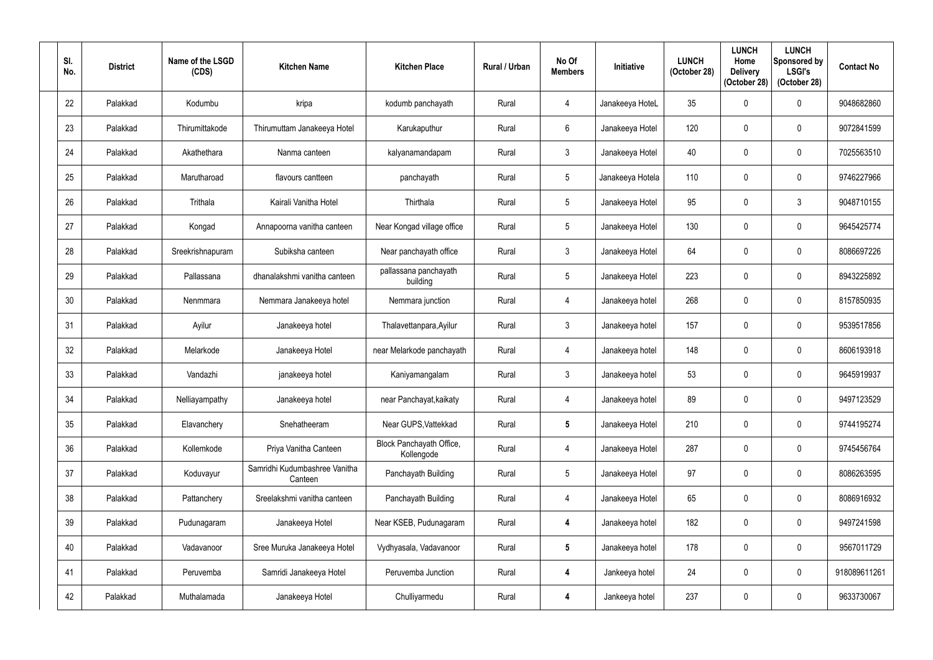| SI.<br>No. | <b>District</b> | Name of the LSGD<br>(CDS) | <b>Kitchen Name</b>                      | <b>Kitchen Place</b>                   | Rural / Urban | No Of<br><b>Members</b> | <b>Initiative</b> | <b>LUNCH</b><br>(October 28) | <b>LUNCH</b><br>Home<br><b>Delivery</b><br>(October 28) | <b>LUNCH</b><br>Sponsored by<br><b>LSGI's</b><br>(October 28) | <b>Contact No</b> |
|------------|-----------------|---------------------------|------------------------------------------|----------------------------------------|---------------|-------------------------|-------------------|------------------------------|---------------------------------------------------------|---------------------------------------------------------------|-------------------|
| 22         | Palakkad        | Kodumbu                   | kripa                                    | kodumb panchayath                      | Rural         | $\overline{4}$          | Janakeeya HoteL   | 35                           |                                                         | $\mathbf 0$                                                   | 9048682860        |
| 23         | Palakkad        | Thirumittakode            | Thirumuttam Janakeeya Hotel              | Karukaputhur                           | Rural         | 6                       | Janakeeya Hotel   | 120                          |                                                         | $\mathbf 0$                                                   | 9072841599        |
| 24         | Palakkad        | Akathethara               | Nanma canteen                            | kalyanamandapam                        | Rural         | $\mathbf{3}$            | Janakeeya Hotel   | 40                           |                                                         | $\mathbf 0$                                                   | 7025563510        |
| 25         | Palakkad        | Marutharoad               | flavours cantteen                        | panchayath                             | Rural         | 5                       | Janakeeya Hotela  | 110                          |                                                         | $\mathbf 0$                                                   | 9746227966        |
| 26         | Palakkad        | Trithala                  | Kairali Vanitha Hotel                    | Thirthala                              | Rural         | $5\phantom{.0}$         | Janakeeya Hotel   | 95                           |                                                         | $\mathfrak{Z}$                                                | 9048710155        |
| 27         | Palakkad        | Kongad                    | Annapoorna vanitha canteen               | Near Kongad village office             | Rural         | 5                       | Janakeeya Hotel   | 130                          |                                                         | $\mathbf 0$                                                   | 9645425774        |
| 28         | Palakkad        | Sreekrishnapuram          | Subiksha canteen                         | Near panchayath office                 | Rural         | 3                       | Janakeeya Hotel   | 64                           |                                                         | $\mathbf 0$                                                   | 8086697226        |
| 29         | Palakkad        | Pallassana                | dhanalakshmi vanitha canteen             | pallassana panchayath<br>building      | Rural         | $5\phantom{.0}$         | Janakeeya Hotel   | 223                          |                                                         | $\mathbf 0$                                                   | 8943225892        |
| 30         | Palakkad        | Nenmmara                  | Nemmara Janakeeya hotel                  | Nemmara junction                       | Rural         | $\overline{4}$          | Janakeeya hotel   | 268                          | $\Omega$                                                | $\mathbf 0$                                                   | 8157850935        |
| 31         | Palakkad        | Ayilur                    | Janakeeya hotel                          | Thalavettanpara, Ayilur                | Rural         | $\mathbf{3}$            | Janakeeya hotel   | 157                          |                                                         | $\mathbf 0$                                                   | 9539517856        |
| 32         | Palakkad        | Melarkode                 | Janakeeya Hotel                          | near Melarkode panchayath              | Rural         | $\overline{4}$          | Janakeeya hotel   | 148                          |                                                         | $\mathbf 0$                                                   | 8606193918        |
| 33         | Palakkad        | Vandazhi                  | janakeeya hotel                          | Kaniyamangalam                         | Rural         | $\mathbf{3}$            | Janakeeya hotel   | 53                           | 0                                                       | $\mathbf 0$                                                   | 9645919937        |
| 34         | Palakkad        | Nelliayampathy            | Janakeeya hotel                          | near Panchayat, kaikaty                | Rural         | $\overline{4}$          | Janakeeya hotel   | 89                           | $\mathbf 0$                                             | $\mathbf 0$                                                   | 9497123529        |
| 35         | Palakkad        | Elavanchery               | Snehatheeram                             | Near GUPS, Vattekkad                   | Rural         | $5\phantom{.0}$         | Janakeeya Hotel   | 210                          | 0                                                       | $\mathbf 0$                                                   | 9744195274        |
| 36         | Palakkad        | Kollemkode                | Priya Vanitha Canteen                    | Block Panchayath Office,<br>Kollengode | Rural         | 4                       | Janakeeya Hotel   | 287                          | $\mathbf{0}$                                            | $\pmb{0}$                                                     | 9745456764        |
| 37         | Palakkad        | Koduvayur                 | Samridhi Kudumbashree Vanitha<br>Canteen | Panchayath Building                    | Rural         | $5\phantom{.0}$         | Janakeeya Hotel   | 97                           | 0                                                       | $\mathbf 0$                                                   | 8086263595        |
| 38         | Palakkad        | Pattanchery               | Sreelakshmi vanitha canteen              | Panchayath Building                    | Rural         | $\overline{4}$          | Janakeeya Hotel   | 65                           | $\Omega$                                                | $\mathbf 0$                                                   | 8086916932        |
| 39         | Palakkad        | Pudunagaram               | Janakeeya Hotel                          | Near KSEB, Pudunagaram                 | Rural         | $\overline{\mathbf{r}}$ | Janakeeya hotel   | 182                          | 0                                                       | $\mathbf 0$                                                   | 9497241598        |
| 40         | Palakkad        | Vadavanoor                | Sree Muruka Janakeeya Hotel              | Vydhyasala, Vadavanoor                 | Rural         | $5\phantom{.0}$         | Janakeeya hotel   | 178                          |                                                         | $\mathbf 0$                                                   | 9567011729        |
| 41         | Palakkad        | Peruvemba                 | Samridi Janakeeya Hotel                  | Peruvemba Junction                     | Rural         | $\overline{\mathbf{4}}$ | Jankeeya hotel    | 24                           | $\mathbf 0$                                             | $\pmb{0}$                                                     | 918089611261      |
| 42         | Palakkad        | Muthalamada               | Janakeeya Hotel                          | Chulliyarmedu                          | Rural         | $\boldsymbol{4}$        | Jankeeya hotel    | 237                          | 0                                                       | $\pmb{0}$                                                     | 9633730067        |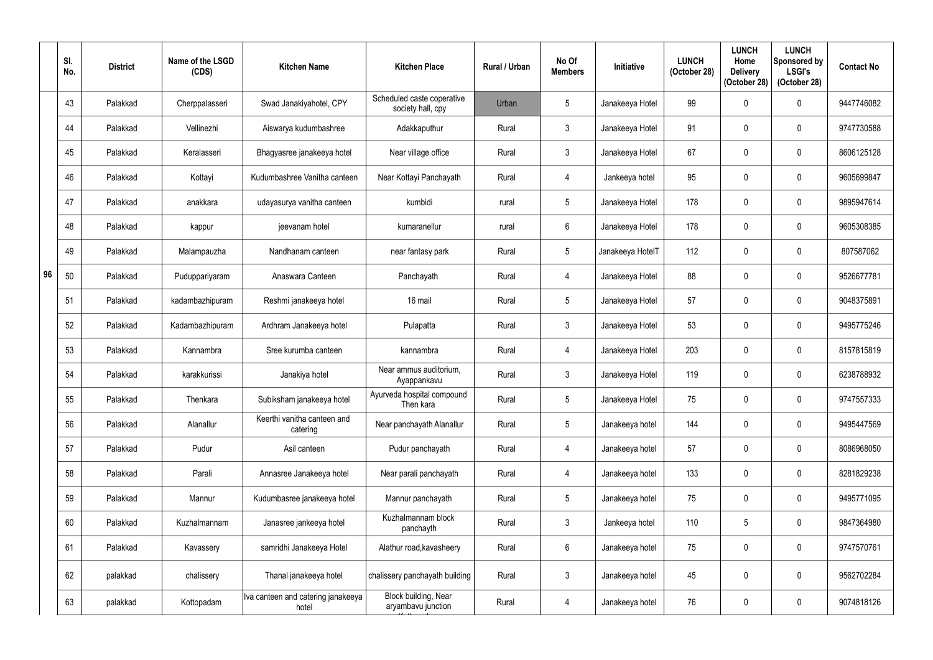|    | SI.<br>No. | <b>District</b> | Name of the LSGD<br>(CDS) | <b>Kitchen Name</b>                         | <b>Kitchen Place</b>                            | Rural / Urban | No Of<br><b>Members</b> | Initiative       | <b>LUNCH</b><br>(October 28) | <b>LUNCH</b><br>Home<br><b>Delivery</b><br>(October 28) | <b>LUNCH</b><br>Sponsored by<br><b>LSGI's</b><br>(October 28) | <b>Contact No</b> |
|----|------------|-----------------|---------------------------|---------------------------------------------|-------------------------------------------------|---------------|-------------------------|------------------|------------------------------|---------------------------------------------------------|---------------------------------------------------------------|-------------------|
|    | 43         | Palakkad        | Cherppalasseri            | Swad Janakiyahotel, CPY                     | Scheduled caste coperative<br>society hall, cpy | Urban         | 5                       | Janakeeya Hotel  | 99                           |                                                         | $\mathbf 0$                                                   | 9447746082        |
|    | 44         | Palakkad        | Vellinezhi                | Aiswarya kudumbashree                       | Adakkaputhur                                    | Rural         | $3\phantom{.0}$         | Janakeeya Hotel  | 91                           |                                                         | $\mathbf 0$                                                   | 9747730588        |
|    | 45         | Palakkad        | Keralasseri               | Bhagyasree janakeeya hotel                  | Near village office                             | Rural         | $\mathfrak{Z}$          | Janakeeya Hotel  | 67                           |                                                         | $\boldsymbol{0}$                                              | 8606125128        |
|    | 46         | Palakkad        | Kottayi                   | Kudumbashree Vanitha canteen                | Near Kottayi Panchayath                         | Rural         | 4                       | Jankeeya hotel   | 95                           |                                                         | $\mathbf 0$                                                   | 9605699847        |
|    | 47         | Palakkad        | anakkara                  | udayasurya vanitha canteen                  | kumbidi                                         | rural         | 5                       | Janakeeya Hotel  | 178                          |                                                         | $\mathbf 0$                                                   | 9895947614        |
|    | 48         | Palakkad        | kappur                    | jeevanam hotel                              | kumaranellur                                    | rural         | $6\overline{6}$         | Janakeeya Hotel  | 178                          |                                                         | $\mathbf 0$                                                   | 9605308385        |
|    | 49         | Palakkad        | Malampauzha               | Nandhanam canteen                           | near fantasy park                               | Rural         | 5                       | Janakeeya HotelT | 112                          |                                                         | $\mathbf 0$                                                   | 807587062         |
| 96 | 50         | Palakkad        | Puduppariyaram            | Anaswara Canteen                            | Panchayath                                      | Rural         | $\overline{4}$          | Janakeeya Hotel  | 88                           |                                                         | $\mathbf 0$                                                   | 9526677781        |
|    | 51         | Palakkad        | kadambazhipuram           | Reshmi janakeeya hotel                      | 16 mail                                         | Rural         | 5                       | Janakeeya Hotel  | 57                           |                                                         | $\mathbf 0$                                                   | 9048375891        |
|    | 52         | Palakkad        | Kadambazhipuram           | Ardhram Janakeeya hotel                     | Pulapatta                                       | Rural         | $\mathbf{3}$            | Janakeeya Hotel  | 53                           |                                                         | $\mathbf 0$                                                   | 9495775246        |
|    | 53         | Palakkad        | Kannambra                 | Sree kurumba canteen                        | kannambra                                       | Rural         | $\overline{4}$          | Janakeeya Hotel  | 203                          |                                                         | $\mathbf 0$                                                   | 8157815819        |
|    | 54         | Palakkad        | karakkurissi              | Janakiya hotel                              | Near ammus auditorium.<br>Ayappankavu           | Rural         | $3\phantom{.0}$         | Janakeeya Hotel  | 119                          | $\Omega$                                                | $\mathbf 0$                                                   | 6238788932        |
|    | 55         | Palakkad        | Thenkara                  | Subiksham janakeeya hotel                   | Ayurveda hospital compound<br>Then kara         | Rural         | $5\phantom{.0}$         | Janakeeya Hotel  | 75                           | 0                                                       | $\mathbf 0$                                                   | 9747557333        |
|    | 56         | Palakkad        | Alanallur                 | Keerthi vanitha canteen and<br>catering     | Near panchayath Alanallur                       | Rural         | $5\phantom{.0}$         | Janakeeya hotel  | 144                          | 0                                                       | $\mathbf 0$                                                   | 9495447569        |
|    | 57         | Palakkad        | Pudur                     | Asil canteen                                | Pudur panchayath                                | Rural         | $\overline{4}$          | Janakeeya hotel  | 57                           | 0                                                       | $\mathbf 0$                                                   | 8086968050        |
|    | 58         | Palakkad        | Parali                    | Annasree Janakeeya hotel                    | Near parali panchayath                          | Rural         | $\overline{4}$          | Janakeeya hotel  | 133                          | 0                                                       | $\mathbf 0$                                                   | 8281829238        |
|    | 59         | Palakkad        | Mannur                    | Kudumbasree janakeeya hotel                 | Mannur panchayath                               | Rural         | $5\phantom{.0}$         | Janakeeya hotel  | 75                           | $\mathbf{0}$                                            | $\mathbf 0$                                                   | 9495771095        |
|    | 60         | Palakkad        | Kuzhalmannam              | Janasree jankeeya hotel                     | Kuzhalmannam block<br>panchayth                 | Rural         | $\mathfrak{Z}$          | Jankeeya hotel   | 110                          | 5                                                       | $\pmb{0}$                                                     | 9847364980        |
|    | 61         | Palakkad        | Kavassery                 | samridhi Janakeeya Hotel                    | Alathur road, kavasheery                        | Rural         | $6\,$                   | Janakeeya hotel  | 75                           | 0                                                       | $\pmb{0}$                                                     | 9747570761        |
|    | 62         | palakkad        | chalissery                | Thanal janakeeya hotel                      | chalissery panchayath building                  | Rural         | $\mathfrak{Z}$          | Janakeeya hotel  | 45                           | 0                                                       | $\mathbf 0$                                                   | 9562702284        |
|    | 63         | palakkad        | Kottopadam                | Iva canteen and catering janakeeya<br>hotel | Block building, Near<br>aryambavu junction      | Rural         | $\overline{4}$          | Janakeeya hotel  | 76                           | 0                                                       | $\pmb{0}$                                                     | 9074818126        |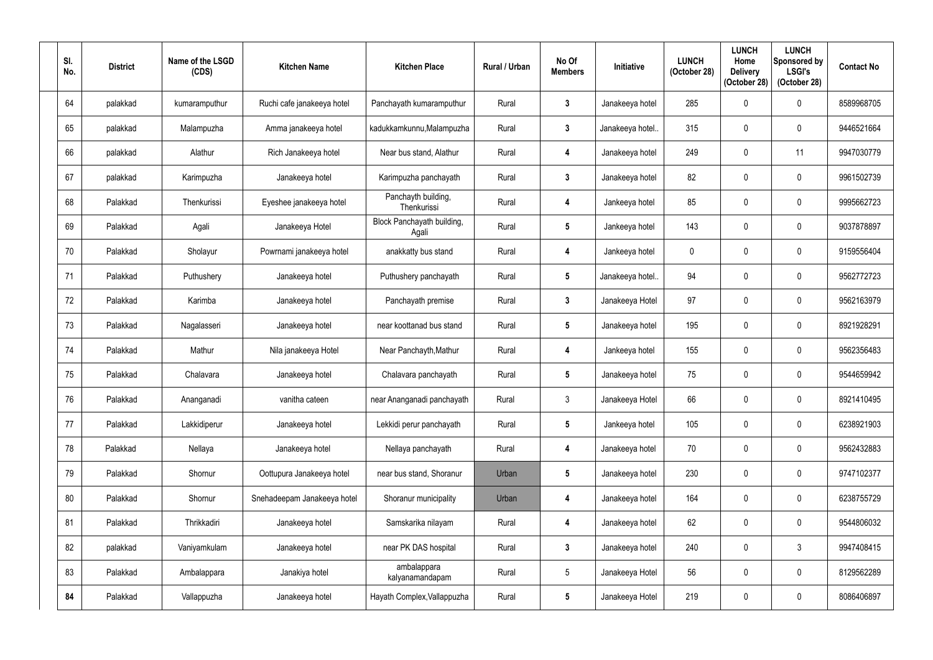| SI.<br>No. | <b>District</b> | Name of the LSGD<br>(CDS) | <b>Kitchen Name</b>         | <b>Kitchen Place</b>                | Rural / Urban | No Of<br><b>Members</b> | <b>Initiative</b> | <b>LUNCH</b><br>(October 28) | <b>LUNCH</b><br>Home<br><b>Delivery</b><br>(October 28) | <b>LUNCH</b><br>Sponsored by<br><b>LSGI's</b><br>(October 28) | <b>Contact No</b> |
|------------|-----------------|---------------------------|-----------------------------|-------------------------------------|---------------|-------------------------|-------------------|------------------------------|---------------------------------------------------------|---------------------------------------------------------------|-------------------|
| 64         | palakkad        | kumaramputhur             | Ruchi cafe janakeeya hotel  | Panchayath kumaramputhur            | Rural         | $\mathbf{3}$            | Janakeeya hotel   | 285                          |                                                         | $\boldsymbol{0}$                                              | 8589968705        |
| 65         | palakkad        | Malampuzha                | Amma janakeeya hotel        | kadukkamkunnu, Malampuzha           | Rural         | $\mathbf{3}$            | Janakeeya hotel.  | 315                          |                                                         | $\mathbf 0$                                                   | 9446521664        |
| 66         | palakkad        | Alathur                   | Rich Janakeeya hotel        | Near bus stand, Alathur             | Rural         | $\boldsymbol{4}$        | Janakeeya hotel   | 249                          | $\Omega$                                                | 11                                                            | 9947030779        |
| 67         | palakkad        | Karimpuzha                | Janakeeya hotel             | Karimpuzha panchayath               | Rural         | $\mathbf{3}$            | Janakeeya hotel   | 82                           |                                                         | $\mathbf 0$                                                   | 9961502739        |
| 68         | Palakkad        | Thenkurissi               | Eyeshee janakeeya hotel     | Panchayth building,<br>Thenkurissi  | Rural         | $\overline{\mathbf{4}}$ | Jankeeya hotel    | 85                           |                                                         | $\mathbf 0$                                                   | 9995662723        |
| 69         | Palakkad        | Agali                     | Janakeeya Hotel             | Block Panchayath building,<br>Agali | Rural         | $5\phantom{.0}$         | Jankeeya hotel    | 143                          |                                                         | $\mathbf 0$                                                   | 9037878897        |
| 70         | Palakkad        | Sholayur                  | Powrnami janakeeya hotel    | anakkatty bus stand                 | Rural         | $\overline{\mathbf{4}}$ | Jankeeya hotel    | $\mathbf 0$                  |                                                         | $\mathbf 0$                                                   | 9159556404        |
| 71         | Palakkad        | Puthushery                | Janakeeya hotel             | Puthushery panchayath               | Rural         | $5\phantom{.0}$         | Janakeeya hotel.  | 94                           |                                                         | $\mathbf 0$                                                   | 9562772723        |
| 72         | Palakkad        | Karimba                   | Janakeeya hotel             | Panchayath premise                  | Rural         | $\mathbf{3}$            | Janakeeya Hotel   | 97                           | $\Omega$                                                | $\mathbf 0$                                                   | 9562163979        |
| 73         | Palakkad        | Nagalasseri               | Janakeeya hotel             | near koottanad bus stand            | Rural         | $5\phantom{.0}$         | Janakeeya hotel   | 195                          |                                                         | $\mathbf 0$                                                   | 8921928291        |
| 74         | Palakkad        | Mathur                    | Nila janakeeya Hotel        | Near Panchayth, Mathur              | Rural         | $\overline{\mathbf{4}}$ | Jankeeya hotel    | 155                          |                                                         | $\mathbf 0$                                                   | 9562356483        |
| 75         | Palakkad        | Chalavara                 | Janakeeya hotel             | Chalavara panchayath                | Rural         | $5\phantom{.0}$         | Janakeeya hotel   | 75                           | 0                                                       | $\mathbf 0$                                                   | 9544659942        |
| 76         | Palakkad        | Ananganadi                | vanitha cateen              | near Ananganadi panchayath          | Rural         | $\mathfrak{Z}$          | Janakeeya Hotel   | 66                           | 0                                                       | $\boldsymbol{0}$                                              | 8921410495        |
| 77         | Palakkad        | Lakkidiperur              | Janakeeya hotel             | Lekkidi perur panchayath            | Rural         | $5\phantom{.0}$         | Jankeeya hotel    | 105                          |                                                         | $\boldsymbol{0}$                                              | 6238921903        |
| 78         | Palakkad        | Nellaya                   | Janakeeya hotel             | Nellaya panchayath                  | Rural         | $\overline{\mathbf{4}}$ | Janakeeya hotel   | 70                           | $\mathbf{0}$                                            | $\pmb{0}$                                                     | 9562432883        |
| 79         | Palakkad        | Shornur                   | Oottupura Janakeeya hotel   | near bus stand, Shoranur            | Urban         | $\overline{\mathbf{5}}$ | Janakeeya hotel   | 230                          | 0                                                       | $\pmb{0}$                                                     | 9747102377        |
| 80         | Palakkad        | Shornur                   | Snehadeepam Janakeeya hotel | Shoranur municipality               | Urban         | $\overline{\mathbf{r}}$ | Janakeeya hotel   | 164                          | $\mathbf{0}$                                            | $\boldsymbol{0}$                                              | 6238755729        |
| 81         | Palakkad        | Thrikkadiri               | Janakeeya hotel             | Samskarika nilayam                  | Rural         | $\overline{\mathbf{r}}$ | Janakeeya hotel   | 62                           | 0                                                       | $\boldsymbol{0}$                                              | 9544806032        |
| 82         | palakkad        | Vaniyamkulam              | Janakeeya hotel             | near PK DAS hospital                | Rural         | $\mathbf{3}$            | Janakeeya hotel   | 240                          |                                                         | $\mathfrak{Z}$                                                | 9947408415        |
| 83         | Palakkad        | Ambalappara               | Janakiya hotel              | ambalappara<br>kalyanamandapam      | Rural         | $5\phantom{.0}$         | Janakeeya Hotel   | 56                           | $\mathbf 0$                                             | $\pmb{0}$                                                     | 8129562289        |
| 84         | Palakkad        | Vallappuzha               | Janakeeya hotel             | Hayath Complex, Vallappuzha         | Rural         | $\overline{\mathbf{5}}$ | Janakeeya Hotel   | 219                          | 0                                                       | $\pmb{0}$                                                     | 8086406897        |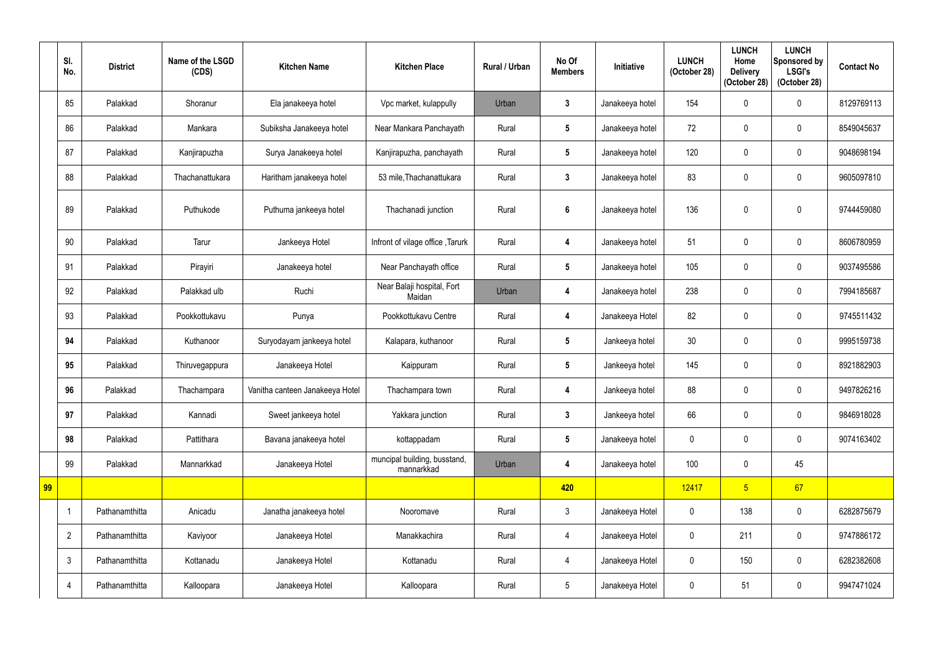|    | SI.<br>No.     | <b>District</b> | Name of the LSGD<br>(CDS) | <b>Kitchen Name</b>             | <b>Kitchen Place</b>                       | Rural / Urban | No Of<br><b>Members</b> | <b>Initiative</b> | <b>LUNCH</b><br>(October 28) | <b>LUNCH</b><br>Home<br><b>Delivery</b><br>(October 28) | <b>LUNCH</b><br>Sponsored by<br><b>LSGI's</b><br>(October 28) | <b>Contact No</b> |
|----|----------------|-----------------|---------------------------|---------------------------------|--------------------------------------------|---------------|-------------------------|-------------------|------------------------------|---------------------------------------------------------|---------------------------------------------------------------|-------------------|
|    | 85             | Palakkad        | Shoranur                  | Ela janakeeya hotel             | Vpc market, kulappully                     | Urban         | $\mathbf{3}$            | Janakeeya hotel   | 154                          | $\mathbf 0$                                             | $\mathbf 0$                                                   | 8129769113        |
|    | 86             | Palakkad        | Mankara                   | Subiksha Janakeeya hotel        | Near Mankara Panchayath                    | Rural         | $5\phantom{.0}$         | Janakeeya hotel   | 72                           | 0                                                       | $\mathbf 0$                                                   | 8549045637        |
|    | 87             | Palakkad        | Kanjirapuzha              | Surya Janakeeya hotel           | Kanjirapuzha, panchayath                   | Rural         | $5\phantom{.0}$         | Janakeeya hotel   | 120                          | $\mathbf 0$                                             | $\boldsymbol{0}$                                              | 9048698194        |
|    | 88             | Palakkad        | Thachanattukara           | Haritham janakeeya hotel        | 53 mile, Thachanattukara                   | Rural         | $\mathbf{3}$            | Janakeeya hotel   | 83                           | 0                                                       | $\mathbf 0$                                                   | 9605097810        |
|    | 89             | Palakkad        | Puthukode                 | Puthuma jankeeya hotel          | Thachanadi junction                        | Rural         | 6                       | Janakeeya hotel   | 136                          | 0                                                       | $\mathbf 0$                                                   | 9744459080        |
|    | 90             | Palakkad        | Tarur                     | Jankeeya Hotel                  | Infront of vilage office, Tarurk           | Rural         | 4                       | Janakeeya hotel   | 51                           | 0                                                       | $\mathbf 0$                                                   | 8606780959        |
|    | 91             | Palakkad        | Pirayiri                  | Janakeeya hotel                 | Near Panchayath office                     | Rural         | $5\phantom{.0}$         | Janakeeya hotel   | 105                          | 0                                                       | $\mathbf 0$                                                   | 9037495586        |
|    | 92             | Palakkad        | Palakkad ulb              | Ruchi                           | Near Balaji hospital, Fort<br>Maidan       | Urban         | $\overline{\mathbf{4}}$ | Janakeeya hotel   | 238                          | $\mathbf 0$                                             | $\boldsymbol{0}$                                              | 7994185687        |
|    | 93             | Palakkad        | Pookkottukavu             | Punya                           | Pookkottukavu Centre                       | Rural         | 4                       | Janakeeya Hotel   | 82                           | 0                                                       | $\mathbf 0$                                                   | 9745511432        |
|    | 94             | Palakkad        | Kuthanoor                 | Suryodayam jankeeya hotel       | Kalapara, kuthanoor                        | Rural         | $5\phantom{.0}$         | Jankeeya hotel    | 30 <sup>°</sup>              | 0                                                       | $\mathbf 0$                                                   | 9995159738        |
|    | 95             | Palakkad        | Thiruvegappura            | Janakeeya Hotel                 | Kaippuram                                  | Rural         | $5\phantom{.0}$         | Jankeeya hotel    | 145                          | $\mathbf 0$                                             | $\overline{0}$                                                | 8921882903        |
|    | 96             | Palakkad        | Thachampara               | Vanitha canteen Janakeeya Hotel | Thachampara town                           | Rural         | 4                       | Jankeeya hotel    | 88                           | 0                                                       | $\mathbf 0$                                                   | 9497826216        |
|    | 97             | Palakkad        | Kannadi                   | Sweet jankeeya hotel            | Yakkara junction                           | Rural         | $\mathbf{3}$            | Jankeeya hotel    | 66                           | $\mathbf 0$                                             | $\pmb{0}$                                                     | 9846918028        |
|    | 98             | Palakkad        | Pattithara                | Bavana janakeeya hotel          | kottappadam                                | Rural         | $5\phantom{.0}$         | Janakeeya hotel   | $\pmb{0}$                    | $\mathbf 0$                                             | $\pmb{0}$                                                     | 9074163402        |
|    | 99             | Palakkad        | Mannarkkad                | Janakeeya Hotel                 | muncipal building, busstand,<br>mannarkkad | Urban         | $\overline{\mathbf{4}}$ | Janakeeya hotel   | 100                          | $\mathbf 0$                                             | 45                                                            |                   |
| 99 |                |                 |                           |                                 |                                            |               | 420                     |                   | 12417                        | 5 <sup>1</sup>                                          | 67                                                            |                   |
|    |                | Pathanamthitta  | Anicadu                   | Janatha janakeeya hotel         | Nooromave                                  | Rural         | $\mathfrak{Z}$          | Janakeeya Hotel   | $\overline{0}$               | 138                                                     | $\pmb{0}$                                                     | 6282875679        |
|    | $\overline{2}$ | Pathanamthitta  | Kaviyoor                  | Janakeeya Hotel                 | Manakkachira                               | Rural         | $\overline{4}$          | Janakeeya Hotel   | $\mathbf 0$                  | 211                                                     | $\pmb{0}$                                                     | 9747886172        |
|    | $\mathbf{3}$   | Pathanamthitta  | Kottanadu                 | Janakeeya Hotel                 | Kottanadu                                  | Rural         | $\overline{4}$          | Janakeeya Hotel   | $\overline{0}$               | 150                                                     | $\pmb{0}$                                                     | 6282382608        |
|    | $\overline{4}$ | Pathanamthitta  | Kalloopara                | Janakeeya Hotel                 | Kalloopara                                 | Rural         | $5\phantom{.0}$         | Janakeeya Hotel   | $\pmb{0}$                    | 51                                                      | $\pmb{0}$                                                     | 9947471024        |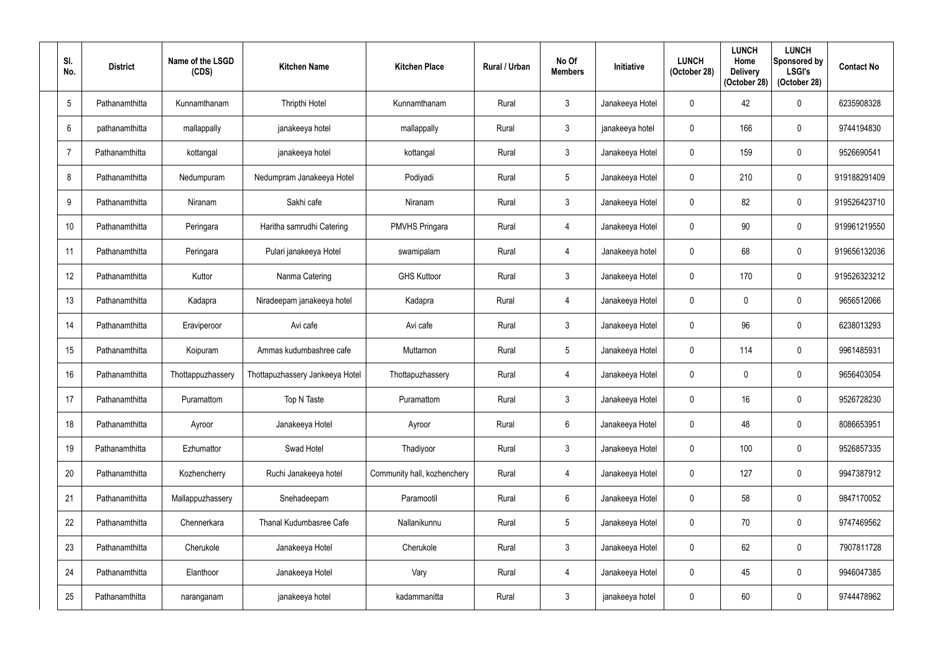| SI.<br>No.      | <b>District</b> | Name of the LSGD<br>(CDS) | <b>Kitchen Name</b>             | <b>Kitchen Place</b>        | Rural / Urban | No Of<br><b>Members</b> | <b>Initiative</b> | <b>LUNCH</b><br>(October 28) | <b>LUNCH</b><br>Home<br><b>Delivery</b><br>(October 28) | <b>LUNCH</b><br>Sponsored by<br><b>LSGI's</b><br>(October 28) | <b>Contact No</b> |
|-----------------|-----------------|---------------------------|---------------------------------|-----------------------------|---------------|-------------------------|-------------------|------------------------------|---------------------------------------------------------|---------------------------------------------------------------|-------------------|
| $5\overline{5}$ | Pathanamthitta  | Kunnamthanam              | Thripthi Hotel                  | Kunnamthanam                | Rural         | $\mathbf{3}$            | Janakeeya Hotel   | $\mathbf 0$                  | 42                                                      | $\mathbf 0$                                                   | 6235908328        |
| 6               | pathanamthitta  | mallappally               | janakeeya hotel                 | mallappally                 | Rural         | $\mathbf{3}$            | janakeeya hotel   | $\mathbf{0}$                 | 166                                                     | $\boldsymbol{0}$                                              | 9744194830        |
| $\overline{7}$  | Pathanamthitta  | kottangal                 | janakeeya hotel                 | kottangal                   | Rural         | $\mathfrak{Z}$          | Janakeeya Hotel   | $\mathbf 0$                  | 159                                                     | $\pmb{0}$                                                     | 9526690541        |
| 8               | Pathanamthitta  | Nedumpuram                | Nedumpram Janakeeya Hotel       | Podiyadi                    | Rural         | $5\phantom{.0}$         | Janakeeya Hotel   | 0                            | 210                                                     | $\mathbf 0$                                                   | 919188291409      |
| 9               | Pathanamthitta  | Niranam                   | Sakhi cafe                      | Niranam                     | Rural         | $\mathfrak{Z}$          | Janakeeya Hotel   | $\Omega$                     | 82                                                      | $\mathbf 0$                                                   | 919526423710      |
| 10              | Pathanamthitta  | Peringara                 | Haritha samrudhi Catering       | <b>PMVHS Pringara</b>       | Rural         | 4                       | Janakeeya Hotel   | $\mathbf{0}$                 | 90                                                      | $\mathbf 0$                                                   | 919961219550      |
| 11              | Pathanamthitta  | Peringara                 | Pulari janakeeya Hotel          | swamipalam                  | Rural         | $\overline{4}$          | Janakeeya hotel   | $\mathbf 0$                  | 68                                                      | $\mathbf 0$                                                   | 919656132036      |
| 12              | Pathanamthitta  | Kuttor                    | Nanma Catering                  | <b>GHS Kuttoor</b>          | Rural         | $\mathbf{3}$            | Janakeeya Hotel   | $\mathbf{0}$                 | 170                                                     | $\mathbf 0$                                                   | 919526323212      |
| 13              | Pathanamthitta  | Kadapra                   | Niradeepam janakeeya hotel      | Kadapra                     | Rural         | 4                       | Janakeeya Hotel   | $\mathbf 0$                  |                                                         | $\mathbf 0$                                                   | 9656512066        |
| 14              | Pathanamthitta  | Eraviperoor               | Avi cafe                        | Avi cafe                    | Rural         | $\mathbf{3}$            | Janakeeya Hotel   | $\mathbf 0$                  | 96                                                      | $\mathbf 0$                                                   | 6238013293        |
| 15              | Pathanamthitta  | Koipuram                  | Ammas kudumbashree cafe         | Muttamon                    | Rural         | $5\phantom{.0}$         | Janakeeya Hotel   | $\mathbf 0$                  | 114                                                     | $\mathbf 0$                                                   | 9961485931        |
| 16              | Pathanamthitta  | Thottappuzhassery         | Thottapuzhassery Jankeeya Hotel | Thottapuzhassery            | Rural         | 4                       | Janakeeya Hotel   | 0                            | $\Omega$                                                | $\boldsymbol{0}$                                              | 9656403054        |
| 17              | Pathanamthitta  | Puramattom                | Top N Taste                     | Puramattom                  | Rural         | $\mathfrak{Z}$          | Janakeeya Hotel   | $\mathbf 0$                  | 16                                                      | $\pmb{0}$                                                     | 9526728230        |
| 18              | Pathanamthitta  | Ayroor                    | Janakeeya Hotel                 | Ayroor                      | Rural         | $6\phantom{.}$          | Janakeeya Hotel   | $\mathbf 0$                  | 48                                                      | $\mathbf 0$                                                   | 8086653951        |
| 19              | Pathanamthitta  | Ezhumattor                | Swad Hotel                      | Thadiyoor                   | Rural         | $\mathbf{3}$            | Janakeeya Hotel   | $\mathbf 0$                  | 100                                                     | $\pmb{0}$                                                     | 9526857335        |
| 20              | Pathanamthitta  | Kozhencherry              | Ruchi Janakeeya hotel           | Community hall, kozhenchery | Rural         | $\overline{4}$          | Janakeeya Hotel   | $\mathbf 0$                  | 127                                                     | $\pmb{0}$                                                     | 9947387912        |
| 21              | Pathanamthitta  | Mallappuzhassery          | Snehadeepam                     | Paramootil                  | Rural         | $6\,$                   | Janakeeya Hotel   | $\mathbf 0$                  | 58                                                      | $\mathbf 0$                                                   | 9847170052        |
| 22              | Pathanamthitta  | Chennerkara               | Thanal Kudumbasree Cafe         | Nallanikunnu                | Rural         | $5\overline{)}$         | Janakeeya Hotel   | $\mathbf 0$                  | 70                                                      | $\pmb{0}$                                                     | 9747469562        |
| 23              | Pathanamthitta  | Cherukole                 | Janakeeya Hotel                 | Cherukole                   | Rural         | $\mathfrak{Z}$          | Janakeeya Hotel   | $\pmb{0}$                    | 62                                                      | $\pmb{0}$                                                     | 7907811728        |
| 24              | Pathanamthitta  | Elanthoor                 | Janakeeya Hotel                 | Vary                        | Rural         | $\overline{4}$          | Janakeeya Hotel   | $\mathbf 0$                  | 45                                                      | $\pmb{0}$                                                     | 9946047385        |
| 25              | Pathanamthitta  | naranganam                | janakeeya hotel                 | kadammanitta                | Rural         | $\mathbf{3}$            | janakeeya hotel   | 0                            | 60                                                      | $\pmb{0}$                                                     | 9744478962        |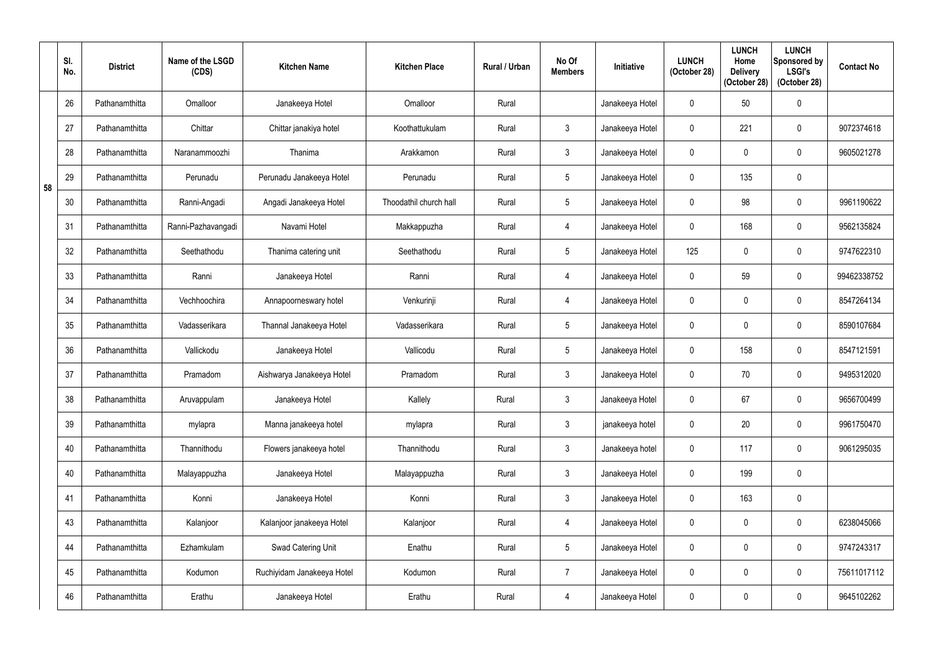|    | SI.<br>No. | <b>District</b> | Name of the LSGD<br>(CDS) | <b>Kitchen Name</b>        | <b>Kitchen Place</b>   | Rural / Urban | No Of<br><b>Members</b> | Initiative      | <b>LUNCH</b><br>(October 28) | <b>LUNCH</b><br>Home<br><b>Delivery</b><br>(October 28) | <b>LUNCH</b><br>Sponsored by<br><b>LSGI's</b><br>(October 28) | <b>Contact No</b> |
|----|------------|-----------------|---------------------------|----------------------------|------------------------|---------------|-------------------------|-----------------|------------------------------|---------------------------------------------------------|---------------------------------------------------------------|-------------------|
|    | 26         | Pathanamthitta  | Omalloor                  | Janakeeya Hotel            | Omalloor               | Rural         |                         | Janakeeya Hotel | $\mathbf 0$                  | 50                                                      | $\pmb{0}$                                                     |                   |
|    | 27         | Pathanamthitta  | Chittar                   | Chittar janakiya hotel     | Koothattukulam         | Rural         | $\mathbf{3}$            | Janakeeya Hotel | $\mathbf{0}$                 | 221                                                     | $\boldsymbol{0}$                                              | 9072374618        |
|    | 28         | Pathanamthitta  | Naranammoozhi             | Thanima                    | Arakkamon              | Rural         | $\mathfrak{Z}$          | Janakeeya Hotel | $\mathbf 0$                  |                                                         | $\pmb{0}$                                                     | 9605021278        |
| 58 | 29         | Pathanamthitta  | Perunadu                  | Perunadu Janakeeya Hotel   | Perunadu               | Rural         | $5\phantom{.0}$         | Janakeeya Hotel | 0                            | 135                                                     | $\mathbf 0$                                                   |                   |
|    | 30         | Pathanamthitta  | Ranni-Angadi              | Angadi Janakeeya Hotel     | Thoodathil church hall | Rural         | $\overline{5}$          | Janakeeya Hotel | $\Omega$                     | 98                                                      | $\pmb{0}$                                                     | 9961190622        |
|    | 31         | Pathanamthitta  | Ranni-Pazhavangadi        | Navami Hotel               | Makkappuzha            | Rural         | $\overline{4}$          | Janakeeya Hotel | $\mathbf{0}$                 | 168                                                     | $\mathbf 0$                                                   | 9562135824        |
|    | 32         | Pathanamthitta  | Seethathodu               | Thanima catering unit      | Seethathodu            | Rural         | $\overline{5}$          | Janakeeya Hotel | 125                          |                                                         | $\mathbf 0$                                                   | 9747622310        |
|    | 33         | Pathanamthitta  | Ranni                     | Janakeeya Hotel            | Ranni                  | Rural         | 4                       | Janakeeya Hotel | 0                            | 59                                                      | $\mathbf 0$                                                   | 99462338752       |
|    | 34         | Pathanamthitta  | Vechhoochira              | Annapoorneswary hotel      | Venkurinji             | Rural         | 4                       | Janakeeya Hotel | $\mathbf 0$                  |                                                         | $\mathbf 0$                                                   | 8547264134        |
|    | 35         | Pathanamthitta  | Vadasserikara             | Thannal Janakeeya Hotel    | Vadasserikara          | Rural         | $5\overline{)}$         | Janakeeya Hotel | $\mathbf 0$                  |                                                         | $\mathbf 0$                                                   | 8590107684        |
|    | 36         | Pathanamthitta  | Vallickodu                | Janakeeya Hotel            | Vallicodu              | Rural         | $5\phantom{.0}$         | Janakeeya Hotel | $\mathbf 0$                  | 158                                                     | $\mathbf 0$                                                   | 8547121591        |
|    | 37         | Pathanamthitta  | Pramadom                  | Aishwarya Janakeeya Hotel  | Pramadom               | Rural         | $\mathfrak{Z}$          | Janakeeya Hotel | 0                            | 70                                                      | $\boldsymbol{0}$                                              | 9495312020        |
|    | 38         | Pathanamthitta  | Aruvappulam               | Janakeeya Hotel            | Kallely                | Rural         | $\mathbf{3}$            | Janakeeya Hotel | $\mathbf 0$                  | 67                                                      | $\pmb{0}$                                                     | 9656700499        |
|    | 39         | Pathanamthitta  | mylapra                   | Manna janakeeya hotel      | mylapra                | Rural         | $\mathfrak{Z}$          | janakeeya hotel | $\mathbf 0$                  | 20                                                      | $\pmb{0}$                                                     | 9961750470        |
|    | 40         | Pathanamthitta  | Thannithodu               | Flowers janakeeya hotel    | Thannithodu            | Rural         | $\mathfrak{Z}$          | Janakeeya hotel | $\pmb{0}$                    | 117                                                     | $\pmb{0}$                                                     | 9061295035        |
|    | 40         | Pathanamthitta  | Malayappuzha              | Janakeeya Hotel            | Malayappuzha           | Rural         | $\mathfrak{Z}$          | Janakeeya Hotel | $\mathbf 0$                  | 199                                                     | $\pmb{0}$                                                     |                   |
|    | 41         | Pathanamthitta  | Konni                     | Janakeeya Hotel            | Konni                  | Rural         | $\mathfrak{Z}$          | Janakeeya Hotel | $\pmb{0}$                    | 163                                                     | $\pmb{0}$                                                     |                   |
|    | 43         | Pathanamthitta  | Kalanjoor                 | Kalanjoor janakeeya Hotel  | Kalanjoor              | Rural         | $\overline{4}$          | Janakeeya Hotel | $\pmb{0}$                    | 0                                                       | $\pmb{0}$                                                     | 6238045066        |
|    | 44         | Pathanamthitta  | Ezhamkulam                | Swad Catering Unit         | Enathu                 | Rural         | $5\phantom{.0}$         | Janakeeya Hotel | $\pmb{0}$                    |                                                         | $\pmb{0}$                                                     | 9747243317        |
|    | 45         | Pathanamthitta  | Kodumon                   | Ruchiyidam Janakeeya Hotel | Kodumon                | Rural         | $\overline{7}$          | Janakeeya Hotel | $\mathbf 0$                  | $\mathbf 0$                                             | $\pmb{0}$                                                     | 75611017112       |
|    | 46         | Pathanamthitta  | Erathu                    | Janakeeya Hotel            | Erathu                 | Rural         | $\overline{4}$          | Janakeeya Hotel | $\mathbf 0$                  | 0                                                       | $\pmb{0}$                                                     | 9645102262        |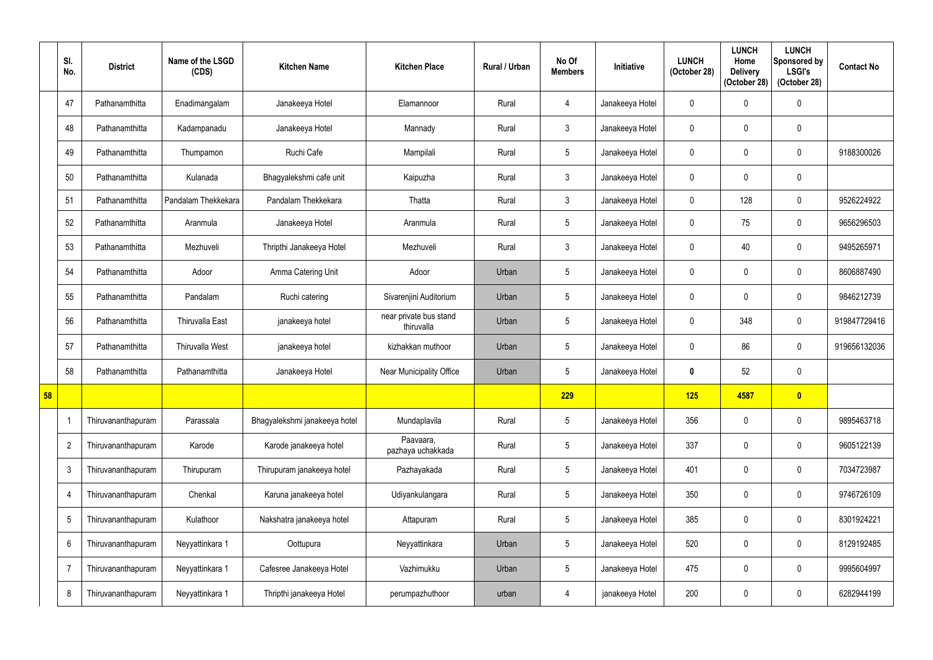|    | SI.<br>No.      | <b>District</b>    | Name of the LSGD<br>(CDS) | <b>Kitchen Name</b>           | <b>Kitchen Place</b>                 | Rural / Urban | No Of<br><b>Members</b> | Initiative      | <b>LUNCH</b><br>(October 28) | <b>LUNCH</b><br>Home<br><b>Delivery</b><br>(October 28) | <b>LUNCH</b><br>Sponsored by<br><b>LSGI's</b><br>(October 28) | <b>Contact No</b> |
|----|-----------------|--------------------|---------------------------|-------------------------------|--------------------------------------|---------------|-------------------------|-----------------|------------------------------|---------------------------------------------------------|---------------------------------------------------------------|-------------------|
|    | 47              | Pathanamthitta     | Enadimangalam             | Janakeeya Hotel               | Elamannoor                           | Rural         | 4                       | Janakeeya Hotel | $\mathbf 0$                  |                                                         | $\mathbf 0$                                                   |                   |
|    | 48              | Pathanamthitta     | Kadampanadu               | Janakeeya Hotel               | Mannady                              | Rural         | $\mathbf{3}$            | Janakeeya Hotel | $\mathbf 0$                  |                                                         | $\mathbf 0$                                                   |                   |
|    | 49              | Pathanamthitta     | Thumpamon                 | Ruchi Cafe                    | Mampilali                            | Rural         | $5\overline{)}$         | Janakeeya Hotel | $\boldsymbol{0}$             |                                                         | $\pmb{0}$                                                     | 9188300026        |
|    | 50              | Pathanamthitta     | Kulanada                  | Bhagyalekshmi cafe unit       | Kaipuzha                             | Rural         | $\mathfrak{Z}$          | Janakeeya Hotel | $\mathbf 0$                  |                                                         | $\mathbf 0$                                                   |                   |
|    | 51              | Pathanamthitta     | Pandalam Thekkekara       | Pandalam Thekkekara           | Thatta                               | Rural         | $\mathfrak{Z}$          | Janakeeya Hotel | $\mathbf 0$                  | 128                                                     | $\pmb{0}$                                                     | 9526224922        |
|    | 52              | Pathanamthitta     | Aranmula                  | Janakeeya Hotel               | Aranmula                             | Rural         | $5\overline{)}$         | Janakeeya Hotel | $\mathbf 0$                  | 75                                                      | $\boldsymbol{0}$                                              | 9656296503        |
|    | 53              | Pathanamthitta     | Mezhuveli                 | Thripthi Janakeeya Hotel      | Mezhuveli                            | Rural         | $\mathfrak{Z}$          | Janakeeya Hotel | $\mathbf 0$                  | 40                                                      | $\mathbf 0$                                                   | 9495265971        |
|    | 54              | Pathanamthitta     | Adoor                     | Amma Catering Unit            | Adoor                                | Urban         | $5\overline{)}$         | Janakeeya Hotel | $\mathbf 0$                  | 0                                                       | $\mathbf 0$                                                   | 8606887490        |
|    | 55              | Pathanamthitta     | Pandalam                  | Ruchi catering                | Sivarenjini Auditorium               | Urban         | $5\phantom{.0}$         | Janakeeya Hotel | $\mathbf 0$                  |                                                         | $\boldsymbol{0}$                                              | 9846212739        |
|    | 56              | Pathanamthitta     | Thiruvalla East           | janakeeya hotel               | near private bus stand<br>thiruvalla | Urban         | $5\phantom{.0}$         | Janakeeya Hotel | $\mathbf 0$                  | 348                                                     | $\mathbf 0$                                                   | 919847729416      |
|    | 57              | Pathanamthitta     | <b>Thiruvalla West</b>    | janakeeya hotel               | kizhakkan muthoor                    | Urban         | $5\overline{)}$         | Janakeeya Hotel | $\mathbf 0$                  | 86                                                      | $\mathbf 0$                                                   | 919656132036      |
|    | 58              | Pathanamthitta     | Pathanamthitta            | Janakeeya Hotel               | Near Municipality Office             | Urban         | $5\overline{)}$         | Janakeeya Hotel | $\boldsymbol{0}$             | 52                                                      | $\mathbf 0$                                                   |                   |
| 58 |                 |                    |                           |                               |                                      |               | 229                     |                 | 125                          | 4587                                                    | $\mathbf{0}$                                                  |                   |
|    | -1              | Thiruvananthapuram | Parassala                 | Bhagyalekshmi janakeeya hotel | Mundaplavila                         | Rural         | $5\phantom{.0}$         | Janakeeya Hotel | 356                          | $\mathbf 0$                                             | $\pmb{0}$                                                     | 9895463718        |
|    | $\overline{2}$  | Thiruvananthapuram | Karode                    | Karode janakeeya hotel        | Paavaara,<br>pazhaya uchakkada       | Rural         | $5\phantom{.0}$         | Janakeeya Hotel | 337                          | 0                                                       | $\boldsymbol{0}$                                              | 9605122139        |
|    | $\mathbf{3}$    | Thiruvananthapuram | Thirupuram                | Thirupuram janakeeya hotel    | Pazhayakada                          | Rural         | $5\phantom{.0}$         | Janakeeya Hotel | 401                          | $\mathbf{0}$                                            | $\boldsymbol{0}$                                              | 7034723987        |
|    | -4              | Thiruvananthapuram | Chenkal                   | Karuna janakeeya hotel        | Udiyankulangara                      | Rural         | $5\phantom{.0}$         | Janakeeya Hotel | 350                          | $\mathbf 0$                                             | $\pmb{0}$                                                     | 9746726109        |
|    | 5               | Thiruvananthapuram | Kulathoor                 | Nakshatra janakeeya hotel     | Attapuram                            | Rural         | $5\phantom{.0}$         | Janakeeya Hotel | 385                          | 0                                                       | $\pmb{0}$                                                     | 8301924221        |
|    | $6\phantom{.}6$ | Thiruvananthapuram | Neyyattinkara 1           | Oottupura                     | Neyyattinkara                        | Urban         | $5\phantom{.0}$         | Janakeeya Hotel | 520                          | $\mathbf 0$                                             | $\pmb{0}$                                                     | 8129192485        |
|    |                 | Thiruvananthapuram | Neyyattinkara 1           | Cafesree Janakeeya Hotel      | Vazhimukku                           | Urban         | $5\phantom{.0}$         | Janakeeya Hotel | 475                          | $\mathbf 0$                                             | $\pmb{0}$                                                     | 9995604997        |
|    | 8               | Thiruvananthapuram | Neyyattinkara 1           | Thripthi janakeeya Hotel      | perumpazhuthoor                      | urban         | 4                       | janakeeya Hotel | 200                          | 0                                                       | $\pmb{0}$                                                     | 6282944199        |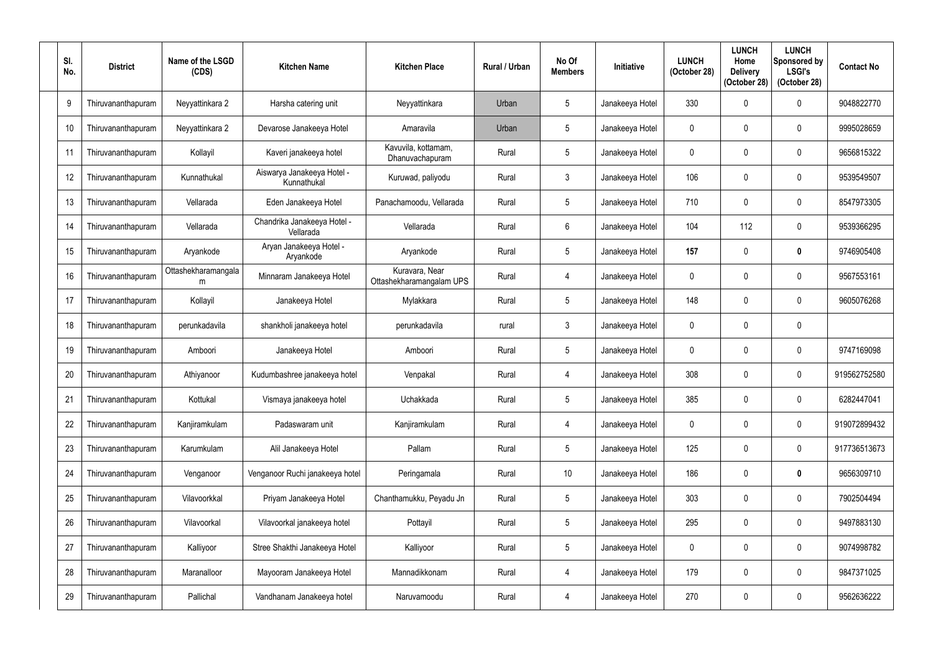| SI. | No. | <b>District</b>    | Name of the LSGD<br>(CDS) | <b>Kitchen Name</b>                       | <b>Kitchen Place</b>                       | <b>Rural / Urban</b> | No Of<br><b>Members</b> | <b>Initiative</b> | <b>LUNCH</b><br>(October 28) | <b>LUNCH</b><br>Home<br><b>Delivery</b><br>(October 28) | <b>LUNCH</b><br>Sponsored by<br><b>LSGI's</b><br>(October 28) | <b>Contact No</b> |
|-----|-----|--------------------|---------------------------|-------------------------------------------|--------------------------------------------|----------------------|-------------------------|-------------------|------------------------------|---------------------------------------------------------|---------------------------------------------------------------|-------------------|
|     | 9   | Thiruvananthapuram | Neyyattinkara 2           | Harsha catering unit                      | Neyyattinkara                              | Urban                | 5                       | Janakeeya Hotel   | 330                          |                                                         | $\mathbf 0$                                                   | 9048822770        |
|     | 10  | Thiruvananthapuram | Neyyattinkara 2           | Devarose Janakeeya Hotel                  | Amaravila                                  | Urban                | $\overline{5}$          | Janakeeya Hotel   | $\Omega$                     |                                                         | 0                                                             | 9995028659        |
|     | 11  | Thiruvananthapuram | Kollayil                  | Kaveri janakeeya hotel                    | Kavuvila, kottamam,<br>Dhanuvachapuram     | Rural                | $\overline{5}$          | Janakeeya Hotel   | $\overline{0}$               |                                                         | $\mathbf 0$                                                   | 9656815322        |
|     | 12  | Thiruvananthapuram | Kunnathukal               | Aiswarya Janakeeya Hotel -<br>Kunnathukal | Kuruwad, paliyodu                          | Rural                | $\mathbf{3}$            | Janakeeya Hotel   | 106                          |                                                         | $\mathbf 0$                                                   | 9539549507        |
|     | 13  | Thiruvananthapuram | Vellarada                 | Eden Janakeeya Hotel                      | Panachamoodu, Vellarada                    | Rural                | $\overline{5}$          | Janakeeya Hotel   | 710                          |                                                         | $\mathbf 0$                                                   | 8547973305        |
|     | 14  | Thiruvananthapuram | Vellarada                 | Chandrika Janakeeya Hotel -<br>Vellarada  | Vellarada                                  | Rural                | $6\phantom{.}6$         | Janakeeya Hotel   | 104                          | 112                                                     | $\mathbf 0$                                                   | 9539366295        |
|     | 15  | Thiruvananthapuram | Aryankode                 | Aryan Janakeeya Hotel -<br>Aryankode      | Aryankode                                  | Rural                | $\overline{5}$          | Janakeeya Hotel   | 157                          |                                                         | $\boldsymbol{0}$                                              | 9746905408        |
|     | 16  | Thiruvananthapuram | Ottashekharamangala<br>m  | Minnaram Janakeeya Hotel                  | Kuravara, Near<br>Ottashekharamangalam UPS | Rural                | $\overline{4}$          | Janakeeya Hotel   | $\Omega$                     |                                                         | $\mathbf 0$                                                   | 9567553161        |
|     | 17  | Thiruvananthapuram | Kollayil                  | Janakeeya Hotel                           | Mylakkara                                  | Rural                | $\overline{5}$          | Janakeeya Hotel   | 148                          | 0                                                       | $\mathbf 0$                                                   | 9605076268        |
|     | 18  | Thiruvananthapuram | perunkadavila             | shankholi janakeeya hotel                 | perunkadavila                              | rural                | $\mathbf{3}$            | Janakeeya Hotel   | $\mathbf{0}$                 |                                                         | $\mathbf 0$                                                   |                   |
|     | 19  | Thiruvananthapuram | Amboori                   | Janakeeya Hotel                           | Amboori                                    | Rural                | 5                       | Janakeeya Hotel   | $\overline{0}$               |                                                         | $\mathbf 0$                                                   | 9747169098        |
|     | 20  | Thiruvananthapuram | Athiyanoor                | Kudumbashree janakeeya hotel              | Venpakal                                   | Rural                | $\overline{4}$          | Janakeeya Hotel   | 308                          | 0                                                       | $\boldsymbol{0}$                                              | 919562752580      |
|     | 21  | Thiruvananthapuram | Kottukal                  | Vismaya janakeeya hotel                   | Uchakkada                                  | Rural                | 5                       | Janakeeya Hotel   | 385                          | 0                                                       | $\mathbf 0$                                                   | 6282447041        |
|     | 22  | Thiruvananthapuram | Kanjiramkulam             | Padaswaram unit                           | Kanjiramkulam                              | Rural                | $\overline{4}$          | Janakeeya Hotel   | $\mathbf 0$                  | 0                                                       | $\pmb{0}$                                                     | 919072899432      |
|     | 23  | Thiruvananthapuram | Karumkulam                | Alil Janakeeya Hotel                      | Pallam                                     | Rural                | $\sqrt{5}$              | Janakeeya Hotel   | 125                          | 0                                                       | $\pmb{0}$                                                     | 917736513673      |
|     | 24  | Thiruvananthapuram | Venganoor                 | Venganoor Ruchi janakeeya hotel           | Peringamala                                | Rural                | 10 <sup>°</sup>         | Janakeeya Hotel   | 186                          | 0                                                       | $\bf{0}$                                                      | 9656309710        |
|     | 25  | Thiruvananthapuram | Vilavoorkkal              | Priyam Janakeeya Hotel                    | Chanthamukku, Peyadu Jn                    | Rural                | $\sqrt{5}$              | Janakeeya Hotel   | 303                          | 0                                                       | $\pmb{0}$                                                     | 7902504494        |
|     | 26  | Thiruvananthapuram | Vilavoorkal               | Vilavoorkal janakeeya hotel               | Pottayil                                   | Rural                | $5\phantom{.0}$         | Janakeeya Hotel   | 295                          | 0                                                       | $\pmb{0}$                                                     | 9497883130        |
|     | 27  | Thiruvananthapuram | Kalliyoor                 | Stree Shakthi Janakeeya Hotel             | Kalliyoor                                  | Rural                | $\sqrt{5}$              | Janakeeya Hotel   | $\mathbf 0$                  |                                                         | $\pmb{0}$                                                     | 9074998782        |
|     | 28  | Thiruvananthapuram | Maranalloor               | Mayooram Janakeeya Hotel                  | Mannadikkonam                              | Rural                | $\overline{4}$          | Janakeeya Hotel   | 179                          | 0                                                       | $\pmb{0}$                                                     | 9847371025        |
|     | 29  | Thiruvananthapuram | Pallichal                 | Vandhanam Janakeeya hotel                 | Naruvamoodu                                | Rural                | $\overline{4}$          | Janakeeya Hotel   | 270                          |                                                         | 0                                                             | 9562636222        |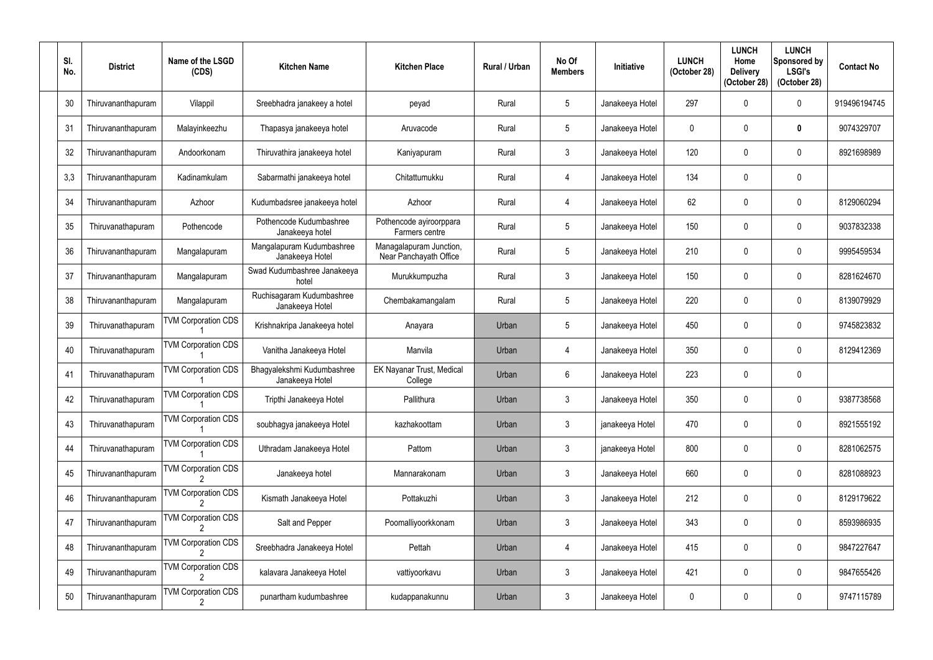| SI.<br>No. | <b>District</b>    | Name of the LSGD<br>(CDS)  | <b>Kitchen Name</b>                           | <b>Kitchen Place</b>                              | Rural / Urban | No Of<br><b>Members</b> | <b>Initiative</b> | <b>LUNCH</b><br>(October 28) | <b>LUNCH</b><br>Home<br><b>Delivery</b><br>(October 28) | <b>LUNCH</b><br>Sponsored by<br><b>LSGI's</b><br>(October 28) | <b>Contact No</b> |
|------------|--------------------|----------------------------|-----------------------------------------------|---------------------------------------------------|---------------|-------------------------|-------------------|------------------------------|---------------------------------------------------------|---------------------------------------------------------------|-------------------|
| 30         | Thiruvananthapuram | Vilappil                   | Sreebhadra janakeey a hotel                   | peyad                                             | Rural         | 5                       | Janakeeya Hotel   | 297                          | <sup>0</sup>                                            | $\mathbf 0$                                                   | 919496194745      |
| 31         | Thiruvananthapuram | Malayinkeezhu              | Thapasya janakeeya hotel                      | Aruvacode                                         | Rural         | $5\phantom{.0}$         | Janakeeya Hotel   | $\Omega$                     | 0                                                       | $\boldsymbol{0}$                                              | 9074329707        |
| 32         | Thiruvananthapuram | Andoorkonam                | Thiruvathira janakeeya hotel                  | Kaniyapuram                                       | Rural         | $\mathfrak{Z}$          | Janakeeya Hotel   | 120                          | $\mathbf{0}$                                            | $\pmb{0}$                                                     | 8921698989        |
| 3,3        | Thiruvananthapuram | Kadinamkulam               | Sabarmathi janakeeya hotel                    | Chitattumukku                                     | Rural         | 4                       | Janakeeya Hotel   | 134                          | 0                                                       | $\pmb{0}$                                                     |                   |
| 34         | Thiruvananthapuram | Azhoor                     | Kudumbadsree janakeeya hotel                  | Azhoor                                            | Rural         | $\overline{4}$          | Janakeeya Hotel   | 62                           | $\cap$                                                  | $\pmb{0}$                                                     | 8129060294        |
| 35         | Thiruvanathapuram  | Pothencode                 | Pothencode Kudumbashree<br>Janakeeya hotel    | Pothencode ayiroorppara<br>Farmers centre         | Rural         | $\overline{5}$          | Janakeeya Hotel   | 150                          | $\mathbf 0$                                             | $\mathbf 0$                                                   | 9037832338        |
| 36         | Thiruvananthapuram | Mangalapuram               | Mangalapuram Kudumbashree<br>Janakeeya Hotel  | Managalapuram Junction,<br>Near Panchayath Office | Rural         | 5                       | Janakeeya Hotel   | 210                          | $\Omega$                                                | $\mathbf 0$                                                   | 9995459534        |
| 37         | Thiruvananthapuram | Mangalapuram               | Swad Kudumbashree Janakeeya<br>hotel          | Murukkumpuzha                                     | Rural         | $\mathbf{3}$            | Janakeeya Hotel   | 150                          | $\Omega$                                                | $\pmb{0}$                                                     | 8281624670        |
| 38         | Thiruvananthapuram | Mangalapuram               | Ruchisagaram Kudumbashree<br>Janakeeya Hotel  | Chembakamangalam                                  | Rural         | $\overline{5}$          | Janakeeya Hotel   | 220                          | $\mathbf{0}$                                            | 0                                                             | 8139079929        |
| 39         | Thiruvanathapuram  | <b>TVM Corporation CDS</b> | Krishnakripa Janakeeya hotel                  | Anayara                                           | Urban         | $\overline{5}$          | Janakeeya Hotel   | 450                          | $\theta$                                                | $\mathbf 0$                                                   | 9745823832        |
| 40         | Thiruvanathapuram  | <b>TVM Corporation CDS</b> | Vanitha Janakeeya Hotel                       | Manvila                                           | Urban         | 4                       | Janakeeya Hotel   | 350                          | $\Omega$                                                | $\pmb{0}$                                                     | 8129412369        |
| 41         | Thiruvanathapuram  | <b>TVM Corporation CDS</b> | Bhagyalekshmi Kudumbashree<br>Janakeeya Hotel | EK Nayanar Trust, Medical<br>College              | Urban         | 6                       | Janakeeya Hotel   | 223                          | $\mathbf 0$                                             | $\pmb{0}$                                                     |                   |
| 42         | Thiruvanathapuram  | <b>TVM Corporation CDS</b> | Tripthi Janakeeya Hotel                       | Pallithura                                        | Urban         | 3                       | Janakeeya Hotel   | 350                          | $\mathbf 0$                                             | 0                                                             | 9387738568        |
| 43         | Thiruvanathapuram  | <b>TVM Corporation CDS</b> | soubhagya janakeeya Hotel                     | kazhakoottam                                      | Urban         | $\mathbf{3}$            | janakeeya Hotel   | 470                          | $\mathbf 0$                                             | $\pmb{0}$                                                     | 8921555192        |
| 44         | Thiruvanathapuram  | <b>TVM Corporation CDS</b> | Uthradam Janakeeya Hotel                      | Pattom                                            | Urban         | $\mathbf{3}$            | janakeeya Hotel   | 800                          | $\mathbf 0$                                             | $\pmb{0}$                                                     | 8281062575        |
| 45         | Thiruvananthapuram | <b>TVM Corporation CDS</b> | Janakeeya hotel                               | Mannarakonam                                      | Urban         | $\mathbf{3}$            | Janakeeya Hotel   | 660                          | $\mathbf 0$                                             | $\pmb{0}$                                                     | 8281088923        |
| 46         | Thiruvananthapuram | <b>TVM Corporation CDS</b> | Kismath Janakeeya Hotel                       | Pottakuzhi                                        | Urban         | $\mathbf{3}$            | Janakeeya Hotel   | 212                          | $\mathbf 0$                                             | $\pmb{0}$                                                     | 8129179622        |
| 47         | Thiruvananthapuram | <b>TVM Corporation CDS</b> | Salt and Pepper                               | Poomalliyoorkkonam                                | Urban         | $\mathfrak{Z}$          | Janakeeya Hotel   | 343                          | $\mathbf 0$                                             | $\pmb{0}$                                                     | 8593986935        |
| 48         | Thiruvananthapuram | TVM Corporation CDS        | Sreebhadra Janakeeya Hotel                    | Pettah                                            | Urban         | $\overline{4}$          | Janakeeya Hotel   | 415                          | $\mathbf 0$                                             | $\pmb{0}$                                                     | 9847227647        |
| 49         | Thiruvananthapuram | <b>TVM Corporation CDS</b> | kalavara Janakeeya Hotel                      | vattiyoorkavu                                     | Urban         | $\mathbf{3}$            | Janakeeya Hotel   | 421                          | $\mathbf 0$                                             | $\pmb{0}$                                                     | 9847655426        |
| 50         | Thiruvananthapuram | <b>TVM Corporation CDS</b> | punartham kudumbashree                        | kudappanakunnu                                    | Urban         | $\mathfrak{Z}$          | Janakeeya Hotel   | $\mathbf 0$                  | $\mathbf 0$                                             | $\pmb{0}$                                                     | 9747115789        |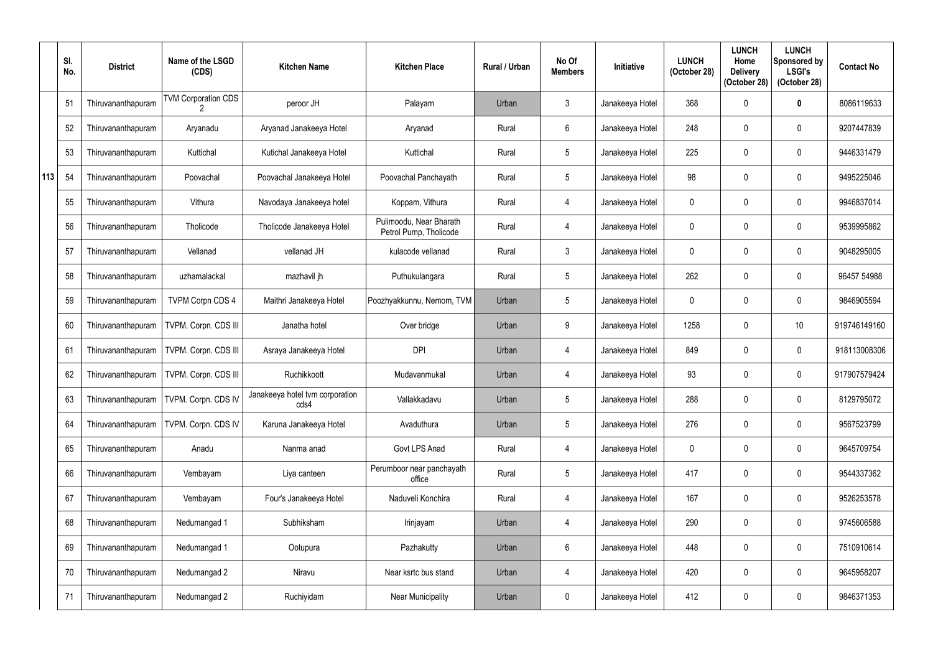|     | SI.<br>No. | <b>District</b>    | Name of the LSGD<br>(CDS)   | <b>Kitchen Name</b>                     | <b>Kitchen Place</b>                              | <b>Rural / Urban</b> | No Of<br><b>Members</b> | Initiative      | <b>LUNCH</b><br>(October 28) | <b>LUNCH</b><br>Home<br><b>Delivery</b><br>(October 28) | <b>LUNCH</b><br>Sponsored by<br><b>LSGI's</b><br>(October 28) | <b>Contact No</b> |
|-----|------------|--------------------|-----------------------------|-----------------------------------------|---------------------------------------------------|----------------------|-------------------------|-----------------|------------------------------|---------------------------------------------------------|---------------------------------------------------------------|-------------------|
|     | 51         | Thiruvananthapuram | TVM Corporation CDS         | peroor JH                               | Palayam                                           | Urban                | $\mathfrak{Z}$          | Janakeeya Hotel | 368                          | 0                                                       | $\mathbf 0$                                                   | 8086119633        |
|     | 52         | Thiruvananthapuram | Aryanadu                    | Aryanad Janakeeya Hotel                 | Aryanad                                           | Rural                | 6                       | Janakeeya Hotel | 248                          |                                                         | $\mathbf 0$                                                   | 9207447839        |
|     | 53         | Thiruvananthapuram | Kuttichal                   | Kutichal Janakeeya Hotel                | Kuttichal                                         | Rural                | $5\phantom{.0}$         | Janakeeya Hotel | 225                          | $\mathbf{0}$                                            | $\boldsymbol{0}$                                              | 9446331479        |
| 113 | 54         | Thiruvananthapuram | Poovachal                   | Poovachal Janakeeya Hotel               | Poovachal Panchayath                              | Rural                | $5\overline{)}$         | Janakeeya Hotel | 98                           |                                                         | $\mathbf 0$                                                   | 9495225046        |
|     | 55         | Thiruvananthapuram | Vithura                     | Navodaya Janakeeya hotel                | Koppam, Vithura                                   | Rural                | 4                       | Janakeeya Hotel | $\overline{0}$               | $\Omega$                                                | $\mathbf 0$                                                   | 9946837014        |
|     | 56         | Thiruvananthapuram | Tholicode                   | Tholicode Janakeeya Hotel               | Pulimoodu, Near Bharath<br>Petrol Pump, Tholicode | Rural                | 4                       | Janakeeya Hotel | $\overline{0}$               | 0                                                       | $\mathbf 0$                                                   | 9539995862        |
|     | 57         | Thiruvananthapuram | Vellanad                    | vellanad JH                             | kulacode vellanad                                 | Rural                | $\mathfrak{Z}$          | Janakeeya Hotel | $\overline{0}$               |                                                         | $\mathbf 0$                                                   | 9048295005        |
|     | 58         | Thiruvananthapuram | uzhamalackal                | mazhavil jh                             | Puthukulangara                                    | Rural                | $5\overline{)}$         | Janakeeya Hotel | 262                          |                                                         | $\mathbf 0$                                                   | 96457 54988       |
|     | 59         | Thiruvananthapuram | <b>TVPM Corpn CDS 4</b>     | Maithri Janakeeya Hotel                 | Poozhyakkunnu, Nemom, TVM                         | Urban                | $5\phantom{.0}$         | Janakeeya Hotel | $\overline{0}$               | $\mathbf{0}$                                            | $\mathbf 0$                                                   | 9846905594        |
|     | 60         | Thiruvananthapuram | TVPM. Corpn. CDS III        | Janatha hotel                           | Over bridge                                       | Urban                | 9                       | Janakeeya Hotel | 1258                         | 0                                                       | 10                                                            | 919746149160      |
|     | 61         | Thiruvananthapuram | <b>TVPM. Corpn. CDS III</b> | Asraya Janakeeya Hotel                  | <b>DPI</b>                                        | Urban                | 4                       | Janakeeya Hotel | 849                          | 0                                                       | $\mathbf 0$                                                   | 918113008306      |
|     | 62         | Thiruvananthapuram | TVPM. Corpn. CDS III        | Ruchikkoott                             | Mudavanmukal                                      | Urban                | 4                       | Janakeeya Hotel | 93                           | 0                                                       | $\mathbf 0$                                                   | 917907579424      |
|     | 63         | Thiruvananthapuram | TVPM. Corpn. CDS IV         | Janakeeya hotel tvm corporation<br>cds4 | Vallakkadavu                                      | Urban                | 5                       | Janakeeya Hotel | 288                          | $\boldsymbol{0}$                                        | 0                                                             | 8129795072        |
|     | 64         | Thiruvananthapuram | TVPM. Corpn. CDS IV         | Karuna Janakeeya Hotel                  | Avaduthura                                        | Urban                | $5\phantom{.0}$         | Janakeeya Hotel | 276                          | 0                                                       | $\boldsymbol{0}$                                              | 9567523799        |
|     | 65         | Thiruvananthapuram | Anadu                       | Nanma anad                              | Govt LPS Anad                                     | Rural                | 4                       | Janakeeya Hotel | $\mathbf 0$                  | 0                                                       | $\pmb{0}$                                                     | 9645709754        |
|     | 66         | Thiruvananthapuram | Vembayam                    | Liya canteen                            | Perumboor near panchayath<br>office               | Rural                | $5\phantom{.0}$         | Janakeeya Hotel | 417                          | 0                                                       | $\boldsymbol{0}$                                              | 9544337362        |
|     | 67         | Thiruvananthapuram | Vembayam                    | Four's Janakeeya Hotel                  | Naduveli Konchira                                 | Rural                | 4                       | Janakeeya Hotel | 167                          | 0                                                       | $\boldsymbol{0}$                                              | 9526253578        |
|     | 68         | Thiruvananthapuram | Nedumangad 1                | Subhiksham                              | Irinjayam                                         | Urban                | 4                       | Janakeeya Hotel | 290                          | $\mathbf 0$                                             | $\pmb{0}$                                                     | 9745606588        |
|     | 69         | Thiruvananthapuram | Nedumangad 1                | Ootupura                                | Pazhakutty                                        | Urban                | $6\phantom{.0}$         | Janakeeya Hotel | 448                          | 0                                                       | $\pmb{0}$                                                     | 7510910614        |
|     | 70         | Thiruvananthapuram | Nedumangad 2                | Niravu                                  | Near ksrtc bus stand                              | Urban                | 4                       | Janakeeya Hotel | 420                          | 0                                                       | $\pmb{0}$                                                     | 9645958207        |
|     | 71         | Thiruvananthapuram | Nedumangad 2                | Ruchiyidam                              | Near Municipality                                 | Urban                | 0                       | Janakeeya Hotel | 412                          | $\boldsymbol{0}$                                        | $\pmb{0}$                                                     | 9846371353        |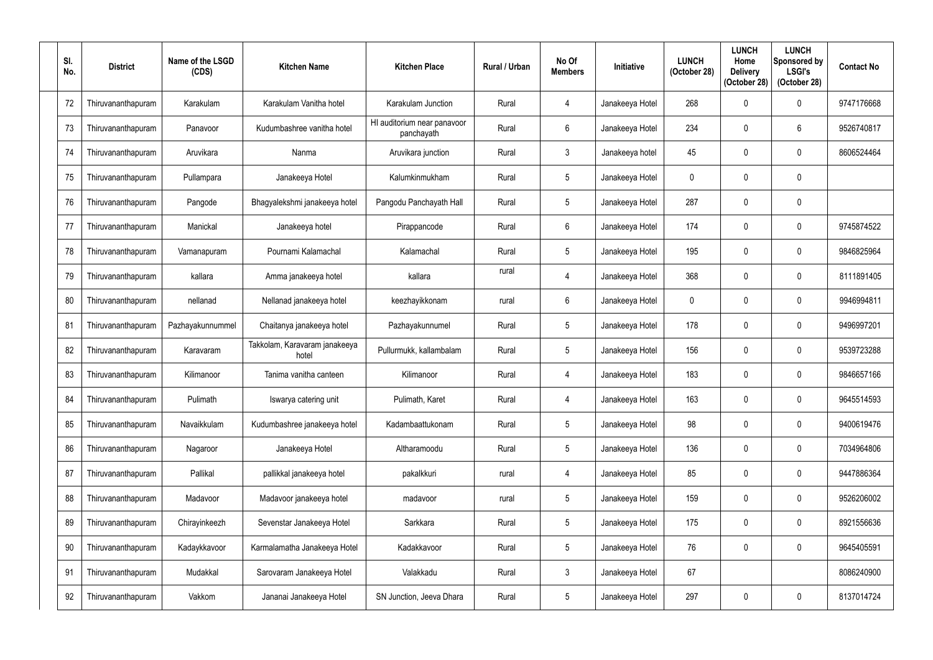| SI.<br>No. | <b>District</b>    | Name of the LSGD<br>(CDS) | <b>Kitchen Name</b>                    | <b>Kitchen Place</b>                      | <b>Rural / Urban</b> | No Of<br><b>Members</b> | <b>Initiative</b> | <b>LUNCH</b><br>(October 28) | <b>LUNCH</b><br>Home<br><b>Delivery</b><br>(October 28) | <b>LUNCH</b><br>Sponsored by<br><b>LSGI's</b><br>(October 28) | <b>Contact No</b> |
|------------|--------------------|---------------------------|----------------------------------------|-------------------------------------------|----------------------|-------------------------|-------------------|------------------------------|---------------------------------------------------------|---------------------------------------------------------------|-------------------|
| 72         | Thiruvananthapuram | Karakulam                 | Karakulam Vanitha hotel                | Karakulam Junction                        | Rural                | $\overline{4}$          | Janakeeya Hotel   | 268                          |                                                         | $\boldsymbol{0}$                                              | 9747176668        |
| 73         | Thiruvananthapuram | Panavoor                  | Kudumbashree vanitha hotel             | HI auditorium near panavoor<br>panchayath | Rural                | 6                       | Janakeeya Hotel   | 234                          |                                                         | 6                                                             | 9526740817        |
| 74         | Thiruvananthapuram | Aruvikara                 | Nanma                                  | Aruvikara junction                        | Rural                | $\mathfrak{Z}$          | Janakeeya hotel   | 45                           |                                                         | $\mathbf 0$                                                   | 8606524464        |
| 75         | Thiruvananthapuram | Pullampara                | Janakeeya Hotel                        | Kalumkinmukham                            | Rural                | $5\phantom{.0}$         | Janakeeya Hotel   | 0                            |                                                         | $\mathbf 0$                                                   |                   |
| 76         | Thiruvananthapuram | Pangode                   | Bhagyalekshmi janakeeya hotel          | Pangodu Panchayath Hall                   | Rural                | $\overline{5}$          | Janakeeya Hotel   | 287                          |                                                         | $\mathbf 0$                                                   |                   |
| 77         | Thiruvananthapuram | Manickal                  | Janakeeya hotel                        | Pirappancode                              | Rural                | $6\overline{6}$         | Janakeeya Hotel   | 174                          | 0                                                       | $\mathbf 0$                                                   | 9745874522        |
| 78         | Thiruvananthapuram | Vamanapuram               | Pournami Kalamachal                    | Kalamachal                                | Rural                | $\overline{5}$          | Janakeeya Hotel   | 195                          |                                                         | $\mathbf 0$                                                   | 9846825964        |
| 79         | Thiruvananthapuram | kallara                   | Amma janakeeya hotel                   | kallara                                   | rural                | $\overline{4}$          | Janakeeya Hotel   | 368                          |                                                         | $\mathbf 0$                                                   | 8111891405        |
| 80         | Thiruvananthapuram | nellanad                  | Nellanad janakeeya hotel               | keezhayikkonam                            | rural                | $6\phantom{.}6$         | Janakeeya Hotel   | $\Omega$                     |                                                         | $\mathbf 0$                                                   | 9946994811        |
| 81         | Thiruvananthapuram | Pazhayakunnummel          | Chaitanya janakeeya hotel              | Pazhayakunnumel                           | Rural                | $5\overline{)}$         | Janakeeya Hotel   | 178                          |                                                         | $\mathbf 0$                                                   | 9496997201        |
| 82         | Thiruvananthapuram | Karavaram                 | Takkolam, Karavaram janakeeya<br>hotel | Pullurmukk, kallambalam                   | Rural                | 5                       | Janakeeya Hotel   | 156                          |                                                         | $\mathbf 0$                                                   | 9539723288        |
| 83         | Thiruvananthapuram | Kilimanoor                | Tanima vanitha canteen                 | Kilimanoor                                | Rural                | $\overline{4}$          | Janakeeya Hotel   | 183                          | 0                                                       | 0                                                             | 9846657166        |
| 84         | Thiruvananthapuram | Pulimath                  | Iswarya catering unit                  | Pulimath, Karet                           | Rural                | $\overline{4}$          | Janakeeya Hotel   | 163                          | $\mathbf 0$                                             | $\mathbf 0$                                                   | 9645514593        |
| 85         | Thiruvananthapuram | Navaikkulam               | Kudumbashree janakeeya hotel           | Kadambaattukonam                          | Rural                | $5\phantom{.0}$         | Janakeeya Hotel   | 98                           | 0                                                       | $\pmb{0}$                                                     | 9400619476        |
| 86         | Thiruvananthapuram | Nagaroor                  | Janakeeya Hotel                        | Altharamoodu                              | Rural                | $\sqrt{5}$              | Janakeeya Hotel   | 136                          | 0                                                       | $\pmb{0}$                                                     | 7034964806        |
| 87         | Thiruvananthapuram | Pallikal                  | pallikkal janakeeya hotel              | pakalkkuri                                | rural                | $\overline{4}$          | Janakeeya Hotel   | 85                           | 0                                                       | $\pmb{0}$                                                     | 9447886364        |
| 88         | Thiruvananthapuram | Madavoor                  | Madavoor janakeeya hotel               | madavoor                                  | rural                | $\sqrt{5}$              | Janakeeya Hotel   | 159                          | 0                                                       | $\pmb{0}$                                                     | 9526206002        |
| 89         | Thiruvananthapuram | Chirayinkeezh             | Sevenstar Janakeeya Hotel              | Sarkkara                                  | Rural                | $5\phantom{.0}$         | Janakeeya Hotel   | 175                          | 0                                                       | $\pmb{0}$                                                     | 8921556636        |
| 90         | Thiruvananthapuram | Kadaykkavoor              | Karmalamatha Janakeeya Hotel           | Kadakkavoor                               | Rural                | $\sqrt{5}$              | Janakeeya Hotel   | 76                           | 0                                                       | $\pmb{0}$                                                     | 9645405591        |
| 91         | Thiruvananthapuram | Mudakkal                  | Sarovaram Janakeeya Hotel              | Valakkadu                                 | Rural                | $\mathbf{3}$            | Janakeeya Hotel   | 67                           |                                                         |                                                               | 8086240900        |
| 92         | Thiruvananthapuram | Vakkom                    | Jananai Janakeeya Hotel                | SN Junction, Jeeva Dhara                  | Rural                | $\overline{5}$          | Janakeeya Hotel   | 297                          |                                                         | 0                                                             | 8137014724        |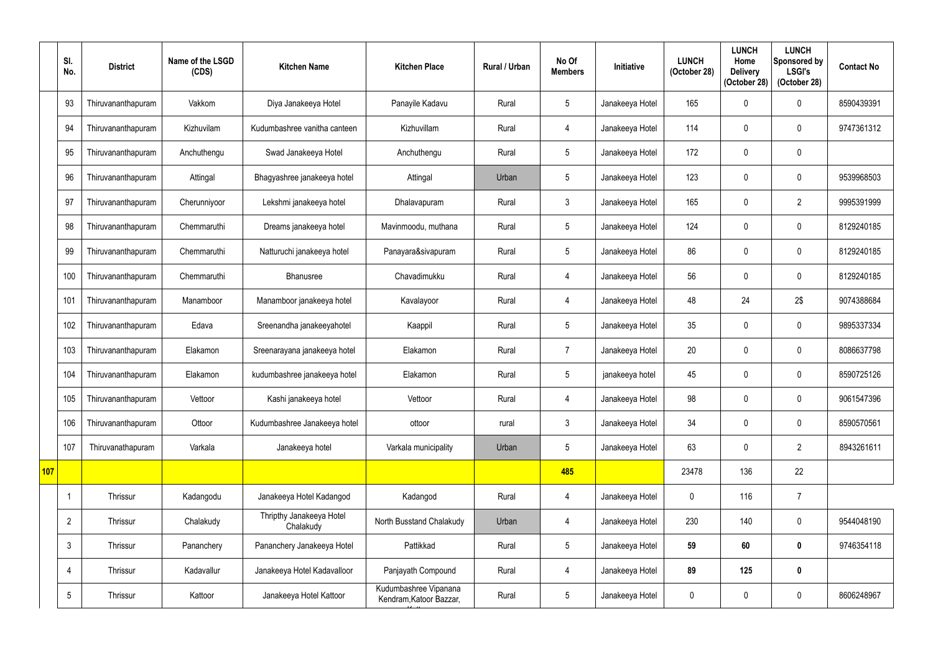|     | SI.<br>No.      | <b>District</b>    | Name of the LSGD<br>(CDS) | <b>Kitchen Name</b>                   | <b>Kitchen Place</b>                             | Rural / Urban | No Of<br><b>Members</b> | Initiative      | <b>LUNCH</b><br>(October 28) | <b>LUNCH</b><br>Home<br><b>Delivery</b><br>(October 28) | <b>LUNCH</b><br>Sponsored by<br><b>LSGI's</b><br>(October 28) | <b>Contact No</b> |
|-----|-----------------|--------------------|---------------------------|---------------------------------------|--------------------------------------------------|---------------|-------------------------|-----------------|------------------------------|---------------------------------------------------------|---------------------------------------------------------------|-------------------|
|     | 93              | Thiruvananthapuram | Vakkom                    | Diya Janakeeya Hotel                  | Panayile Kadavu                                  | Rural         | $5\phantom{.0}$         | Janakeeya Hotel | 165                          | 0                                                       | $\mathbf 0$                                                   | 8590439391        |
|     | 94              | Thiruvananthapuram | Kizhuvilam                | Kudumbashree vanitha canteen          | Kizhuvillam                                      | Rural         | 4                       | Janakeeya Hotel | 114                          |                                                         | $\mathbf 0$                                                   | 9747361312        |
|     | 95              | Thiruvananthapuram | Anchuthengu               | Swad Janakeeya Hotel                  | Anchuthengu                                      | Rural         | $5\overline{)}$         | Janakeeya Hotel | 172                          | $\mathbf{0}$                                            | $\mathbf 0$                                                   |                   |
|     | 96              | Thiruvananthapuram | Attingal                  | Bhagyashree janakeeya hotel           | Attingal                                         | Urban         | $5\phantom{.0}$         | Janakeeya Hotel | 123                          | 0                                                       | $\mathbf 0$                                                   | 9539968503        |
|     | 97              | Thiruvananthapuram | Cherunniyoor              | Lekshmi janakeeya hotel               | Dhalavapuram                                     | Rural         | $\mathfrak{Z}$          | Janakeeya Hotel | 165                          |                                                         | $\overline{2}$                                                | 9995391999        |
|     | 98              | Thiruvananthapuram | Chemmaruthi               | Dreams janakeeya hotel                | Mavinmoodu, muthana                              | Rural         | $5\overline{)}$         | Janakeeya Hotel | 124                          | 0                                                       | $\mathbf 0$                                                   | 8129240185        |
|     | 99              | Thiruvananthapuram | Chemmaruthi               | Natturuchi janakeeya hotel            | Panayara&sivapuram                               | Rural         | $5\overline{)}$         | Janakeeya Hotel | 86                           | 0                                                       | $\mathbf 0$                                                   | 8129240185        |
|     | 100             | Thiruvananthapuram | Chemmaruthi               | <b>Bhanusree</b>                      | Chavadimukku                                     | Rural         | 4                       | Janakeeya Hotel | 56                           |                                                         | $\mathbf 0$                                                   | 8129240185        |
|     | 101             | Thiruvananthapuram | Manamboor                 | Manamboor janakeeya hotel             | Kavalayoor                                       | Rural         | 4                       | Janakeeya Hotel | 48                           | 24                                                      | 2\$                                                           | 9074388684        |
|     | 102             | Thiruvananthapuram | Edava                     | Sreenandha janakeeyahotel             | Kaappil                                          | Rural         | $5\overline{)}$         | Janakeeya Hotel | 35                           | 0                                                       | $\mathbf 0$                                                   | 9895337334        |
|     | 103             | Thiruvananthapuram | Elakamon                  | Sreenarayana janakeeya hotel          | Elakamon                                         | Rural         | $\overline{7}$          | Janakeeya Hotel | 20                           |                                                         | $\mathbf 0$                                                   | 8086637798        |
|     | 104             | Thiruvananthapuram | Elakamon                  | kudumbashree janakeeya hotel          | Elakamon                                         | Rural         | $5\phantom{.0}$         | janakeeya hotel | 45                           | 0                                                       | $\mathbf 0$                                                   | 8590725126        |
|     | 105             | Thiruvananthapuram | Vettoor                   | Kashi janakeeya hotel                 | Vettoor                                          | Rural         | 4                       | Janakeeya Hotel | 98                           | $\pmb{0}$                                               | $\pmb{0}$                                                     | 9061547396        |
|     | 106             | Thiruvananthapuram | Ottoor                    | Kudumbashree Janakeeya hotel          | ottoor                                           | rural         | $\mathfrak{Z}$          | Janakeeya Hotel | 34                           | $\mathbf 0$                                             | $\boldsymbol{0}$                                              | 8590570561        |
|     | 107             | Thiruvanathapuram  | Varkala                   | Janakeeya hotel                       | Varkala municipality                             | Urban         | $5\phantom{.0}$         | Janakeeya Hotel | 63                           | $\mathbf 0$                                             | $\overline{2}$                                                | 8943261611        |
| 107 |                 |                    |                           |                                       |                                                  |               | 485                     |                 | 23478                        | 136                                                     | 22                                                            |                   |
|     | $\overline{1}$  | Thrissur           | Kadangodu                 | Janakeeya Hotel Kadangod              | Kadangod                                         | Rural         | $\overline{4}$          | Janakeeya Hotel | $\mathbf 0$                  | 116                                                     | $\overline{7}$                                                |                   |
|     | $\overline{2}$  | Thrissur           | Chalakudy                 | Thripthy Janakeeya Hotel<br>Chalakudy | North Busstand Chalakudy                         | Urban         | 4                       | Janakeeya Hotel | 230                          | 140                                                     | $\pmb{0}$                                                     | 9544048190        |
|     | $\mathbf{3}$    | Thrissur           | Pananchery                | Pananchery Janakeeya Hotel            | Pattikkad                                        | Rural         | $5\phantom{.0}$         | Janakeeya Hotel | 59                           | 60                                                      | $\boldsymbol{0}$                                              | 9746354118        |
|     | 4               | Thrissur           | Kadavallur                | Janakeeya Hotel Kadavalloor           | Panjayath Compound                               | Rural         | $\overline{4}$          | Janakeeya Hotel | 89                           | 125                                                     | $\pmb{0}$                                                     |                   |
|     | $5\phantom{.0}$ | Thrissur           | Kattoor                   | Janakeeya Hotel Kattoor               | Kudumbashree Vipanana<br>Kendram, Katoor Bazzar, | Rural         | $5\phantom{.0}$         | Janakeeya Hotel | $\boldsymbol{0}$             | $\mathbf 0$                                             | $\pmb{0}$                                                     | 8606248967        |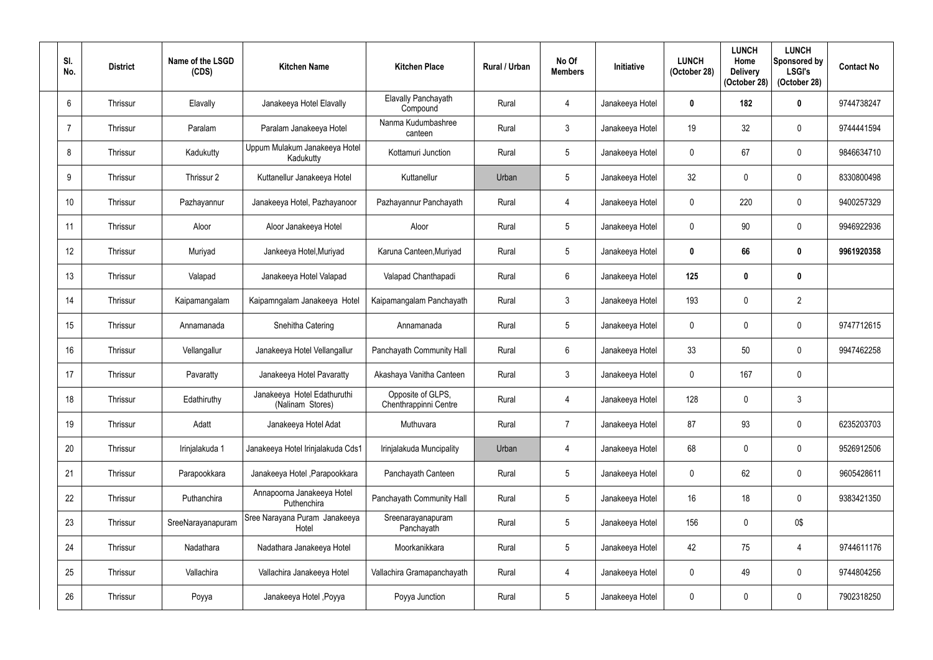| SI.<br>No. | <b>District</b> | Name of the LSGD<br>(CDS) | <b>Kitchen Name</b>                             | <b>Kitchen Place</b>                       | Rural / Urban | No Of<br><b>Members</b> | Initiative      | <b>LUNCH</b><br>(October 28) | <b>LUNCH</b><br>Home<br><b>Delivery</b><br>(October 28) | <b>LUNCH</b><br>Sponsored by<br><b>LSGI's</b><br>(October 28) | <b>Contact No</b> |
|------------|-----------------|---------------------------|-------------------------------------------------|--------------------------------------------|---------------|-------------------------|-----------------|------------------------------|---------------------------------------------------------|---------------------------------------------------------------|-------------------|
| 6          | Thrissur        | Elavally                  | Janakeeya Hotel Elavally                        | Elavally Panchayath<br>Compound            | Rural         | $\overline{4}$          | Janakeeya Hotel | $\bm{0}$                     | 182                                                     | $\boldsymbol{0}$                                              | 9744738247        |
|            | Thrissur        | Paralam                   | Paralam Janakeeya Hotel                         | Nanma Kudumbashree<br>canteen              | Rural         | $\mathfrak{Z}$          | Janakeeya Hotel | 19                           | 32                                                      | $\mathbf 0$                                                   | 9744441594        |
| 8          | Thrissur        | Kadukutty                 | Uppum Mulakum Janakeeya Hotel<br>Kadukutty      | Kottamuri Junction                         | Rural         | 5                       | Janakeeya Hotel | $\mathbf 0$                  | 67                                                      | $\boldsymbol{0}$                                              | 9846634710        |
| 9          | Thrissur        | Thrissur 2                | Kuttanellur Janakeeya Hotel                     | Kuttanellur                                | Urban         | 5                       | Janakeeya Hotel | 32                           |                                                         | $\mathbf 0$                                                   | 8330800498        |
| 10         | Thrissur        | Pazhayannur               | Janakeeya Hotel, Pazhayanoor                    | Pazhayannur Panchayath                     | Rural         | $\overline{4}$          | Janakeeya Hotel | $\mathbf 0$                  | 220                                                     | $\boldsymbol{0}$                                              | 9400257329        |
| 11         | Thrissur        | Aloor                     | Aloor Janakeeya Hotel                           | Aloor                                      | Rural         | 5                       | Janakeeya Hotel | $\mathbf 0$                  | 90                                                      | $\boldsymbol{0}$                                              | 9946922936        |
| 12         | Thrissur        | Muriyad                   | Jankeeya Hotel, Muriyad                         | Karuna Canteen, Muriyad                    | Rural         | 5                       | Janakeeya Hotel | $\mathbf 0$                  | 66                                                      | $\mathbf 0$                                                   | 9961920358        |
| 13         | Thrissur        | Valapad                   | Janakeeya Hotel Valapad                         | Valapad Chanthapadi                        | Rural         | 6                       | Janakeeya Hotel | 125                          |                                                         | $\pmb{0}$                                                     |                   |
| 14         | Thrissur        | Kaipamangalam             | Kaipamngalam Janakeeya Hotel                    | Kaipamangalam Panchayath                   | Rural         | $\mathfrak{Z}$          | Janakeeya Hotel | 193                          | $\Omega$                                                | $\overline{2}$                                                |                   |
| 15         | Thrissur        | Annamanada                | Snehitha Catering                               | Annamanada                                 | Rural         | 5                       | Janakeeya Hotel | $\mathbf 0$                  |                                                         | $\mathbf 0$                                                   | 9747712615        |
| 16         | Thrissur        | Vellangallur              | Janakeeya Hotel Vellangallur                    | Panchayath Community Hall                  | Rural         | $6\phantom{.}$          | Janakeeya Hotel | 33                           | 50                                                      | $\boldsymbol{0}$                                              | 9947462258        |
| 17         | Thrissur        | Pavaratty                 | Janakeeya Hotel Pavaratty                       | Akashaya Vanitha Canteen                   | Rural         | $\mathbf{3}$            | Janakeeya Hotel | $\mathbf 0$                  | 167                                                     | $\boldsymbol{0}$                                              |                   |
| 18         | Thrissur        | Edathiruthy               | Janakeeya Hotel Edathuruthi<br>(Nalinam Stores) | Opposite of GLPS,<br>Chenthrappinni Centre | Rural         | $\overline{4}$          | Janakeeya Hotel | 128                          | $\mathbf 0$                                             | 3                                                             |                   |
| 19         | Thrissur        | Adatt                     | Janakeeya Hotel Adat                            | Muthuvara                                  | Rural         | $\overline{7}$          | Janakeeya Hotel | 87                           | 93                                                      | $\boldsymbol{0}$                                              | 6235203703        |
| 20         | Thrissur        | Irinjalakuda 1            | Janakeeya Hotel Irinjalakuda Cds1               | Irinjalakuda Muncipality                   | Urban         | 4                       | Janakeeya Hotel | 68                           | $\mathbf 0$                                             | $\pmb{0}$                                                     | 9526912506        |
| 21         | Thrissur        | Parapookkara              | Janakeeya Hotel, Parapookkara                   | Panchayath Canteen                         | Rural         | $5\phantom{.0}$         | Janakeeya Hotel | $\mathbf 0$                  | 62                                                      | $\pmb{0}$                                                     | 9605428611        |
| 22         | Thrissur        | Puthanchira               | Annapoorna Janakeeya Hotel<br>Puthenchira       | Panchayath Community Hall                  | Rural         | $5\phantom{.0}$         | Janakeeya Hotel | 16                           | 18                                                      | $\boldsymbol{0}$                                              | 9383421350        |
| 23         | Thrissur        | SreeNarayanapuram         | Sree Narayana Puram Janakeeya<br>Hotel          | Sreenarayanapuram<br>Panchayath            | Rural         | 5                       | Janakeeya Hotel | 156                          | $\mathbf 0$                                             | 0\$                                                           |                   |
| 24         | Thrissur        | Nadathara                 | Nadathara Janakeeya Hotel                       | Moorkanikkara                              | Rural         | $5\phantom{.0}$         | Janakeeya Hotel | 42                           | 75                                                      | $\overline{4}$                                                | 9744611176        |
| 25         | Thrissur        | Vallachira                | Vallachira Janakeeya Hotel                      | Vallachira Gramapanchayath                 | Rural         | $\overline{4}$          | Janakeeya Hotel | $\mathbf 0$                  | 49                                                      | $\pmb{0}$                                                     | 9744804256        |
| 26         | Thrissur        | Poyya                     | Janakeeya Hotel , Poyya                         | Poyya Junction                             | Rural         | $\sqrt{5}$              | Janakeeya Hotel | $\boldsymbol{0}$             | 0                                                       | $\pmb{0}$                                                     | 7902318250        |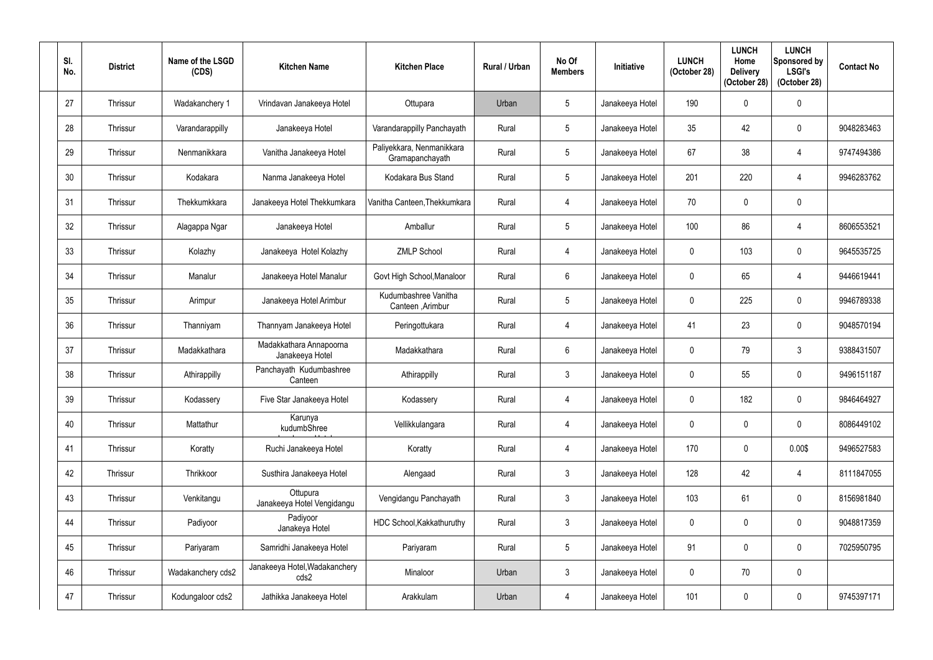| SI.<br>No. | <b>District</b> | Name of the LSGD<br>(CDS) | <b>Kitchen Name</b>                        | <b>Kitchen Place</b>                         | Rural / Urban | No Of<br><b>Members</b> | <b>Initiative</b> | <b>LUNCH</b><br>(October 28) | <b>LUNCH</b><br>Home<br><b>Delivery</b><br>(October 28) | <b>LUNCH</b><br>Sponsored by<br><b>LSGI's</b><br>(October 28) | <b>Contact No</b> |
|------------|-----------------|---------------------------|--------------------------------------------|----------------------------------------------|---------------|-------------------------|-------------------|------------------------------|---------------------------------------------------------|---------------------------------------------------------------|-------------------|
| 27         | Thrissur        | Wadakanchery 1            | Vrindavan Janakeeya Hotel                  | Ottupara                                     | Urban         | 5 <sup>5</sup>          | Janakeeya Hotel   | 190                          |                                                         | $\mathbf 0$                                                   |                   |
| 28         | Thrissur        | Varandarappilly           | Janakeeya Hotel                            | Varandarappilly Panchayath                   | Rural         | $5\phantom{.0}$         | Janakeeya Hotel   | 35                           | 42                                                      | $\mathbf 0$                                                   | 9048283463        |
| 29         | Thrissur        | Nenmanikkara              | Vanitha Janakeeya Hotel                    | Paliyekkara, Nenmanikkara<br>Gramapanchayath | Rural         | $5\phantom{.0}$         | Janakeeya Hotel   | 67                           | 38                                                      | $\overline{4}$                                                | 9747494386        |
| 30         | Thrissur        | Kodakara                  | Nanma Janakeeya Hotel                      | Kodakara Bus Stand                           | Rural         | 5 <sup>5</sup>          | Janakeeya Hotel   | 201                          | 220                                                     | $\overline{4}$                                                | 9946283762        |
| 31         | Thrissur        | Thekkumkkara              | Janakeeya Hotel Thekkumkara                | Vanitha Canteen, Thekkumkara                 | Rural         | 4                       | Janakeeya Hotel   | 70                           |                                                         | $\mathbf 0$                                                   |                   |
| 32         | Thrissur        | Alagappa Ngar             | Janakeeya Hotel                            | Amballur                                     | Rural         | $5\phantom{.0}$         | Janakeeya Hotel   | 100                          | 86                                                      | $\overline{4}$                                                | 8606553521        |
| 33         | Thrissur        | Kolazhy                   | Janakeeya Hotel Kolazhy                    | <b>ZMLP School</b>                           | Rural         | 4                       | Janakeeya Hotel   | $\mathbf 0$                  | 103                                                     | $\mathbf 0$                                                   | 9645535725        |
| 34         | Thrissur        | Manalur                   | Janakeeya Hotel Manalur                    | Govt High School, Manaloor                   | Rural         | $6\overline{6}$         | Janakeeya Hotel   | $\mathbf{0}$                 | 65                                                      | $\overline{4}$                                                | 9446619441        |
| 35         | Thrissur        | Arimpur                   | Janakeeya Hotel Arimbur                    | Kudumbashree Vanitha<br>Canteen , Arimbur    | Rural         | $5\phantom{.0}$         | Janakeeya Hotel   | $\mathbf 0$                  | 225                                                     | $\mathbf 0$                                                   | 9946789338        |
| 36         | Thrissur        | Thanniyam                 | Thannyam Janakeeya Hotel                   | Peringottukara                               | Rural         | 4                       | Janakeeya Hotel   | 41                           | 23                                                      | $\mathbf 0$                                                   | 9048570194        |
| 37         | Thrissur        | Madakkathara              | Madakkathara Annapoorna<br>Janakeeya Hotel | Madakkathara                                 | Rural         | 6                       | Janakeeya Hotel   | $\mathbf 0$                  | 79                                                      | $\mathbf{3}$                                                  | 9388431507        |
| 38         | Thrissur        | Athirappilly              | Panchayath Kudumbashree<br>Canteen         | Athirappilly                                 | Rural         | $\mathbf{3}$            | Janakeeya Hotel   | $\mathbf{0}$                 | 55                                                      | $\mathbf 0$                                                   | 9496151187        |
| 39         | Thrissur        | Kodassery                 | Five Star Janakeeya Hotel                  | Kodassery                                    | Rural         | 4                       | Janakeeya Hotel   | $\mathbf 0$                  | 182                                                     | $\pmb{0}$                                                     | 9846464927        |
| 40         | Thrissur        | Mattathur                 | Karunya<br>kudumbShree                     | Vellikkulangara                              | Rural         | 4                       | Janakeeya Hotel   | $\mathbf 0$                  | 0                                                       | $\boldsymbol{0}$                                              | 8086449102        |
| 41         | Thrissur        | Koratty                   | Ruchi Janakeeya Hotel                      | Koratty                                      | Rural         | $\overline{4}$          | Janakeeya Hotel   | 170                          | $\mathbf 0$                                             | 0.00\$                                                        | 9496527583        |
| 42         | Thrissur        | Thrikkoor                 | Susthira Janakeeya Hotel                   | Alengaad                                     | Rural         | $3\phantom{.0}$         | Janakeeya Hotel   | 128                          | 42                                                      | $\overline{4}$                                                | 8111847055        |
| 43         | Thrissur        | Venkitangu                | Ottupura<br>Janakeeya Hotel Vengidangu     | Vengidangu Panchayath                        | Rural         | $\mathfrak{Z}$          | Janakeeya Hotel   | 103                          | 61                                                      | $\boldsymbol{0}$                                              | 8156981840        |
| 44         | Thrissur        | Padiyoor                  | Padiyoor<br>Janakeya Hotel                 | HDC School, Kakkathuruthy                    | Rural         | $\mathbf{3}$            | Janakeeya Hotel   | $\mathbf 0$                  | 0                                                       | $\boldsymbol{0}$                                              | 9048817359        |
| 45         | Thrissur        | Pariyaram                 | Samridhi Janakeeya Hotel                   | Pariyaram                                    | Rural         | $\sqrt{5}$              | Janakeeya Hotel   | 91                           |                                                         | $\boldsymbol{0}$                                              | 7025950795        |
| 46         | Thrissur        | Wadakanchery cds2         | Janakeeya Hotel, Wadakanchery<br>cds2      | Minaloor                                     | Urban         | $\mathfrak{Z}$          | Janakeeya Hotel   | $\mathbf 0$                  | 70                                                      | $\pmb{0}$                                                     |                   |
| 47         | Thrissur        | Kodungaloor cds2          | Jathikka Janakeeya Hotel                   | Arakkulam                                    | Urban         | 4                       | Janakeeya Hotel   | 101                          | 0                                                       | $\pmb{0}$                                                     | 9745397171        |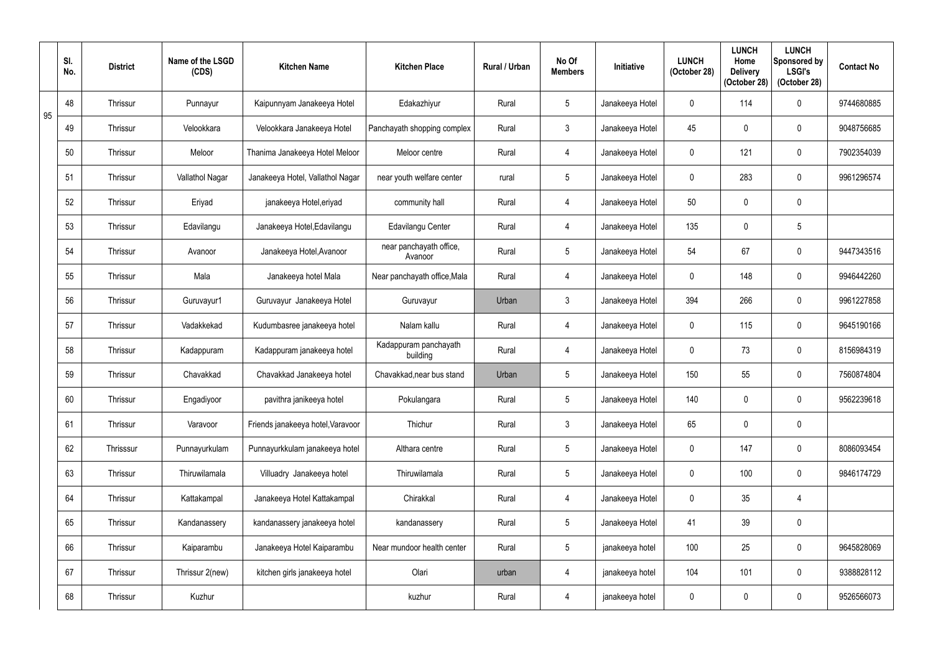|    | SI.<br>No. | <b>District</b> | Name of the LSGD<br>(CDS) | <b>Kitchen Name</b>               | <b>Kitchen Place</b>               | Rural / Urban | No Of<br><b>Members</b> | <b>Initiative</b> | <b>LUNCH</b><br>(October 28) | <b>LUNCH</b><br>Home<br><b>Delivery</b><br>(October 28) | <b>LUNCH</b><br>Sponsored by<br><b>LSGI's</b><br>(October 28) | <b>Contact No</b> |
|----|------------|-----------------|---------------------------|-----------------------------------|------------------------------------|---------------|-------------------------|-------------------|------------------------------|---------------------------------------------------------|---------------------------------------------------------------|-------------------|
| 95 | 48         | Thrissur        | Punnayur                  | Kaipunnyam Janakeeya Hotel        | Edakazhiyur                        | Rural         | $5\phantom{.0}$         | Janakeeya Hotel   | 0                            | 114                                                     | $\boldsymbol{0}$                                              | 9744680885        |
|    | 49         | Thrissur        | Velookkara                | Velookkara Janakeeya Hotel        | Panchayath shopping complex        | Rural         | $\mathbf{3}$            | Janakeeya Hotel   | 45                           |                                                         | $\mathbf 0$                                                   | 9048756685        |
|    | 50         | Thrissur        | Meloor                    | Thanima Janakeeya Hotel Meloor    | Meloor centre                      | Rural         | $\overline{4}$          | Janakeeya Hotel   | $\mathbf 0$                  | 121                                                     | $\pmb{0}$                                                     | 7902354039        |
|    | 51         | Thrissur        | Vallathol Nagar           | Janakeeya Hotel, Vallathol Nagar  | near youth welfare center          | rural         | $5\overline{)}$         | Janakeeya Hotel   | 0                            | 283                                                     | $\mathbf 0$                                                   | 9961296574        |
|    | 52         | Thrissur        | Eriyad                    | janakeeya Hotel, eriyad           | community hall                     | Rural         | $\overline{4}$          | Janakeeya Hotel   | 50                           |                                                         | $\mathbf 0$                                                   |                   |
|    | 53         | Thrissur        | Edavilangu                | Janakeeya Hotel, Edavilangu       | Edavilangu Center                  | Rural         | 4                       | Janakeeya Hotel   | 135                          | 0                                                       | $\overline{5}$                                                |                   |
|    | 54         | Thrissur        | Avanoor                   | Janakeeya Hotel, Avanoor          | near panchayath office,<br>Avanoor | Rural         | $5\phantom{.0}$         | Janakeeya Hotel   | 54                           | 67                                                      | $\mathbf 0$                                                   | 9447343516        |
|    | 55         | Thrissur        | Mala                      | Janakeeya hotel Mala              | Near panchayath office, Mala       | Rural         | 4                       | Janakeeya Hotel   | $\mathbf{0}$                 | 148                                                     | $\mathbf 0$                                                   | 9946442260        |
|    | 56         | Thrissur        | Guruvayur1                | Guruvayur Janakeeya Hotel         | Guruvayur                          | Urban         | $\mathfrak{Z}$          | Janakeeya Hotel   | 394                          | 266                                                     | $\mathbf 0$                                                   | 9961227858        |
|    | 57         | Thrissur        | Vadakkekad                | Kudumbasree janakeeya hotel       | Nalam kallu                        | Rural         | 4                       | Janakeeya Hotel   | $\mathbf{0}$                 | 115                                                     | $\mathbf 0$                                                   | 9645190166        |
|    | 58         | Thrissur        | Kadappuram                | Kadappuram janakeeya hotel        | Kadappuram panchayath<br>building  | Rural         | $\overline{4}$          | Janakeeya Hotel   | $\mathbf{0}$                 | 73                                                      | $\pmb{0}$                                                     | 8156984319        |
|    | 59         | Thrissur        | Chavakkad                 | Chavakkad Janakeeya hotel         | Chavakkad, near bus stand          | Urban         | $5\phantom{.0}$         | Janakeeya Hotel   | 150                          | 55                                                      | $\mathbf 0$                                                   | 7560874804        |
|    | 60         | Thrissur        | Engadiyoor                | pavithra janikeeya hotel          | Pokulangara                        | Rural         | $\sqrt{5}$              | Janakeeya Hotel   | 140                          | $\boldsymbol{0}$                                        | $\pmb{0}$                                                     | 9562239618        |
|    | 61         | Thrissur        | Varavoor                  | Friends janakeeya hotel, Varavoor | Thichur                            | Rural         | $\mathfrak{Z}$          | Janakeeya Hotel   | 65                           | 0                                                       | $\pmb{0}$                                                     |                   |
|    | 62         | Thrisssur       | Punnayurkulam             | Punnayurkkulam janakeeya hotel    | Althara centre                     | Rural         | $\sqrt{5}$              | Janakeeya Hotel   | $\pmb{0}$                    | 147                                                     | $\pmb{0}$                                                     | 8086093454        |
|    | 63         | Thrissur        | Thiruwilamala             | Villuadry Janakeeya hotel         | Thiruwilamala                      | Rural         | $5\overline{)}$         | Janakeeya Hotel   | 0                            | 100                                                     | $\pmb{0}$                                                     | 9846174729        |
|    | 64         | Thrissur        | Kattakampal               | Janakeeya Hotel Kattakampal       | Chirakkal                          | Rural         | $\overline{4}$          | Janakeeya Hotel   | $\mathbf 0$                  | 35                                                      | $\overline{4}$                                                |                   |
|    | 65         | Thrissur        | Kandanassery              | kandanassery janakeeya hotel      | kandanassery                       | Rural         | $5\phantom{.0}$         | Janakeeya Hotel   | 41                           | 39                                                      | $\pmb{0}$                                                     |                   |
|    | 66         | Thrissur        | Kaiparambu                | Janakeeya Hotel Kaiparambu        | Near mundoor health center         | Rural         | $\sqrt{5}$              | janakeeya hotel   | 100                          | 25                                                      | $\pmb{0}$                                                     | 9645828069        |
|    | 67         | Thrissur        | Thrissur 2(new)           | kitchen girls janakeeya hotel     | Olari                              | urban         | $\overline{4}$          | janakeeya hotel   | 104                          | 101                                                     | $\pmb{0}$                                                     | 9388828112        |
|    | 68         | Thrissur        | Kuzhur                    |                                   | kuzhur                             | Rural         | $\overline{4}$          | janakeeya hotel   | 0                            | $\pmb{0}$                                               | $\pmb{0}$                                                     | 9526566073        |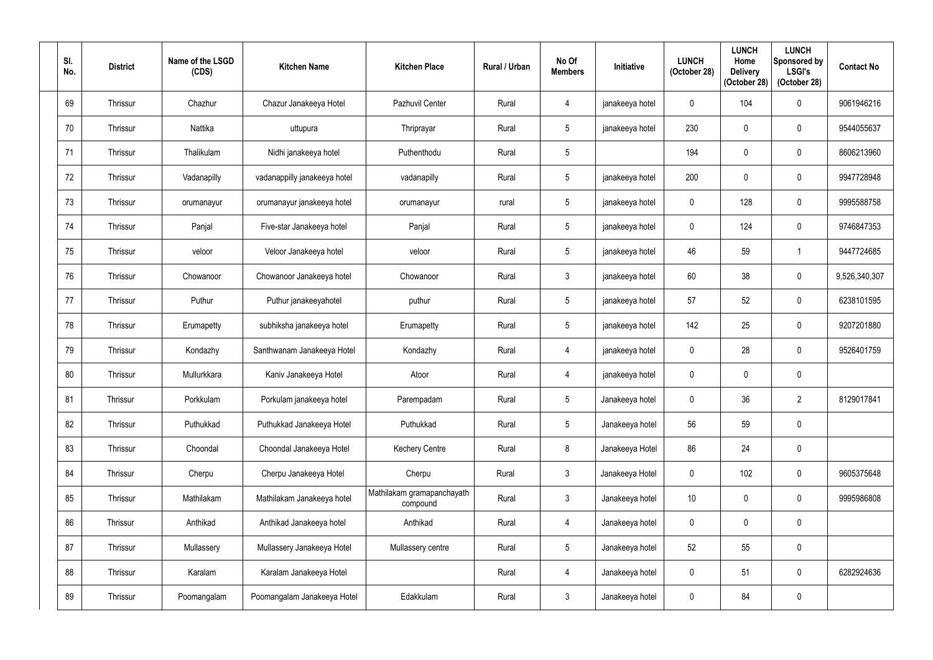| SI.<br>No. | <b>District</b> | Name of the LSGD<br>(CDS) | <b>Kitchen Name</b>          | <b>Kitchen Place</b>                   | Rural / Urban | No Of<br><b>Members</b> | <b>Initiative</b> | <b>LUNCH</b><br>(October 28) | <b>LUNCH</b><br>Home<br><b>Delivery</b><br>(October 28) | <b>LUNCH</b><br>Sponsored by<br><b>LSGI's</b><br>(October 28) | <b>Contact No</b> |
|------------|-----------------|---------------------------|------------------------------|----------------------------------------|---------------|-------------------------|-------------------|------------------------------|---------------------------------------------------------|---------------------------------------------------------------|-------------------|
| 69         | Thrissur        | Chazhur                   | Chazur Janakeeya Hotel       | Pazhuvil Center                        | Rural         | 4                       | janakeeya hotel   | $\mathbf 0$                  | 104                                                     | $\mathbf 0$                                                   | 9061946216        |
| 70         | Thrissur        | Nattika                   | uttupura                     | Thriprayar                             | Rural         | $5\overline{)}$         | janakeeya hotel   | 230                          |                                                         | $\mathbf 0$                                                   | 9544055637        |
| 71         | Thrissur        | Thalikulam                | Nidhi janakeeya hotel        | Puthenthodu                            | Rural         | $\sqrt{5}$              |                   | 194                          | $\Omega$                                                | $\mathbf 0$                                                   | 8606213960        |
| 72         | Thrissur        | Vadanapilly               | vadanappilly janakeeya hotel | vadanapilly                            | Rural         | 5 <sup>5</sup>          | janakeeya hotel   | 200                          |                                                         | $\mathbf 0$                                                   | 9947728948        |
| 73         | Thrissur        | orumanayur                | orumanayur janakeeya hotel   | orumanayur                             | rural         | $5\phantom{.0}$         | janakeeya hotel   | $\mathbf 0$                  | 128                                                     | $\mathbf 0$                                                   | 9995588758        |
| 74         | Thrissur        | Panjal                    | Five-star Janakeeya hotel    | Panjal                                 | Rural         | $5\overline{)}$         | janakeeya hotel   | $\mathbf{0}$                 | 124                                                     | $\mathbf 0$                                                   | 9746847353        |
| 75         | Thrissur        | veloor                    | Veloor Janakeeya hotel       | veloor                                 | Rural         | $5\overline{)}$         | janakeeya hotel   | 46                           | 59                                                      |                                                               | 9447724685        |
| 76         | Thrissur        | Chowanoor                 | Chowanoor Janakeeya hotel    | Chowanoor                              | Rural         | $\mathbf{3}$            | janakeeya hotel   | 60                           | 38                                                      | $\mathbf 0$                                                   | 9,526,340,307     |
| 77         | Thrissur        | Puthur                    | Puthur janakeeyahotel        | puthur                                 | Rural         | $5\phantom{.0}$         | janakeeya hotel   | 57                           | 52                                                      | $\mathbf 0$                                                   | 6238101595        |
| 78         | Thrissur        | Erumapetty                | subhiksha janakeeya hotel    | Erumapetty                             | Rural         | $5\phantom{.0}$         | janakeeya hotel   | 142                          | 25                                                      | $\mathbf 0$                                                   | 9207201880        |
| 79         | Thrissur        | Kondazhy                  | Santhwanam Janakeeya Hotel   | Kondazhy                               | Rural         | 4                       | janakeeya hotel   | $\mathbf 0$                  | 28                                                      | $\mathbf 0$                                                   | 9526401759        |
| 80         | Thrissur        | Mullurkkara               | Kaniv Janakeeya Hotel        | Atoor                                  | Rural         | 4                       | janakeeya hotel   | $\mathbf 0$                  | $\mathbf{0}$                                            | $\mathbf 0$                                                   |                   |
| 81         | Thrissur        | Porkkulam                 | Porkulam janakeeya hotel     | Parempadam                             | Rural         | $5\phantom{.0}$         | Janakeeya hotel   | $\mathbf 0$                  | 36                                                      | $\overline{2}$                                                | 8129017841        |
| 82         | Thrissur        | Puthukkad                 | Puthukkad Janakeeya Hotel    | Puthukkad                              | Rural         | $5\phantom{.0}$         | Janakeeya hotel   | 56                           | 59                                                      | $\pmb{0}$                                                     |                   |
| 83         | Thrissur        | Choondal                  | Choondal Janakeeya Hotel     | <b>Kechery Centre</b>                  | Rural         | 8                       | Janakeeya Hotel   | 86                           | 24                                                      | $\pmb{0}$                                                     |                   |
| 84         | Thrissur        | Cherpu                    | Cherpu Janakeeya Hotel       | Cherpu                                 | Rural         | $\mathbf{3}$            | Janakeeya Hotel   | $\mathbf 0$                  | 102                                                     | $\pmb{0}$                                                     | 9605375648        |
| 85         | Thrissur        | Mathilakam                | Mathilakam Janakeeya hotel   | Mathilakam gramapanchayath<br>compound | Rural         | $\mathfrak{Z}$          | Janakeeya hotel   | 10 <sup>°</sup>              | $\mathbf{0}$                                            | $\pmb{0}$                                                     | 9995986808        |
| 86         | Thrissur        | Anthikad                  | Anthikad Janakeeya hotel     | Anthikad                               | Rural         | 4                       | Janakeeya hotel   | $\mathbf 0$                  | $\mathbf 0$                                             | $\pmb{0}$                                                     |                   |
| 87         | Thrissur        | Mullassery                | Mullassery Janakeeya Hotel   | Mullassery centre                      | Rural         | $\sqrt{5}$              | Janakeeya hotel   | 52                           | 55                                                      | $\pmb{0}$                                                     |                   |
| 88         | Thrissur        | Karalam                   | Karalam Janakeeya Hotel      |                                        | Rural         | $\overline{4}$          | Janakeeya hotel   | $\mathbf 0$                  | 51                                                      | $\pmb{0}$                                                     | 6282924636        |
| 89         | Thrissur        | Poomangalam               | Poomangalam Janakeeya Hotel  | Edakkulam                              | Rural         | $\mathfrak{Z}$          | Janakeeya hotel   | $\mathbf 0$                  | 84                                                      | $\pmb{0}$                                                     |                   |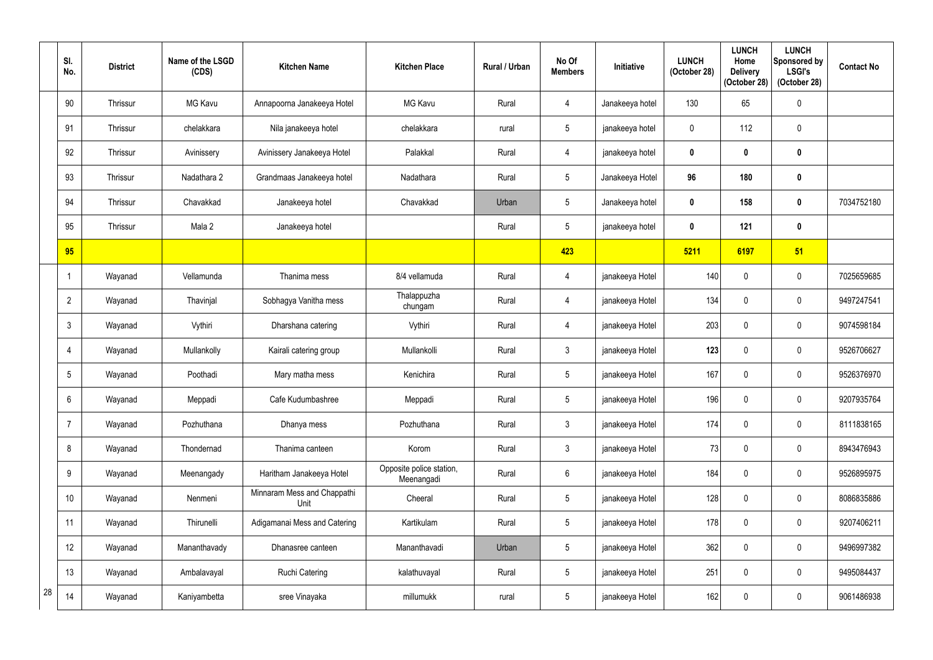|    | SI.<br>No.      | <b>District</b> | Name of the LSGD<br>(CDS) | <b>Kitchen Name</b>                 | <b>Kitchen Place</b>                   | Rural / Urban | No Of<br><b>Members</b> | Initiative      | <b>LUNCH</b><br>(October 28) | <b>LUNCH</b><br>Home<br><b>Delivery</b><br>(October 28) | <b>LUNCH</b><br>Sponsored by<br><b>LSGI's</b><br>(October 28) | <b>Contact No</b> |
|----|-----------------|-----------------|---------------------------|-------------------------------------|----------------------------------------|---------------|-------------------------|-----------------|------------------------------|---------------------------------------------------------|---------------------------------------------------------------|-------------------|
|    | 90              | Thrissur        | MG Kavu                   | Annapoorna Janakeeya Hotel          | <b>MG Kavu</b>                         | Rural         | 4                       | Janakeeya hotel | 130                          | 65                                                      | $\pmb{0}$                                                     |                   |
|    | 91              | Thrissur        | chelakkara                | Nila janakeeya hotel                | chelakkara                             | rural         | $5\overline{)}$         | janakeeya hotel | $\mathbf 0$                  | 112                                                     | $\mathbf 0$                                                   |                   |
|    | 92              | Thrissur        | Avinissery                | Avinissery Janakeeya Hotel          | Palakkal                               | Rural         | 4                       | janakeeya hotel | $\boldsymbol{0}$             |                                                         | $\boldsymbol{0}$                                              |                   |
|    | 93              | Thrissur        | Nadathara 2               | Grandmaas Janakeeya hotel           | Nadathara                              | Rural         | $5\overline{)}$         | Janakeeya Hotel | 96                           | 180                                                     | $\pmb{0}$                                                     |                   |
|    | 94              | Thrissur        | Chavakkad                 | Janakeeya hotel                     | Chavakkad                              | Urban         | $5\phantom{.0}$         | Janakeeya hotel | $\mathbf 0$                  | 158                                                     | $\bf{0}$                                                      | 7034752180        |
|    | 95              | Thrissur        | Mala 2                    | Janakeeya hotel                     |                                        | Rural         | $5\overline{)}$         | janakeeya hotel | $\mathbf 0$                  | 121                                                     | $\boldsymbol{0}$                                              |                   |
|    | 95              |                 |                           |                                     |                                        |               | 423                     |                 | 5211                         | 6197                                                    | 51                                                            |                   |
|    | -1              | Wayanad         | Vellamunda                | Thanima mess                        | 8/4 vellamuda                          | Rural         | 4                       | janakeeya Hotel | 140                          | $\mathbf{0}$                                            | $\mathbf 0$                                                   | 7025659685        |
|    | $\overline{2}$  | Wayanad         | Thavinjal                 | Sobhagya Vanitha mess               | Thalappuzha<br>chungam                 | Rural         | 4                       | janakeeya Hotel | 134                          | $\mathbf 0$                                             | $\mathbf 0$                                                   | 9497247541        |
|    | $\mathbf{3}$    | Wayanad         | Vythiri                   | Dharshana catering                  | Vythiri                                | Rural         | 4                       | janakeeya Hotel | 203                          | 0                                                       | $\mathbf 0$                                                   | 9074598184        |
|    | -4              | Wayanad         | Mullankolly               | Kairali catering group              | Mullankolli                            | Rural         | $\mathfrak{Z}$          | janakeeya Hotel | 123                          | 0                                                       | $\pmb{0}$                                                     | 9526706627        |
|    | $5\phantom{.0}$ | Wayanad         | Poothadi                  | Mary matha mess                     | Kenichira                              | Rural         | $5\overline{)}$         | janakeeya Hotel | 167                          | 0                                                       | $\mathbf 0$                                                   | 9526376970        |
|    | 6               | Wayanad         | Meppadi                   | Cafe Kudumbashree                   | Meppadi                                | Rural         | $5\phantom{.0}$         | janakeeya Hotel | 196                          | $\mathbf 0$                                             | $\pmb{0}$                                                     | 9207935764        |
|    |                 | Wayanad         | Pozhuthana                | Dhanya mess                         | Pozhuthana                             | Rural         | $3\phantom{.0}$         | janakeeya Hotel | 174                          | 0                                                       | $\boldsymbol{0}$                                              | 8111838165        |
|    | 8               | Wayanad         | Thondernad                | Thanima canteen                     | Korom                                  | Rural         | $\mathfrak{Z}$          | janakeeya Hotel | 73                           | 0                                                       | $\boldsymbol{0}$                                              | 8943476943        |
|    | 9               | Wayanad         | Meenangady                | Haritham Janakeeya Hotel            | Opposite police station,<br>Meenangadi | Rural         | $6\phantom{.0}$         | janakeeya Hotel | 184                          | 0                                                       | $\boldsymbol{0}$                                              | 9526895975        |
|    | 10              | Wayanad         | Nenmeni                   | Minnaram Mess and Chappathi<br>Unit | Cheeral                                | Rural         | $5\phantom{.0}$         | janakeeya Hotel | 128                          | $\mathbf 0$                                             | $\boldsymbol{0}$                                              | 8086835886        |
|    | 11              | Wayanad         | Thirunelli                | Adigamanai Mess and Catering        | Kartikulam                             | Rural         | $5\phantom{.0}$         | janakeeya Hotel | 178                          | $\mathbf 0$                                             | $\mathbf 0$                                                   | 9207406211        |
|    | 12              | Wayanad         | Mananthavady              | Dhanasree canteen                   | Mananthavadi                           | Urban         | $5\phantom{.0}$         | janakeeya Hotel | 362                          | 0                                                       | $\mathbf 0$                                                   | 9496997382        |
|    | 13              | Wayanad         | Ambalavayal               | <b>Ruchi Catering</b>               | kalathuvayal                           | Rural         | $5\phantom{.0}$         | janakeeya Hotel | 251                          | 0                                                       | $\pmb{0}$                                                     | 9495084437        |
| 28 | 14              | Wayanad         | Kaniyambetta              | sree Vinayaka                       | millumukk                              | rural         | $5\phantom{.0}$         | janakeeya Hotel | 162                          | 0                                                       | $\pmb{0}$                                                     | 9061486938        |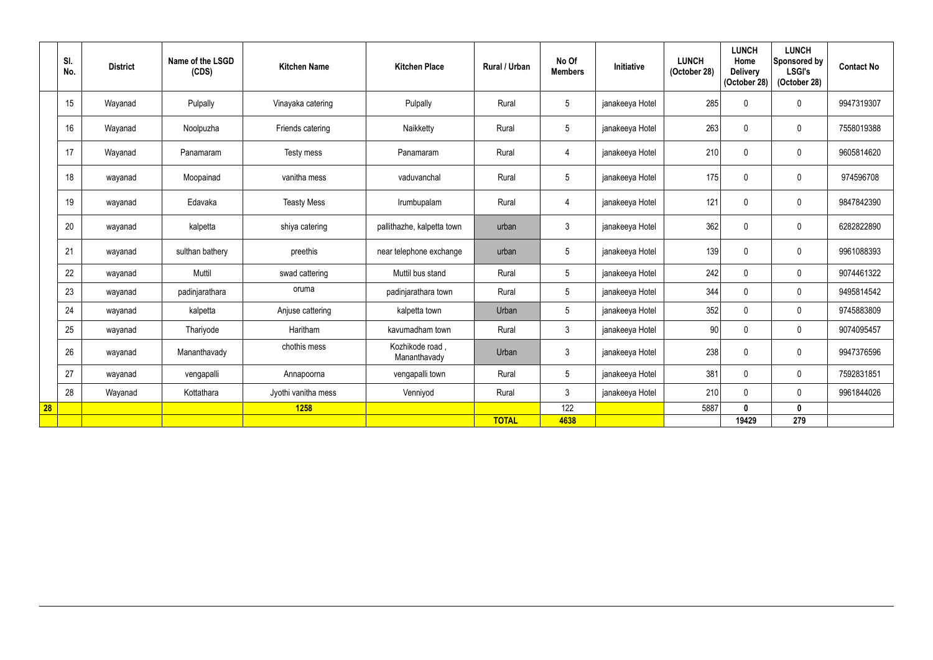|           | SI.<br>No. | <b>District</b> | Name of the LSGD<br>(CDS) | <b>Kitchen Name</b> | <b>Kitchen Place</b>            | <b>Rural / Urban</b> | No Of<br><b>Members</b> | Initiative      | <b>LUNCH</b><br>(October 28) | <b>LUNCH</b><br>Home<br><b>Delivery</b><br>(October 28) | <b>LUNCH</b><br>Sponsored by<br><b>LSGI's</b><br>(October 28) | <b>Contact No</b> |
|-----------|------------|-----------------|---------------------------|---------------------|---------------------------------|----------------------|-------------------------|-----------------|------------------------------|---------------------------------------------------------|---------------------------------------------------------------|-------------------|
|           | 15         | Wayanad         | Pulpally                  | Vinayaka catering   | Pulpally                        | Rural                | $5\phantom{.0}$         | janakeeya Hotel | 285                          | $\mathbf{0}$                                            | $\pmb{0}$                                                     | 9947319307        |
|           | 16         | Wayanad         | Noolpuzha                 | Friends catering    | Naikketty                       | Rural                | $5\phantom{.0}$         | janakeeya Hotel | 263                          | $\mathbf 0$                                             | $\mathbf 0$                                                   | 7558019388        |
|           | 17         | Wayanad         | Panamaram                 | Testy mess          | Panamaram                       | Rural                | $\overline{4}$          | janakeeya Hotel | 210                          | $\pmb{0}$                                               | $\mathbf 0$                                                   | 9605814620        |
|           | 18         | wayanad         | Moopainad                 | vanitha mess        | vaduvanchal                     | Rural                | $5\overline{)}$         | janakeeya Hotel | 175                          | $\mathbf 0$                                             | $\mathbf 0$                                                   | 974596708         |
|           | 19         | wayanad         | Edavaka                   | <b>Teasty Mess</b>  | Irumbupalam                     | Rural                | $\overline{4}$          | janakeeya Hotel | 121                          | $\mathbf{0}$                                            | $\mathbf 0$                                                   | 9847842390        |
|           | 20         | wayanad         | kalpetta                  | shiya catering      | pallithazhe, kalpetta town      | urban                | $\mathbf{3}$            | janakeeya Hotel | 362                          | $\mathbf 0$                                             | $\mathbf 0$                                                   | 6282822890        |
|           | 21         | wayanad         | sulthan bathery           | preethis            | near telephone exchange         | urban                | $5\phantom{.0}$         | janakeeya Hotel | 139                          | $\mathbf{0}$                                            | $\mathbf 0$                                                   | 9961088393        |
|           | 22         | wayanad         | Muttil                    | swad cattering      | Muttil bus stand                | Rural                | $5\overline{)}$         | janakeeya Hotel | 242                          | $\mathbf 0$                                             | $\mathbf 0$                                                   | 9074461322        |
|           | 23         | wayanad         | padinjarathara            | oruma               | padinjarathara town             | Rural                | $5\phantom{.0}$         | janakeeya Hotel | 344                          | $\mathbf 0$                                             | $\mathbf 0$                                                   | 9495814542        |
|           | 24         | wayanad         | kalpetta                  | Anjuse cattering    | kalpetta town                   | Urban                | $5\overline{)}$         | janakeeya Hotel | 352                          | $\mathbf{0}$                                            | $\mathbf 0$                                                   | 9745883809        |
|           | 25         | wayanad         | Thariyode                 | Haritham            | kavumadham town                 | Rural                | $\mathbf{3}$            | janakeeya Hotel | 90                           | $\mathbf 0$                                             | $\mathbf 0$                                                   | 9074095457        |
|           | 26         | wayanad         | Mananthavady              | chothis mess        | Kozhikode road,<br>Mananthavady | Urban                | $\mathbf{3}$            | janakeeya Hotel | 238                          | $\mathbf 0$                                             | $\mathbf 0$                                                   | 9947376596        |
|           | 27         | wayanad         | vengapalli                | Annapoorna          | vengapalli town                 | Rural                | $5\overline{)}$         | janakeeya Hotel | 381                          | $\mathbf 0$                                             | $\mathbf 0$                                                   | 7592831851        |
|           | 28         | Wayanad         | Kottathara                | Jyothi vanitha mess | Venniyod                        | Rural                | $\mathbf{3}$            | janakeeya Hotel | 210                          | $\mathbf{0}$                                            | $\mathbf 0$                                                   | 9961844026        |
| <b>28</b> |            |                 |                           | 1258                |                                 |                      | 122                     |                 | 5887                         | 0                                                       | $\mathbf 0$                                                   |                   |
|           |            |                 |                           |                     |                                 | <b>TOTAL</b>         | 4638                    |                 |                              | 19429                                                   | 279                                                           |                   |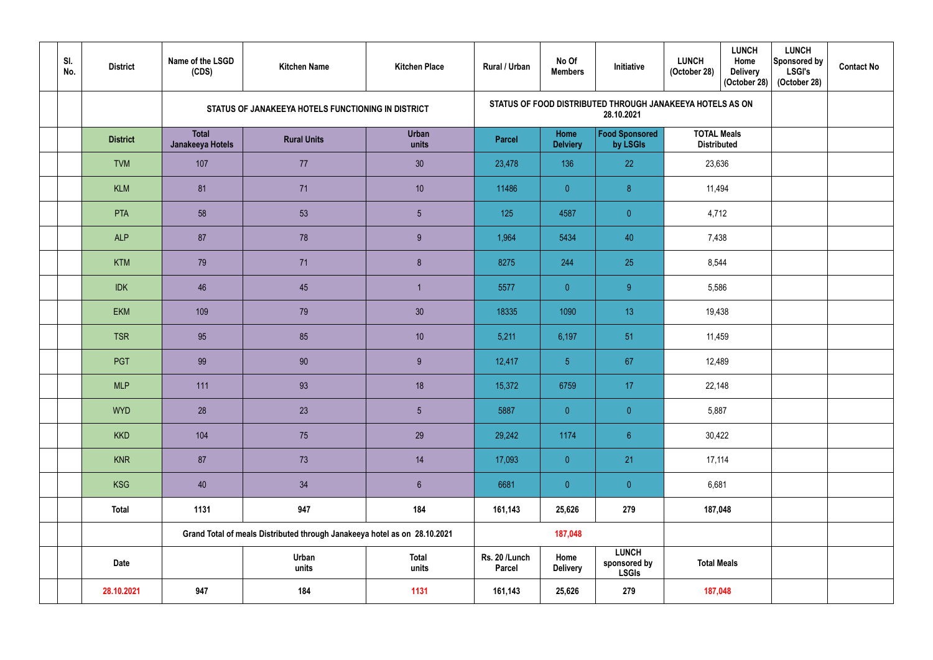| SI.<br>No. | <b>District</b> | Name of the LSGD<br>(CDS)        | <b>Kitchen Name</b>                                                       | <b>Kitchen Place</b>  | <b>Rural / Urban</b>    | No Of<br><b>Members</b> | Initiative                                   | <b>LUNCH</b><br><b>LUNCH</b><br>Home<br>(October 28)<br><b>Delivery</b><br>(October 28) | <b>LUNCH</b><br>Sponsored by<br><b>LSGI's</b><br>(October 28) | <b>Contact No</b> |
|------------|-----------------|----------------------------------|---------------------------------------------------------------------------|-----------------------|-------------------------|-------------------------|----------------------------------------------|-----------------------------------------------------------------------------------------|---------------------------------------------------------------|-------------------|
|            |                 |                                  | STATUS OF JANAKEEYA HOTELS FUNCTIONING IN DISTRICT                        |                       |                         |                         | 28.10.2021                                   | STATUS OF FOOD DISTRIBUTED THROUGH JANAKEEYA HOTELS AS ON                               |                                                               |                   |
|            | <b>District</b> | <b>Total</b><br>Janakeeya Hotels | <b>Rural Units</b>                                                        | <b>Urban</b><br>units | <b>Parcel</b>           | Home<br><b>Delviery</b> | <b>Food Sponsored</b><br>by LSGIs            | <b>TOTAL Meals</b><br><b>Distributed</b>                                                |                                                               |                   |
|            | <b>TVM</b>      | 107                              | 77                                                                        | 30 <sub>o</sub>       | 23,478                  | 136                     | 22                                           | 23,636                                                                                  |                                                               |                   |
|            | <b>KLM</b>      | 81                               | 71                                                                        | 10 <sup>°</sup>       | 11486                   | $\overline{0}$          | 8 <sup>°</sup>                               | 11,494                                                                                  |                                                               |                   |
|            | PTA             | 58                               | 53                                                                        | $5\phantom{.0}$       | 125                     | 4587                    | $\overline{0}$                               | 4,712                                                                                   |                                                               |                   |
|            | <b>ALP</b>      | 87                               | 78                                                                        | 9                     | 1,964                   | 5434                    | 40                                           | 7,438                                                                                   |                                                               |                   |
|            | <b>KTM</b>      | 79                               | 71                                                                        | $\boldsymbol{8}$      | 8275                    | 244                     | 25                                           | 8,544                                                                                   |                                                               |                   |
|            | <b>IDK</b>      | 46                               | 45                                                                        |                       | 5577                    | $\overline{0}$          | 9                                            | 5,586                                                                                   |                                                               |                   |
|            | <b>EKM</b>      | 109                              | 79                                                                        | 30                    | 18335                   | 1090                    | 13                                           | 19,438                                                                                  |                                                               |                   |
|            | <b>TSR</b>      | 95                               | 85                                                                        | 10                    | 5,211                   | 6,197                   | 51                                           | 11,459                                                                                  |                                                               |                   |
|            | PGT             | 99                               | 90                                                                        | 9                     | 12,417                  | 5 <sub>5</sub>          | 67                                           | 12,489                                                                                  |                                                               |                   |
|            | <b>MLP</b>      | 111                              | 93                                                                        | 18                    | 15,372                  | 6759                    | 17                                           | 22,148                                                                                  |                                                               |                   |
|            | <b>WYD</b>      | 28                               | 23                                                                        | $5\phantom{.0}$       | 5887                    | $\overline{0}$          | $\overline{0}$                               | 5,887                                                                                   |                                                               |                   |
|            | <b>KKD</b>      | 104                              | 75                                                                        | 29                    | 29,242                  | 1174                    | 6 <sup>°</sup>                               | 30,422                                                                                  |                                                               |                   |
|            | <b>KNR</b>      | 87                               | 73                                                                        | 14                    | 17,093                  | $\overline{0}$          | 21                                           | 17,114                                                                                  |                                                               |                   |
|            | <b>KSG</b>      | 40                               | 34                                                                        | $6\overline{6}$       | 6681                    | $\overline{0}$          | $\overline{0}$                               | 6,681                                                                                   |                                                               |                   |
|            | <b>Total</b>    | 1131                             | 947                                                                       | 184                   | 161,143                 | 25,626                  | 279                                          | 187,048                                                                                 |                                                               |                   |
|            |                 |                                  | Grand Total of meals Distributed through Janakeeya hotel as on 28.10.2021 |                       |                         | 187,048                 |                                              |                                                                                         |                                                               |                   |
|            | <b>Date</b>     |                                  | Urban<br>units                                                            | <b>Total</b><br>units | Rs. 20 /Lunch<br>Parcel | Home<br><b>Delivery</b> | <b>LUNCH</b><br>sponsored by<br><b>LSGIs</b> | <b>Total Meals</b>                                                                      |                                                               |                   |
|            | 28.10.2021      | 947                              | 184                                                                       | 1131                  | 161,143                 | 25,626                  | 279                                          | 187,048                                                                                 |                                                               |                   |